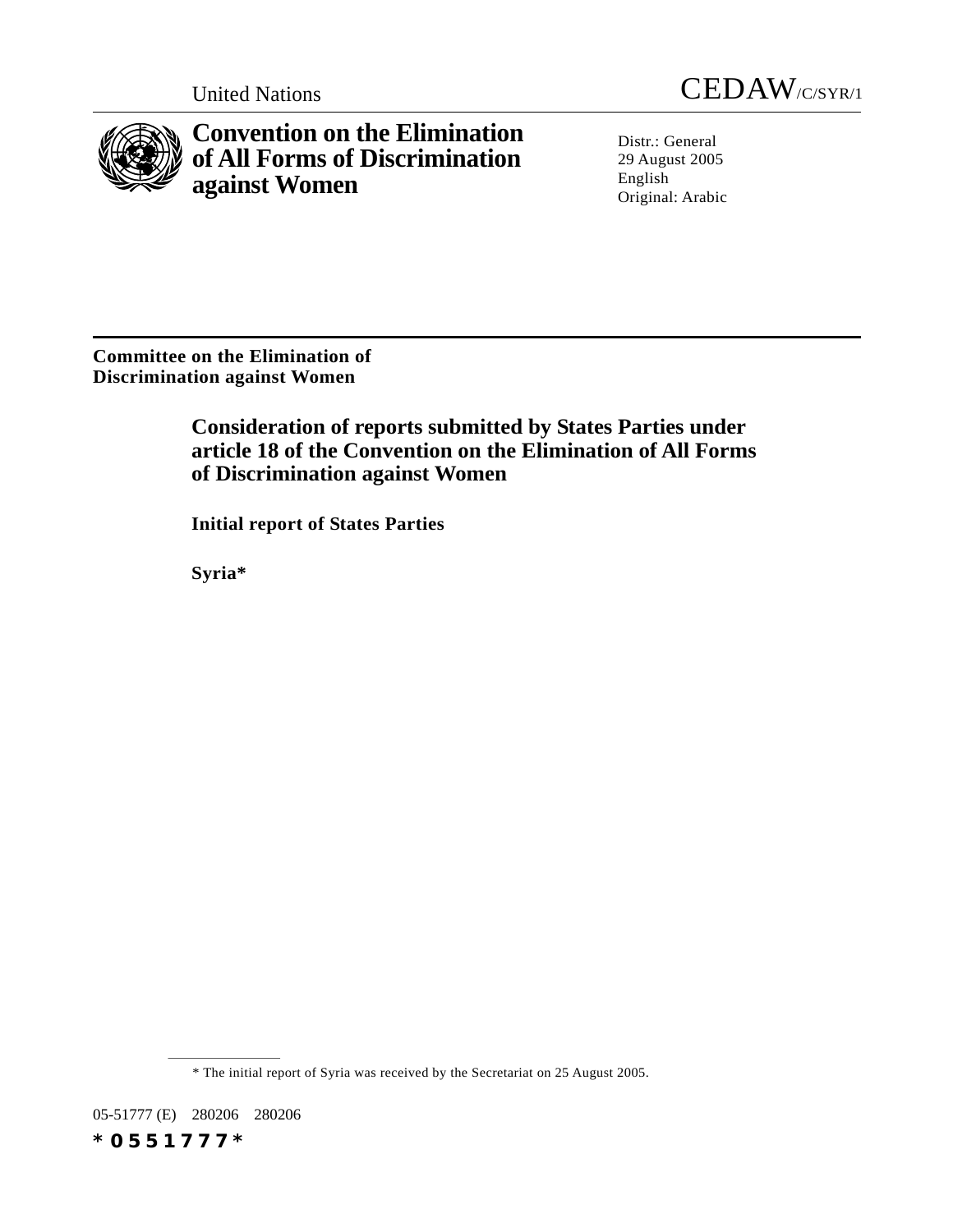

**Convention on the Elimination of All Forms of Discrimination against Women**

United Nations CEDAW/C/SYR/1

Distr.: General 29 August 2005 English Original: Arabic

**Committee on the Elimination of Discrimination against Women**

> **Consideration of reports submitted by States Parties under article 18 of the Convention on the Elimination of All Forms of Discrimination against Women**

**Initial report of States Parties**

**Syria\***

\* The initial report of Syria was received by the Secretariat on 25 August 2005.

05-51777 (E) 280206 280206 *\*0551777\**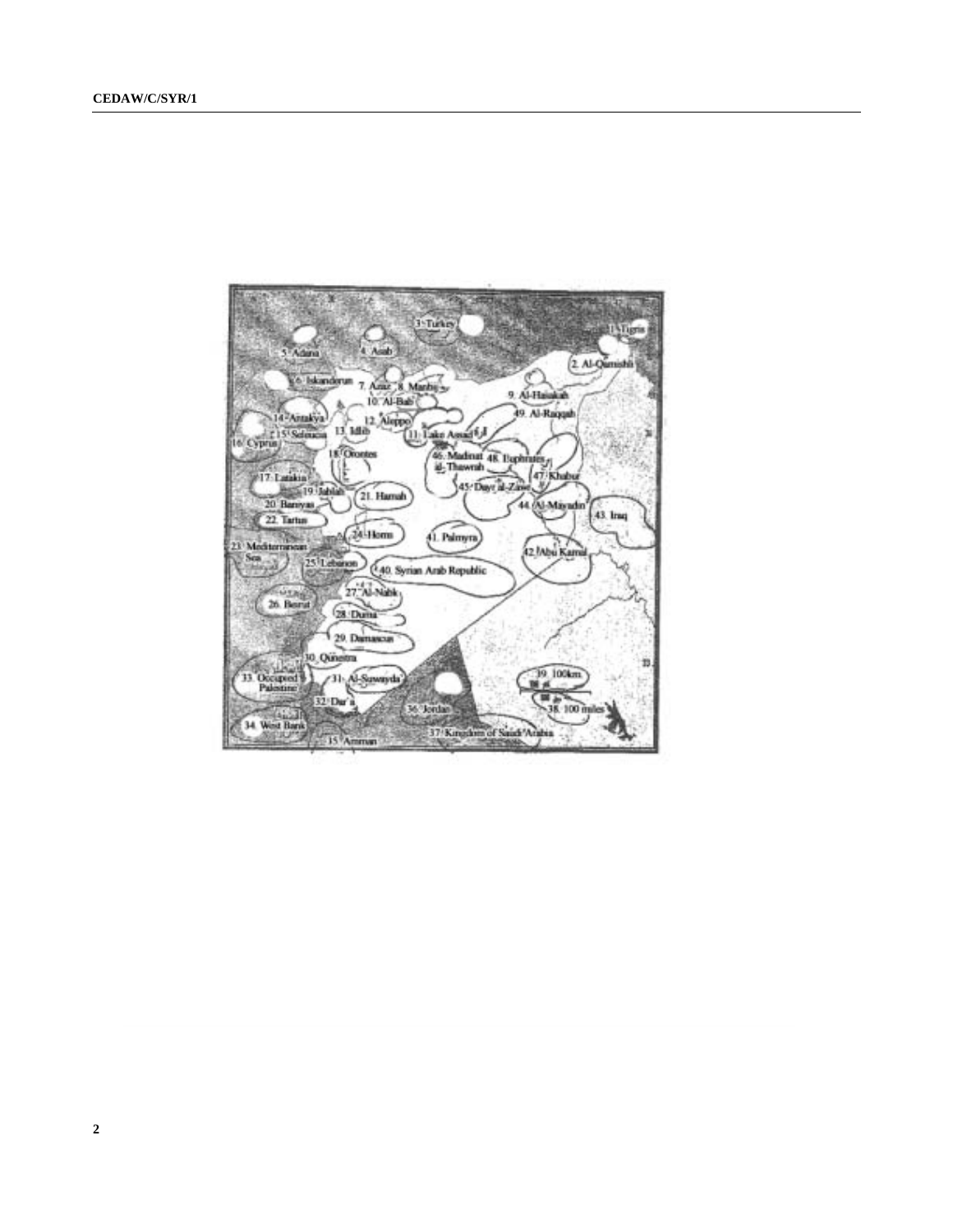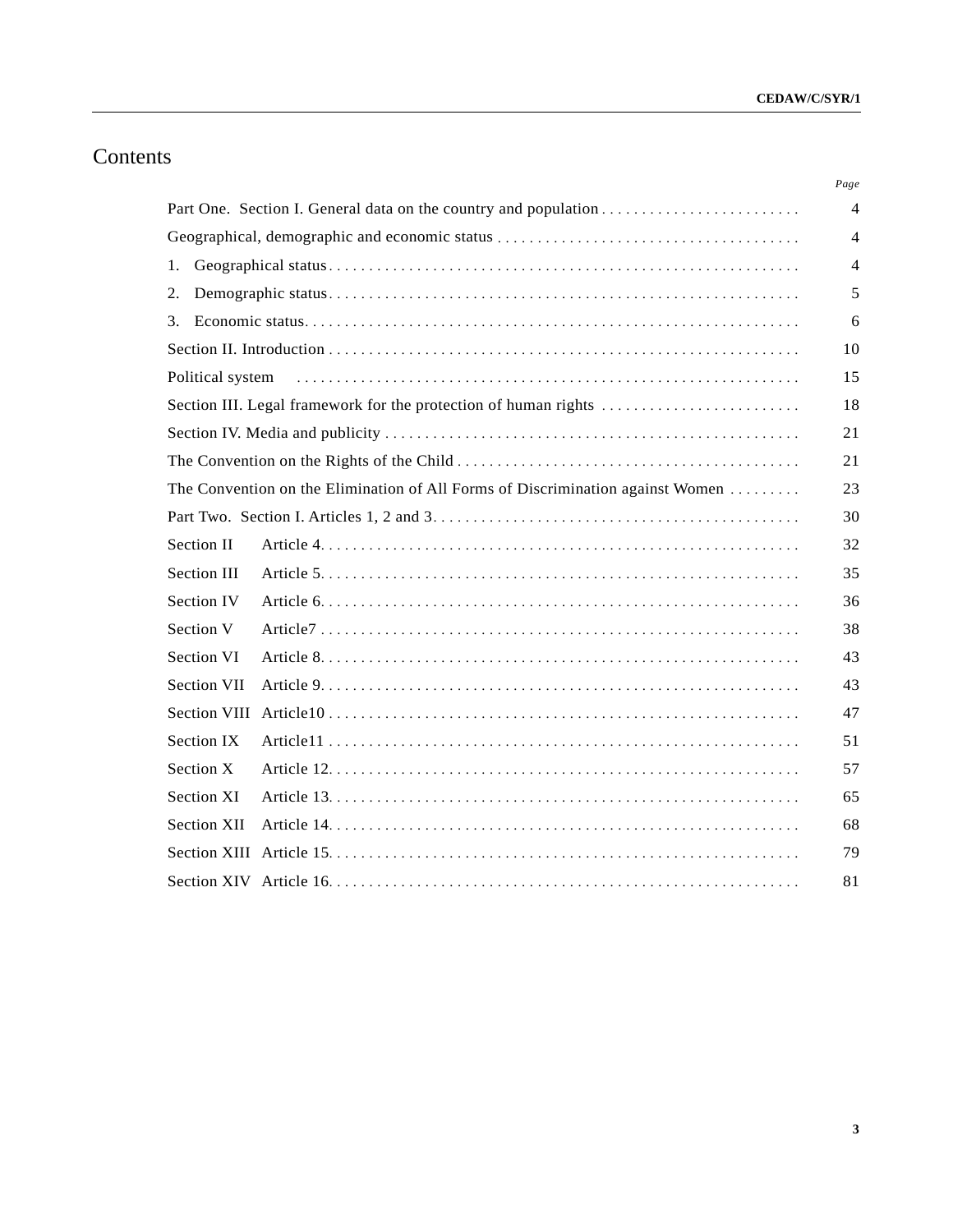# Contents

|                    |                                                                                | Page           |
|--------------------|--------------------------------------------------------------------------------|----------------|
|                    |                                                                                | 4              |
|                    |                                                                                | $\overline{4}$ |
| 1.                 |                                                                                | $\overline{4}$ |
| 2.                 |                                                                                | 5              |
| 3.                 |                                                                                | 6              |
|                    |                                                                                | 10             |
| Political system   |                                                                                | 15             |
|                    | Section III. Legal framework for the protection of human rights                | 18             |
|                    |                                                                                | 21             |
|                    |                                                                                | 21             |
|                    | The Convention on the Elimination of All Forms of Discrimination against Women | 23             |
|                    |                                                                                | 30             |
| Section II         |                                                                                | 32             |
| Section III        |                                                                                | 35             |
| Section IV         |                                                                                | 36             |
| Section V          |                                                                                | 38             |
| Section VI         |                                                                                | 43             |
| <b>Section VII</b> |                                                                                | 43             |
|                    |                                                                                | 47             |
| Section IX         |                                                                                | 51             |
| Section X          |                                                                                | 57             |
| Section XI         |                                                                                | 65             |
| <b>Section XII</b> |                                                                                | 68             |
|                    |                                                                                | 79             |
|                    |                                                                                | 81             |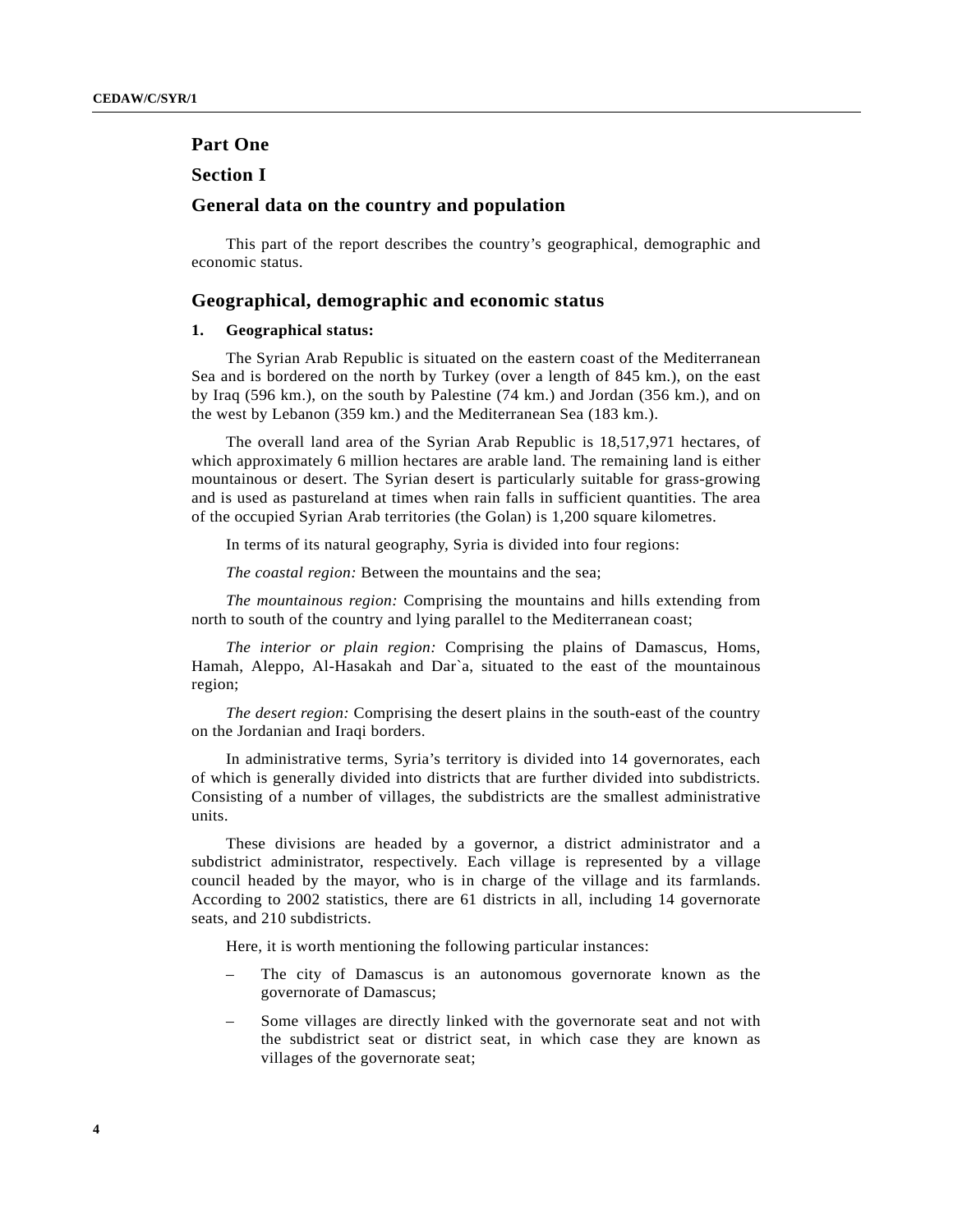# **Part One**

# **Section I**

# **General data on the country and population**

This part of the report describes the country's geographical, demographic and economic status.

# **Geographical, demographic and economic status**

## **1. Geographical status:**

The Syrian Arab Republic is situated on the eastern coast of the Mediterranean Sea and is bordered on the north by Turkey (over a length of 845 km.), on the east by Iraq (596 km.), on the south by Palestine (74 km.) and Jordan (356 km.), and on the west by Lebanon (359 km.) and the Mediterranean Sea (183 km.).

The overall land area of the Syrian Arab Republic is 18,517,971 hectares, of which approximately 6 million hectares are arable land. The remaining land is either mountainous or desert. The Syrian desert is particularly suitable for grass-growing and is used as pastureland at times when rain falls in sufficient quantities. The area of the occupied Syrian Arab territories (the Golan) is 1,200 square kilometres.

In terms of its natural geography, Syria is divided into four regions:

*The coastal region:* Between the mountains and the sea;

*The mountainous region:* Comprising the mountains and hills extending from north to south of the country and lying parallel to the Mediterranean coast;

*The interior or plain region:* Comprising the plains of Damascus, Homs, Hamah, Aleppo, Al-Hasakah and Dar`a, situated to the east of the mountainous region;

*The desert region:* Comprising the desert plains in the south-east of the country on the Jordanian and Iraqi borders.

In administrative terms, Syria's territory is divided into 14 governorates, each of which is generally divided into districts that are further divided into subdistricts. Consisting of a number of villages, the subdistricts are the smallest administrative units.

These divisions are headed by a governor, a district administrator and a subdistrict administrator, respectively. Each village is represented by a village council headed by the mayor, who is in charge of the village and its farmlands. According to 2002 statistics, there are 61 districts in all, including 14 governorate seats, and 210 subdistricts.

Here, it is worth mentioning the following particular instances:

- The city of Damascus is an autonomous governorate known as the governorate of Damascus;
- Some villages are directly linked with the governorate seat and not with the subdistrict seat or district seat, in which case they are known as villages of the governorate seat;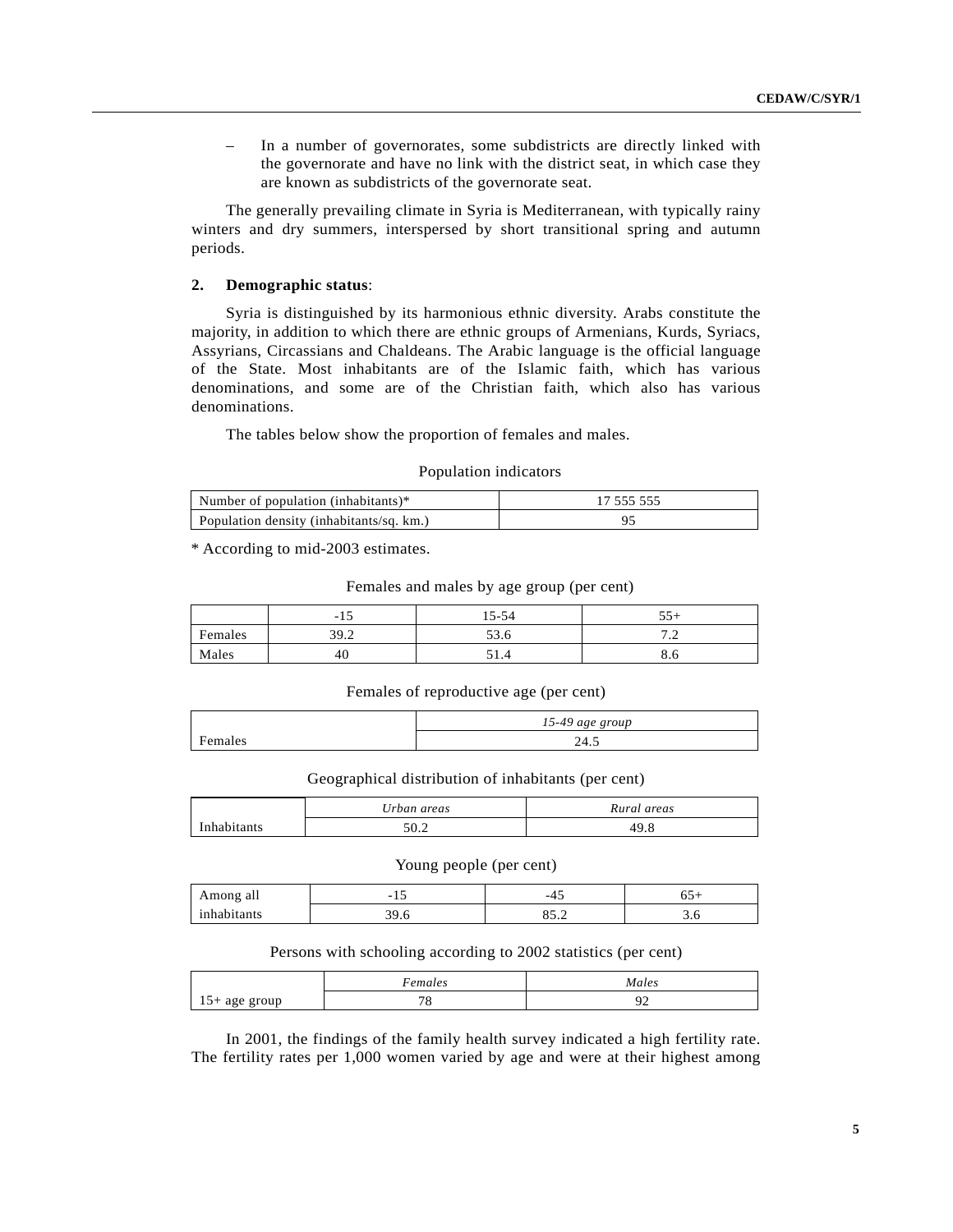– In a number of governorates, some subdistricts are directly linked with the governorate and have no link with the district seat, in which case they are known as subdistricts of the governorate seat.

The generally prevailing climate in Syria is Mediterranean, with typically rainy winters and dry summers, interspersed by short transitional spring and autumn periods.

# **2. Demographic status**:

Syria is distinguished by its harmonious ethnic diversity. Arabs constitute the majority, in addition to which there are ethnic groups of Armenians, Kurds, Syriacs, Assyrians, Circassians and Chaldeans. The Arabic language is the official language of the State. Most inhabitants are of the Islamic faith, which has various denominations, and some are of the Christian faith, which also has various denominations.

The tables below show the proportion of females and males.

#### Population indicators

| Number of population (inhabitants) $*$   | 17 555 555 |
|------------------------------------------|------------|
| Population density (inhabitants/sq. km.) |            |

\* According to mid-2003 estimates.

#### Females and males by age group (per cent)

|         | -15  | 15-54 | 55<br>ັບ                                   |
|---------|------|-------|--------------------------------------------|
| Females | 39.2 | 53.6  | $\overline{ }$<br>$\overline{\phantom{a}}$ |
| Males   | 40   | 91.4  | o.u                                        |

## Females of reproductive age (per cent)

|                | 15-49 age group |
|----------------|-----------------|
| $\blacksquare$ | 1 ב<br>24.J     |

Geographical distribution of inhabitants (per cent)

|             | Urban areas | Rural areas |
|-------------|-------------|-------------|
| Inhabitante | ר ה         | 49.8        |

#### Young people (per cent)

| Among all<br>c | $\sim$<br>. .             | -4.   | ບຸ  |
|----------------|---------------------------|-------|-----|
| inhabitants    | $\sim$<br>$\cdot$ $\circ$ | ບິດ ⊶ | J.U |

#### Persons with schooling according to 2002 statistics (per cent)

|                                         | –<br>emales  | Males |
|-----------------------------------------|--------------|-------|
| - -<br>our<br>- age<br>$1 \cup$<br>$-1$ | $\pi c$<br>◡ | -     |

In 2001, the findings of the family health survey indicated a high fertility rate. The fertility rates per 1,000 women varied by age and were at their highest among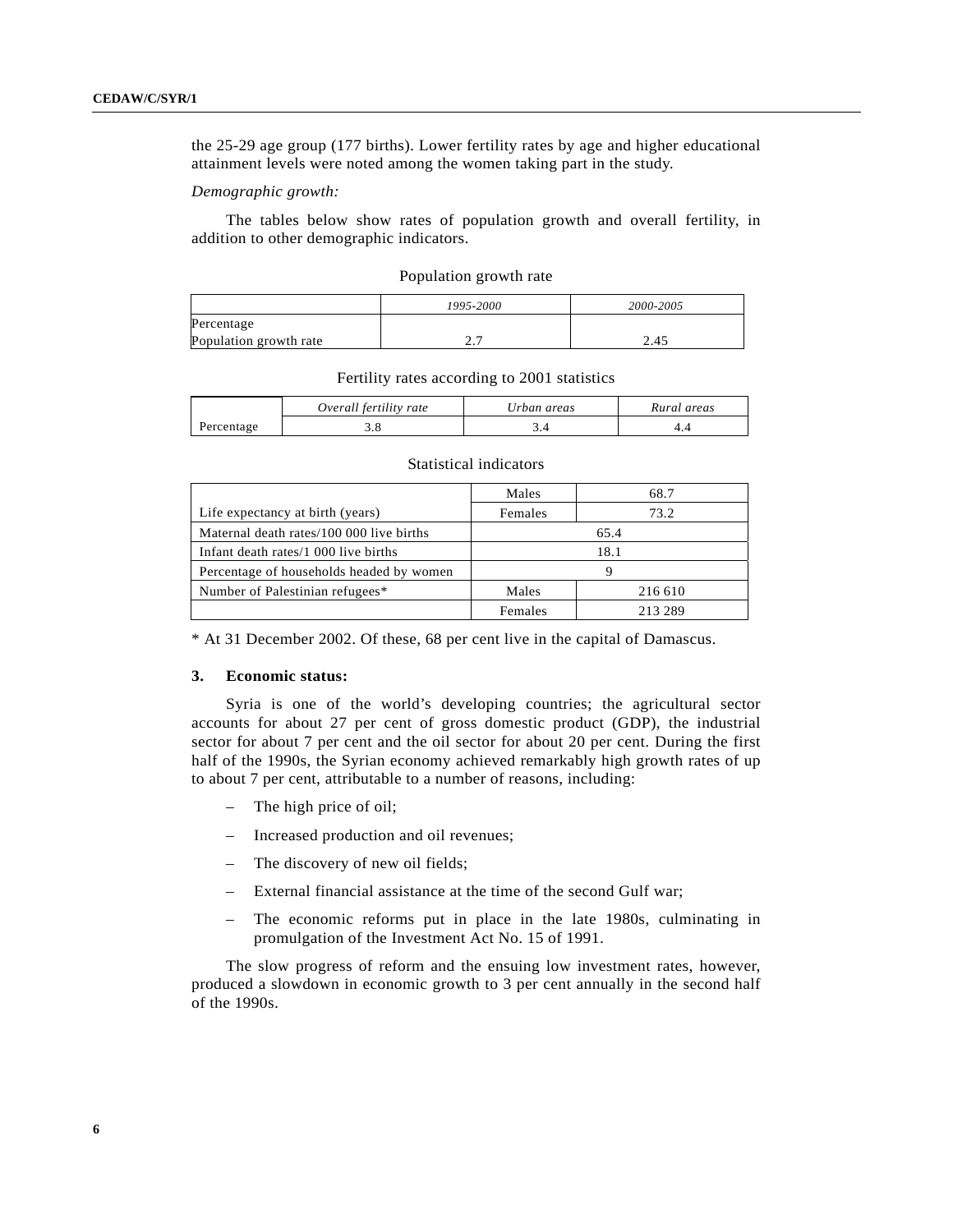the 25-29 age group (177 births). Lower fertility rates by age and higher educational attainment levels were noted among the women taking part in the study.

#### *Demographic growth:*

The tables below show rates of population growth and overall fertility, in addition to other demographic indicators.

| Population growth rate |  |
|------------------------|--|
|------------------------|--|

|                        | 1995-2000 | 2000-2005 |
|------------------------|-----------|-----------|
| Percentage             |           |           |
| Population growth rate | ،         | 2.45      |

#### Fertility rates according to 2001 statistics

|            | Overall fertility rate | Urban areas | Rural areas |
|------------|------------------------|-------------|-------------|
| Percentage |                        |             |             |

#### Statistical indicators

|                                          | Males   | 68.7    |
|------------------------------------------|---------|---------|
| Life expectancy at birth (years)         | Females | 73.2    |
| Maternal death rates/100 000 live births | 65.4    |         |
| Infant death rates/1 000 live births     | 18.1    |         |
| Percentage of households headed by women | Q       |         |
| Number of Palestinian refugees*          | Males   | 216 610 |
|                                          | Females | 213 289 |

\* At 31 December 2002. Of these, 68 per cent live in the capital of Damascus.

# **3. Economic status:**

Syria is one of the world's developing countries; the agricultural sector accounts for about 27 per cent of gross domestic product (GDP), the industrial sector for about 7 per cent and the oil sector for about 20 per cent. During the first half of the 1990s, the Syrian economy achieved remarkably high growth rates of up to about 7 per cent, attributable to a number of reasons, including:

- The high price of oil;
- Increased production and oil revenues;
- The discovery of new oil fields;
- External financial assistance at the time of the second Gulf war;
- The economic reforms put in place in the late 1980s, culminating in promulgation of the Investment Act No. 15 of 1991.

The slow progress of reform and the ensuing low investment rates, however, produced a slowdown in economic growth to 3 per cent annually in the second half of the 1990s.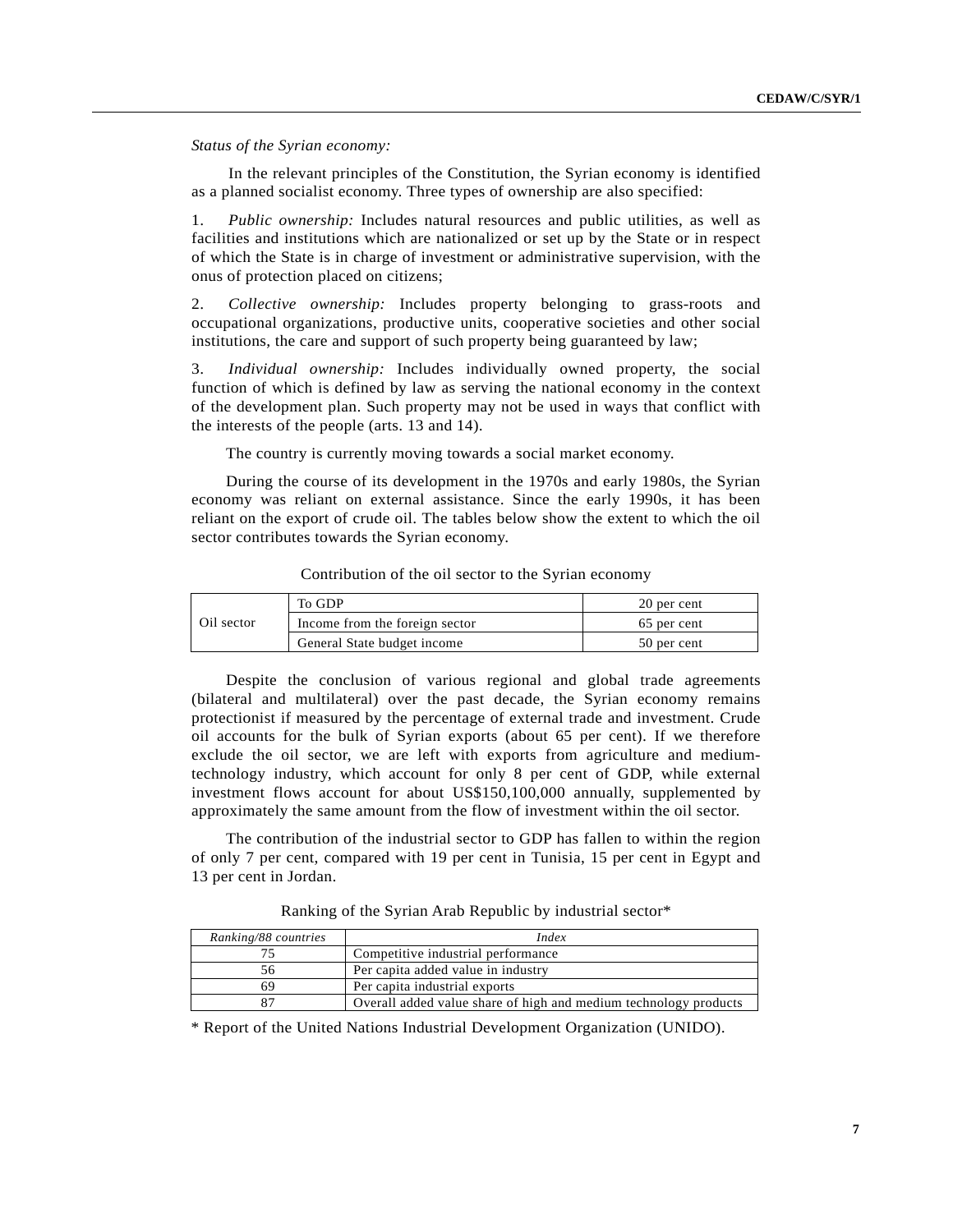*Status of the Syrian economy:*

In the relevant principles of the Constitution, the Syrian economy is identified as a planned socialist economy. Three types of ownership are also specified:

1. *Public ownership:* Includes natural resources and public utilities, as well as facilities and institutions which are nationalized or set up by the State or in respect of which the State is in charge of investment or administrative supervision, with the onus of protection placed on citizens;

2. *Collective ownership:* Includes property belonging to grass-roots and occupational organizations, productive units, cooperative societies and other social institutions, the care and support of such property being guaranteed by law;

3. *Individual ownership:* Includes individually owned property, the social function of which is defined by law as serving the national economy in the context of the development plan. Such property may not be used in ways that conflict with the interests of the people (arts. 13 and 14).

The country is currently moving towards a social market economy.

During the course of its development in the 1970s and early 1980s, the Syrian economy was reliant on external assistance. Since the early 1990s, it has been reliant on the export of crude oil. The tables below show the extent to which the oil sector contributes towards the Syrian economy.

|            | To GDP                         | 20 per cent |
|------------|--------------------------------|-------------|
| Oil sector | Income from the foreign sector | 65 per cent |
|            | General State budget income    | 50 per cent |

Contribution of the oil sector to the Syrian economy

Despite the conclusion of various regional and global trade agreements (bilateral and multilateral) over the past decade, the Syrian economy remains protectionist if measured by the percentage of external trade and investment. Crude oil accounts for the bulk of Syrian exports (about 65 per cent). If we therefore exclude the oil sector, we are left with exports from agriculture and mediumtechnology industry, which account for only 8 per cent of GDP, while external investment flows account for about US\$150,100,000 annually, supplemented by approximately the same amount from the flow of investment within the oil sector.

The contribution of the industrial sector to GDP has fallen to within the region of only 7 per cent, compared with 19 per cent in Tunisia, 15 per cent in Egypt and 13 per cent in Jordan.

Ranking of the Syrian Arab Republic by industrial sector\*

| Ranking/88 countries | Index                                                            |
|----------------------|------------------------------------------------------------------|
| 75                   | Competitive industrial performance                               |
| 56                   | Per capita added value in industry                               |
| 69                   | Per capita industrial exports                                    |
| 87                   | Overall added value share of high and medium technology products |

\* Report of the United Nations Industrial Development Organization (UNIDO).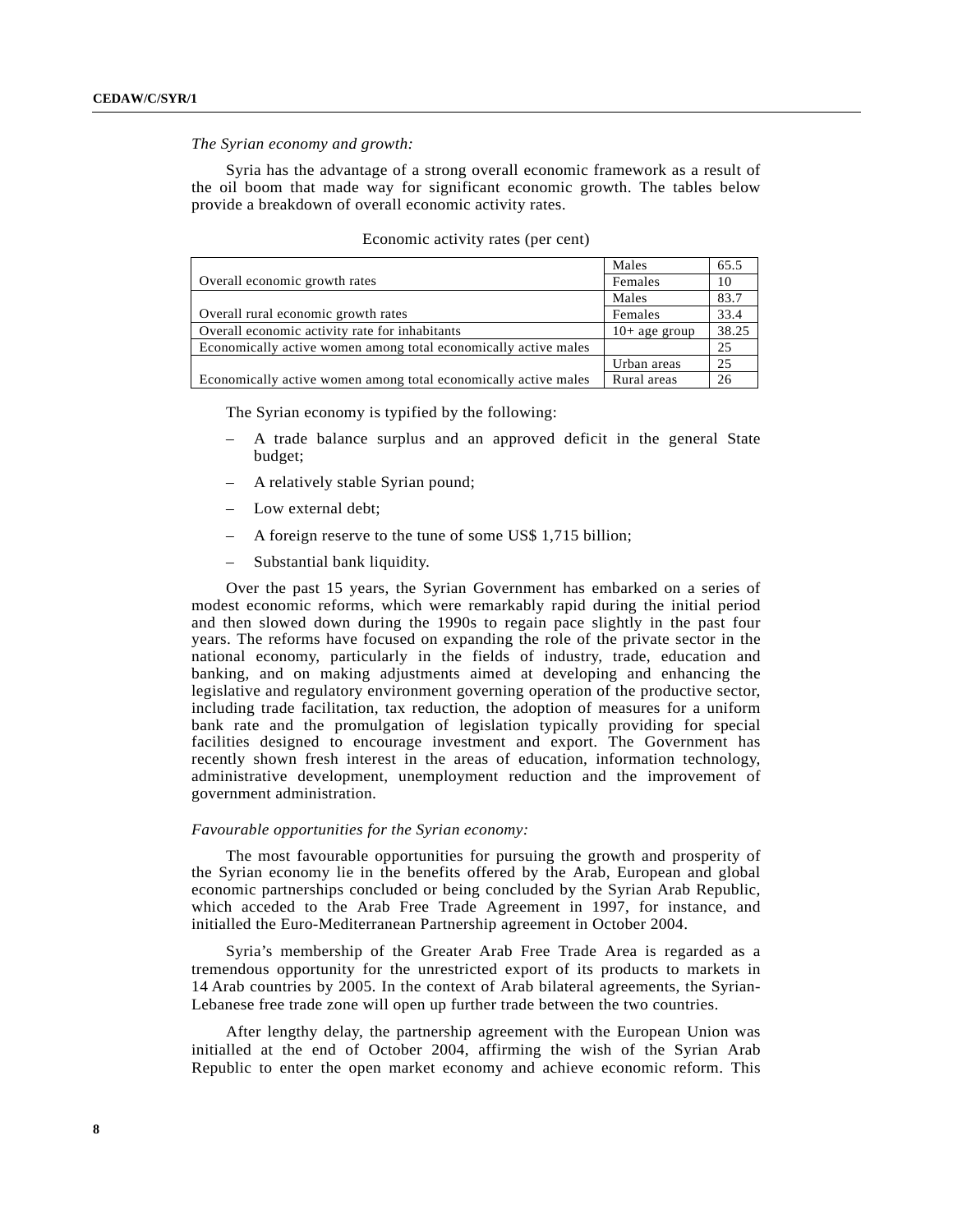## *The Syrian economy and growth:*

Syria has the advantage of a strong overall economic framework as a result of the oil boom that made way for significant economic growth. The tables below provide a breakdown of overall economic activity rates.

|                                                                 | Males           | 65.5  |
|-----------------------------------------------------------------|-----------------|-------|
| Overall economic growth rates                                   | Females         | 10    |
|                                                                 | Males           | 83.7  |
| Overall rural economic growth rates                             | Females         | 33.4  |
| Overall economic activity rate for inhabitants                  | $10+$ age group | 38.25 |
| Economically active women among total economically active males |                 | 25    |
|                                                                 | Urban areas     | 25    |
| Economically active women among total economically active males | Rural areas     | 26    |

## Economic activity rates (per cent)

The Syrian economy is typified by the following:

- A trade balance surplus and an approved deficit in the general State budget;
- A relatively stable Syrian pound;
- Low external debt;
- A foreign reserve to the tune of some US\$ 1,715 billion;
- Substantial bank liquidity.

Over the past 15 years, the Syrian Government has embarked on a series of modest economic reforms, which were remarkably rapid during the initial period and then slowed down during the 1990s to regain pace slightly in the past four years. The reforms have focused on expanding the role of the private sector in the national economy, particularly in the fields of industry, trade, education and banking, and on making adjustments aimed at developing and enhancing the legislative and regulatory environment governing operation of the productive sector, including trade facilitation, tax reduction, the adoption of measures for a uniform bank rate and the promulgation of legislation typically providing for special facilities designed to encourage investment and export. The Government has recently shown fresh interest in the areas of education, information technology, administrative development, unemployment reduction and the improvement of government administration.

#### *Favourable opportunities for the Syrian economy:*

The most favourable opportunities for pursuing the growth and prosperity of the Syrian economy lie in the benefits offered by the Arab, European and global economic partnerships concluded or being concluded by the Syrian Arab Republic, which acceded to the Arab Free Trade Agreement in 1997, for instance, and initialled the Euro-Mediterranean Partnership agreement in October 2004.

Syria's membership of the Greater Arab Free Trade Area is regarded as a tremendous opportunity for the unrestricted export of its products to markets in 14 Arab countries by 2005. In the context of Arab bilateral agreements, the Syrian-Lebanese free trade zone will open up further trade between the two countries.

After lengthy delay, the partnership agreement with the European Union was initialled at the end of October 2004, affirming the wish of the Syrian Arab Republic to enter the open market economy and achieve economic reform. This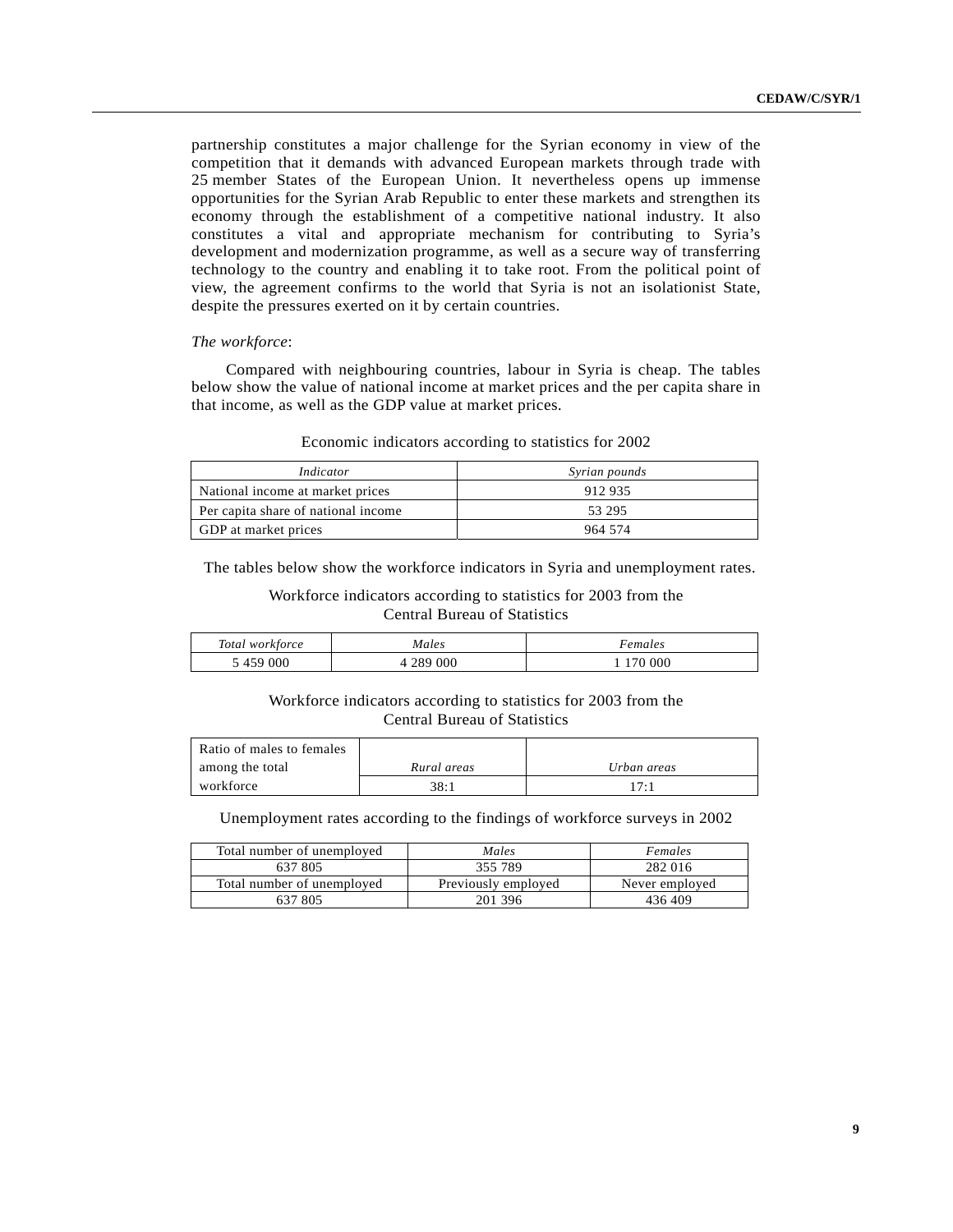partnership constitutes a major challenge for the Syrian economy in view of the competition that it demands with advanced European markets through trade with 25 member States of the European Union. It nevertheless opens up immense opportunities for the Syrian Arab Republic to enter these markets and strengthen its economy through the establishment of a competitive national industry. It also constitutes a vital and appropriate mechanism for contributing to Syria's development and modernization programme, as well as a secure way of transferring technology to the country and enabling it to take root. From the political point of view, the agreement confirms to the world that Syria is not an isolationist State, despite the pressures exerted on it by certain countries.

## *The workforce*:

Compared with neighbouring countries, labour in Syria is cheap. The tables below show the value of national income at market prices and the per capita share in that income, as well as the GDP value at market prices.

| Indicator                           | Syrian pounds |  |
|-------------------------------------|---------------|--|
| National income at market prices    | 912 935       |  |
| Per capita share of national income | 53 295        |  |
| GDP at market prices                | 964 574       |  |

#### Economic indicators according to statistics for 2002

The tables below show the workforce indicators in Syria and unemployment rates.

## Workforce indicators according to statistics for 2003 from the Central Bureau of Statistics

| Total workforce | Males     | Females |
|-----------------|-----------|---------|
| 5459000         | 4 289 000 | 170 000 |

# Workforce indicators according to statistics for 2003 from the Central Bureau of Statistics

| Ratio of males to females |             |             |
|---------------------------|-------------|-------------|
| among the total           | Rural areas | Urban areas |
| workforce                 | 38:1        | $17 -$      |

Unemployment rates according to the findings of workforce surveys in 2002

| Total number of unemployed | Males               | Females        |
|----------------------------|---------------------|----------------|
| 637 805                    | 355 789             | 282 016        |
| Total number of unemployed | Previously employed | Never employed |
| 637 805                    | 201 396             | 436409         |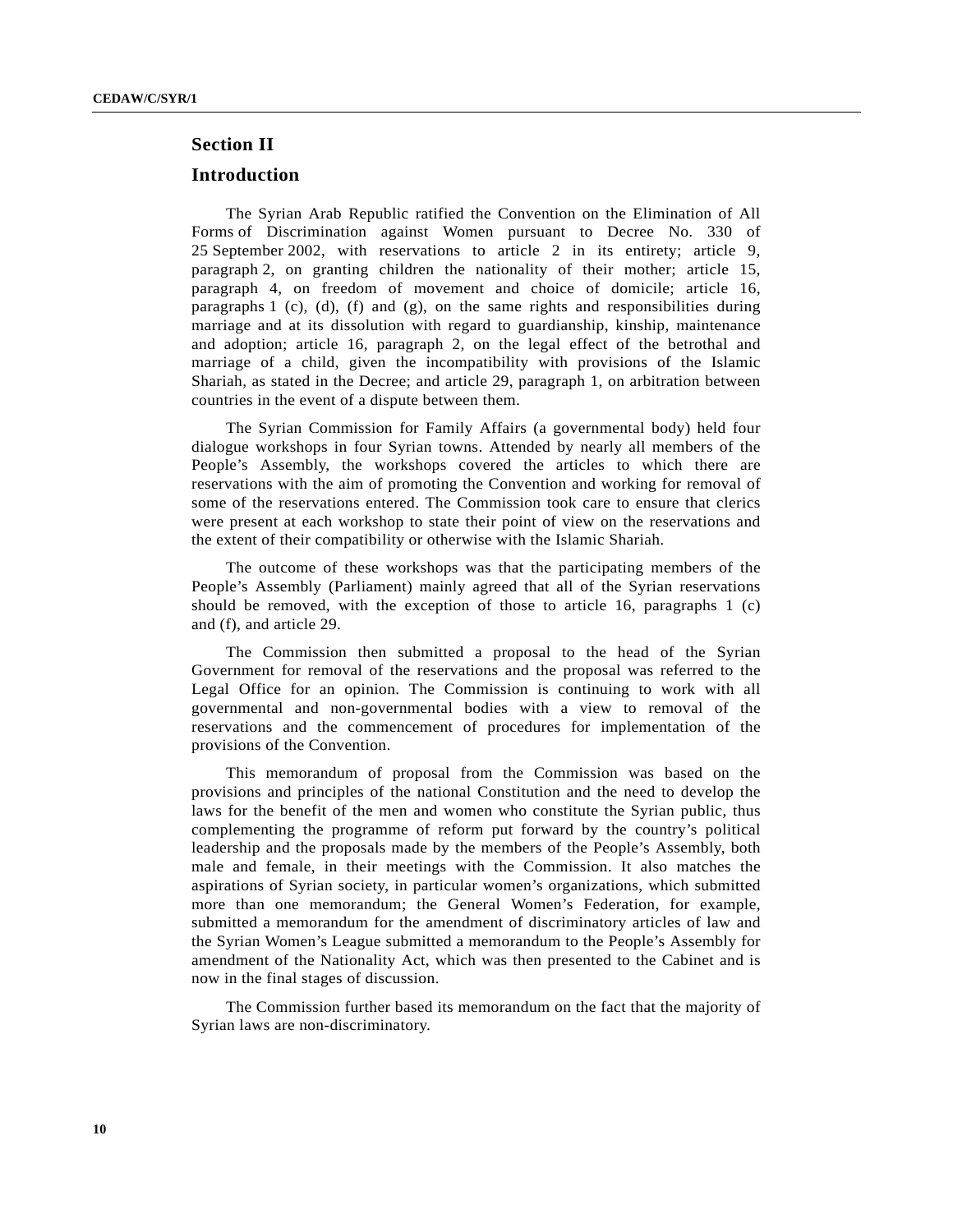# **Section II**

# **Introduction**

The Syrian Arab Republic ratified the Convention on the Elimination of All Forms of Discrimination against Women pursuant to Decree No. 330 of 25 September 2002, with reservations to article 2 in its entirety; article 9, paragraph 2, on granting children the nationality of their mother; article 15, paragraph 4, on freedom of movement and choice of domicile; article 16, paragraphs 1 (c), (d), (f) and (g), on the same rights and responsibilities during marriage and at its dissolution with regard to guardianship, kinship, maintenance and adoption; article 16, paragraph 2, on the legal effect of the betrothal and marriage of a child, given the incompatibility with provisions of the Islamic Shariah, as stated in the Decree; and article 29, paragraph 1, on arbitration between countries in the event of a dispute between them.

The Syrian Commission for Family Affairs (a governmental body) held four dialogue workshops in four Syrian towns. Attended by nearly all members of the People's Assembly, the workshops covered the articles to which there are reservations with the aim of promoting the Convention and working for removal of some of the reservations entered. The Commission took care to ensure that clerics were present at each workshop to state their point of view on the reservations and the extent of their compatibility or otherwise with the Islamic Shariah.

The outcome of these workshops was that the participating members of the People's Assembly (Parliament) mainly agreed that all of the Syrian reservations should be removed, with the exception of those to article 16, paragraphs 1 (c) and (f), and article 29.

The Commission then submitted a proposal to the head of the Syrian Government for removal of the reservations and the proposal was referred to the Legal Office for an opinion. The Commission is continuing to work with all governmental and non-governmental bodies with a view to removal of the reservations and the commencement of procedures for implementation of the provisions of the Convention.

This memorandum of proposal from the Commission was based on the provisions and principles of the national Constitution and the need to develop the laws for the benefit of the men and women who constitute the Syrian public, thus complementing the programme of reform put forward by the country's political leadership and the proposals made by the members of the People's Assembly, both male and female, in their meetings with the Commission. It also matches the aspirations of Syrian society, in particular women's organizations, which submitted more than one memorandum; the General Women's Federation, for example, submitted a memorandum for the amendment of discriminatory articles of law and the Syrian Women's League submitted a memorandum to the People's Assembly for amendment of the Nationality Act, which was then presented to the Cabinet and is now in the final stages of discussion.

The Commission further based its memorandum on the fact that the majority of Syrian laws are non-discriminatory.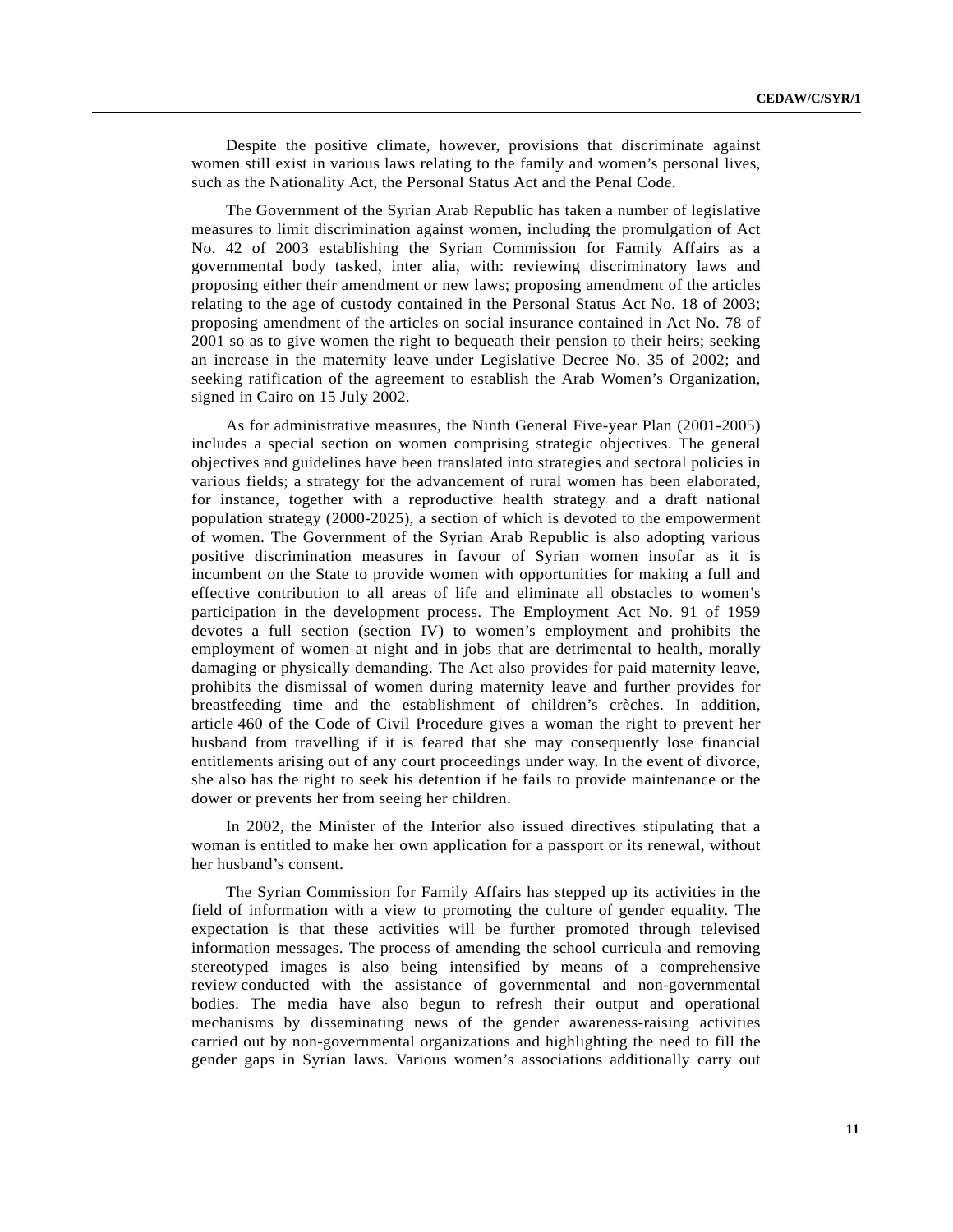Despite the positive climate, however, provisions that discriminate against women still exist in various laws relating to the family and women's personal lives, such as the Nationality Act, the Personal Status Act and the Penal Code.

The Government of the Syrian Arab Republic has taken a number of legislative measures to limit discrimination against women, including the promulgation of Act No. 42 of 2003 establishing the Syrian Commission for Family Affairs as a governmental body tasked, inter alia, with: reviewing discriminatory laws and proposing either their amendment or new laws; proposing amendment of the articles relating to the age of custody contained in the Personal Status Act No. 18 of 2003; proposing amendment of the articles on social insurance contained in Act No. 78 of 2001 so as to give women the right to bequeath their pension to their heirs; seeking an increase in the maternity leave under Legislative Decree No. 35 of 2002; and seeking ratification of the agreement to establish the Arab Women's Organization, signed in Cairo on 15 July 2002.

As for administrative measures, the Ninth General Five-year Plan (2001-2005) includes a special section on women comprising strategic objectives. The general objectives and guidelines have been translated into strategies and sectoral policies in various fields; a strategy for the advancement of rural women has been elaborated, for instance, together with a reproductive health strategy and a draft national population strategy (2000-2025), a section of which is devoted to the empowerment of women. The Government of the Syrian Arab Republic is also adopting various positive discrimination measures in favour of Syrian women insofar as it is incumbent on the State to provide women with opportunities for making a full and effective contribution to all areas of life and eliminate all obstacles to women's participation in the development process. The Employment Act No. 91 of 1959 devotes a full section (section IV) to women's employment and prohibits the employment of women at night and in jobs that are detrimental to health, morally damaging or physically demanding. The Act also provides for paid maternity leave, prohibits the dismissal of women during maternity leave and further provides for breastfeeding time and the establishment of children's crèches. In addition, article 460 of the Code of Civil Procedure gives a woman the right to prevent her husband from travelling if it is feared that she may consequently lose financial entitlements arising out of any court proceedings under way. In the event of divorce, she also has the right to seek his detention if he fails to provide maintenance or the dower or prevents her from seeing her children.

In 2002, the Minister of the Interior also issued directives stipulating that a woman is entitled to make her own application for a passport or its renewal, without her husband's consent.

The Syrian Commission for Family Affairs has stepped up its activities in the field of information with a view to promoting the culture of gender equality. The expectation is that these activities will be further promoted through televised information messages. The process of amending the school curricula and removing stereotyped images is also being intensified by means of a comprehensive review conducted with the assistance of governmental and non-governmental bodies. The media have also begun to refresh their output and operational mechanisms by disseminating news of the gender awareness-raising activities carried out by non-governmental organizations and highlighting the need to fill the gender gaps in Syrian laws. Various women's associations additionally carry out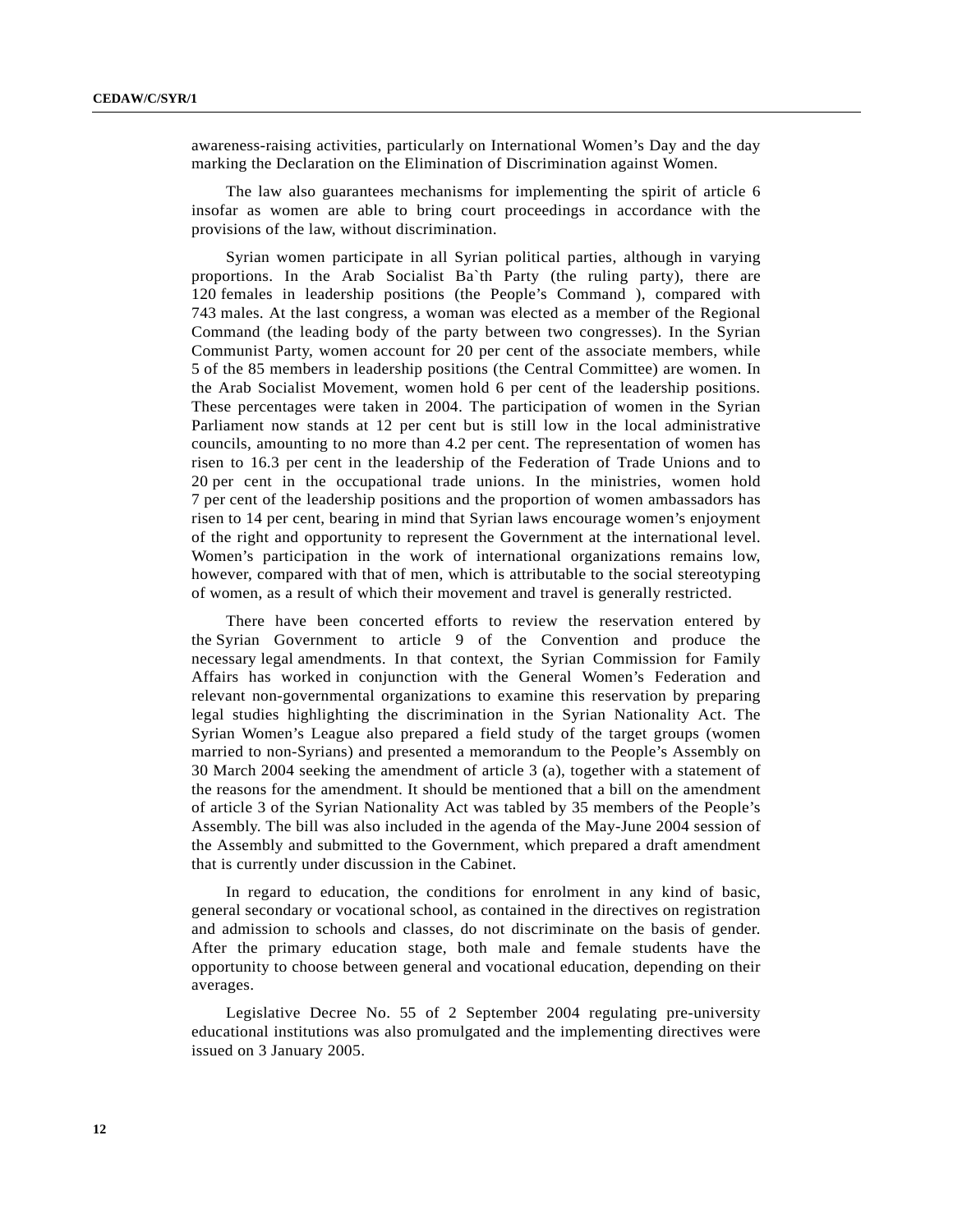awareness-raising activities, particularly on International Women's Day and the day marking the Declaration on the Elimination of Discrimination against Women.

The law also guarantees mechanisms for implementing the spirit of article 6 insofar as women are able to bring court proceedings in accordance with the provisions of the law, without discrimination.

Syrian women participate in all Syrian political parties, although in varying proportions. In the Arab Socialist Ba`th Party (the ruling party), there are 120 females in leadership positions (the People's Command ), compared with 743 males. At the last congress, a woman was elected as a member of the Regional Command (the leading body of the party between two congresses). In the Syrian Communist Party, women account for 20 per cent of the associate members, while 5 of the 85 members in leadership positions (the Central Committee) are women. In the Arab Socialist Movement, women hold 6 per cent of the leadership positions. These percentages were taken in 2004. The participation of women in the Syrian Parliament now stands at 12 per cent but is still low in the local administrative councils, amounting to no more than 4.2 per cent. The representation of women has risen to 16.3 per cent in the leadership of the Federation of Trade Unions and to 20 per cent in the occupational trade unions. In the ministries, women hold 7 per cent of the leadership positions and the proportion of women ambassadors has risen to 14 per cent, bearing in mind that Syrian laws encourage women's enjoyment of the right and opportunity to represent the Government at the international level. Women's participation in the work of international organizations remains low, however, compared with that of men, which is attributable to the social stereotyping of women, as a result of which their movement and travel is generally restricted.

There have been concerted efforts to review the reservation entered by the Syrian Government to article 9 of the Convention and produce the necessary legal amendments. In that context, the Syrian Commission for Family Affairs has worked in conjunction with the General Women's Federation and relevant non-governmental organizations to examine this reservation by preparing legal studies highlighting the discrimination in the Syrian Nationality Act. The Syrian Women's League also prepared a field study of the target groups (women married to non-Syrians) and presented a memorandum to the People's Assembly on 30 March 2004 seeking the amendment of article 3 (a), together with a statement of the reasons for the amendment. It should be mentioned that a bill on the amendment of article 3 of the Syrian Nationality Act was tabled by 35 members of the People's Assembly. The bill was also included in the agenda of the May-June 2004 session of the Assembly and submitted to the Government, which prepared a draft amendment that is currently under discussion in the Cabinet.

In regard to education, the conditions for enrolment in any kind of basic, general secondary or vocational school, as contained in the directives on registration and admission to schools and classes, do not discriminate on the basis of gender. After the primary education stage, both male and female students have the opportunity to choose between general and vocational education, depending on their averages.

Legislative Decree No. 55 of 2 September 2004 regulating pre-university educational institutions was also promulgated and the implementing directives were issued on 3 January 2005.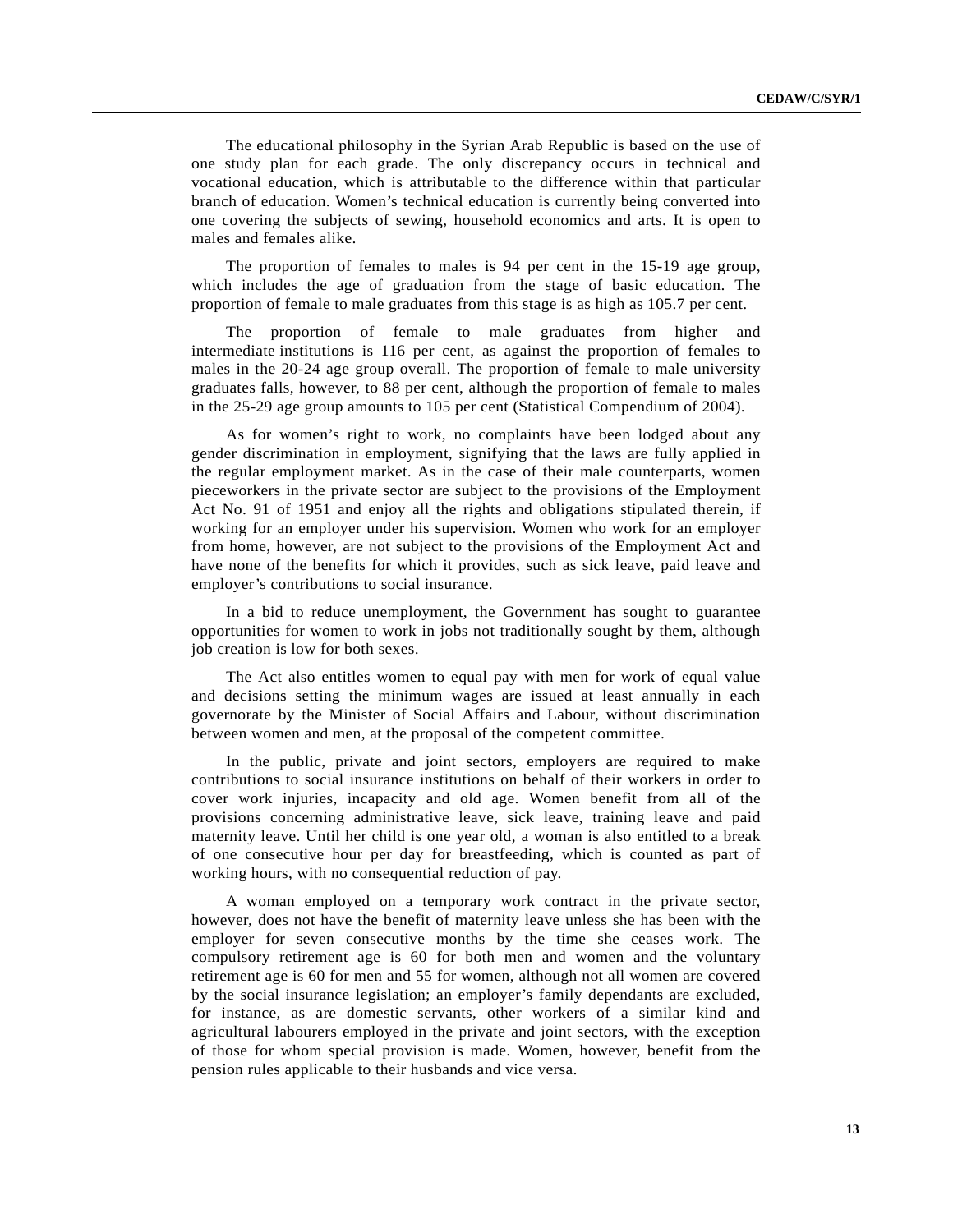The educational philosophy in the Syrian Arab Republic is based on the use of one study plan for each grade. The only discrepancy occurs in technical and vocational education, which is attributable to the difference within that particular branch of education. Women's technical education is currently being converted into one covering the subjects of sewing, household economics and arts. It is open to males and females alike.

The proportion of females to males is 94 per cent in the 15-19 age group, which includes the age of graduation from the stage of basic education. The proportion of female to male graduates from this stage is as high as 105.7 per cent.

The proportion of female to male graduates from higher and intermediate institutions is 116 per cent, as against the proportion of females to males in the 20-24 age group overall. The proportion of female to male university graduates falls, however, to 88 per cent, although the proportion of female to males in the 25-29 age group amounts to 105 per cent (Statistical Compendium of 2004).

As for women's right to work, no complaints have been lodged about any gender discrimination in employment, signifying that the laws are fully applied in the regular employment market. As in the case of their male counterparts, women pieceworkers in the private sector are subject to the provisions of the Employment Act No. 91 of 1951 and enjoy all the rights and obligations stipulated therein, if working for an employer under his supervision. Women who work for an employer from home, however, are not subject to the provisions of the Employment Act and have none of the benefits for which it provides, such as sick leave, paid leave and employer's contributions to social insurance.

In a bid to reduce unemployment, the Government has sought to guarantee opportunities for women to work in jobs not traditionally sought by them, although job creation is low for both sexes.

The Act also entitles women to equal pay with men for work of equal value and decisions setting the minimum wages are issued at least annually in each governorate by the Minister of Social Affairs and Labour, without discrimination between women and men, at the proposal of the competent committee.

In the public, private and joint sectors, employers are required to make contributions to social insurance institutions on behalf of their workers in order to cover work injuries, incapacity and old age. Women benefit from all of the provisions concerning administrative leave, sick leave, training leave and paid maternity leave. Until her child is one year old, a woman is also entitled to a break of one consecutive hour per day for breastfeeding, which is counted as part of working hours, with no consequential reduction of pay.

A woman employed on a temporary work contract in the private sector, however, does not have the benefit of maternity leave unless she has been with the employer for seven consecutive months by the time she ceases work. The compulsory retirement age is 60 for both men and women and the voluntary retirement age is 60 for men and 55 for women, although not all women are covered by the social insurance legislation; an employer's family dependants are excluded, for instance, as are domestic servants, other workers of a similar kind and agricultural labourers employed in the private and joint sectors, with the exception of those for whom special provision is made. Women, however, benefit from the pension rules applicable to their husbands and vice versa.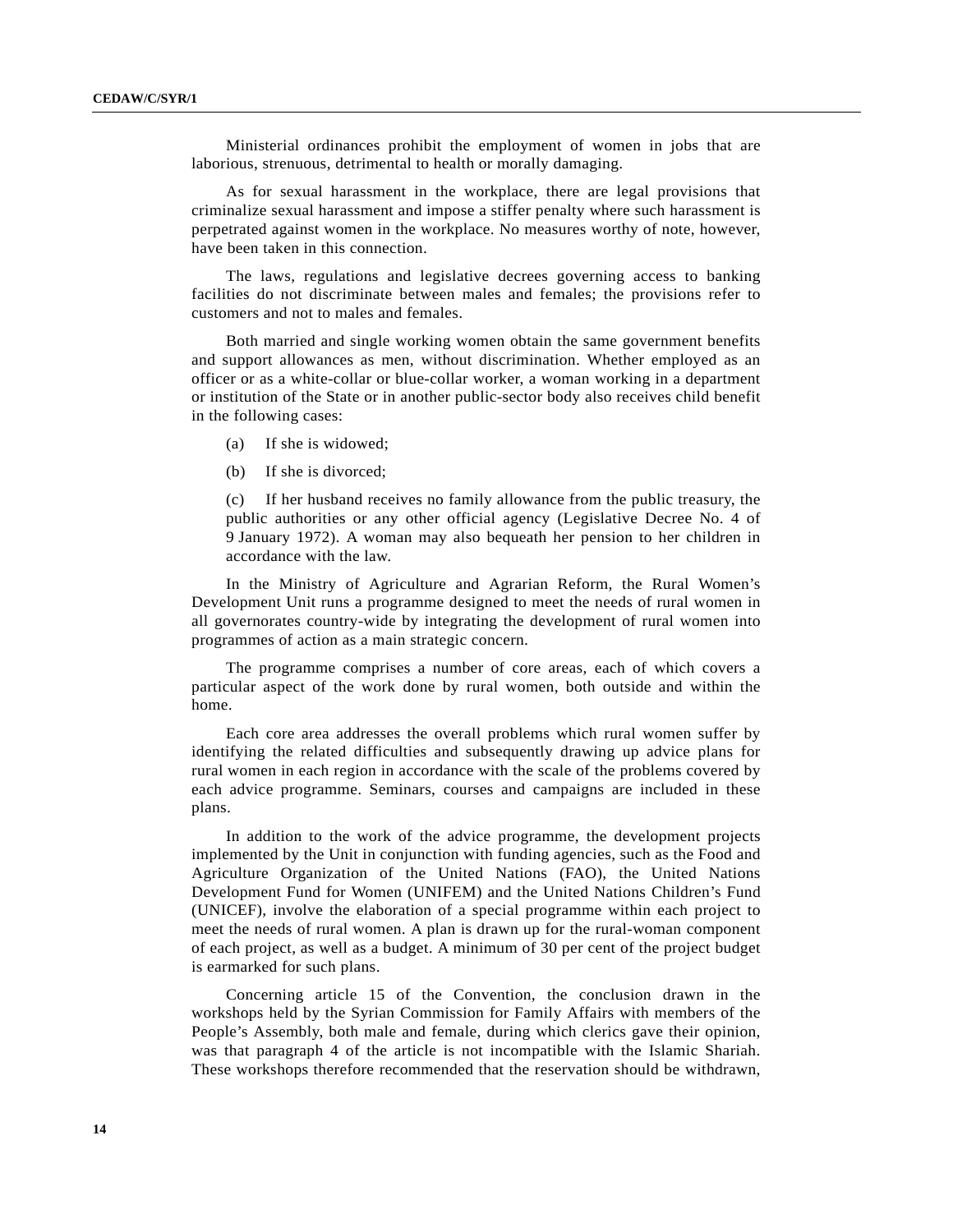Ministerial ordinances prohibit the employment of women in jobs that are laborious, strenuous, detrimental to health or morally damaging.

As for sexual harassment in the workplace, there are legal provisions that criminalize sexual harassment and impose a stiffer penalty where such harassment is perpetrated against women in the workplace. No measures worthy of note, however, have been taken in this connection.

The laws, regulations and legislative decrees governing access to banking facilities do not discriminate between males and females; the provisions refer to customers and not to males and females.

Both married and single working women obtain the same government benefits and support allowances as men, without discrimination. Whether employed as an officer or as a white-collar or blue-collar worker, a woman working in a department or institution of the State or in another public-sector body also receives child benefit in the following cases:

- (a) If she is widowed;
- (b) If she is divorced;

(c) If her husband receives no family allowance from the public treasury, the public authorities or any other official agency (Legislative Decree No. 4 of 9 January 1972). A woman may also bequeath her pension to her children in accordance with the law.

In the Ministry of Agriculture and Agrarian Reform, the Rural Women's Development Unit runs a programme designed to meet the needs of rural women in all governorates country-wide by integrating the development of rural women into programmes of action as a main strategic concern.

The programme comprises a number of core areas, each of which covers a particular aspect of the work done by rural women, both outside and within the home.

Each core area addresses the overall problems which rural women suffer by identifying the related difficulties and subsequently drawing up advice plans for rural women in each region in accordance with the scale of the problems covered by each advice programme. Seminars, courses and campaigns are included in these plans.

In addition to the work of the advice programme, the development projects implemented by the Unit in conjunction with funding agencies, such as the Food and Agriculture Organization of the United Nations (FAO), the United Nations Development Fund for Women (UNIFEM) and the United Nations Children's Fund (UNICEF), involve the elaboration of a special programme within each project to meet the needs of rural women. A plan is drawn up for the rural-woman component of each project, as well as a budget. A minimum of 30 per cent of the project budget is earmarked for such plans.

Concerning article 15 of the Convention, the conclusion drawn in the workshops held by the Syrian Commission for Family Affairs with members of the People's Assembly, both male and female, during which clerics gave their opinion, was that paragraph 4 of the article is not incompatible with the Islamic Shariah. These workshops therefore recommended that the reservation should be withdrawn,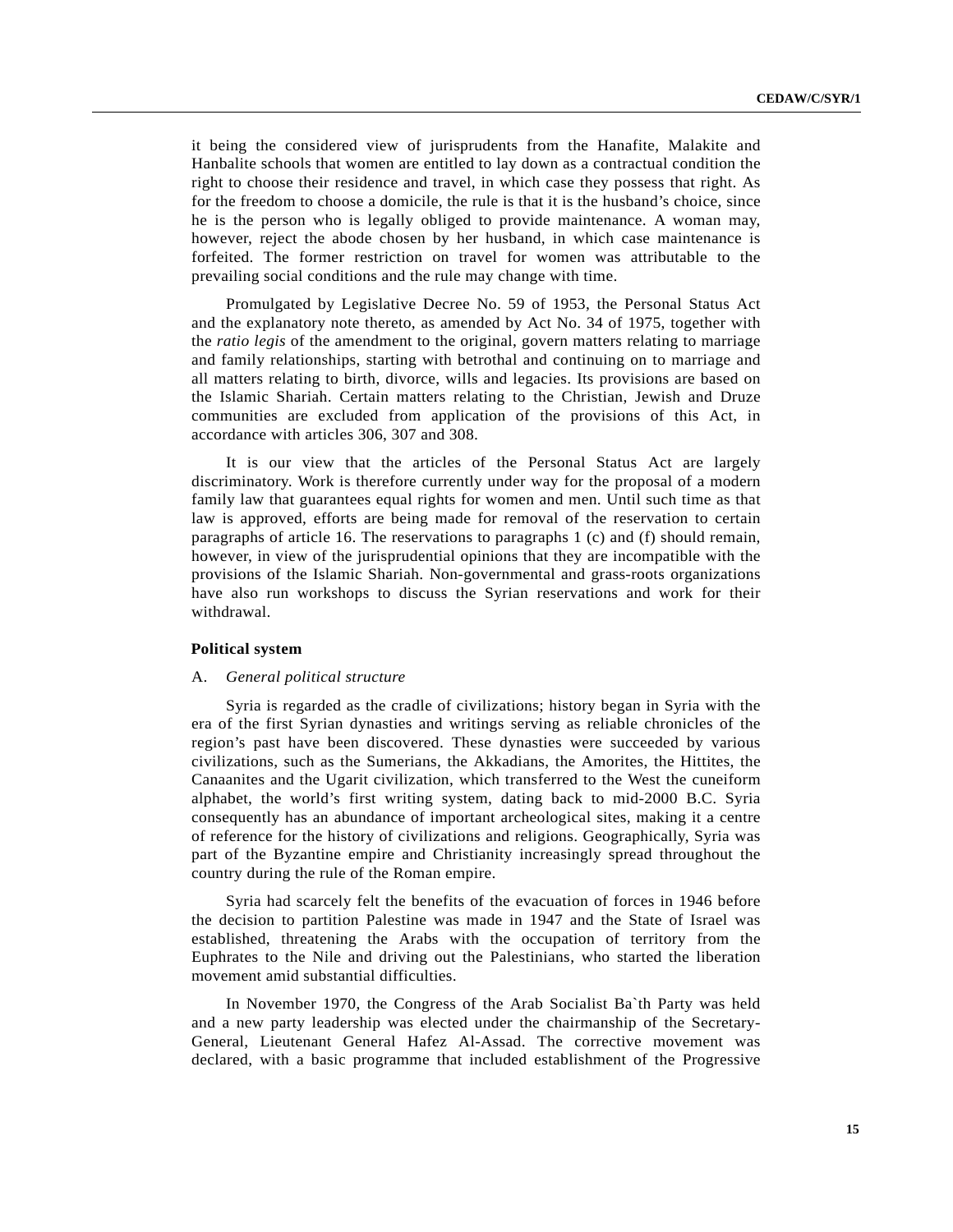it being the considered view of jurisprudents from the Hanafite, Malakite and Hanbalite schools that women are entitled to lay down as a contractual condition the right to choose their residence and travel, in which case they possess that right. As for the freedom to choose a domicile, the rule is that it is the husband's choice, since he is the person who is legally obliged to provide maintenance. A woman may, however, reject the abode chosen by her husband, in which case maintenance is forfeited. The former restriction on travel for women was attributable to the prevailing social conditions and the rule may change with time.

Promulgated by Legislative Decree No. 59 of 1953, the Personal Status Act and the explanatory note thereto, as amended by Act No. 34 of 1975, together with the *ratio legis* of the amendment to the original, govern matters relating to marriage and family relationships, starting with betrothal and continuing on to marriage and all matters relating to birth, divorce, wills and legacies. Its provisions are based on the Islamic Shariah. Certain matters relating to the Christian, Jewish and Druze communities are excluded from application of the provisions of this Act, in accordance with articles 306, 307 and 308.

It is our view that the articles of the Personal Status Act are largely discriminatory. Work is therefore currently under way for the proposal of a modern family law that guarantees equal rights for women and men. Until such time as that law is approved, efforts are being made for removal of the reservation to certain paragraphs of article 16. The reservations to paragraphs 1 (c) and (f) should remain, however, in view of the jurisprudential opinions that they are incompatible with the provisions of the Islamic Shariah. Non-governmental and grass-roots organizations have also run workshops to discuss the Syrian reservations and work for their withdrawal.

# **Political system**

#### A. *General political structure*

Syria is regarded as the cradle of civilizations; history began in Syria with the era of the first Syrian dynasties and writings serving as reliable chronicles of the region's past have been discovered. These dynasties were succeeded by various civilizations, such as the Sumerians, the Akkadians, the Amorites, the Hittites, the Canaanites and the Ugarit civilization, which transferred to the West the cuneiform alphabet, the world's first writing system, dating back to mid-2000 B.C. Syria consequently has an abundance of important archeological sites, making it a centre of reference for the history of civilizations and religions. Geographically, Syria was part of the Byzantine empire and Christianity increasingly spread throughout the country during the rule of the Roman empire.

Syria had scarcely felt the benefits of the evacuation of forces in 1946 before the decision to partition Palestine was made in 1947 and the State of Israel was established, threatening the Arabs with the occupation of territory from the Euphrates to the Nile and driving out the Palestinians, who started the liberation movement amid substantial difficulties.

In November 1970, the Congress of the Arab Socialist Ba`th Party was held and a new party leadership was elected under the chairmanship of the Secretary-General, Lieutenant General Hafez Al-Assad. The corrective movement was declared, with a basic programme that included establishment of the Progressive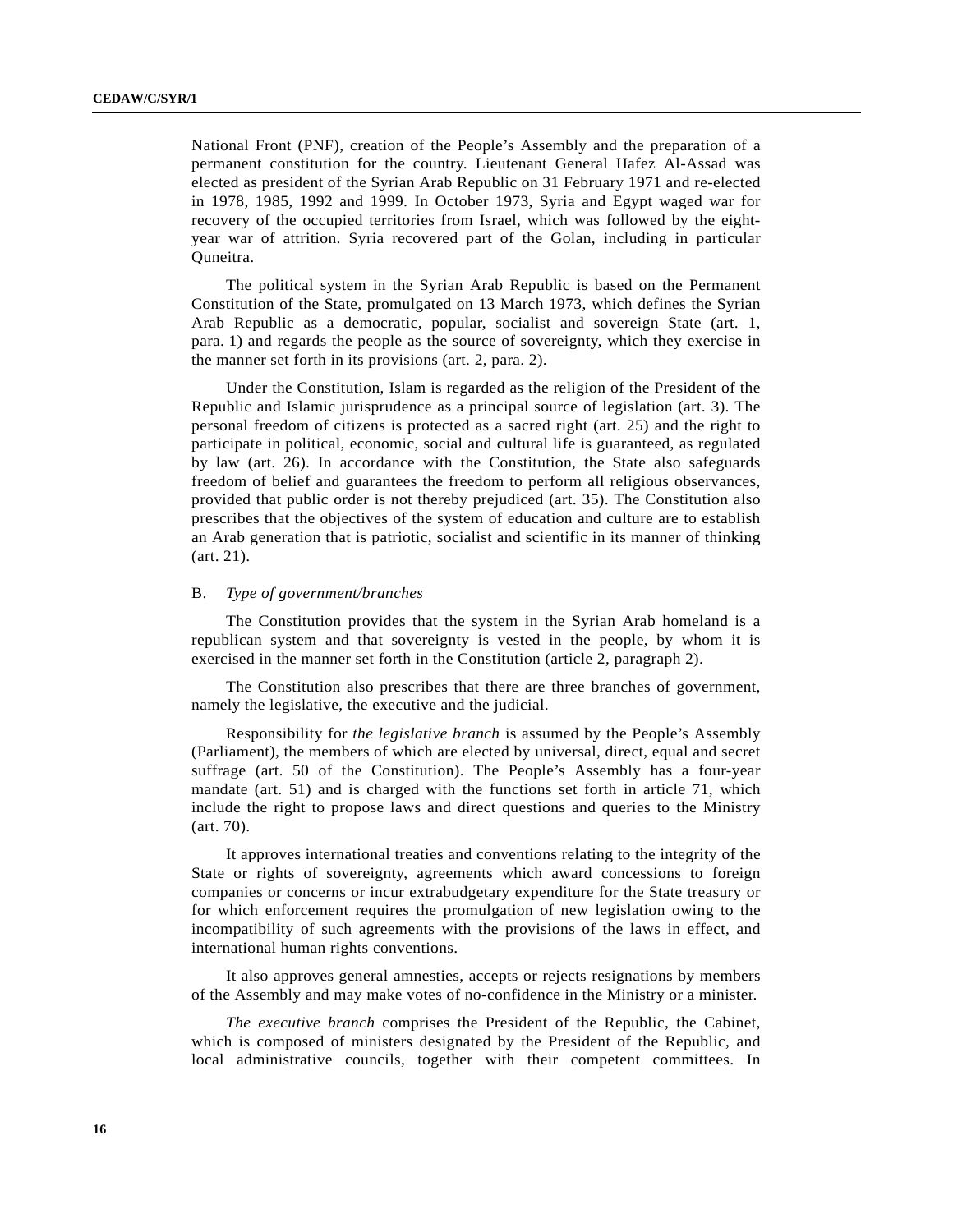National Front (PNF), creation of the People's Assembly and the preparation of a permanent constitution for the country. Lieutenant General Hafez Al-Assad was elected as president of the Syrian Arab Republic on 31 February 1971 and re-elected in 1978, 1985, 1992 and 1999. In October 1973, Syria and Egypt waged war for recovery of the occupied territories from Israel, which was followed by the eightyear war of attrition. Syria recovered part of the Golan, including in particular Quneitra.

The political system in the Syrian Arab Republic is based on the Permanent Constitution of the State, promulgated on 13 March 1973, which defines the Syrian Arab Republic as a democratic, popular, socialist and sovereign State (art. 1, para. 1) and regards the people as the source of sovereignty, which they exercise in the manner set forth in its provisions (art. 2, para. 2).

Under the Constitution, Islam is regarded as the religion of the President of the Republic and Islamic jurisprudence as a principal source of legislation (art. 3). The personal freedom of citizens is protected as a sacred right (art. 25) and the right to participate in political, economic, social and cultural life is guaranteed, as regulated by law (art. 26). In accordance with the Constitution, the State also safeguards freedom of belief and guarantees the freedom to perform all religious observances, provided that public order is not thereby prejudiced (art. 35). The Constitution also prescribes that the objectives of the system of education and culture are to establish an Arab generation that is patriotic, socialist and scientific in its manner of thinking (art. 21).

#### B. *Type of government/branches*

The Constitution provides that the system in the Syrian Arab homeland is a republican system and that sovereignty is vested in the people, by whom it is exercised in the manner set forth in the Constitution (article 2, paragraph 2).

The Constitution also prescribes that there are three branches of government, namely the legislative, the executive and the judicial.

Responsibility for *the legislative branch* is assumed by the People's Assembly (Parliament), the members of which are elected by universal, direct, equal and secret suffrage (art. 50 of the Constitution). The People's Assembly has a four-year mandate (art. 51) and is charged with the functions set forth in article 71, which include the right to propose laws and direct questions and queries to the Ministry (art. 70).

It approves international treaties and conventions relating to the integrity of the State or rights of sovereignty, agreements which award concessions to foreign companies or concerns or incur extrabudgetary expenditure for the State treasury or for which enforcement requires the promulgation of new legislation owing to the incompatibility of such agreements with the provisions of the laws in effect, and international human rights conventions.

It also approves general amnesties, accepts or rejects resignations by members of the Assembly and may make votes of no-confidence in the Ministry or a minister.

*The executive branch* comprises the President of the Republic, the Cabinet, which is composed of ministers designated by the President of the Republic, and local administrative councils, together with their competent committees. In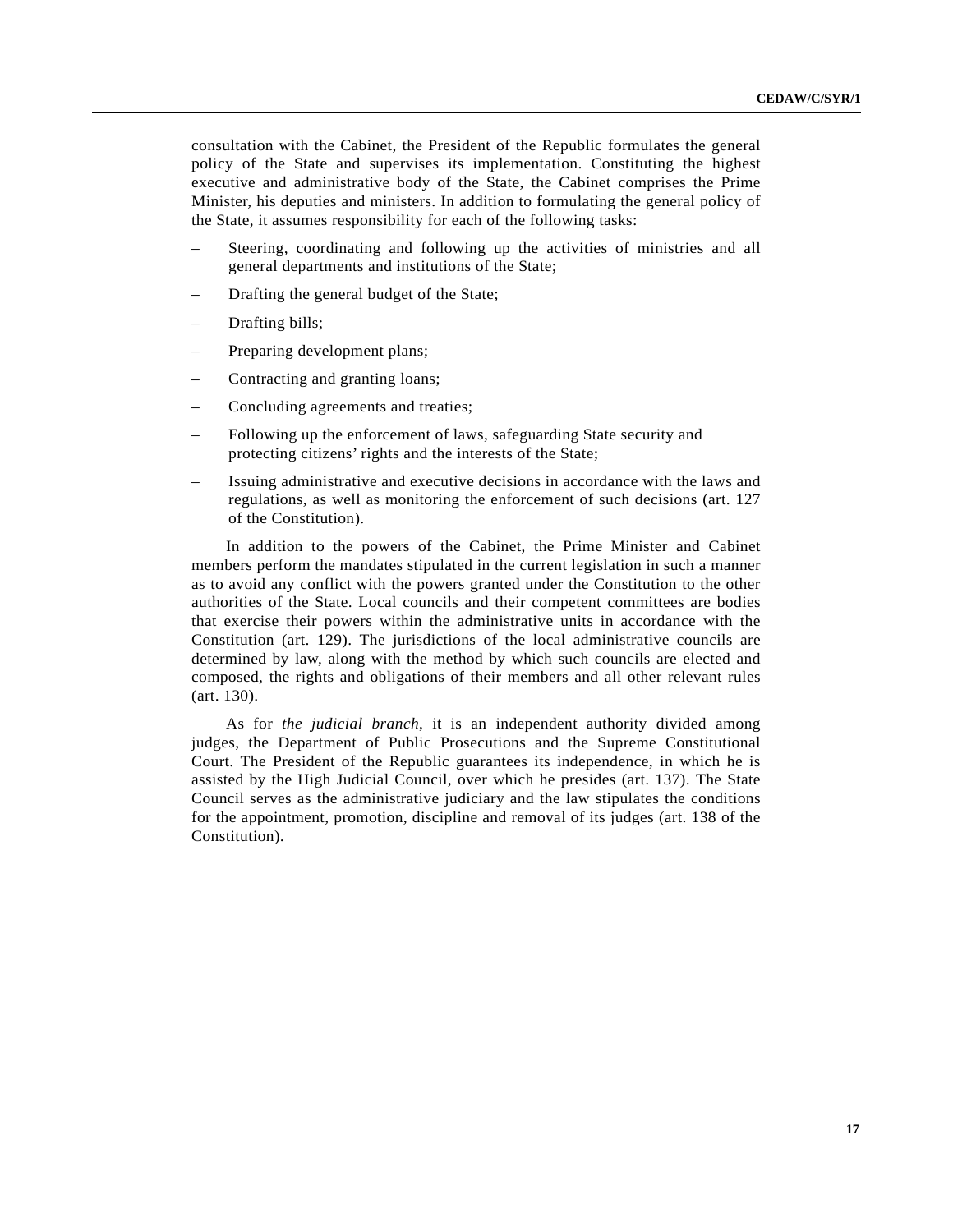consultation with the Cabinet, the President of the Republic formulates the general policy of the State and supervises its implementation. Constituting the highest executive and administrative body of the State, the Cabinet comprises the Prime Minister, his deputies and ministers. In addition to formulating the general policy of the State, it assumes responsibility for each of the following tasks:

- Steering, coordinating and following up the activities of ministries and all general departments and institutions of the State;
- Drafting the general budget of the State;
- Drafting bills;
- Preparing development plans;
- Contracting and granting loans;
- Concluding agreements and treaties;
- Following up the enforcement of laws, safeguarding State security and protecting citizens' rights and the interests of the State;
- Issuing administrative and executive decisions in accordance with the laws and regulations, as well as monitoring the enforcement of such decisions (art. 127 of the Constitution).

In addition to the powers of the Cabinet, the Prime Minister and Cabinet members perform the mandates stipulated in the current legislation in such a manner as to avoid any conflict with the powers granted under the Constitution to the other authorities of the State. Local councils and their competent committees are bodies that exercise their powers within the administrative units in accordance with the Constitution (art. 129). The jurisdictions of the local administrative councils are determined by law, along with the method by which such councils are elected and composed, the rights and obligations of their members and all other relevant rules (art. 130).

As for *the judicial branch*, it is an independent authority divided among judges, the Department of Public Prosecutions and the Supreme Constitutional Court. The President of the Republic guarantees its independence, in which he is assisted by the High Judicial Council, over which he presides (art. 137). The State Council serves as the administrative judiciary and the law stipulates the conditions for the appointment, promotion, discipline and removal of its judges (art. 138 of the Constitution).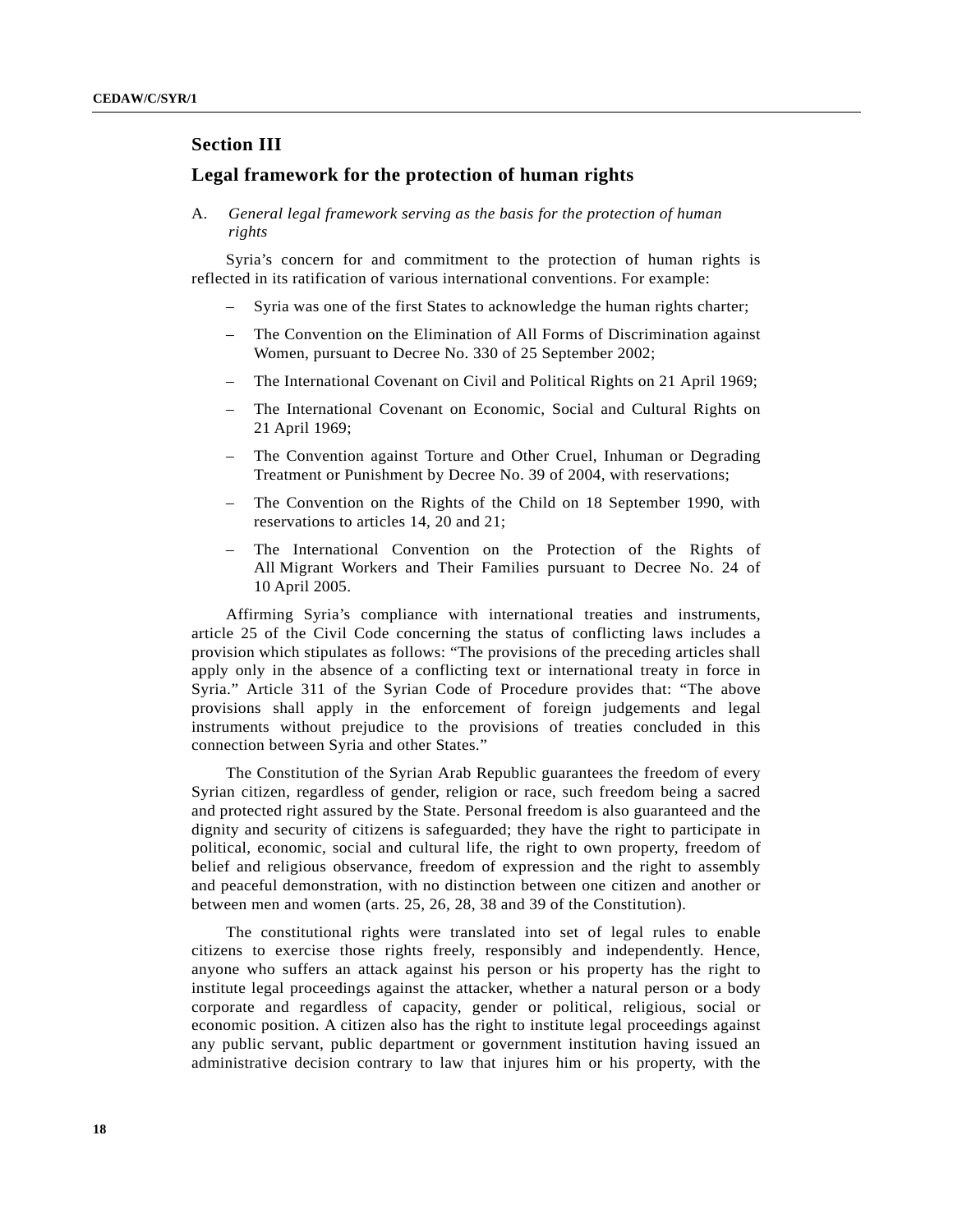# **Section III**

# **Legal framework for the protection of human rights**

A. *General legal framework serving as the basis for the protection of human rights*

Syria's concern for and commitment to the protection of human rights is reflected in its ratification of various international conventions. For example:

- Syria was one of the first States to acknowledge the human rights charter;
- The Convention on the Elimination of All Forms of Discrimination against Women, pursuant to Decree No. 330 of 25 September 2002;
- The International Covenant on Civil and Political Rights on 21 April 1969;
- The International Covenant on Economic, Social and Cultural Rights on 21 April 1969;
- The Convention against Torture and Other Cruel, Inhuman or Degrading Treatment or Punishment by Decree No. 39 of 2004, with reservations;
- The Convention on the Rights of the Child on 18 September 1990, with reservations to articles 14, 20 and 21;
- The International Convention on the Protection of the Rights of All Migrant Workers and Their Families pursuant to Decree No. 24 of 10 April 2005.

Affirming Syria's compliance with international treaties and instruments, article 25 of the Civil Code concerning the status of conflicting laws includes a provision which stipulates as follows: "The provisions of the preceding articles shall apply only in the absence of a conflicting text or international treaty in force in Syria." Article 311 of the Syrian Code of Procedure provides that: "The above provisions shall apply in the enforcement of foreign judgements and legal instruments without prejudice to the provisions of treaties concluded in this connection between Syria and other States."

The Constitution of the Syrian Arab Republic guarantees the freedom of every Syrian citizen, regardless of gender, religion or race, such freedom being a sacred and protected right assured by the State. Personal freedom is also guaranteed and the dignity and security of citizens is safeguarded; they have the right to participate in political, economic, social and cultural life, the right to own property, freedom of belief and religious observance, freedom of expression and the right to assembly and peaceful demonstration, with no distinction between one citizen and another or between men and women (arts. 25, 26, 28, 38 and 39 of the Constitution).

The constitutional rights were translated into set of legal rules to enable citizens to exercise those rights freely, responsibly and independently. Hence, anyone who suffers an attack against his person or his property has the right to institute legal proceedings against the attacker, whether a natural person or a body corporate and regardless of capacity, gender or political, religious, social or economic position. A citizen also has the right to institute legal proceedings against any public servant, public department or government institution having issued an administrative decision contrary to law that injures him or his property, with the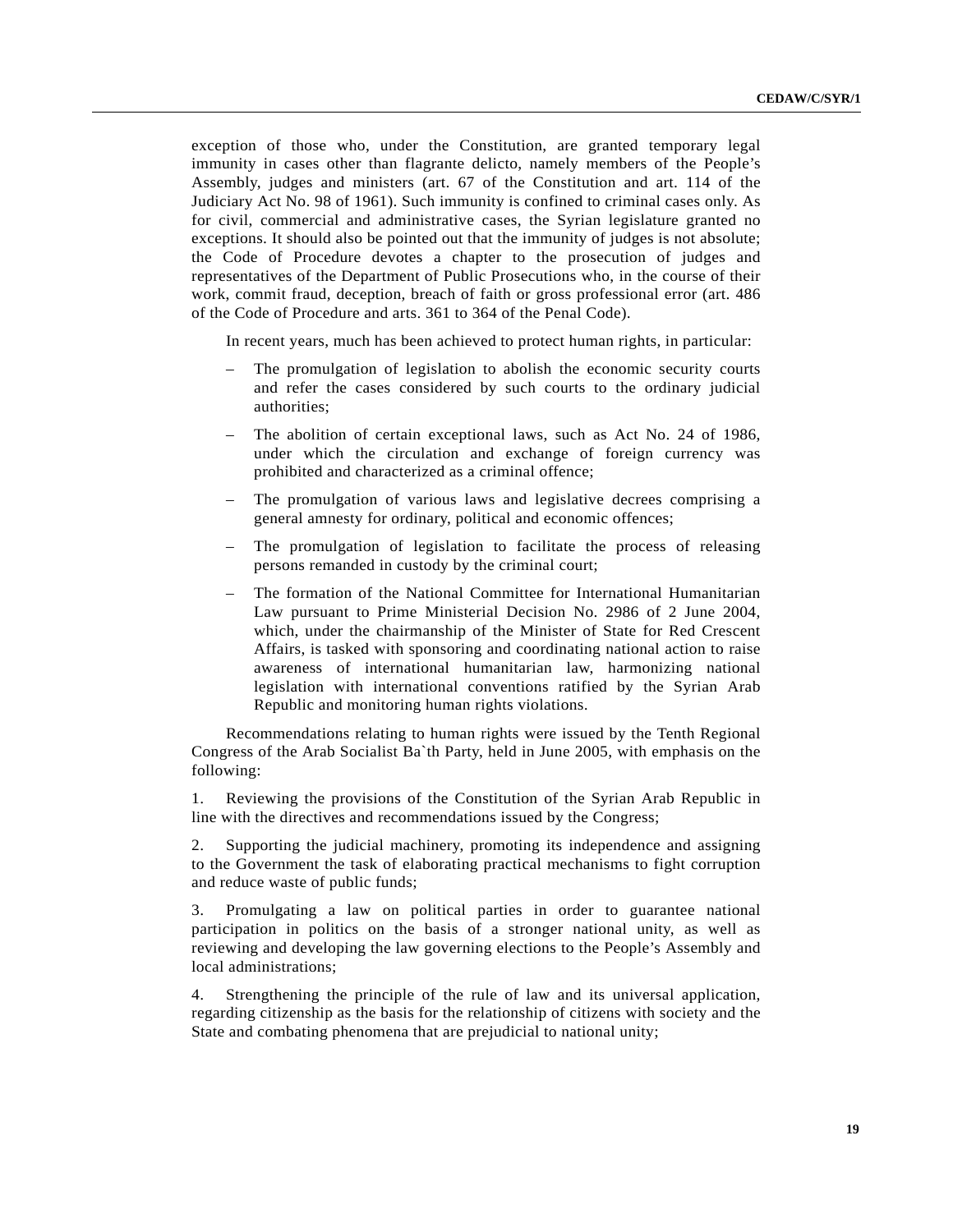exception of those who, under the Constitution, are granted temporary legal immunity in cases other than flagrante delicto, namely members of the People's Assembly, judges and ministers (art. 67 of the Constitution and art. 114 of the Judiciary Act No. 98 of 1961). Such immunity is confined to criminal cases only. As for civil, commercial and administrative cases, the Syrian legislature granted no exceptions. It should also be pointed out that the immunity of judges is not absolute; the Code of Procedure devotes a chapter to the prosecution of judges and representatives of the Department of Public Prosecutions who, in the course of their work, commit fraud, deception, breach of faith or gross professional error (art. 486 of the Code of Procedure and arts. 361 to 364 of the Penal Code).

In recent years, much has been achieved to protect human rights, in particular:

- The promulgation of legislation to abolish the economic security courts and refer the cases considered by such courts to the ordinary judicial authorities;
- The abolition of certain exceptional laws, such as Act No. 24 of 1986, under which the circulation and exchange of foreign currency was prohibited and characterized as a criminal offence;
- The promulgation of various laws and legislative decrees comprising a general amnesty for ordinary, political and economic offences;
- The promulgation of legislation to facilitate the process of releasing persons remanded in custody by the criminal court;
- The formation of the National Committee for International Humanitarian Law pursuant to Prime Ministerial Decision No. 2986 of 2 June 2004, which, under the chairmanship of the Minister of State for Red Crescent Affairs, is tasked with sponsoring and coordinating national action to raise awareness of international humanitarian law, harmonizing national legislation with international conventions ratified by the Syrian Arab Republic and monitoring human rights violations.

Recommendations relating to human rights were issued by the Tenth Regional Congress of the Arab Socialist Ba`th Party, held in June 2005, with emphasis on the following:

1. Reviewing the provisions of the Constitution of the Syrian Arab Republic in line with the directives and recommendations issued by the Congress;

2. Supporting the judicial machinery, promoting its independence and assigning to the Government the task of elaborating practical mechanisms to fight corruption and reduce waste of public funds;

3. Promulgating a law on political parties in order to guarantee national participation in politics on the basis of a stronger national unity, as well as reviewing and developing the law governing elections to the People's Assembly and local administrations;

4. Strengthening the principle of the rule of law and its universal application, regarding citizenship as the basis for the relationship of citizens with society and the State and combating phenomena that are prejudicial to national unity;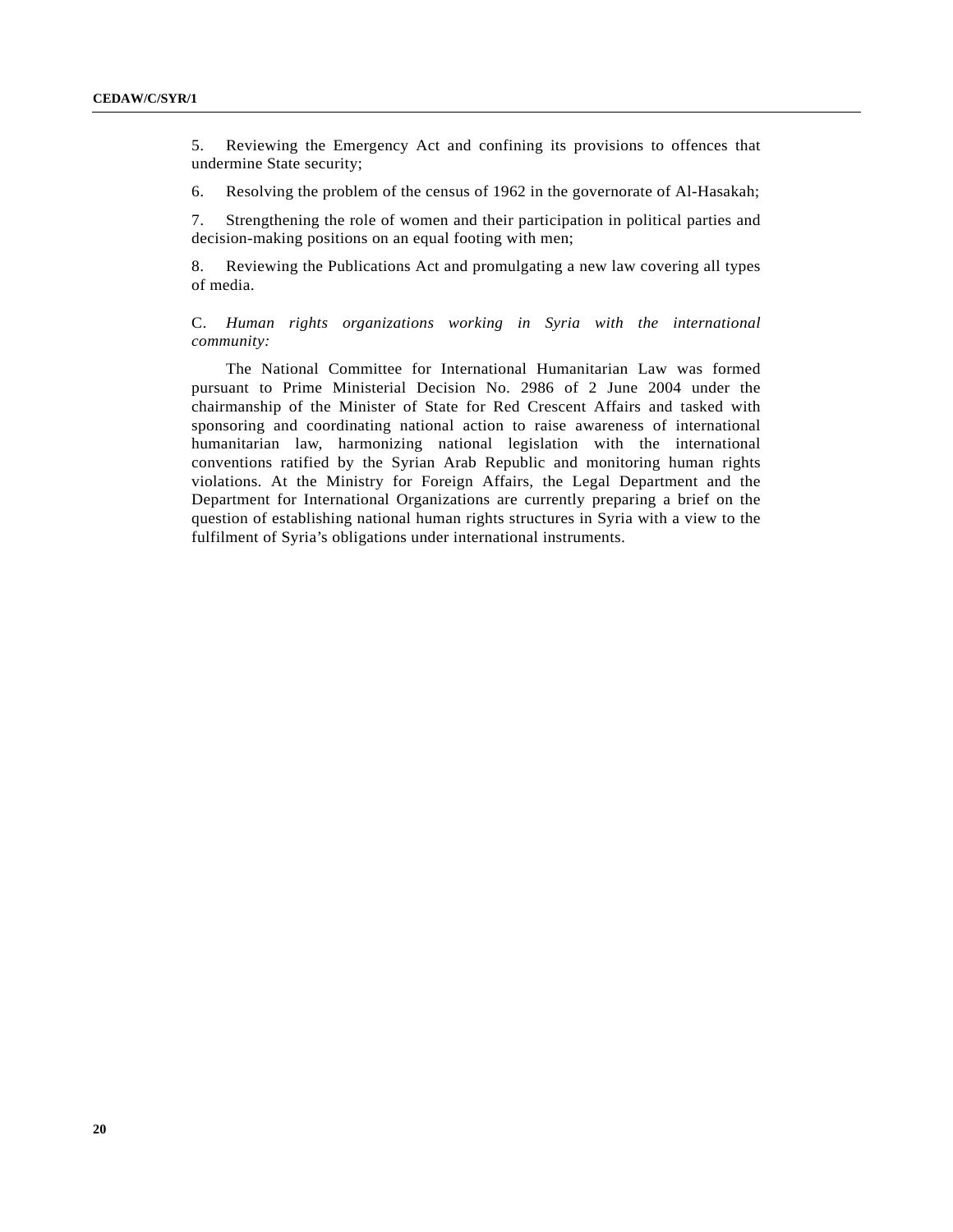5. Reviewing the Emergency Act and confining its provisions to offences that undermine State security;

6. Resolving the problem of the census of 1962 in the governorate of Al-Hasakah;

7. Strengthening the role of women and their participation in political parties and decision-making positions on an equal footing with men;

8. Reviewing the Publications Act and promulgating a new law covering all types of media.

C. *Human rights organizations working in Syria with the international community:*

The National Committee for International Humanitarian Law was formed pursuant to Prime Ministerial Decision No. 2986 of 2 June 2004 under the chairmanship of the Minister of State for Red Crescent Affairs and tasked with sponsoring and coordinating national action to raise awareness of international humanitarian law, harmonizing national legislation with the international conventions ratified by the Syrian Arab Republic and monitoring human rights violations. At the Ministry for Foreign Affairs, the Legal Department and the Department for International Organizations are currently preparing a brief on the question of establishing national human rights structures in Syria with a view to the fulfilment of Syria's obligations under international instruments.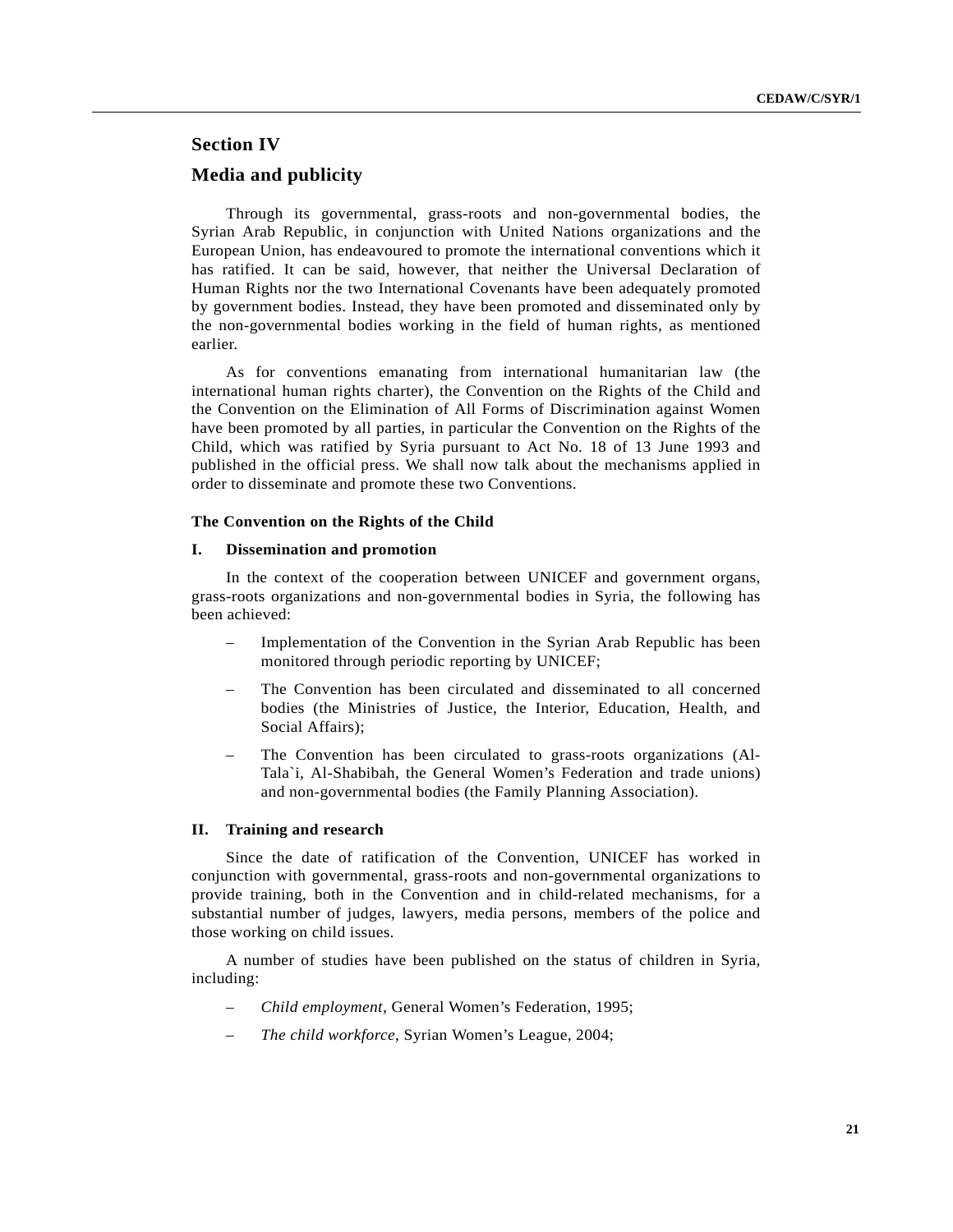# **Section IV Media and publicity**

Through its governmental, grass-roots and non-governmental bodies, the Syrian Arab Republic, in conjunction with United Nations organizations and the European Union, has endeavoured to promote the international conventions which it has ratified. It can be said, however, that neither the Universal Declaration of Human Rights nor the two International Covenants have been adequately promoted by government bodies. Instead, they have been promoted and disseminated only by the non-governmental bodies working in the field of human rights, as mentioned earlier.

As for conventions emanating from international humanitarian law (the international human rights charter), the Convention on the Rights of the Child and the Convention on the Elimination of All Forms of Discrimination against Women have been promoted by all parties, in particular the Convention on the Rights of the Child, which was ratified by Syria pursuant to Act No. 18 of 13 June 1993 and published in the official press. We shall now talk about the mechanisms applied in order to disseminate and promote these two Conventions.

#### **The Convention on the Rights of the Child**

#### **I. Dissemination and promotion**

In the context of the cooperation between UNICEF and government organs, grass-roots organizations and non-governmental bodies in Syria, the following has been achieved:

- Implementation of the Convention in the Syrian Arab Republic has been monitored through periodic reporting by UNICEF;
- The Convention has been circulated and disseminated to all concerned bodies (the Ministries of Justice, the Interior, Education, Health, and Social Affairs);
- The Convention has been circulated to grass-roots organizations (Al-Tala`i, Al-Shabibah, the General Women's Federation and trade unions) and non-governmental bodies (the Family Planning Association).

## **II. Training and research**

Since the date of ratification of the Convention, UNICEF has worked in conjunction with governmental, grass-roots and non-governmental organizations to provide training, both in the Convention and in child-related mechanisms, for a substantial number of judges, lawyers, media persons, members of the police and those working on child issues.

A number of studies have been published on the status of children in Syria, including:

- *Child employment*, General Women's Federation, 1995;
- *The child workforce*, Syrian Women's League, 2004;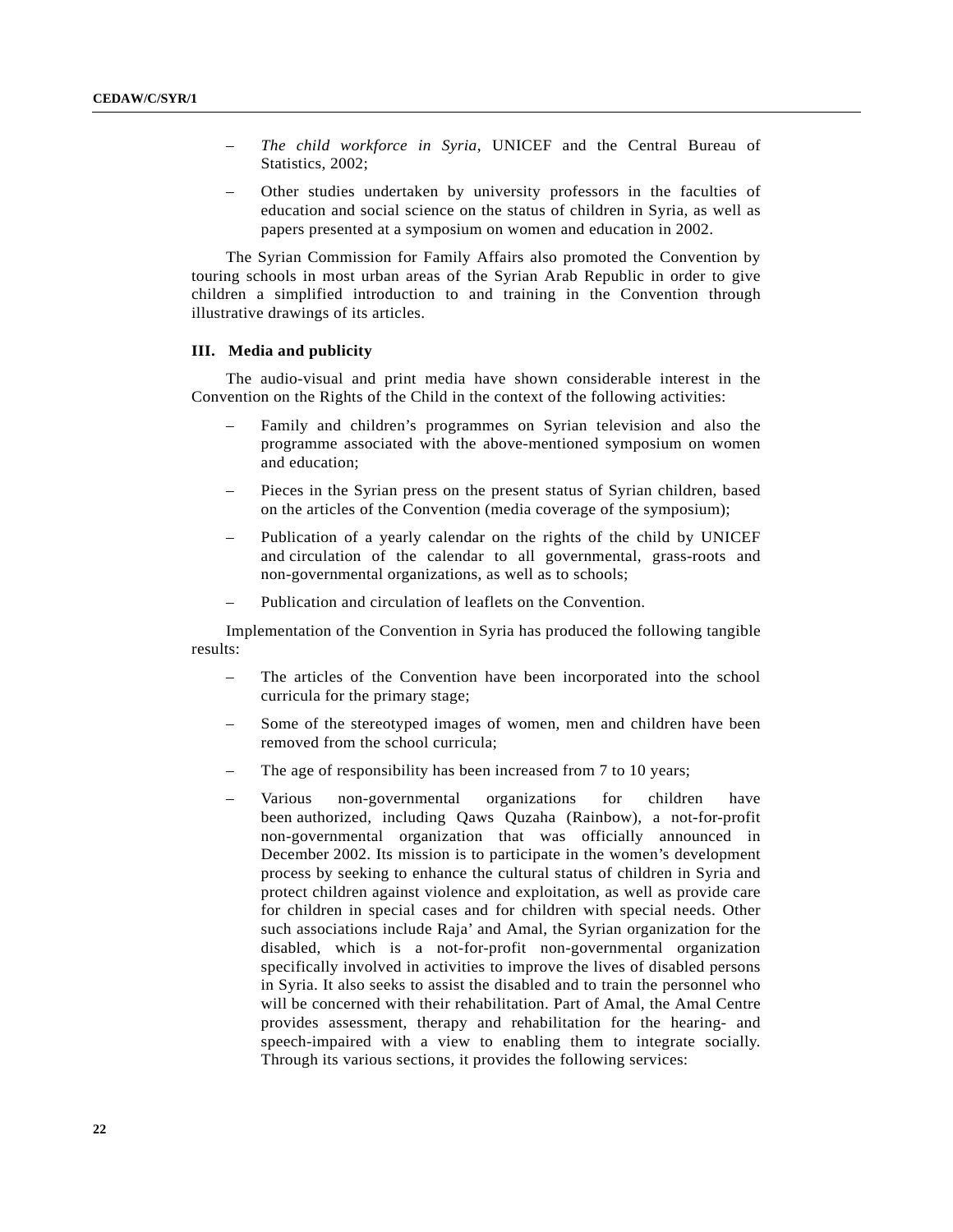- *The child workforce in Syria*, UNICEF and the Central Bureau of Statistics, 2002;
- Other studies undertaken by university professors in the faculties of education and social science on the status of children in Syria, as well as papers presented at a symposium on women and education in 2002.

The Syrian Commission for Family Affairs also promoted the Convention by touring schools in most urban areas of the Syrian Arab Republic in order to give children a simplified introduction to and training in the Convention through illustrative drawings of its articles.

# **III. Media and publicity**

The audio-visual and print media have shown considerable interest in the Convention on the Rights of the Child in the context of the following activities:

- Family and children's programmes on Syrian television and also the programme associated with the above-mentioned symposium on women and education;
- Pieces in the Syrian press on the present status of Syrian children, based on the articles of the Convention (media coverage of the symposium);
- Publication of a yearly calendar on the rights of the child by UNICEF and circulation of the calendar to all governmental, grass-roots and non-governmental organizations, as well as to schools;
- Publication and circulation of leaflets on the Convention.

Implementation of the Convention in Syria has produced the following tangible results:

- The articles of the Convention have been incorporated into the school curricula for the primary stage;
- Some of the stereotyped images of women, men and children have been removed from the school curricula;
- The age of responsibility has been increased from 7 to 10 years;
- Various non-governmental organizations for children have been authorized, including Qaws Quzaha (Rainbow), a not-for-profit non-governmental organization that was officially announced in December 2002. Its mission is to participate in the women's development process by seeking to enhance the cultural status of children in Syria and protect children against violence and exploitation, as well as provide care for children in special cases and for children with special needs. Other such associations include Raja' and Amal, the Syrian organization for the disabled, which is a not-for-profit non-governmental organization specifically involved in activities to improve the lives of disabled persons in Syria. It also seeks to assist the disabled and to train the personnel who will be concerned with their rehabilitation. Part of Amal, the Amal Centre provides assessment, therapy and rehabilitation for the hearing- and speech-impaired with a view to enabling them to integrate socially. Through its various sections, it provides the following services: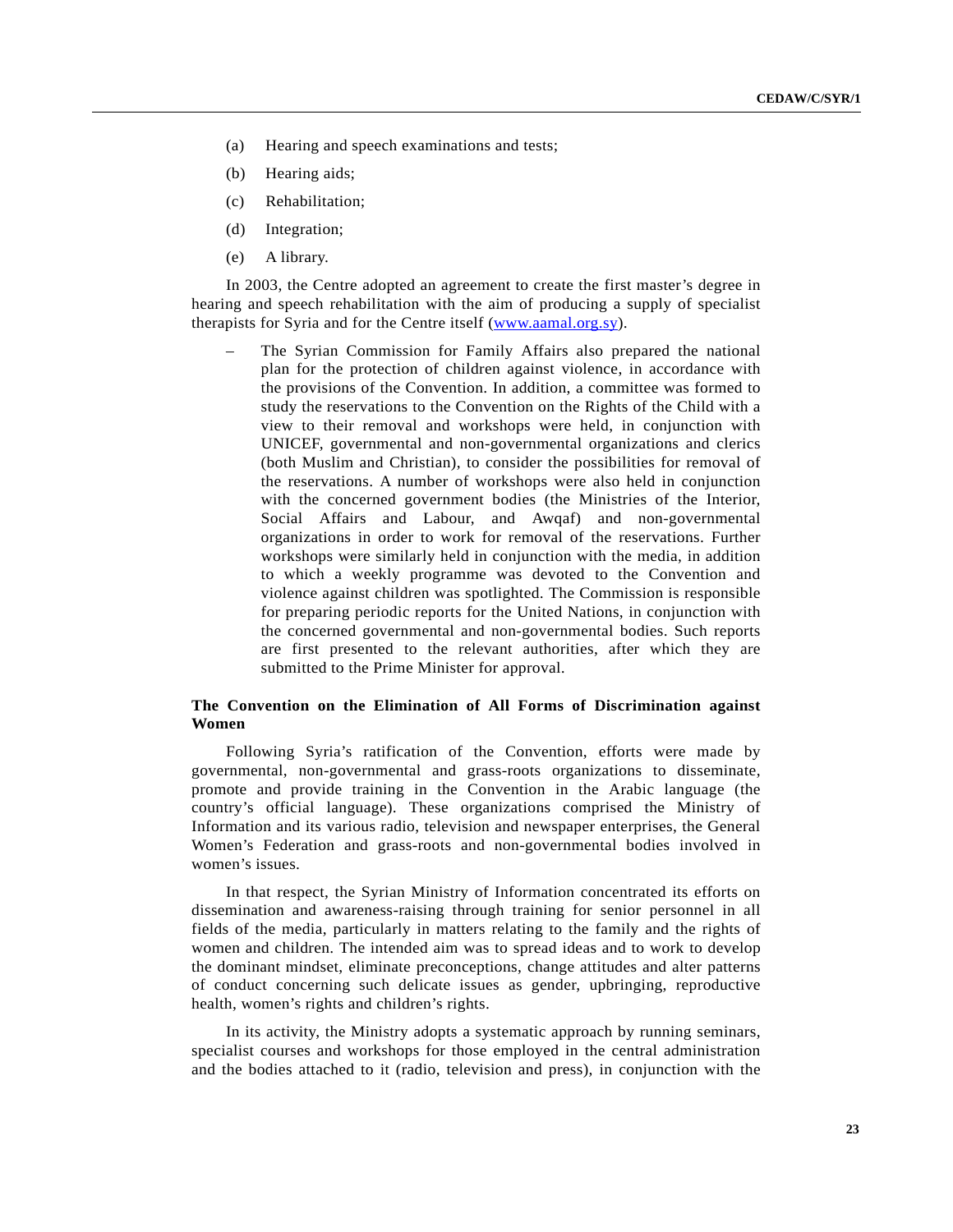- (a) Hearing and speech examinations and tests;
- (b) Hearing aids;
- (c) Rehabilitation;
- (d) Integration;
- (e) A library.

In 2003, the Centre adopted an agreement to create the first master's degree in hearing and speech rehabilitation with the aim of producing a supply of specialist therapists for Syria and for the Centre itself (www.aamal.org.sy).

The Syrian Commission for Family Affairs also prepared the national plan for the protection of children against violence, in accordance with the provisions of the Convention. In addition, a committee was formed to study the reservations to the Convention on the Rights of the Child with a view to their removal and workshops were held, in conjunction with UNICEF, governmental and non-governmental organizations and clerics (both Muslim and Christian), to consider the possibilities for removal of the reservations. A number of workshops were also held in conjunction with the concerned government bodies (the Ministries of the Interior, Social Affairs and Labour, and Awqaf) and non-governmental organizations in order to work for removal of the reservations. Further workshops were similarly held in conjunction with the media, in addition to which a weekly programme was devoted to the Convention and violence against children was spotlighted. The Commission is responsible for preparing periodic reports for the United Nations, in conjunction with the concerned governmental and non-governmental bodies. Such reports are first presented to the relevant authorities, after which they are submitted to the Prime Minister for approval.

# **The Convention on the Elimination of All Forms of Discrimination against Women**

Following Syria's ratification of the Convention, efforts were made by governmental, non-governmental and grass-roots organizations to disseminate, promote and provide training in the Convention in the Arabic language (the country's official language). These organizations comprised the Ministry of Information and its various radio, television and newspaper enterprises, the General Women's Federation and grass-roots and non-governmental bodies involved in women's issues.

In that respect, the Syrian Ministry of Information concentrated its efforts on dissemination and awareness-raising through training for senior personnel in all fields of the media, particularly in matters relating to the family and the rights of women and children. The intended aim was to spread ideas and to work to develop the dominant mindset, eliminate preconceptions, change attitudes and alter patterns of conduct concerning such delicate issues as gender, upbringing, reproductive health, women's rights and children's rights.

In its activity, the Ministry adopts a systematic approach by running seminars, specialist courses and workshops for those employed in the central administration and the bodies attached to it (radio, television and press), in conjunction with the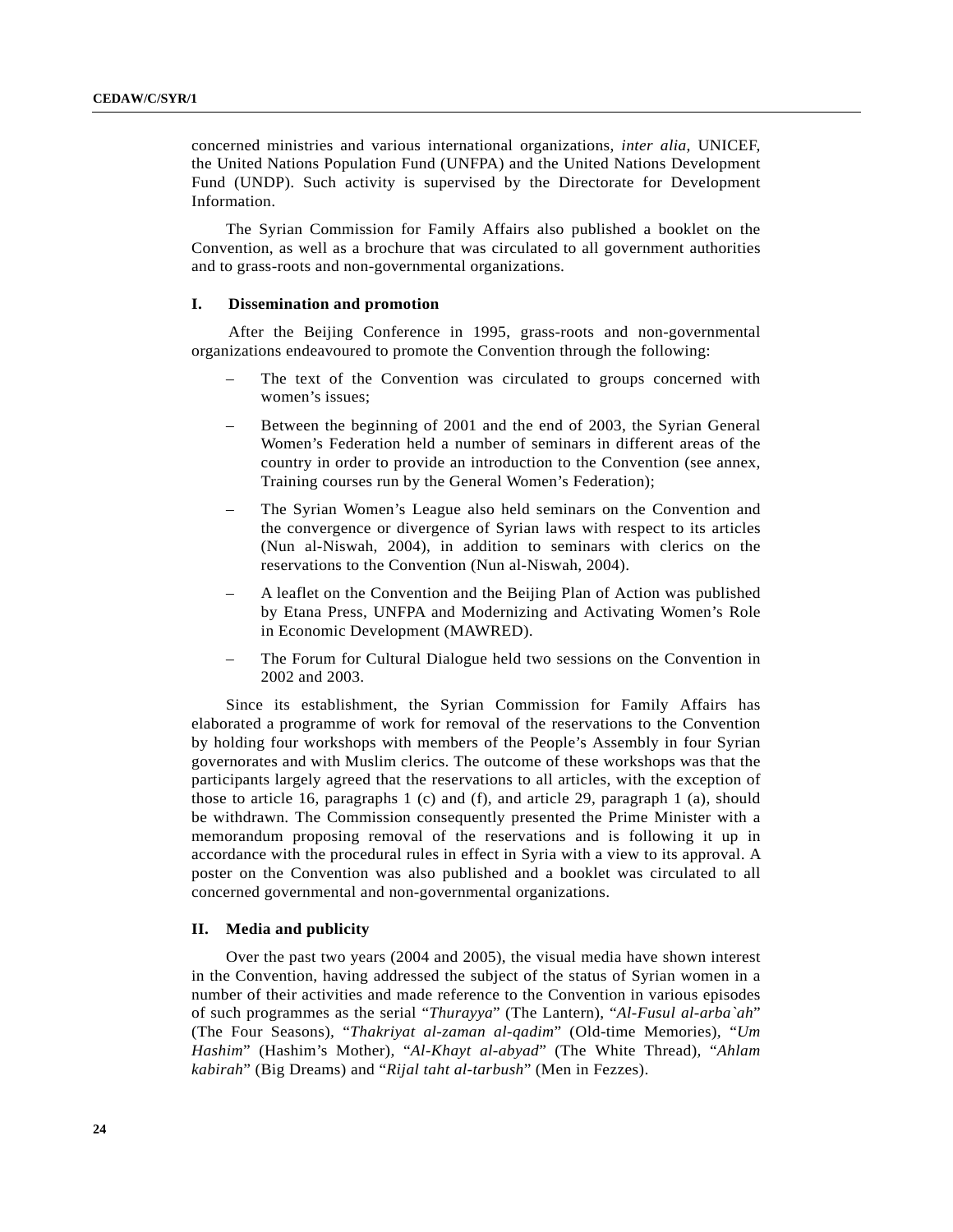concerned ministries and various international organizations, *inter alia*, UNICEF, the United Nations Population Fund (UNFPA) and the United Nations Development Fund (UNDP). Such activity is supervised by the Directorate for Development Information.

The Syrian Commission for Family Affairs also published a booklet on the Convention, as well as a brochure that was circulated to all government authorities and to grass-roots and non-governmental organizations.

#### **I. Dissemination and promotion**

After the Beijing Conference in 1995, grass-roots and non-governmental organizations endeavoured to promote the Convention through the following:

- The text of the Convention was circulated to groups concerned with women's issues;
- Between the beginning of 2001 and the end of 2003, the Syrian General Women's Federation held a number of seminars in different areas of the country in order to provide an introduction to the Convention (see annex, Training courses run by the General Women's Federation);
- The Syrian Women's League also held seminars on the Convention and the convergence or divergence of Syrian laws with respect to its articles (Nun al-Niswah, 2004), in addition to seminars with clerics on the reservations to the Convention (Nun al-Niswah, 2004).
- A leaflet on the Convention and the Beijing Plan of Action was published by Etana Press, UNFPA and Modernizing and Activating Women's Role in Economic Development (MAWRED).
- The Forum for Cultural Dialogue held two sessions on the Convention in 2002 and 2003.

Since its establishment, the Syrian Commission for Family Affairs has elaborated a programme of work for removal of the reservations to the Convention by holding four workshops with members of the People's Assembly in four Syrian governorates and with Muslim clerics. The outcome of these workshops was that the participants largely agreed that the reservations to all articles, with the exception of those to article 16, paragraphs 1 (c) and (f), and article 29, paragraph 1 (a), should be withdrawn. The Commission consequently presented the Prime Minister with a memorandum proposing removal of the reservations and is following it up in accordance with the procedural rules in effect in Syria with a view to its approval. A poster on the Convention was also published and a booklet was circulated to all concerned governmental and non-governmental organizations.

#### **II. Media and publicity**

Over the past two years (2004 and 2005), the visual media have shown interest in the Convention, having addressed the subject of the status of Syrian women in a number of their activities and made reference to the Convention in various episodes of such programmes as the serial "*Thurayya*" (The Lantern), "*Al-Fusul al-arba`ah*" (The Four Seasons)*,* "*Thakriyat al-zaman al-qadim*" (Old-time Memories)*,* "*Um Hashim*" (Hashim's Mother)*,* "*Al-Khayt al-abyad*" (The White Thread)*,* "*Ahlam kabirah*" (Big Dreams) and "*Rijal taht al-tarbush*" (Men in Fezzes).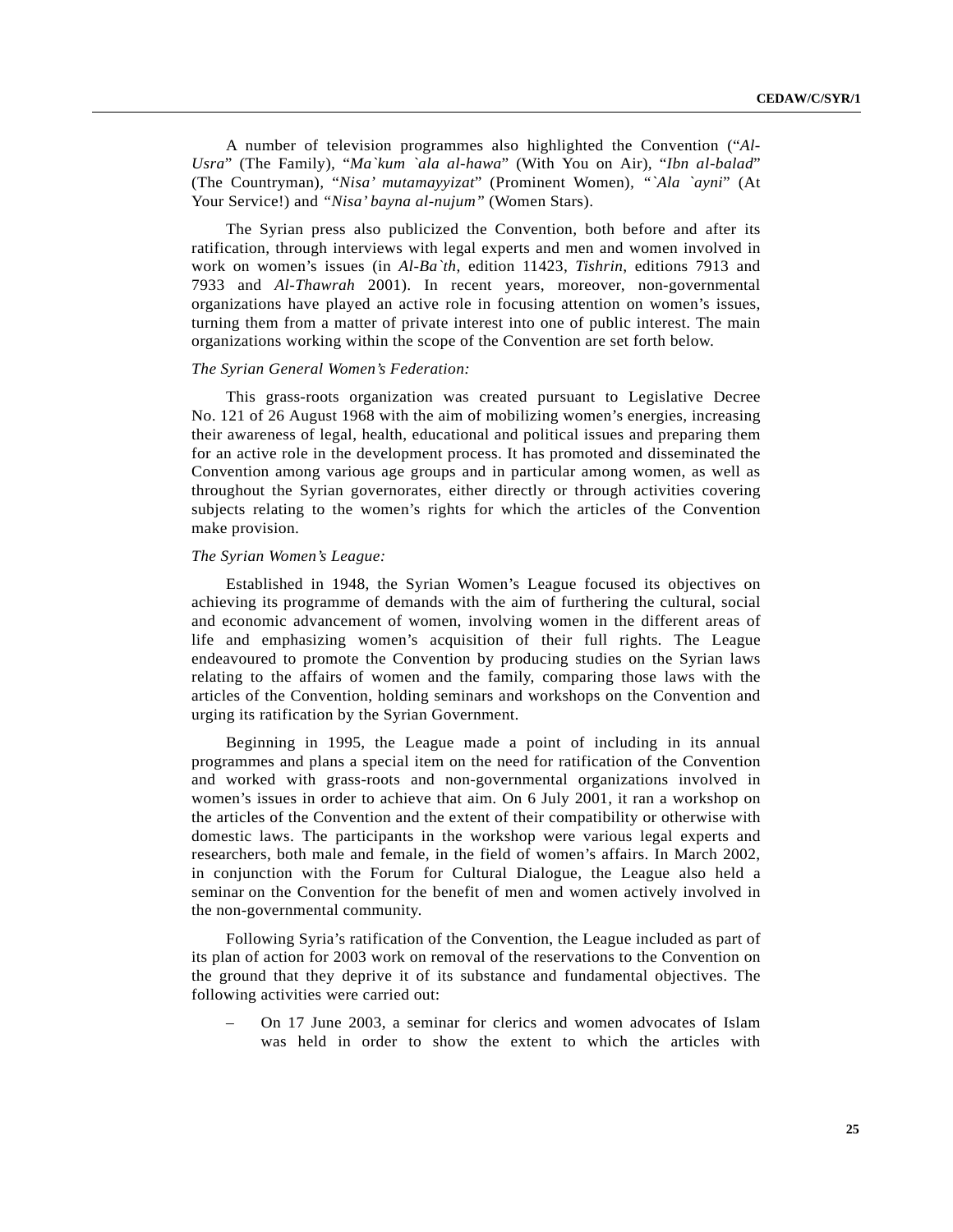A number of television programmes also highlighted the Convention ("*Al-Usra*" (The Family)*,* "*Ma`kum `ala al-hawa*" (With You on Air)*,* "*Ibn al-balad*" (The Countryman)*,* "*Nisa' mutamayyizat*" (Prominent Women)*, "`Ala `ayni*" (At Your Service!) and *"Nisa' bayna al-nujum"* (Women Stars).

The Syrian press also publicized the Convention, both before and after its ratification, through interviews with legal experts and men and women involved in work on women's issues (in *Al-Ba`th*, edition 11423, *Tishrin*, editions 7913 and 7933 and *Al-Thawrah* 2001). In recent years, moreover, non-governmental organizations have played an active role in focusing attention on women's issues, turning them from a matter of private interest into one of public interest. The main organizations working within the scope of the Convention are set forth below.

#### *The Syrian General Women's Federation:*

This grass-roots organization was created pursuant to Legislative Decree No. 121 of 26 August 1968 with the aim of mobilizing women's energies, increasing their awareness of legal, health, educational and political issues and preparing them for an active role in the development process. It has promoted and disseminated the Convention among various age groups and in particular among women, as well as throughout the Syrian governorates, either directly or through activities covering subjects relating to the women's rights for which the articles of the Convention make provision.

#### *The Syrian Women's League:*

Established in 1948, the Syrian Women's League focused its objectives on achieving its programme of demands with the aim of furthering the cultural, social and economic advancement of women, involving women in the different areas of life and emphasizing women's acquisition of their full rights. The League endeavoured to promote the Convention by producing studies on the Syrian laws relating to the affairs of women and the family, comparing those laws with the articles of the Convention, holding seminars and workshops on the Convention and urging its ratification by the Syrian Government.

Beginning in 1995, the League made a point of including in its annual programmes and plans a special item on the need for ratification of the Convention and worked with grass-roots and non-governmental organizations involved in women's issues in order to achieve that aim. On 6 July 2001, it ran a workshop on the articles of the Convention and the extent of their compatibility or otherwise with domestic laws. The participants in the workshop were various legal experts and researchers, both male and female, in the field of women's affairs. In March 2002, in conjunction with the Forum for Cultural Dialogue, the League also held a seminar on the Convention for the benefit of men and women actively involved in the non-governmental community.

Following Syria's ratification of the Convention, the League included as part of its plan of action for 2003 work on removal of the reservations to the Convention on the ground that they deprive it of its substance and fundamental objectives. The following activities were carried out:

– On 17 June 2003, a seminar for clerics and women advocates of Islam was held in order to show the extent to which the articles with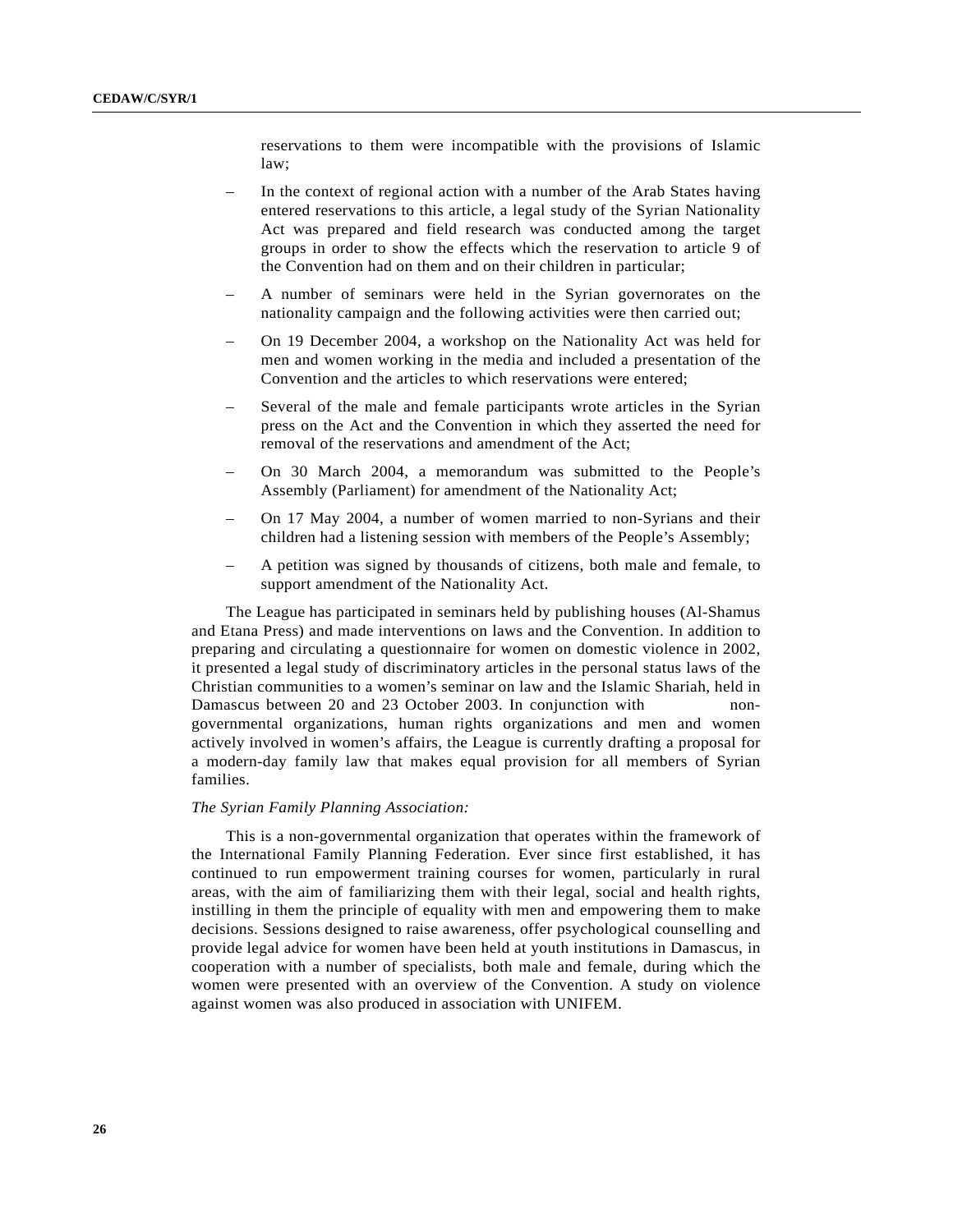reservations to them were incompatible with the provisions of Islamic law;

- In the context of regional action with a number of the Arab States having entered reservations to this article, a legal study of the Syrian Nationality Act was prepared and field research was conducted among the target groups in order to show the effects which the reservation to article 9 of the Convention had on them and on their children in particular;
- A number of seminars were held in the Syrian governorates on the nationality campaign and the following activities were then carried out;
- On 19 December 2004, a workshop on the Nationality Act was held for men and women working in the media and included a presentation of the Convention and the articles to which reservations were entered;
- Several of the male and female participants wrote articles in the Syrian press on the Act and the Convention in which they asserted the need for removal of the reservations and amendment of the Act;
- On 30 March 2004, a memorandum was submitted to the People's Assembly (Parliament) for amendment of the Nationality Act;
- On 17 May 2004, a number of women married to non-Syrians and their children had a listening session with members of the People's Assembly;
- A petition was signed by thousands of citizens, both male and female, to support amendment of the Nationality Act.

The League has participated in seminars held by publishing houses (Al-Shamus and Etana Press) and made interventions on laws and the Convention. In addition to preparing and circulating a questionnaire for women on domestic violence in 2002, it presented a legal study of discriminatory articles in the personal status laws of the Christian communities to a women's seminar on law and the Islamic Shariah, held in Damascus between 20 and 23 October 2003. In conjunction with nongovernmental organizations, human rights organizations and men and women actively involved in women's affairs, the League is currently drafting a proposal for a modern-day family law that makes equal provision for all members of Syrian families.

#### *The Syrian Family Planning Association:*

This is a non-governmental organization that operates within the framework of the International Family Planning Federation. Ever since first established, it has continued to run empowerment training courses for women, particularly in rural areas, with the aim of familiarizing them with their legal, social and health rights, instilling in them the principle of equality with men and empowering them to make decisions. Sessions designed to raise awareness, offer psychological counselling and provide legal advice for women have been held at youth institutions in Damascus, in cooperation with a number of specialists, both male and female, during which the women were presented with an overview of the Convention. A study on violence against women was also produced in association with UNIFEM.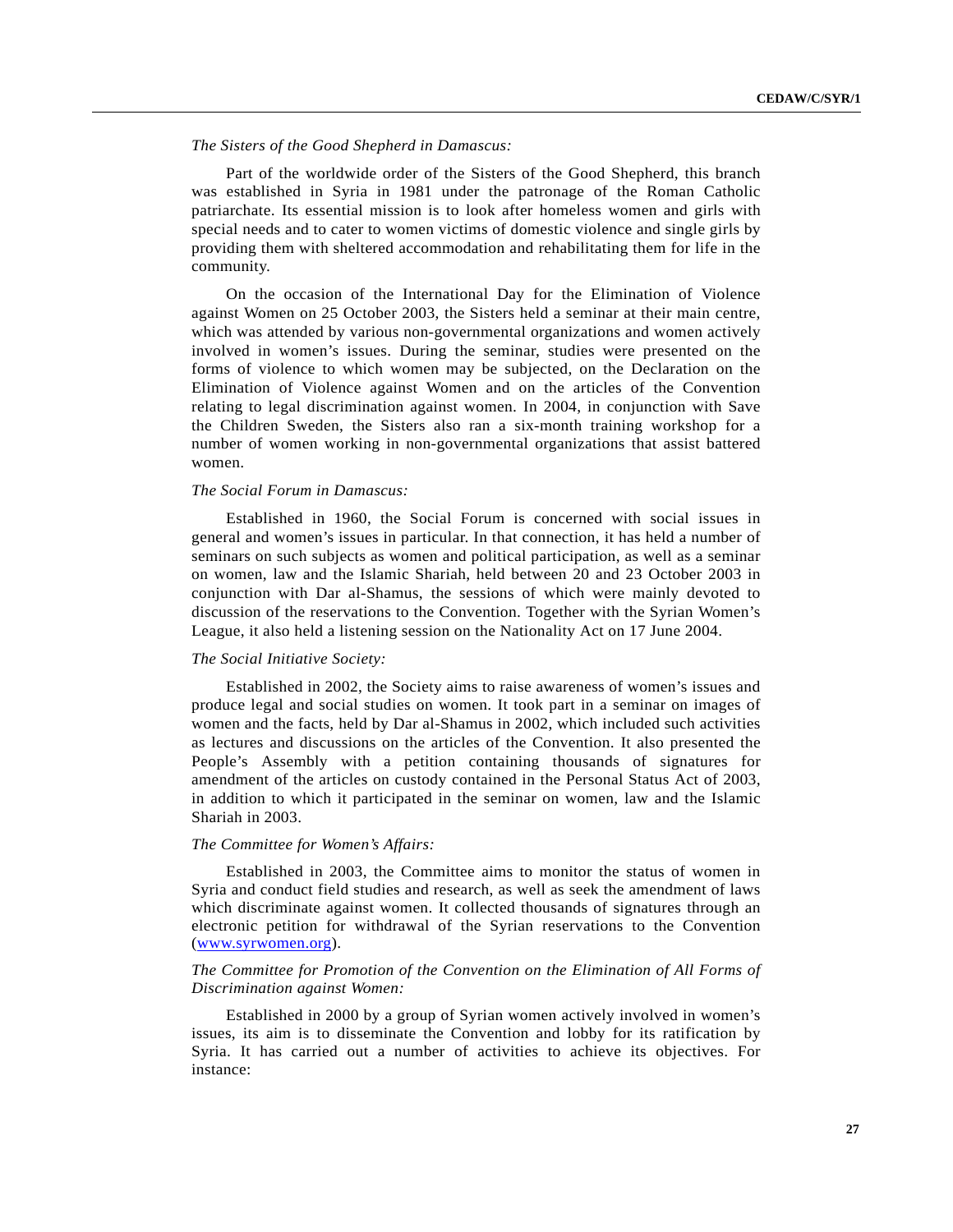## *The Sisters of the Good Shepherd in Damascus:*

Part of the worldwide order of the Sisters of the Good Shepherd, this branch was established in Syria in 1981 under the patronage of the Roman Catholic patriarchate. Its essential mission is to look after homeless women and girls with special needs and to cater to women victims of domestic violence and single girls by providing them with sheltered accommodation and rehabilitating them for life in the community.

On the occasion of the International Day for the Elimination of Violence against Women on 25 October 2003, the Sisters held a seminar at their main centre, which was attended by various non-governmental organizations and women actively involved in women's issues. During the seminar, studies were presented on the forms of violence to which women may be subjected, on the Declaration on the Elimination of Violence against Women and on the articles of the Convention relating to legal discrimination against women. In 2004, in conjunction with Save the Children Sweden, the Sisters also ran a six-month training workshop for a number of women working in non-governmental organizations that assist battered women.

#### *The Social Forum in Damascus:*

Established in 1960, the Social Forum is concerned with social issues in general and women's issues in particular. In that connection, it has held a number of seminars on such subjects as women and political participation, as well as a seminar on women, law and the Islamic Shariah, held between 20 and 23 October 2003 in conjunction with Dar al-Shamus, the sessions of which were mainly devoted to discussion of the reservations to the Convention. Together with the Syrian Women's League, it also held a listening session on the Nationality Act on 17 June 2004.

#### *The Social Initiative Society:*

Established in 2002, the Society aims to raise awareness of women's issues and produce legal and social studies on women. It took part in a seminar on images of women and the facts, held by Dar al-Shamus in 2002, which included such activities as lectures and discussions on the articles of the Convention. It also presented the People's Assembly with a petition containing thousands of signatures for amendment of the articles on custody contained in the Personal Status Act of 2003, in addition to which it participated in the seminar on women, law and the Islamic Shariah in 2003.

#### *The Committee for Women's Affairs:*

Established in 2003, the Committee aims to monitor the status of women in Syria and conduct field studies and research, as well as seek the amendment of laws which discriminate against women. It collected thousands of signatures through an electronic petition for withdrawal of the Syrian reservations to the Convention (www.syrwomen.org).

# *The Committee for Promotion of the Convention on the Elimination of All Forms of Discrimination against Women:*

Established in 2000 by a group of Syrian women actively involved in women's issues, its aim is to disseminate the Convention and lobby for its ratification by Syria. It has carried out a number of activities to achieve its objectives. For instance: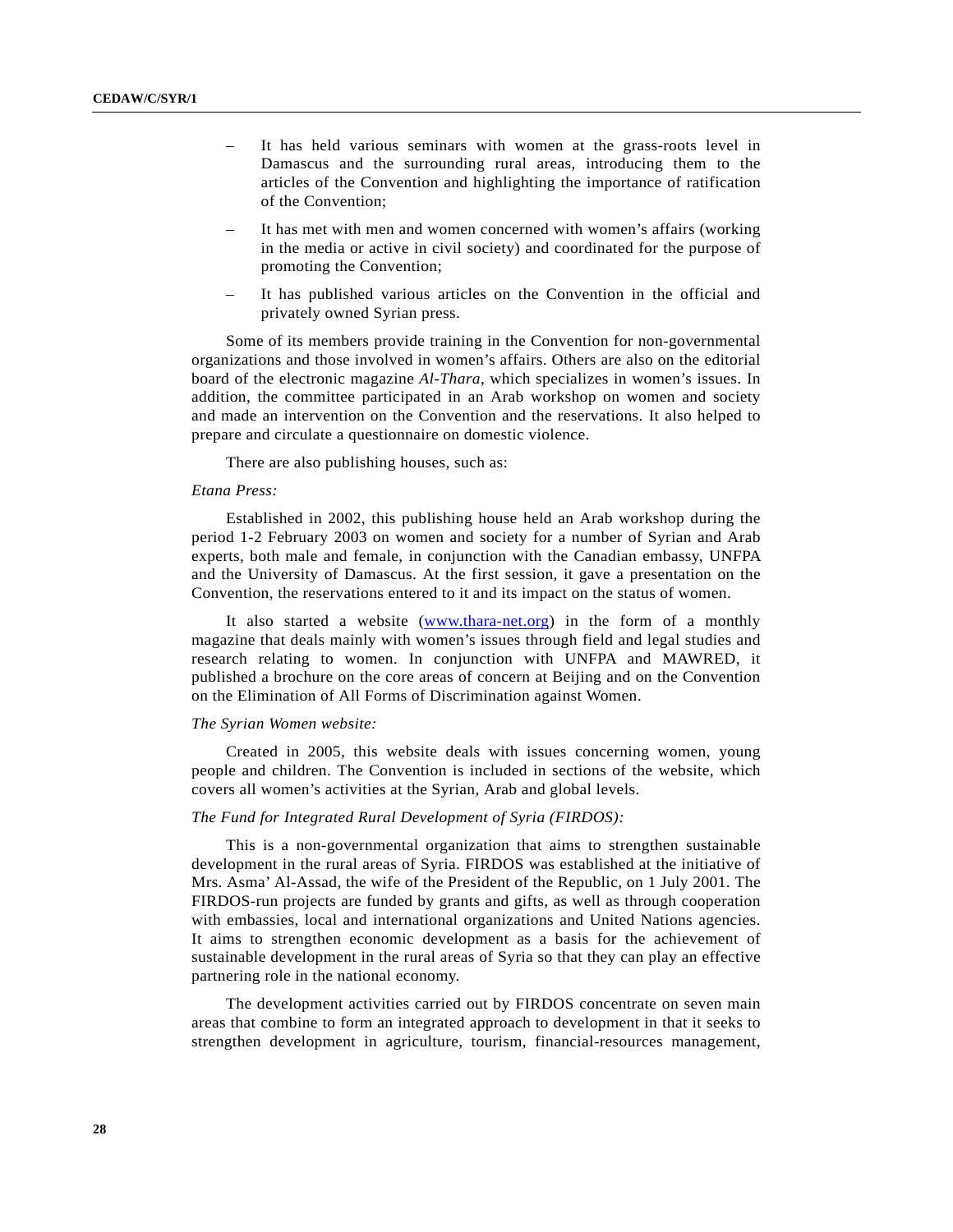- It has held various seminars with women at the grass-roots level in Damascus and the surrounding rural areas, introducing them to the articles of the Convention and highlighting the importance of ratification of the Convention;
- It has met with men and women concerned with women's affairs (working in the media or active in civil society) and coordinated for the purpose of promoting the Convention;
- It has published various articles on the Convention in the official and privately owned Syrian press.

Some of its members provide training in the Convention for non-governmental organizations and those involved in women's affairs. Others are also on the editorial board of the electronic magazine *Al-Thara*, which specializes in women's issues. In addition, the committee participated in an Arab workshop on women and society and made an intervention on the Convention and the reservations. It also helped to prepare and circulate a questionnaire on domestic violence.

There are also publishing houses, such as:

#### *Etana Press:*

Established in 2002, this publishing house held an Arab workshop during the period 1-2 February 2003 on women and society for a number of Syrian and Arab experts, both male and female, in conjunction with the Canadian embassy, UNFPA and the University of Damascus. At the first session, it gave a presentation on the Convention, the reservations entered to it and its impact on the status of women.

It also started a website (www.thara-net.org) in the form of a monthly magazine that deals mainly with women's issues through field and legal studies and research relating to women. In conjunction with UNFPA and MAWRED, it published a brochure on the core areas of concern at Beijing and on the Convention on the Elimination of All Forms of Discrimination against Women.

#### *The Syrian Women website:*

Created in 2005, this website deals with issues concerning women, young people and children. The Convention is included in sections of the website, which covers all women's activities at the Syrian, Arab and global levels.

#### *The Fund for Integrated Rural Development of Syria (FIRDOS):*

This is a non-governmental organization that aims to strengthen sustainable development in the rural areas of Syria. FIRDOS was established at the initiative of Mrs. Asma' Al-Assad, the wife of the President of the Republic, on 1 July 2001. The FIRDOS-run projects are funded by grants and gifts, as well as through cooperation with embassies, local and international organizations and United Nations agencies. It aims to strengthen economic development as a basis for the achievement of sustainable development in the rural areas of Syria so that they can play an effective partnering role in the national economy.

The development activities carried out by FIRDOS concentrate on seven main areas that combine to form an integrated approach to development in that it seeks to strengthen development in agriculture, tourism, financial-resources management,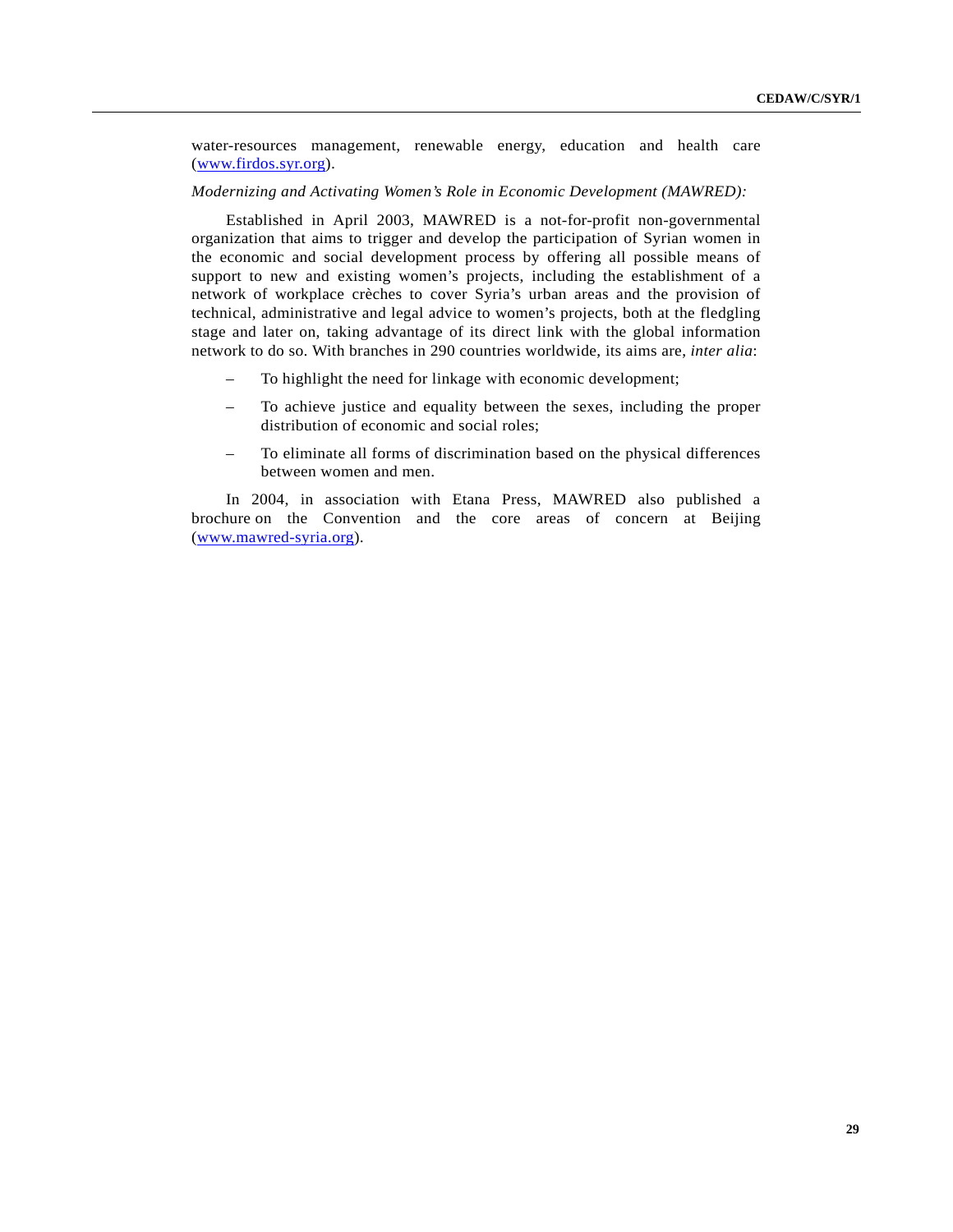water-resources management, renewable energy, education and health care (www.firdos.syr.org).

#### *Modernizing and Activating Women's Role in Economic Development (MAWRED):*

Established in April 2003, MAWRED is a not-for-profit non-governmental organization that aims to trigger and develop the participation of Syrian women in the economic and social development process by offering all possible means of support to new and existing women's projects, including the establishment of a network of workplace crèches to cover Syria's urban areas and the provision of technical, administrative and legal advice to women's projects, both at the fledgling stage and later on, taking advantage of its direct link with the global information network to do so. With branches in 290 countries worldwide, its aims are, *inter alia*:

- To highlight the need for linkage with economic development;
- To achieve justice and equality between the sexes, including the proper distribution of economic and social roles;
- To eliminate all forms of discrimination based on the physical differences between women and men.

In 2004, in association with Etana Press, MAWRED also published a brochure on the Convention and the core areas of concern at Beijing (www.mawred-syria.org).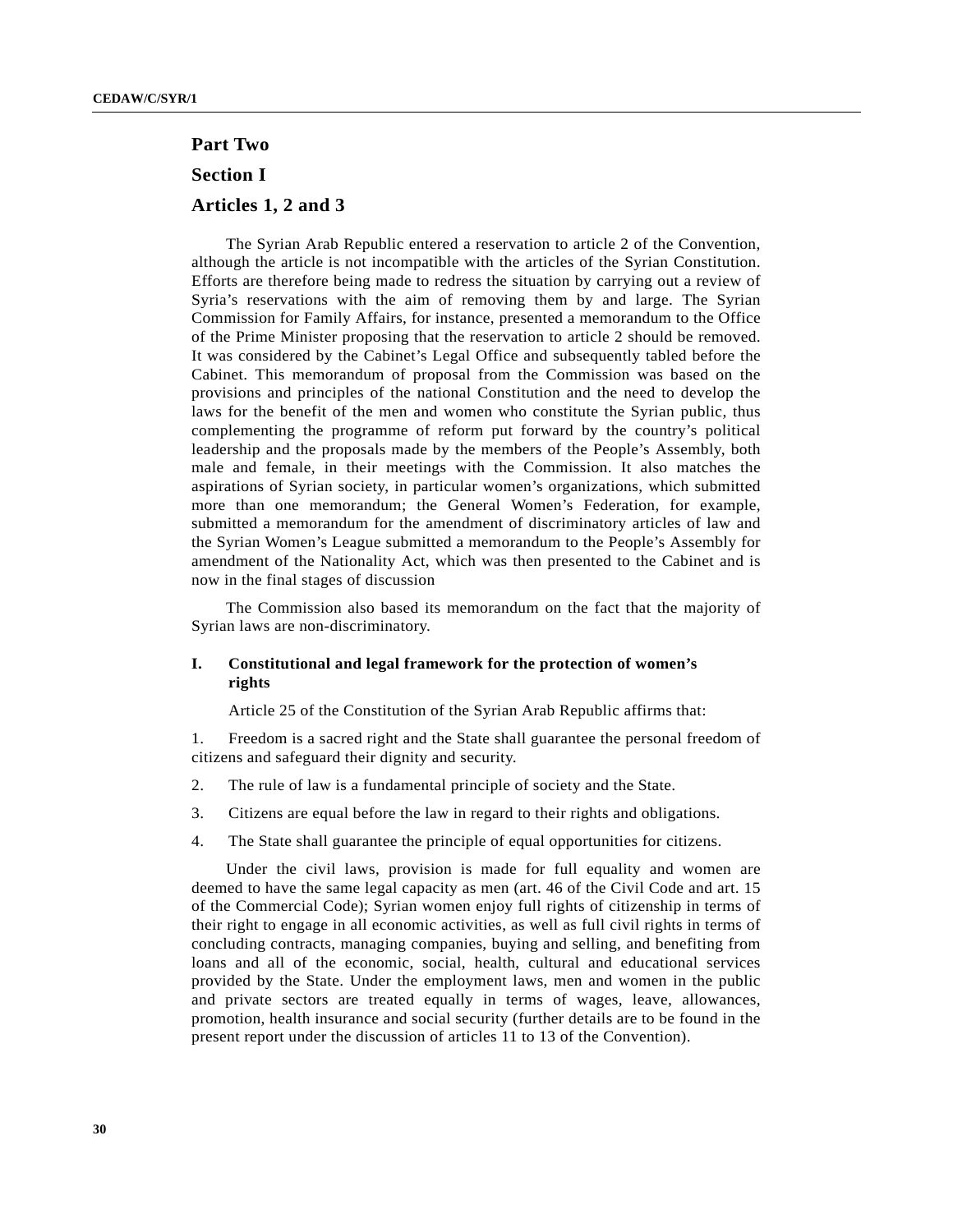# **Part Two Section I Articles 1, 2 and 3**

The Syrian Arab Republic entered a reservation to article 2 of the Convention, although the article is not incompatible with the articles of the Syrian Constitution. Efforts are therefore being made to redress the situation by carrying out a review of Syria's reservations with the aim of removing them by and large. The Syrian Commission for Family Affairs, for instance, presented a memorandum to the Office of the Prime Minister proposing that the reservation to article 2 should be removed. It was considered by the Cabinet's Legal Office and subsequently tabled before the Cabinet. This memorandum of proposal from the Commission was based on the provisions and principles of the national Constitution and the need to develop the laws for the benefit of the men and women who constitute the Syrian public, thus complementing the programme of reform put forward by the country's political leadership and the proposals made by the members of the People's Assembly, both male and female, in their meetings with the Commission. It also matches the aspirations of Syrian society, in particular women's organizations, which submitted more than one memorandum; the General Women's Federation, for example, submitted a memorandum for the amendment of discriminatory articles of law and the Syrian Women's League submitted a memorandum to the People's Assembly for amendment of the Nationality Act, which was then presented to the Cabinet and is now in the final stages of discussion

The Commission also based its memorandum on the fact that the majority of Syrian laws are non-discriminatory.

# **I. Constitutional and legal framework for the protection of women's rights**

Article 25 of the Constitution of the Syrian Arab Republic affirms that:

1. Freedom is a sacred right and the State shall guarantee the personal freedom of citizens and safeguard their dignity and security.

- 2. The rule of law is a fundamental principle of society and the State.
- 3. Citizens are equal before the law in regard to their rights and obligations.
- 4. The State shall guarantee the principle of equal opportunities for citizens.

Under the civil laws, provision is made for full equality and women are deemed to have the same legal capacity as men (art. 46 of the Civil Code and art. 15 of the Commercial Code); Syrian women enjoy full rights of citizenship in terms of their right to engage in all economic activities, as well as full civil rights in terms of concluding contracts, managing companies, buying and selling, and benefiting from loans and all of the economic, social, health, cultural and educational services provided by the State. Under the employment laws, men and women in the public and private sectors are treated equally in terms of wages, leave, allowances, promotion, health insurance and social security (further details are to be found in the present report under the discussion of articles 11 to 13 of the Convention).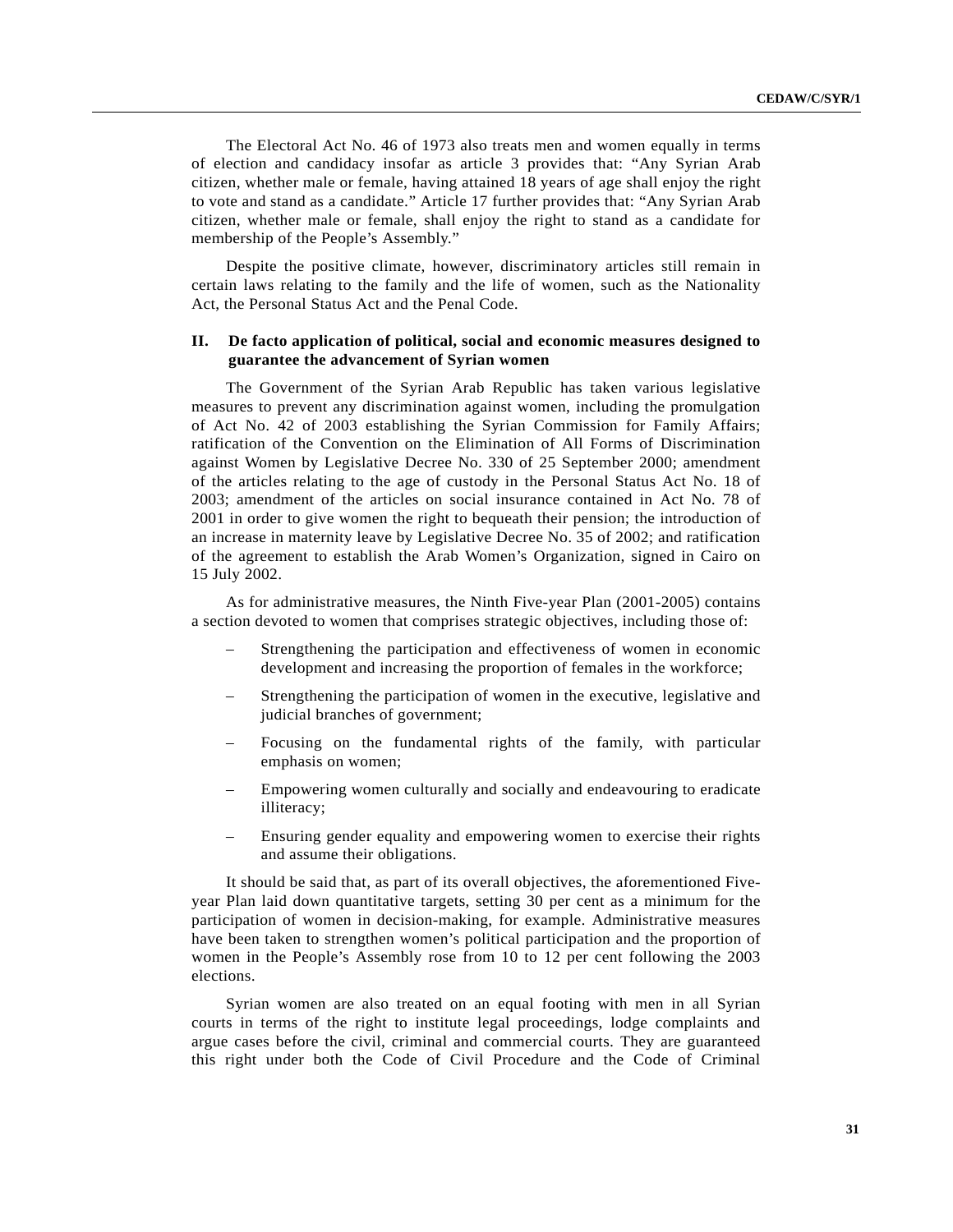The Electoral Act No. 46 of 1973 also treats men and women equally in terms of election and candidacy insofar as article 3 provides that: "Any Syrian Arab citizen, whether male or female, having attained 18 years of age shall enjoy the right to vote and stand as a candidate." Article 17 further provides that: "Any Syrian Arab citizen, whether male or female, shall enjoy the right to stand as a candidate for membership of the People's Assembly."

Despite the positive climate, however, discriminatory articles still remain in certain laws relating to the family and the life of women, such as the Nationality Act, the Personal Status Act and the Penal Code.

# **II. De facto application of political, social and economic measures designed to guarantee the advancement of Syrian women**

The Government of the Syrian Arab Republic has taken various legislative measures to prevent any discrimination against women, including the promulgation of Act No. 42 of 2003 establishing the Syrian Commission for Family Affairs; ratification of the Convention on the Elimination of All Forms of Discrimination against Women by Legislative Decree No. 330 of 25 September 2000; amendment of the articles relating to the age of custody in the Personal Status Act No. 18 of 2003; amendment of the articles on social insurance contained in Act No. 78 of 2001 in order to give women the right to bequeath their pension; the introduction of an increase in maternity leave by Legislative Decree No. 35 of 2002; and ratification of the agreement to establish the Arab Women's Organization, signed in Cairo on 15 July 2002.

As for administrative measures, the Ninth Five-year Plan (2001-2005) contains a section devoted to women that comprises strategic objectives, including those of:

- Strengthening the participation and effectiveness of women in economic development and increasing the proportion of females in the workforce;
- Strengthening the participation of women in the executive, legislative and judicial branches of government;
- Focusing on the fundamental rights of the family, with particular emphasis on women;
- Empowering women culturally and socially and endeavouring to eradicate illiteracy;
- Ensuring gender equality and empowering women to exercise their rights and assume their obligations.

It should be said that, as part of its overall objectives, the aforementioned Fiveyear Plan laid down quantitative targets, setting 30 per cent as a minimum for the participation of women in decision-making, for example. Administrative measures have been taken to strengthen women's political participation and the proportion of women in the People's Assembly rose from 10 to 12 per cent following the 2003 elections.

Syrian women are also treated on an equal footing with men in all Syrian courts in terms of the right to institute legal proceedings, lodge complaints and argue cases before the civil, criminal and commercial courts. They are guaranteed this right under both the Code of Civil Procedure and the Code of Criminal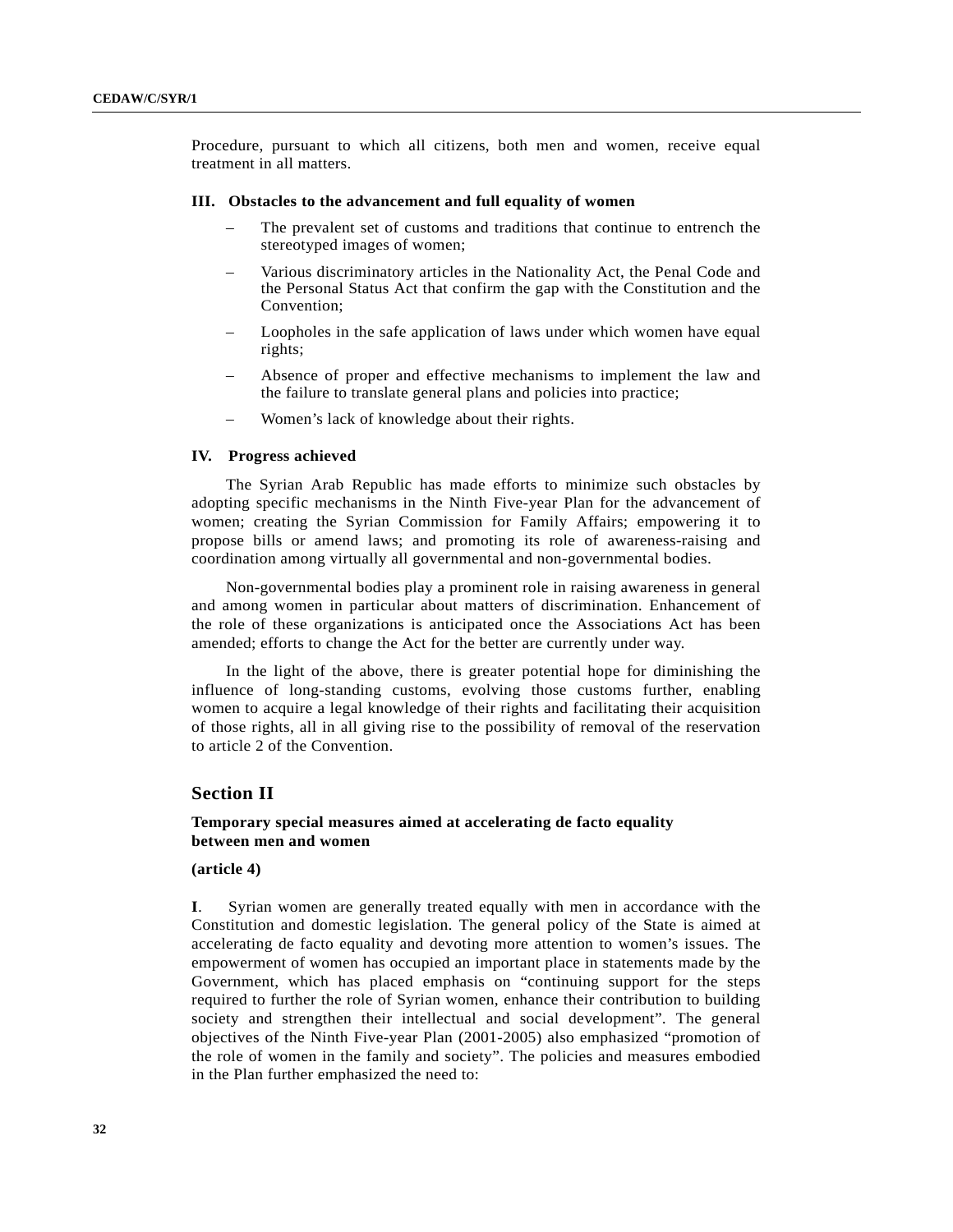Procedure, pursuant to which all citizens, both men and women, receive equal treatment in all matters.

#### **III. Obstacles to the advancement and full equality of women**

- The prevalent set of customs and traditions that continue to entrench the stereotyped images of women;
- Various discriminatory articles in the Nationality Act, the Penal Code and the Personal Status Act that confirm the gap with the Constitution and the Convention;
- Loopholes in the safe application of laws under which women have equal rights;
- Absence of proper and effective mechanisms to implement the law and the failure to translate general plans and policies into practice;
- Women's lack of knowledge about their rights.

#### **IV. Progress achieved**

The Syrian Arab Republic has made efforts to minimize such obstacles by adopting specific mechanisms in the Ninth Five-year Plan for the advancement of women; creating the Syrian Commission for Family Affairs; empowering it to propose bills or amend laws; and promoting its role of awareness-raising and coordination among virtually all governmental and non-governmental bodies.

Non-governmental bodies play a prominent role in raising awareness in general and among women in particular about matters of discrimination. Enhancement of the role of these organizations is anticipated once the Associations Act has been amended; efforts to change the Act for the better are currently under way.

In the light of the above, there is greater potential hope for diminishing the influence of long-standing customs, evolving those customs further, enabling women to acquire a legal knowledge of their rights and facilitating their acquisition of those rights, all in all giving rise to the possibility of removal of the reservation to article 2 of the Convention.

## **Section II**

# **Temporary special measures aimed at accelerating de facto equality between men and women**

#### **(article 4)**

**I**. Syrian women are generally treated equally with men in accordance with the Constitution and domestic legislation. The general policy of the State is aimed at accelerating de facto equality and devoting more attention to women's issues. The empowerment of women has occupied an important place in statements made by the Government, which has placed emphasis on "continuing support for the steps required to further the role of Syrian women, enhance their contribution to building society and strengthen their intellectual and social development". The general objectives of the Ninth Five-year Plan (2001-2005) also emphasized "promotion of the role of women in the family and society". The policies and measures embodied in the Plan further emphasized the need to: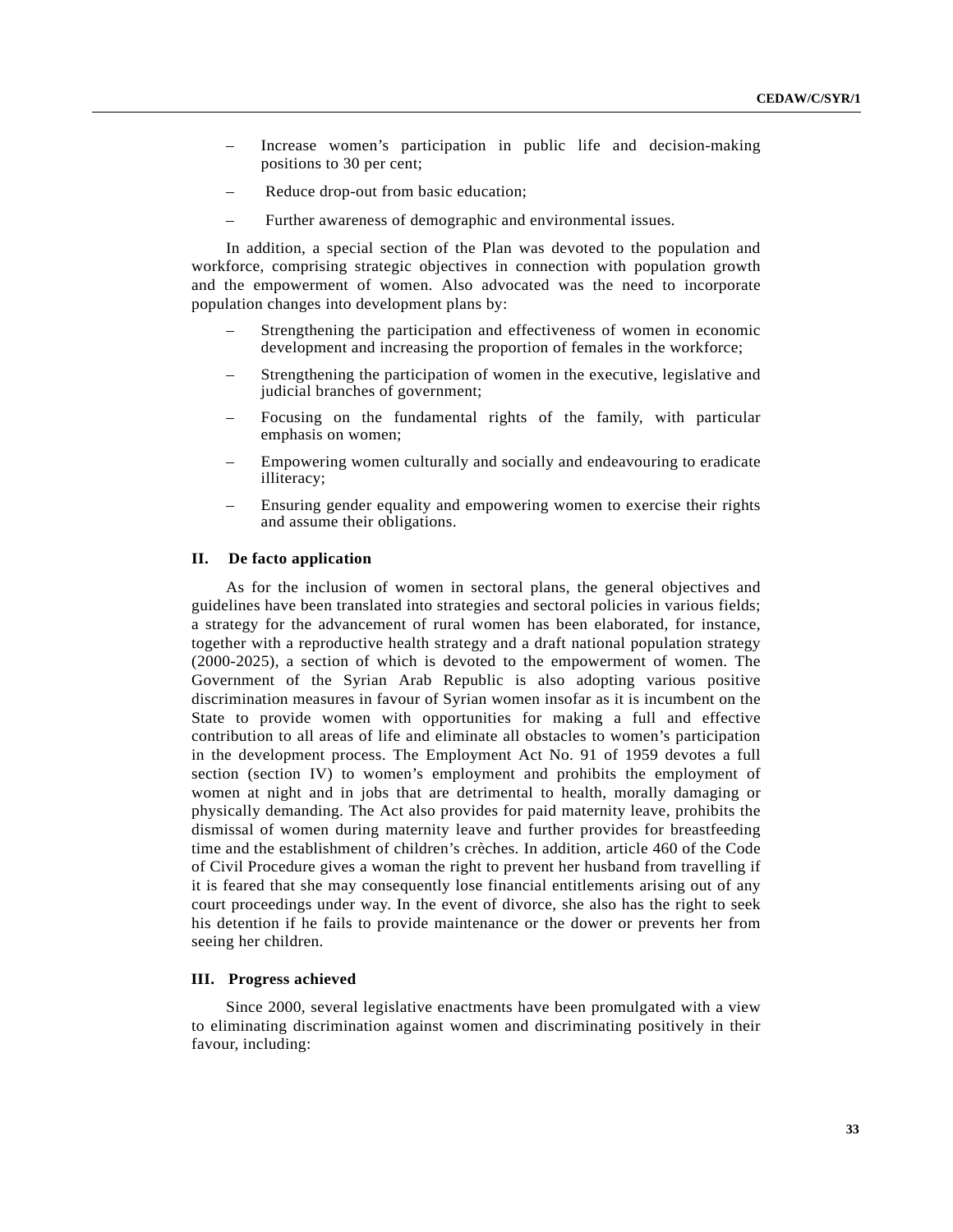- Increase women's participation in public life and decision-making positions to 30 per cent;
- Reduce drop-out from basic education;
- Further awareness of demographic and environmental issues.

In addition, a special section of the Plan was devoted to the population and workforce, comprising strategic objectives in connection with population growth and the empowerment of women. Also advocated was the need to incorporate population changes into development plans by:

- Strengthening the participation and effectiveness of women in economic development and increasing the proportion of females in the workforce;
- Strengthening the participation of women in the executive, legislative and judicial branches of government;
- Focusing on the fundamental rights of the family, with particular emphasis on women;
- Empowering women culturally and socially and endeavouring to eradicate illiteracy;
- Ensuring gender equality and empowering women to exercise their rights and assume their obligations.

## **II. De facto application**

As for the inclusion of women in sectoral plans, the general objectives and guidelines have been translated into strategies and sectoral policies in various fields; a strategy for the advancement of rural women has been elaborated, for instance, together with a reproductive health strategy and a draft national population strategy (2000-2025), a section of which is devoted to the empowerment of women. The Government of the Syrian Arab Republic is also adopting various positive discrimination measures in favour of Syrian women insofar as it is incumbent on the State to provide women with opportunities for making a full and effective contribution to all areas of life and eliminate all obstacles to women's participation in the development process. The Employment Act No. 91 of 1959 devotes a full section (section IV) to women's employment and prohibits the employment of women at night and in jobs that are detrimental to health, morally damaging or physically demanding. The Act also provides for paid maternity leave, prohibits the dismissal of women during maternity leave and further provides for breastfeeding time and the establishment of children's crèches. In addition, article 460 of the Code of Civil Procedure gives a woman the right to prevent her husband from travelling if it is feared that she may consequently lose financial entitlements arising out of any court proceedings under way. In the event of divorce, she also has the right to seek his detention if he fails to provide maintenance or the dower or prevents her from seeing her children.

# **III. Progress achieved**

Since 2000, several legislative enactments have been promulgated with a view to eliminating discrimination against women and discriminating positively in their favour, including: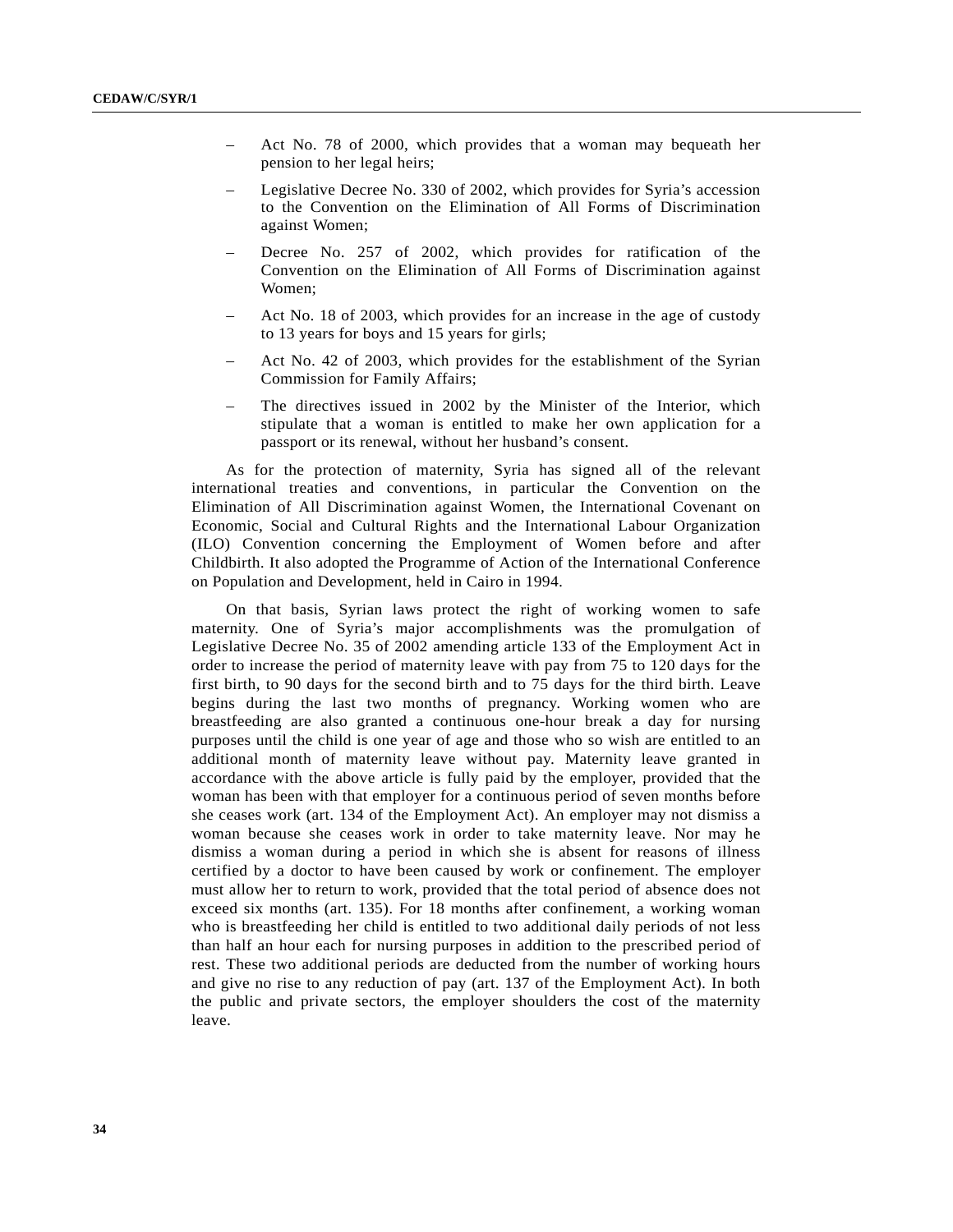- Act No. 78 of 2000, which provides that a woman may bequeath her pension to her legal heirs;
- Legislative Decree No. 330 of 2002, which provides for Syria's accession to the Convention on the Elimination of All Forms of Discrimination against Women;
- Decree No. 257 of 2002, which provides for ratification of the Convention on the Elimination of All Forms of Discrimination against Women;
- Act No. 18 of 2003, which provides for an increase in the age of custody to 13 years for boys and 15 years for girls;
- Act No. 42 of 2003, which provides for the establishment of the Syrian Commission for Family Affairs;
- The directives issued in 2002 by the Minister of the Interior, which stipulate that a woman is entitled to make her own application for a passport or its renewal, without her husband's consent.

As for the protection of maternity, Syria has signed all of the relevant international treaties and conventions, in particular the Convention on the Elimination of All Discrimination against Women, the International Covenant on Economic, Social and Cultural Rights and the International Labour Organization (ILO) Convention concerning the Employment of Women before and after Childbirth. It also adopted the Programme of Action of the International Conference on Population and Development, held in Cairo in 1994.

On that basis, Syrian laws protect the right of working women to safe maternity. One of Syria's major accomplishments was the promulgation of Legislative Decree No. 35 of 2002 amending article 133 of the Employment Act in order to increase the period of maternity leave with pay from 75 to 120 days for the first birth, to 90 days for the second birth and to 75 days for the third birth. Leave begins during the last two months of pregnancy. Working women who are breastfeeding are also granted a continuous one-hour break a day for nursing purposes until the child is one year of age and those who so wish are entitled to an additional month of maternity leave without pay. Maternity leave granted in accordance with the above article is fully paid by the employer, provided that the woman has been with that employer for a continuous period of seven months before she ceases work (art. 134 of the Employment Act). An employer may not dismiss a woman because she ceases work in order to take maternity leave. Nor may he dismiss a woman during a period in which she is absent for reasons of illness certified by a doctor to have been caused by work or confinement. The employer must allow her to return to work, provided that the total period of absence does not exceed six months (art. 135). For 18 months after confinement, a working woman who is breastfeeding her child is entitled to two additional daily periods of not less than half an hour each for nursing purposes in addition to the prescribed period of rest. These two additional periods are deducted from the number of working hours and give no rise to any reduction of pay (art. 137 of the Employment Act). In both the public and private sectors, the employer shoulders the cost of the maternity leave.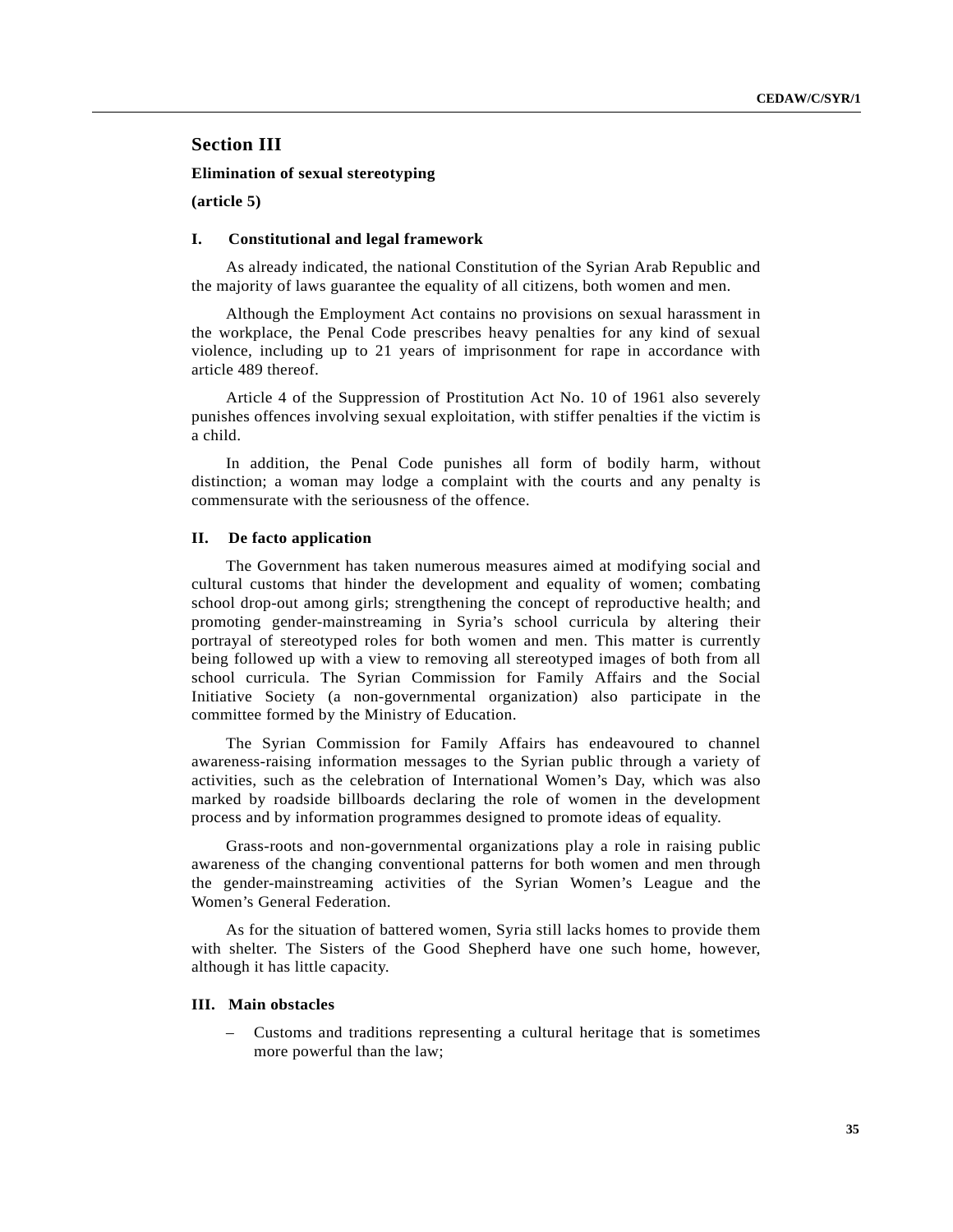# **Section III**

# **Elimination of sexual stereotyping**

**(article 5)**

# **I. Constitutional and legal framework**

As already indicated, the national Constitution of the Syrian Arab Republic and the majority of laws guarantee the equality of all citizens, both women and men.

Although the Employment Act contains no provisions on sexual harassment in the workplace, the Penal Code prescribes heavy penalties for any kind of sexual violence, including up to 21 years of imprisonment for rape in accordance with article 489 thereof.

Article 4 of the Suppression of Prostitution Act No. 10 of 1961 also severely punishes offences involving sexual exploitation, with stiffer penalties if the victim is a child.

In addition, the Penal Code punishes all form of bodily harm, without distinction; a woman may lodge a complaint with the courts and any penalty is commensurate with the seriousness of the offence.

#### **II. De facto application**

The Government has taken numerous measures aimed at modifying social and cultural customs that hinder the development and equality of women; combating school drop-out among girls; strengthening the concept of reproductive health; and promoting gender-mainstreaming in Syria's school curricula by altering their portrayal of stereotyped roles for both women and men. This matter is currently being followed up with a view to removing all stereotyped images of both from all school curricula. The Syrian Commission for Family Affairs and the Social Initiative Society (a non-governmental organization) also participate in the committee formed by the Ministry of Education.

The Syrian Commission for Family Affairs has endeavoured to channel awareness-raising information messages to the Syrian public through a variety of activities, such as the celebration of International Women's Day, which was also marked by roadside billboards declaring the role of women in the development process and by information programmes designed to promote ideas of equality.

Grass-roots and non-governmental organizations play a role in raising public awareness of the changing conventional patterns for both women and men through the gender-mainstreaming activities of the Syrian Women's League and the Women's General Federation.

As for the situation of battered women, Syria still lacks homes to provide them with shelter. The Sisters of the Good Shepherd have one such home, however, although it has little capacity.

# **III. Main obstacles**

– Customs and traditions representing a cultural heritage that is sometimes more powerful than the law;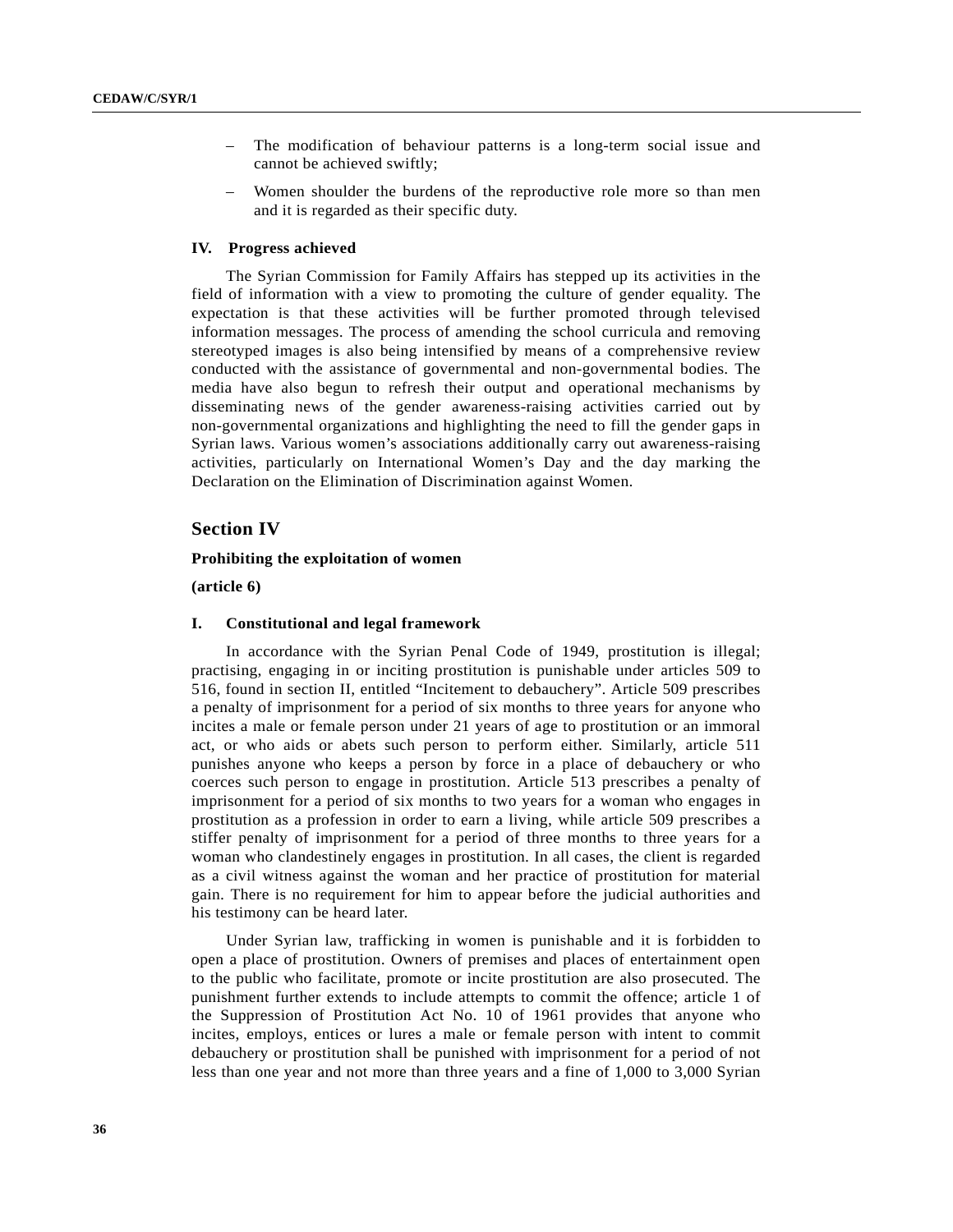- The modification of behaviour patterns is a long-term social issue and cannot be achieved swiftly;
- Women shoulder the burdens of the reproductive role more so than men and it is regarded as their specific duty.

# **IV. Progress achieved**

The Syrian Commission for Family Affairs has stepped up its activities in the field of information with a view to promoting the culture of gender equality. The expectation is that these activities will be further promoted through televised information messages. The process of amending the school curricula and removing stereotyped images is also being intensified by means of a comprehensive review conducted with the assistance of governmental and non-governmental bodies. The media have also begun to refresh their output and operational mechanisms by disseminating news of the gender awareness-raising activities carried out by non-governmental organizations and highlighting the need to fill the gender gaps in Syrian laws. Various women's associations additionally carry out awareness-raising activities, particularly on International Women's Day and the day marking the Declaration on the Elimination of Discrimination against Women.

# **Section IV**

#### **Prohibiting the exploitation of women**

**(article 6)**

#### **I. Constitutional and legal framework**

In accordance with the Syrian Penal Code of 1949, prostitution is illegal; practising, engaging in or inciting prostitution is punishable under articles 509 to 516, found in section II, entitled "Incitement to debauchery". Article 509 prescribes a penalty of imprisonment for a period of six months to three years for anyone who incites a male or female person under 21 years of age to prostitution or an immoral act, or who aids or abets such person to perform either. Similarly, article 511 punishes anyone who keeps a person by force in a place of debauchery or who coerces such person to engage in prostitution. Article 513 prescribes a penalty of imprisonment for a period of six months to two years for a woman who engages in prostitution as a profession in order to earn a living, while article 509 prescribes a stiffer penalty of imprisonment for a period of three months to three years for a woman who clandestinely engages in prostitution. In all cases, the client is regarded as a civil witness against the woman and her practice of prostitution for material gain. There is no requirement for him to appear before the judicial authorities and his testimony can be heard later.

Under Syrian law, trafficking in women is punishable and it is forbidden to open a place of prostitution. Owners of premises and places of entertainment open to the public who facilitate, promote or incite prostitution are also prosecuted. The punishment further extends to include attempts to commit the offence; article 1 of the Suppression of Prostitution Act No. 10 of 1961 provides that anyone who incites, employs, entices or lures a male or female person with intent to commit debauchery or prostitution shall be punished with imprisonment for a period of not less than one year and not more than three years and a fine of 1,000 to 3,000 Syrian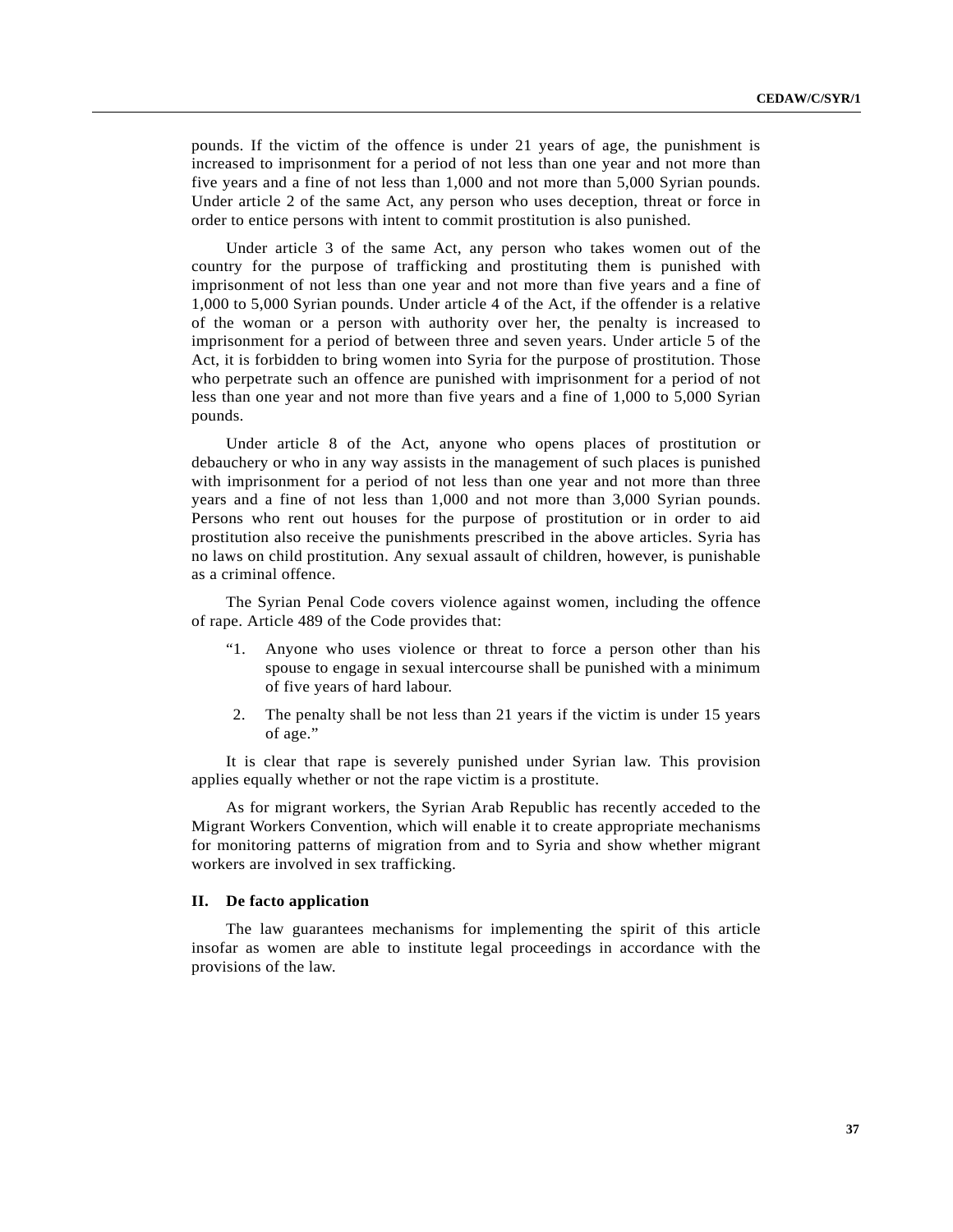pounds. If the victim of the offence is under 21 years of age, the punishment is increased to imprisonment for a period of not less than one year and not more than five years and a fine of not less than 1,000 and not more than 5,000 Syrian pounds. Under article 2 of the same Act, any person who uses deception, threat or force in order to entice persons with intent to commit prostitution is also punished.

Under article 3 of the same Act, any person who takes women out of the country for the purpose of trafficking and prostituting them is punished with imprisonment of not less than one year and not more than five years and a fine of 1,000 to 5,000 Syrian pounds. Under article 4 of the Act, if the offender is a relative of the woman or a person with authority over her, the penalty is increased to imprisonment for a period of between three and seven years. Under article 5 of the Act, it is forbidden to bring women into Syria for the purpose of prostitution. Those who perpetrate such an offence are punished with imprisonment for a period of not less than one year and not more than five years and a fine of 1,000 to 5,000 Syrian pounds.

Under article 8 of the Act, anyone who opens places of prostitution or debauchery or who in any way assists in the management of such places is punished with imprisonment for a period of not less than one year and not more than three years and a fine of not less than 1,000 and not more than 3,000 Syrian pounds. Persons who rent out houses for the purpose of prostitution or in order to aid prostitution also receive the punishments prescribed in the above articles. Syria has no laws on child prostitution. Any sexual assault of children, however, is punishable as a criminal offence.

The Syrian Penal Code covers violence against women, including the offence of rape. Article 489 of the Code provides that:

- Anyone who uses violence or threat to force a person other than his spouse to engage in sexual intercourse shall be punished with a minimum of five years of hard labour.
- 2. The penalty shall be not less than 21 years if the victim is under 15 years of age."

It is clear that rape is severely punished under Syrian law. This provision applies equally whether or not the rape victim is a prostitute.

As for migrant workers, the Syrian Arab Republic has recently acceded to the Migrant Workers Convention, which will enable it to create appropriate mechanisms for monitoring patterns of migration from and to Syria and show whether migrant workers are involved in sex trafficking.

## **II. De facto application**

The law guarantees mechanisms for implementing the spirit of this article insofar as women are able to institute legal proceedings in accordance with the provisions of the law.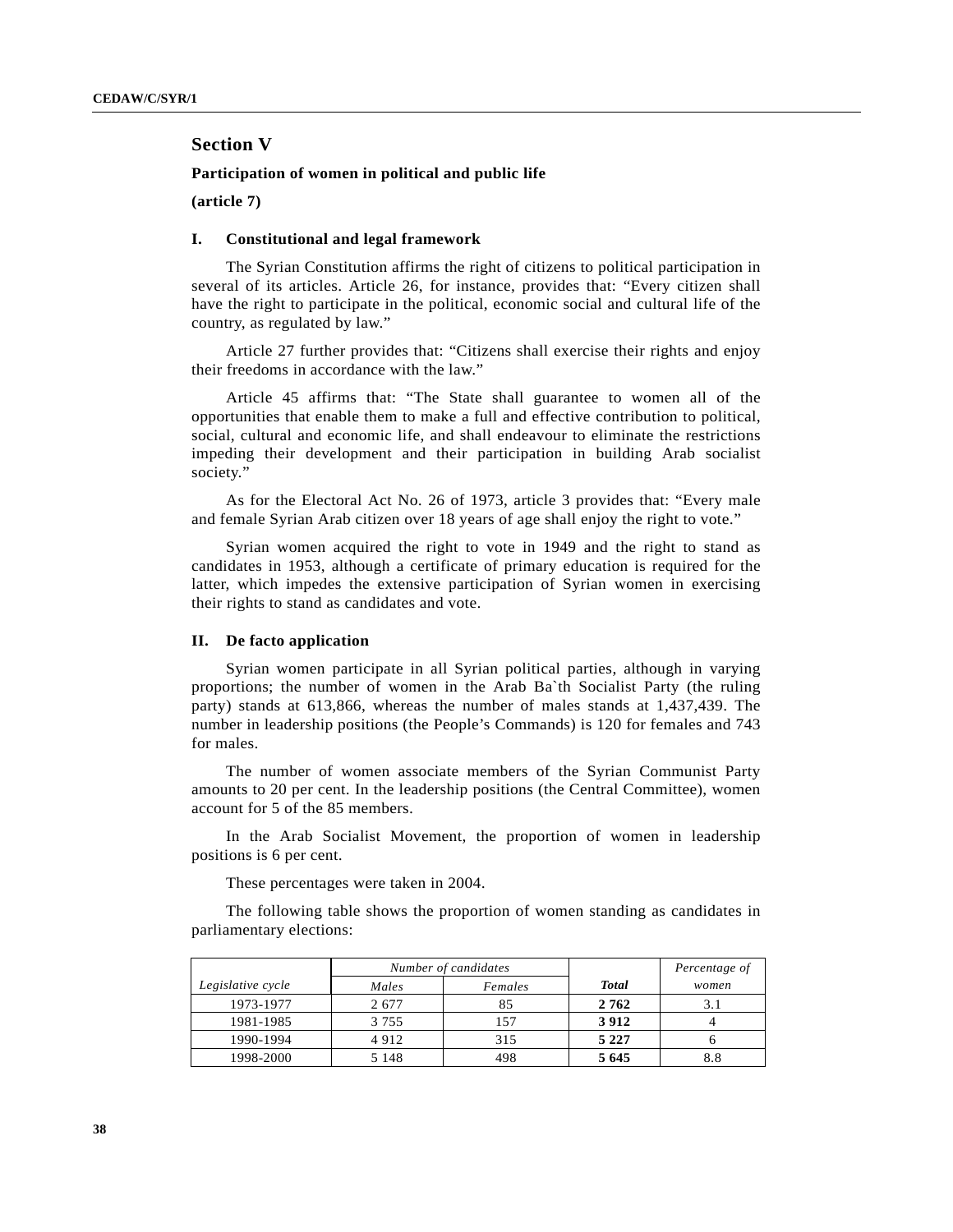# **Section V**

## **Participation of women in political and public life**

**(article 7)**

## **I. Constitutional and legal framework**

The Syrian Constitution affirms the right of citizens to political participation in several of its articles. Article 26, for instance, provides that: "Every citizen shall have the right to participate in the political, economic social and cultural life of the country, as regulated by law."

Article 27 further provides that: "Citizens shall exercise their rights and enjoy their freedoms in accordance with the law."

Article 45 affirms that: "The State shall guarantee to women all of the opportunities that enable them to make a full and effective contribution to political, social, cultural and economic life, and shall endeavour to eliminate the restrictions impeding their development and their participation in building Arab socialist society."

As for the Electoral Act No. 26 of 1973, article 3 provides that: "Every male and female Syrian Arab citizen over 18 years of age shall enjoy the right to vote."

Syrian women acquired the right to vote in 1949 and the right to stand as candidates in 1953, although a certificate of primary education is required for the latter, which impedes the extensive participation of Syrian women in exercising their rights to stand as candidates and vote.

## **II. De facto application**

Syrian women participate in all Syrian political parties, although in varying proportions; the number of women in the Arab Ba`th Socialist Party (the ruling party) stands at 613,866, whereas the number of males stands at 1,437,439. The number in leadership positions (the People's Commands) is 120 for females and 743 for males.

The number of women associate members of the Syrian Communist Party amounts to 20 per cent. In the leadership positions (the Central Committee), women account for 5 of the 85 members.

In the Arab Socialist Movement, the proportion of women in leadership positions is 6 per cent.

These percentages were taken in 2004.

The following table shows the proportion of women standing as candidates in parliamentary elections:

|                   | Number of candidates |         |              | Percentage of |
|-------------------|----------------------|---------|--------------|---------------|
| Legislative cycle | Males                | Females | <b>Total</b> | women         |
| 1973-1977         | 2677                 | 85      | 2762         | 3.1           |
| 1981-1985         | 3 7 5 5              | 157     | 3912         |               |
| 1990-1994         | 4912                 | 315     | 5 2 2 7      |               |
| 1998-2000         | 5 1 4 8              | 498     | 5 6 4 5      | 8.8           |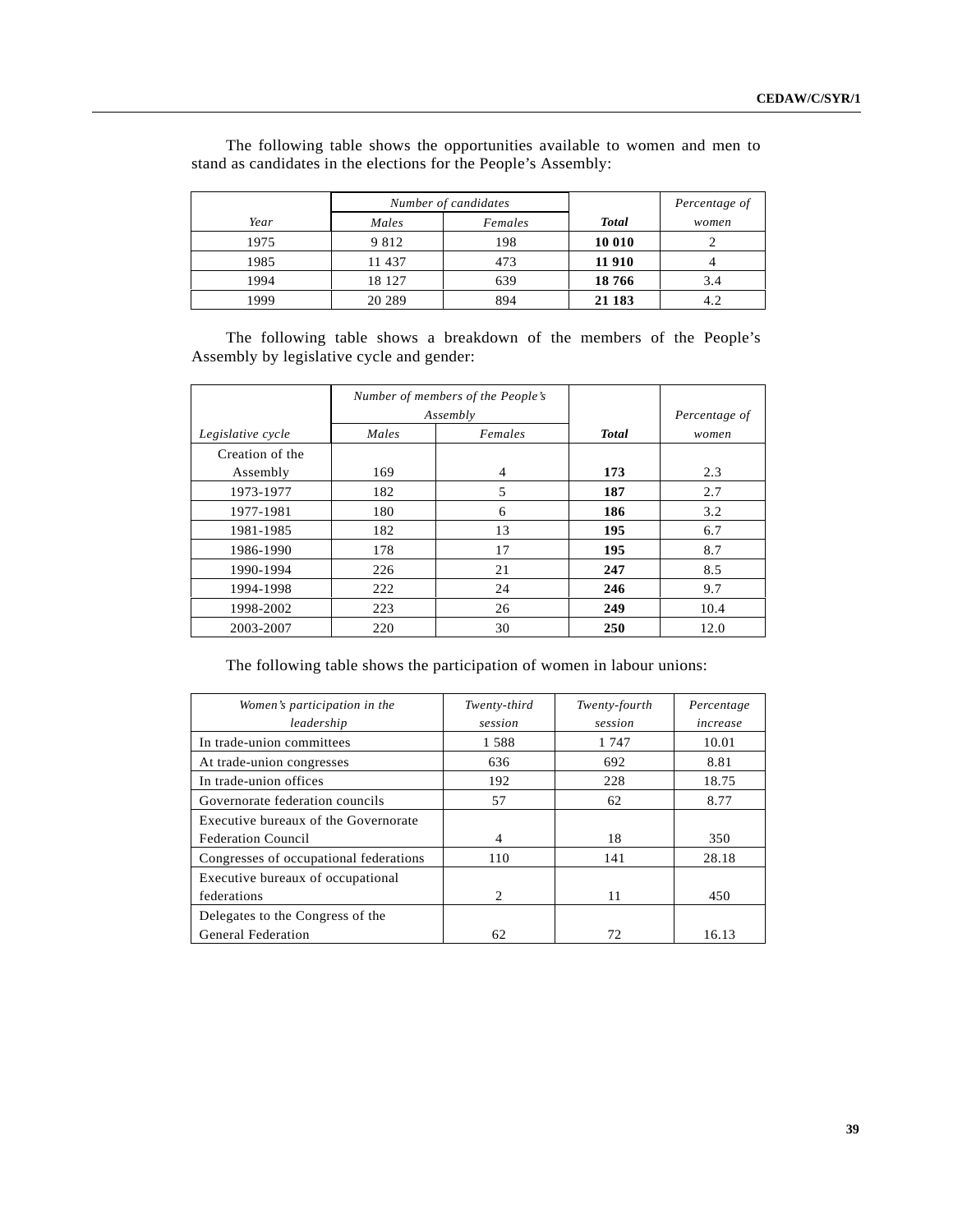|      | Number of candidates |         |              | Percentage of |
|------|----------------------|---------|--------------|---------------|
| Year | Males                | Females | <b>Total</b> | women         |
| 1975 | 9 8 1 2              | 198     | 10 010       |               |
| 1985 | 11 437               | 473     | 11 910       |               |
| 1994 | 18 127               | 639     | 18766        | 3.4           |
| 1999 | 20 289               | 894     | 21 183       | 4.2           |

The following table shows the opportunities available to women and men to stand as candidates in the elections for the People's Assembly:

The following table shows a breakdown of the members of the People's Assembly by legislative cycle and gender:

|                   | Number of members of the People's<br>Assembly |                |              | Percentage of |
|-------------------|-----------------------------------------------|----------------|--------------|---------------|
| Legislative cycle | Males                                         | Females        | <b>Total</b> | women         |
| Creation of the   |                                               |                |              |               |
| Assembly          | 169                                           | $\overline{4}$ | 173          | 2.3           |
| 1973-1977         | 182                                           | 5              | 187          | 2.7           |
| 1977-1981         | 180                                           | 6              | 186          | 3.2           |
| 1981-1985         | 182                                           | 13             | 195          | 6.7           |
| 1986-1990         | 178                                           | 17             | 195          | 8.7           |
| 1990-1994         | 226                                           | 21             | 247          | 8.5           |
| 1994-1998         | 222                                           | 24             | 246          | 9.7           |
| 1998-2002         | 223                                           | 26             | 249          | 10.4          |
| 2003-2007         | 220                                           | 30             | 250          | 12.0          |

The following table shows the participation of women in labour unions:

| Women's participation in the           | Twenty-third                | Twenty-fourth | Percentage |
|----------------------------------------|-----------------------------|---------------|------------|
| leadership                             | session                     | session       | increase   |
| In trade-union committees              | 1588                        | 1 747         | 10.01      |
| At trade-union congresses              | 636                         | 692           | 8.81       |
| In trade-union offices                 | 192                         | 228           | 18.75      |
| Governorate federation councils        | 57                          | 62            | 8.77       |
| Executive bureaux of the Governorate   |                             |               |            |
| <b>Federation Council</b>              | 4                           | 18            | 350        |
| Congresses of occupational federations | 110                         | 141           | 28.18      |
| Executive bureaux of occupational      |                             |               |            |
| federations                            | $\mathcal{D}_{\mathcal{L}}$ | 11            | 450        |
| Delegates to the Congress of the       |                             |               |            |
| <b>General Federation</b>              | 62                          | 72            | 16.13      |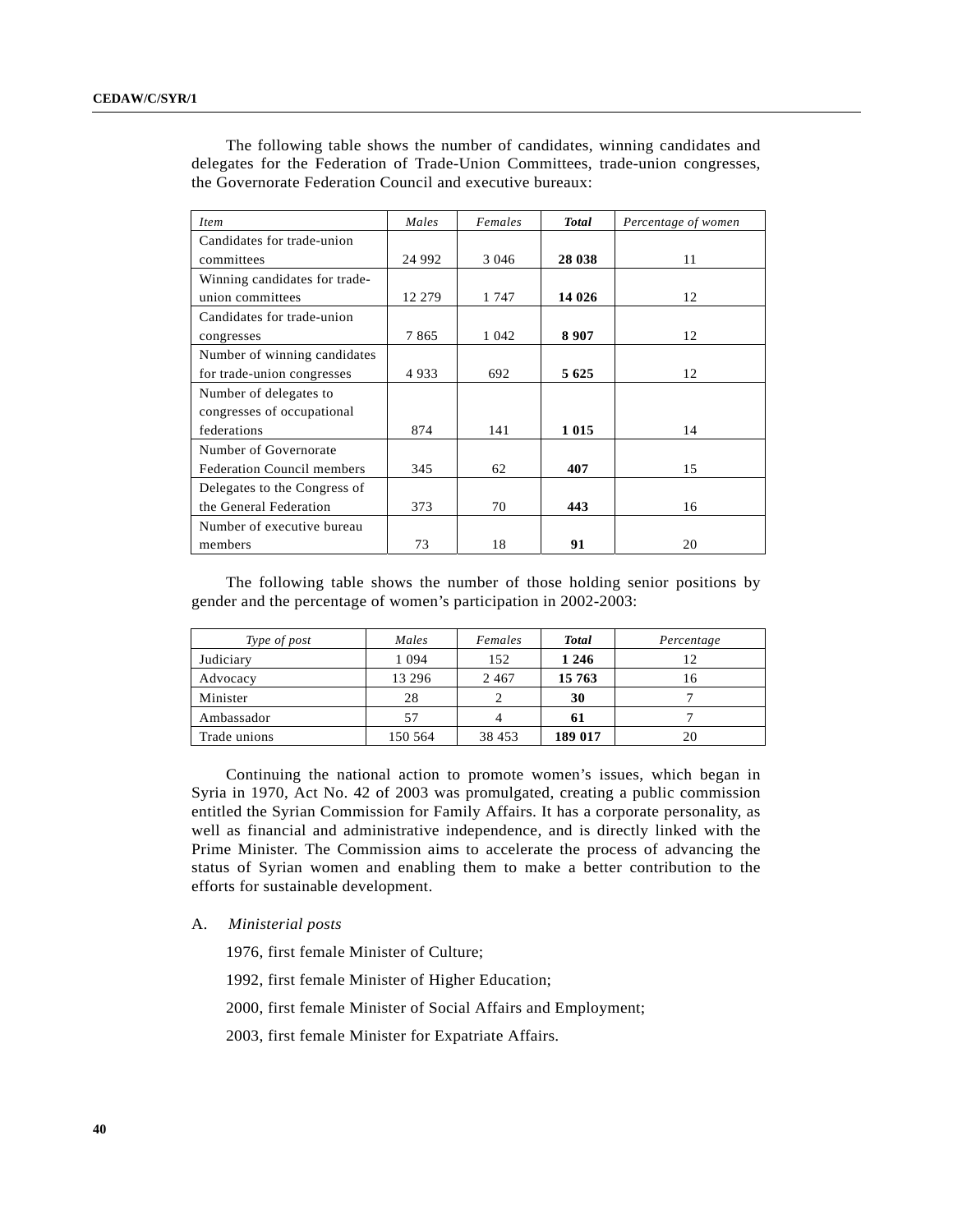| <i>Item</i>                       | Males  | Females | <b>Total</b> | Percentage of women |
|-----------------------------------|--------|---------|--------------|---------------------|
| Candidates for trade-union        |        |         |              |                     |
| committees                        | 24 992 | 3 0 4 6 | 28 038       | 11                  |
| Winning candidates for trade-     |        |         |              |                     |
| union committees                  | 12 279 | 1 747   | 14 0 26      | 12                  |
| Candidates for trade-union        |        |         |              |                     |
| congresses                        | 7865   | 1 0 4 2 | 8 9 0 7      | 12                  |
| Number of winning candidates      |        |         |              |                     |
| for trade-union congresses        | 4933   | 692     | 5 6 25       | 12                  |
| Number of delegates to            |        |         |              |                     |
| congresses of occupational        |        |         |              |                     |
| federations                       | 874    | 141     | 1 0 1 5      | 14                  |
| Number of Governorate             |        |         |              |                     |
| <b>Federation Council members</b> | 345    | 62      | 407          | 15                  |
| Delegates to the Congress of      |        |         |              |                     |
| the General Federation            | 373    | 70      | 443          | 16                  |
| Number of executive bureau        |        |         |              |                     |
| members                           | 73     | 18      | 91           | 20                  |

The following table shows the number of candidates, winning candidates and delegates for the Federation of Trade-Union Committees, trade-union congresses, the Governorate Federation Council and executive bureaux:

The following table shows the number of those holding senior positions by gender and the percentage of women's participation in 2002-2003:

| Type of post | Males   | Females | <b>Total</b> | Percentage |
|--------------|---------|---------|--------------|------------|
| Judiciary    | 1 0 9 4 | 152     | 1 2 4 6      | 12         |
| Advocacy     | 13 29 6 | 2467    | 15 763       | 16         |
| Minister     | 28      |         | 30           |            |
| Ambassador   | 57      | 4       | 61           |            |
| Trade unions | 150 564 | 38 453  | 189 017      | 20         |

Continuing the national action to promote women's issues, which began in Syria in 1970, Act No. 42 of 2003 was promulgated, creating a public commission entitled the Syrian Commission for Family Affairs. It has a corporate personality, as well as financial and administrative independence, and is directly linked with the Prime Minister. The Commission aims to accelerate the process of advancing the status of Syrian women and enabling them to make a better contribution to the efforts for sustainable development.

## A. *Ministerial posts*

1976, first female Minister of Culture;

1992, first female Minister of Higher Education;

2000, first female Minister of Social Affairs and Employment;

2003, first female Minister for Expatriate Affairs.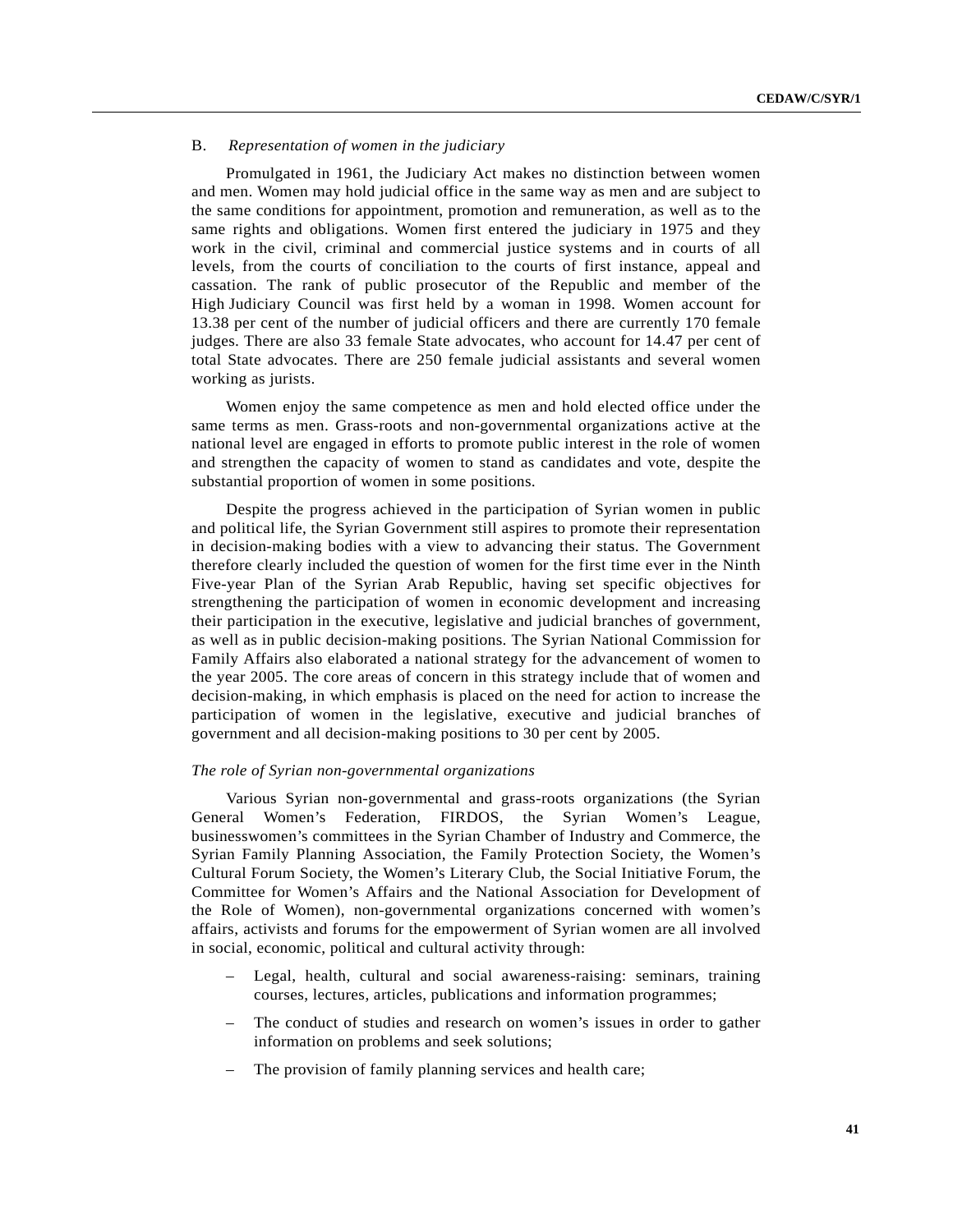# B. *Representation of women in the judiciary*

Promulgated in 1961, the Judiciary Act makes no distinction between women and men. Women may hold judicial office in the same way as men and are subject to the same conditions for appointment, promotion and remuneration, as well as to the same rights and obligations. Women first entered the judiciary in 1975 and they work in the civil, criminal and commercial justice systems and in courts of all levels, from the courts of conciliation to the courts of first instance, appeal and cassation. The rank of public prosecutor of the Republic and member of the High Judiciary Council was first held by a woman in 1998. Women account for 13.38 per cent of the number of judicial officers and there are currently 170 female judges. There are also 33 female State advocates, who account for 14.47 per cent of total State advocates. There are 250 female judicial assistants and several women working as jurists.

Women enjoy the same competence as men and hold elected office under the same terms as men. Grass-roots and non-governmental organizations active at the national level are engaged in efforts to promote public interest in the role of women and strengthen the capacity of women to stand as candidates and vote, despite the substantial proportion of women in some positions.

Despite the progress achieved in the participation of Syrian women in public and political life, the Syrian Government still aspires to promote their representation in decision-making bodies with a view to advancing their status. The Government therefore clearly included the question of women for the first time ever in the Ninth Five-year Plan of the Syrian Arab Republic, having set specific objectives for strengthening the participation of women in economic development and increasing their participation in the executive, legislative and judicial branches of government, as well as in public decision-making positions. The Syrian National Commission for Family Affairs also elaborated a national strategy for the advancement of women to the year 2005. The core areas of concern in this strategy include that of women and decision-making, in which emphasis is placed on the need for action to increase the participation of women in the legislative, executive and judicial branches of government and all decision-making positions to 30 per cent by 2005.

## *The role of Syrian non-governmental organizations*

Various Syrian non-governmental and grass-roots organizations (the Syrian General Women's Federation, FIRDOS, the Syrian Women's League, businesswomen's committees in the Syrian Chamber of Industry and Commerce, the Syrian Family Planning Association, the Family Protection Society, the Women's Cultural Forum Society, the Women's Literary Club, the Social Initiative Forum, the Committee for Women's Affairs and the National Association for Development of the Role of Women), non-governmental organizations concerned with women's affairs, activists and forums for the empowerment of Syrian women are all involved in social, economic, political and cultural activity through:

- Legal, health, cultural and social awareness-raising: seminars, training courses, lectures, articles, publications and information programmes;
- The conduct of studies and research on women's issues in order to gather information on problems and seek solutions;
- The provision of family planning services and health care;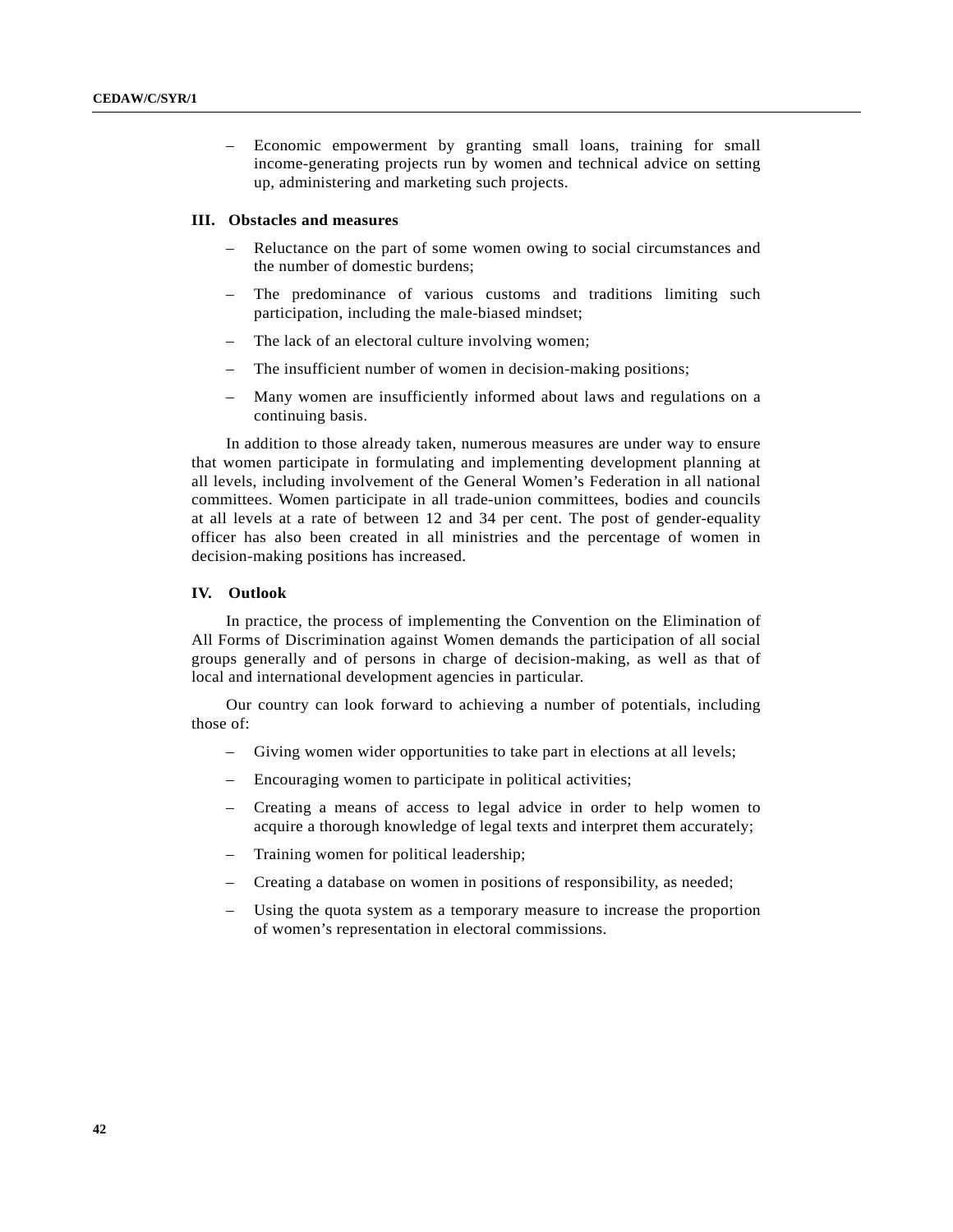– Economic empowerment by granting small loans, training for small income-generating projects run by women and technical advice on setting up, administering and marketing such projects.

#### **III. Obstacles and measures**

- Reluctance on the part of some women owing to social circumstances and the number of domestic burdens;
- The predominance of various customs and traditions limiting such participation, including the male-biased mindset;
- The lack of an electoral culture involving women;
- The insufficient number of women in decision-making positions;
- Many women are insufficiently informed about laws and regulations on a continuing basis.

In addition to those already taken, numerous measures are under way to ensure that women participate in formulating and implementing development planning at all levels, including involvement of the General Women's Federation in all national committees. Women participate in all trade-union committees, bodies and councils at all levels at a rate of between 12 and 34 per cent. The post of gender-equality officer has also been created in all ministries and the percentage of women in decision-making positions has increased.

#### **IV. Outlook**

In practice, the process of implementing the Convention on the Elimination of All Forms of Discrimination against Women demands the participation of all social groups generally and of persons in charge of decision-making, as well as that of local and international development agencies in particular.

Our country can look forward to achieving a number of potentials, including those of:

- Giving women wider opportunities to take part in elections at all levels;
- Encouraging women to participate in political activities;
- Creating a means of access to legal advice in order to help women to acquire a thorough knowledge of legal texts and interpret them accurately;
- Training women for political leadership;
- Creating a database on women in positions of responsibility, as needed;
- Using the quota system as a temporary measure to increase the proportion of women's representation in electoral commissions.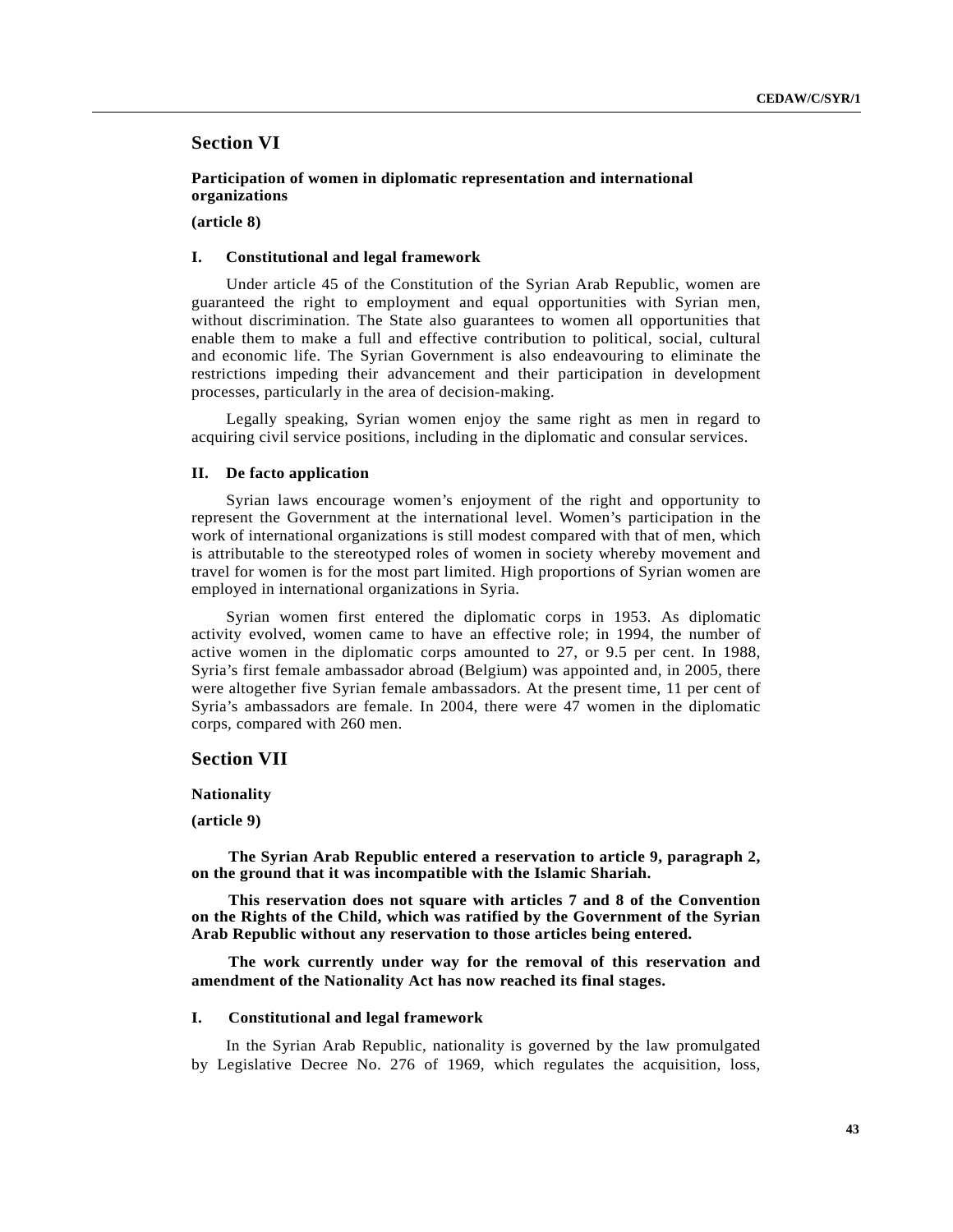# **Section VI**

**Participation of women in diplomatic representation and international organizations**

**(article 8)**

## **I. Constitutional and legal framework**

Under article 45 of the Constitution of the Syrian Arab Republic, women are guaranteed the right to employment and equal opportunities with Syrian men, without discrimination. The State also guarantees to women all opportunities that enable them to make a full and effective contribution to political, social, cultural and economic life. The Syrian Government is also endeavouring to eliminate the restrictions impeding their advancement and their participation in development processes, particularly in the area of decision-making.

Legally speaking, Syrian women enjoy the same right as men in regard to acquiring civil service positions, including in the diplomatic and consular services.

# **II. De facto application**

Syrian laws encourage women's enjoyment of the right and opportunity to represent the Government at the international level. Women's participation in the work of international organizations is still modest compared with that of men, which is attributable to the stereotyped roles of women in society whereby movement and travel for women is for the most part limited. High proportions of Syrian women are employed in international organizations in Syria.

Syrian women first entered the diplomatic corps in 1953. As diplomatic activity evolved, women came to have an effective role; in 1994, the number of active women in the diplomatic corps amounted to 27, or 9.5 per cent. In 1988, Syria's first female ambassador abroad (Belgium) was appointed and, in 2005, there were altogether five Syrian female ambassadors. At the present time, 11 per cent of Syria's ambassadors are female. In 2004, there were 47 women in the diplomatic corps, compared with 260 men.

# **Section VII**

#### **Nationality**

#### **(article 9)**

**The Syrian Arab Republic entered a reservation to article 9, paragraph 2, on the ground that it was incompatible with the Islamic Shariah.**

**This reservation does not square with articles 7 and 8 of the Convention on the Rights of the Child, which was ratified by the Government of the Syrian Arab Republic without any reservation to those articles being entered.**

**The work currently under way for the removal of this reservation and amendment of the Nationality Act has now reached its final stages.**

#### **I. Constitutional and legal framework**

In the Syrian Arab Republic, nationality is governed by the law promulgated by Legislative Decree No. 276 of 1969, which regulates the acquisition, loss,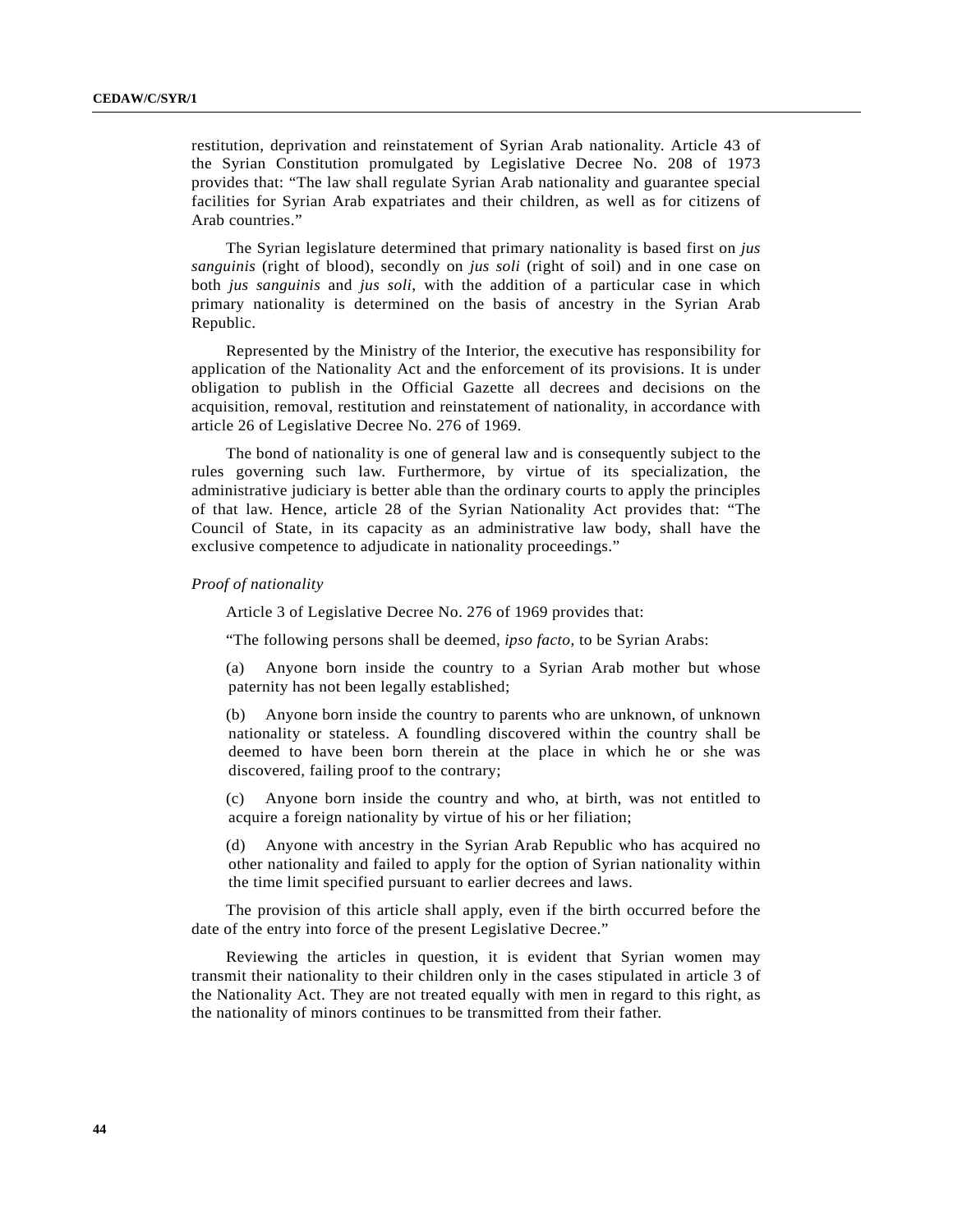restitution, deprivation and reinstatement of Syrian Arab nationality. Article 43 of the Syrian Constitution promulgated by Legislative Decree No. 208 of 1973 provides that: "The law shall regulate Syrian Arab nationality and guarantee special facilities for Syrian Arab expatriates and their children, as well as for citizens of Arab countries."

The Syrian legislature determined that primary nationality is based first on *jus sanguinis* (right of blood), secondly on *jus soli* (right of soil) and in one case on both *jus sanguinis* and *jus soli*, with the addition of a particular case in which primary nationality is determined on the basis of ancestry in the Syrian Arab Republic.

Represented by the Ministry of the Interior, the executive has responsibility for application of the Nationality Act and the enforcement of its provisions. It is under obligation to publish in the Official Gazette all decrees and decisions on the acquisition, removal, restitution and reinstatement of nationality, in accordance with article 26 of Legislative Decree No. 276 of 1969.

The bond of nationality is one of general law and is consequently subject to the rules governing such law. Furthermore, by virtue of its specialization, the administrative judiciary is better able than the ordinary courts to apply the principles of that law. Hence, article 28 of the Syrian Nationality Act provides that: "The Council of State, in its capacity as an administrative law body, shall have the exclusive competence to adjudicate in nationality proceedings."

*Proof of nationality*

Article 3 of Legislative Decree No. 276 of 1969 provides that:

"The following persons shall be deemed, *ipso facto*, to be Syrian Arabs:

(a) Anyone born inside the country to a Syrian Arab mother but whose paternity has not been legally established;

(b) Anyone born inside the country to parents who are unknown, of unknown nationality or stateless. A foundling discovered within the country shall be deemed to have been born therein at the place in which he or she was discovered, failing proof to the contrary;

(c) Anyone born inside the country and who, at birth, was not entitled to acquire a foreign nationality by virtue of his or her filiation;

(d) Anyone with ancestry in the Syrian Arab Republic who has acquired no other nationality and failed to apply for the option of Syrian nationality within the time limit specified pursuant to earlier decrees and laws.

The provision of this article shall apply, even if the birth occurred before the date of the entry into force of the present Legislative Decree."

Reviewing the articles in question, it is evident that Syrian women may transmit their nationality to their children only in the cases stipulated in article 3 of the Nationality Act. They are not treated equally with men in regard to this right, as the nationality of minors continues to be transmitted from their father.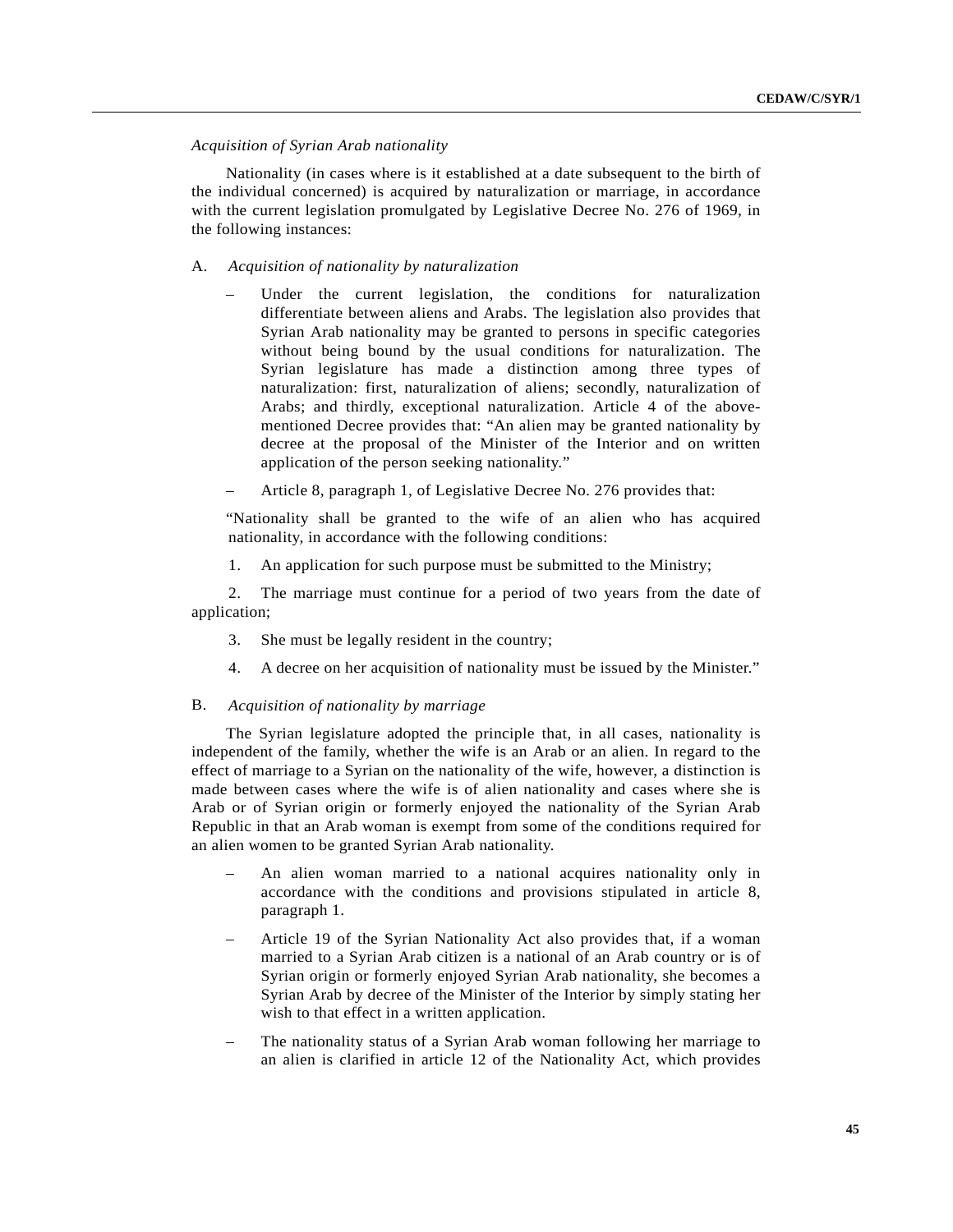# *Acquisition of Syrian Arab nationality*

Nationality (in cases where is it established at a date subsequent to the birth of the individual concerned) is acquired by naturalization or marriage, in accordance with the current legislation promulgated by Legislative Decree No. 276 of 1969, in the following instances:

# A. *Acquisition of nationality by naturalization*

- Under the current legislation, the conditions for naturalization differentiate between aliens and Arabs. The legislation also provides that Syrian Arab nationality may be granted to persons in specific categories without being bound by the usual conditions for naturalization. The Syrian legislature has made a distinction among three types of naturalization: first, naturalization of aliens; secondly, naturalization of Arabs; and thirdly, exceptional naturalization. Article 4 of the abovementioned Decree provides that: "An alien may be granted nationality by decree at the proposal of the Minister of the Interior and on written application of the person seeking nationality."
- Article 8, paragraph 1, of Legislative Decree No. 276 provides that:

"Nationality shall be granted to the wife of an alien who has acquired nationality, in accordance with the following conditions:

1. An application for such purpose must be submitted to the Ministry;

2. The marriage must continue for a period of two years from the date of application;

- 3. She must be legally resident in the country;
- 4. A decree on her acquisition of nationality must be issued by the Minister."

# B. *Acquisition of nationality by marriage*

The Syrian legislature adopted the principle that, in all cases, nationality is independent of the family, whether the wife is an Arab or an alien. In regard to the effect of marriage to a Syrian on the nationality of the wife, however, a distinction is made between cases where the wife is of alien nationality and cases where she is Arab or of Syrian origin or formerly enjoyed the nationality of the Syrian Arab Republic in that an Arab woman is exempt from some of the conditions required for an alien women to be granted Syrian Arab nationality.

- An alien woman married to a national acquires nationality only in accordance with the conditions and provisions stipulated in article 8, paragraph 1.
- Article 19 of the Syrian Nationality Act also provides that, if a woman married to a Syrian Arab citizen is a national of an Arab country or is of Syrian origin or formerly enjoyed Syrian Arab nationality, she becomes a Syrian Arab by decree of the Minister of the Interior by simply stating her wish to that effect in a written application.
- The nationality status of a Syrian Arab woman following her marriage to an alien is clarified in article 12 of the Nationality Act, which provides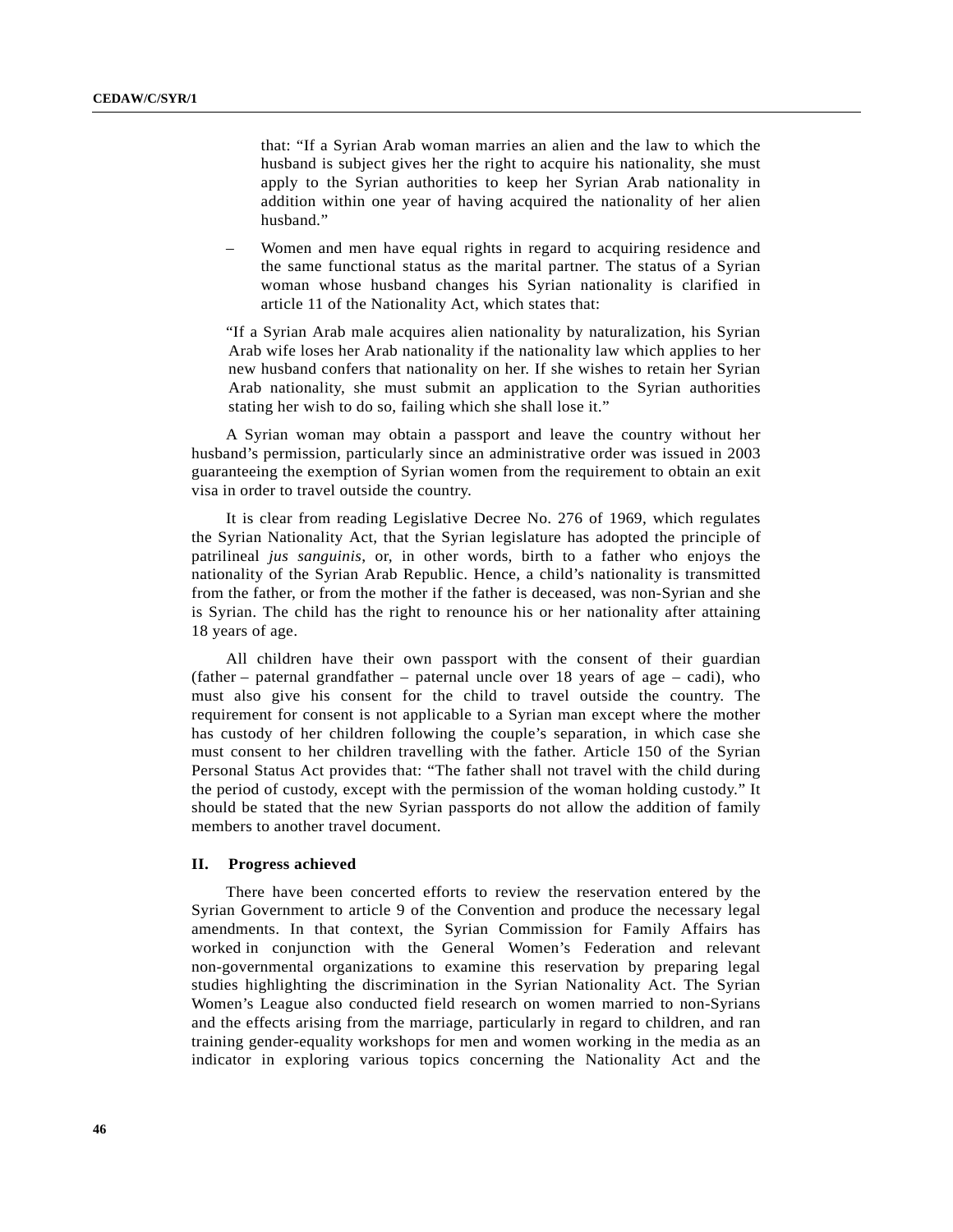that: "If a Syrian Arab woman marries an alien and the law to which the husband is subject gives her the right to acquire his nationality, she must apply to the Syrian authorities to keep her Syrian Arab nationality in addition within one year of having acquired the nationality of her alien husband."

– Women and men have equal rights in regard to acquiring residence and the same functional status as the marital partner. The status of a Syrian woman whose husband changes his Syrian nationality is clarified in article 11 of the Nationality Act, which states that:

"If a Syrian Arab male acquires alien nationality by naturalization, his Syrian Arab wife loses her Arab nationality if the nationality law which applies to her new husband confers that nationality on her. If she wishes to retain her Syrian Arab nationality, she must submit an application to the Syrian authorities stating her wish to do so, failing which she shall lose it."

A Syrian woman may obtain a passport and leave the country without her husband's permission, particularly since an administrative order was issued in 2003 guaranteeing the exemption of Syrian women from the requirement to obtain an exit visa in order to travel outside the country.

It is clear from reading Legislative Decree No. 276 of 1969, which regulates the Syrian Nationality Act, that the Syrian legislature has adopted the principle of patrilineal *jus sanguinis*, or, in other words, birth to a father who enjoys the nationality of the Syrian Arab Republic. Hence, a child's nationality is transmitted from the father, or from the mother if the father is deceased, was non-Syrian and she is Syrian. The child has the right to renounce his or her nationality after attaining 18 years of age.

All children have their own passport with the consent of their guardian (father – paternal grandfather – paternal uncle over 18 years of age – cadi), who must also give his consent for the child to travel outside the country. The requirement for consent is not applicable to a Syrian man except where the mother has custody of her children following the couple's separation, in which case she must consent to her children travelling with the father. Article 150 of the Syrian Personal Status Act provides that: "The father shall not travel with the child during the period of custody, except with the permission of the woman holding custody." It should be stated that the new Syrian passports do not allow the addition of family members to another travel document.

## **II. Progress achieved**

There have been concerted efforts to review the reservation entered by the Syrian Government to article 9 of the Convention and produce the necessary legal amendments. In that context, the Syrian Commission for Family Affairs has worked in conjunction with the General Women's Federation and relevant non-governmental organizations to examine this reservation by preparing legal studies highlighting the discrimination in the Syrian Nationality Act. The Syrian Women's League also conducted field research on women married to non-Syrians and the effects arising from the marriage, particularly in regard to children, and ran training gender-equality workshops for men and women working in the media as an indicator in exploring various topics concerning the Nationality Act and the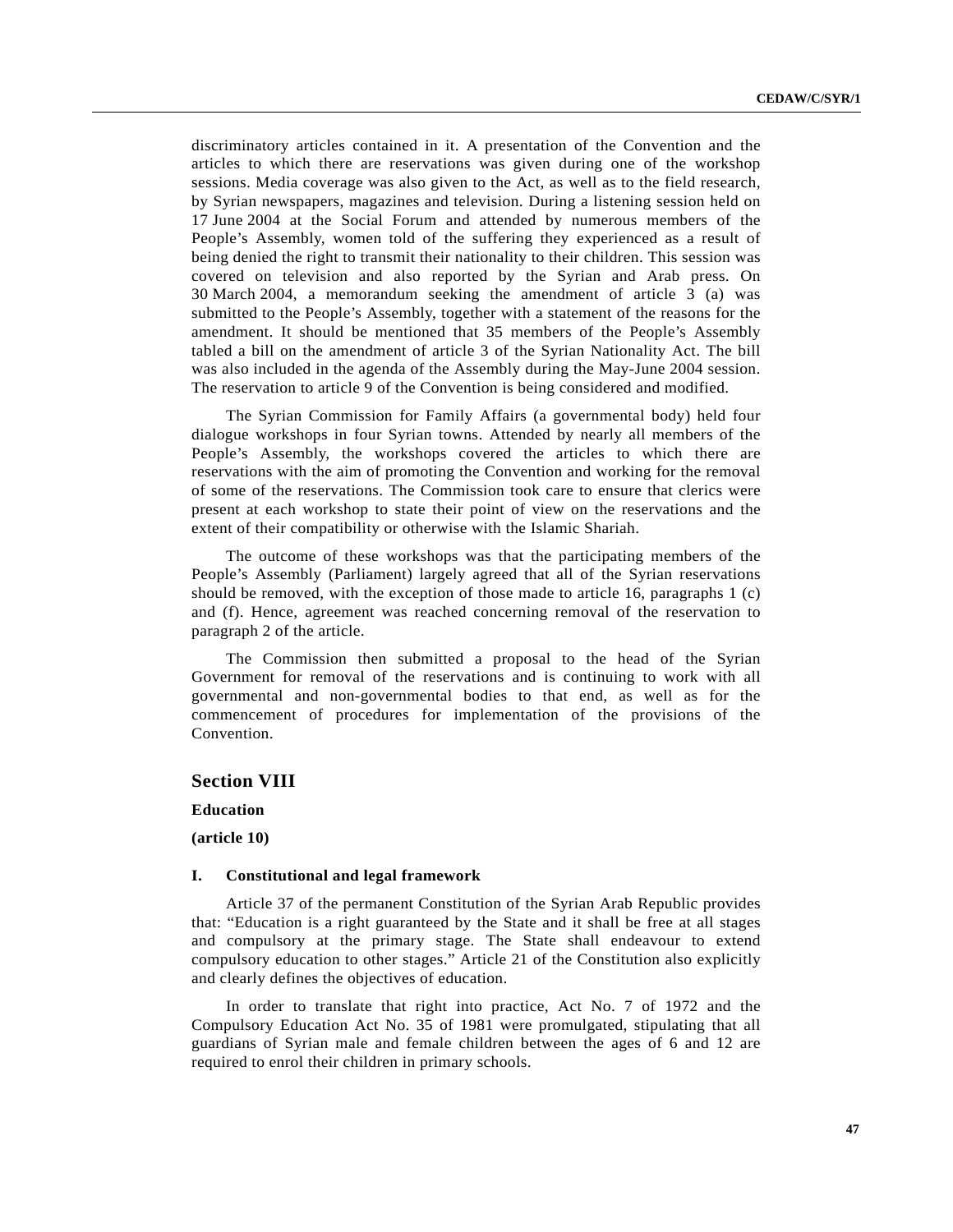discriminatory articles contained in it. A presentation of the Convention and the articles to which there are reservations was given during one of the workshop sessions. Media coverage was also given to the Act, as well as to the field research, by Syrian newspapers, magazines and television. During a listening session held on 17 June 2004 at the Social Forum and attended by numerous members of the People's Assembly, women told of the suffering they experienced as a result of being denied the right to transmit their nationality to their children. This session was covered on television and also reported by the Syrian and Arab press. On 30 March 2004, a memorandum seeking the amendment of article 3 (a) was submitted to the People's Assembly, together with a statement of the reasons for the amendment. It should be mentioned that 35 members of the People's Assembly tabled a bill on the amendment of article 3 of the Syrian Nationality Act. The bill was also included in the agenda of the Assembly during the May-June 2004 session. The reservation to article 9 of the Convention is being considered and modified.

The Syrian Commission for Family Affairs (a governmental body) held four dialogue workshops in four Syrian towns. Attended by nearly all members of the People's Assembly, the workshops covered the articles to which there are reservations with the aim of promoting the Convention and working for the removal of some of the reservations. The Commission took care to ensure that clerics were present at each workshop to state their point of view on the reservations and the extent of their compatibility or otherwise with the Islamic Shariah.

The outcome of these workshops was that the participating members of the People's Assembly (Parliament) largely agreed that all of the Syrian reservations should be removed, with the exception of those made to article 16, paragraphs 1 (c) and (f). Hence, agreement was reached concerning removal of the reservation to paragraph 2 of the article.

The Commission then submitted a proposal to the head of the Syrian Government for removal of the reservations and is continuing to work with all governmental and non-governmental bodies to that end, as well as for the commencement of procedures for implementation of the provisions of the Convention.

# **Section VIII**

**Education**

**(article 10)**

#### **I. Constitutional and legal framework**

Article 37 of the permanent Constitution of the Syrian Arab Republic provides that: "Education is a right guaranteed by the State and it shall be free at all stages and compulsory at the primary stage. The State shall endeavour to extend compulsory education to other stages." Article 21 of the Constitution also explicitly and clearly defines the objectives of education.

In order to translate that right into practice, Act No. 7 of 1972 and the Compulsory Education Act No. 35 of 1981 were promulgated, stipulating that all guardians of Syrian male and female children between the ages of 6 and 12 are required to enrol their children in primary schools.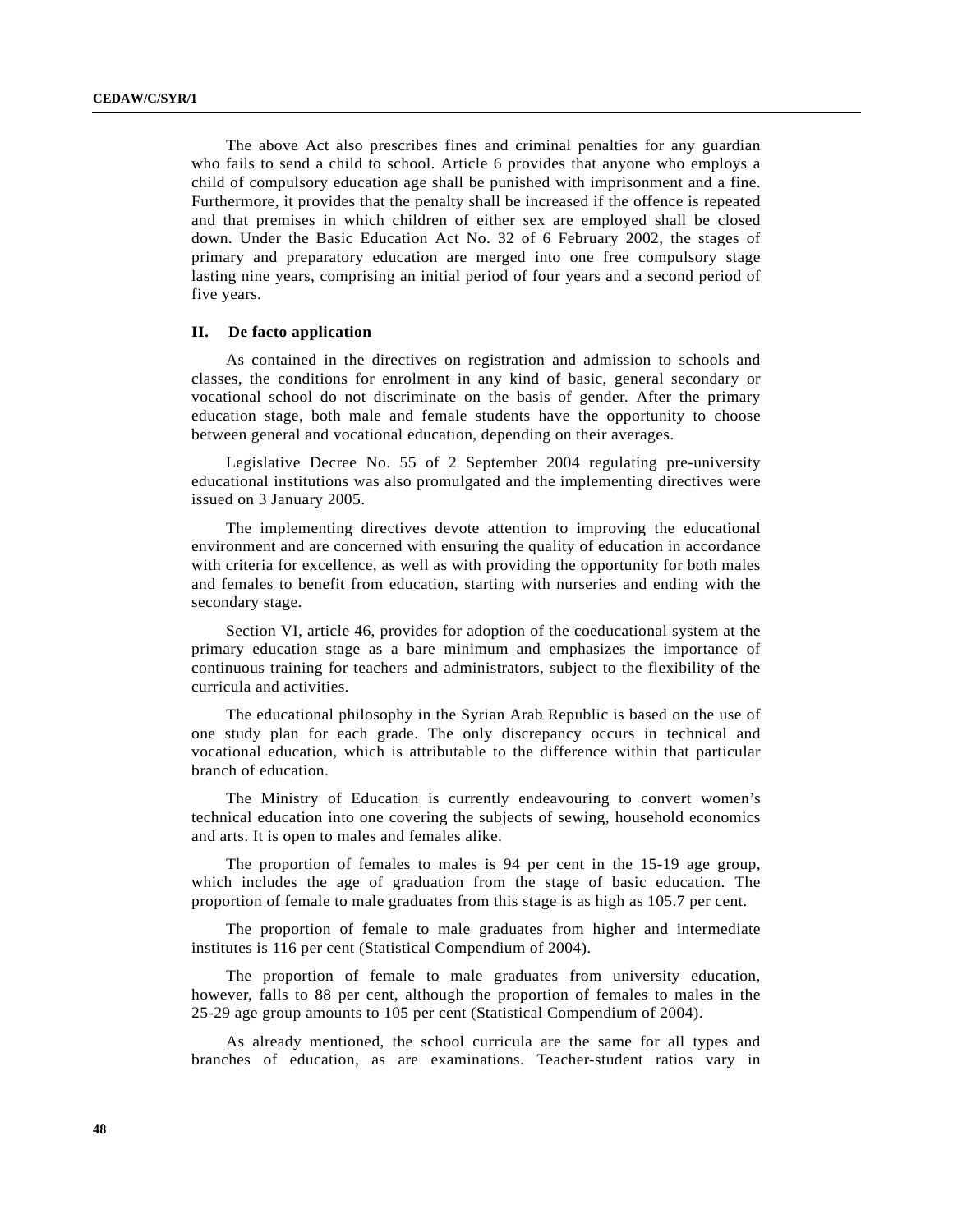The above Act also prescribes fines and criminal penalties for any guardian who fails to send a child to school. Article 6 provides that anyone who employs a child of compulsory education age shall be punished with imprisonment and a fine. Furthermore, it provides that the penalty shall be increased if the offence is repeated and that premises in which children of either sex are employed shall be closed down. Under the Basic Education Act No. 32 of 6 February 2002, the stages of primary and preparatory education are merged into one free compulsory stage lasting nine years, comprising an initial period of four years and a second period of five years.

## **II. De facto application**

As contained in the directives on registration and admission to schools and classes, the conditions for enrolment in any kind of basic, general secondary or vocational school do not discriminate on the basis of gender. After the primary education stage, both male and female students have the opportunity to choose between general and vocational education, depending on their averages.

Legislative Decree No. 55 of 2 September 2004 regulating pre-university educational institutions was also promulgated and the implementing directives were issued on 3 January 2005.

The implementing directives devote attention to improving the educational environment and are concerned with ensuring the quality of education in accordance with criteria for excellence, as well as with providing the opportunity for both males and females to benefit from education, starting with nurseries and ending with the secondary stage.

Section VI, article 46, provides for adoption of the coeducational system at the primary education stage as a bare minimum and emphasizes the importance of continuous training for teachers and administrators, subject to the flexibility of the curricula and activities.

The educational philosophy in the Syrian Arab Republic is based on the use of one study plan for each grade. The only discrepancy occurs in technical and vocational education, which is attributable to the difference within that particular branch of education.

The Ministry of Education is currently endeavouring to convert women's technical education into one covering the subjects of sewing, household economics and arts. It is open to males and females alike.

The proportion of females to males is 94 per cent in the 15-19 age group, which includes the age of graduation from the stage of basic education. The proportion of female to male graduates from this stage is as high as 105.7 per cent.

The proportion of female to male graduates from higher and intermediate institutes is 116 per cent (Statistical Compendium of 2004).

The proportion of female to male graduates from university education, however, falls to 88 per cent, although the proportion of females to males in the 25-29 age group amounts to 105 per cent (Statistical Compendium of 2004).

As already mentioned, the school curricula are the same for all types and branches of education, as are examinations. Teacher-student ratios vary in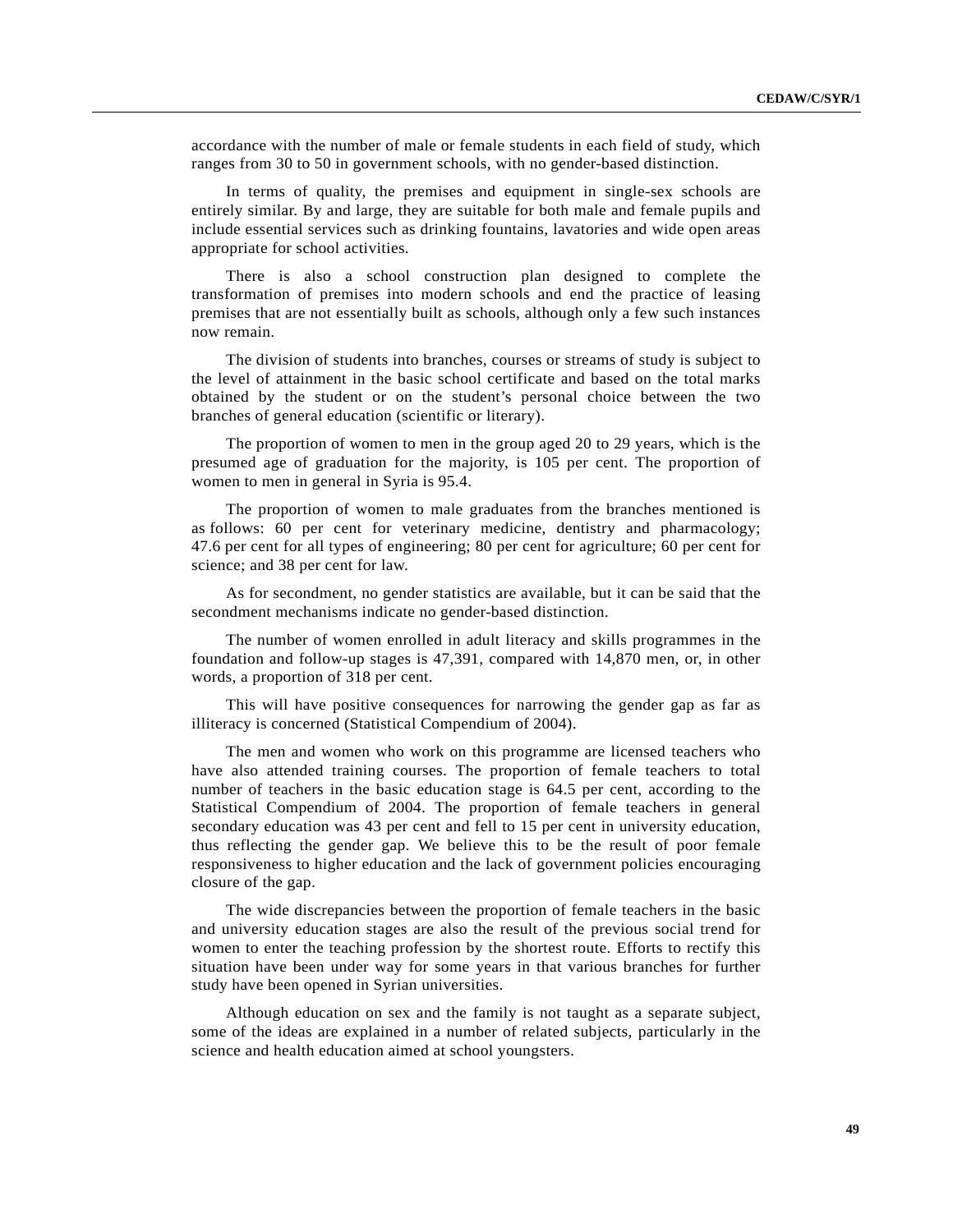accordance with the number of male or female students in each field of study, which ranges from 30 to 50 in government schools, with no gender-based distinction.

In terms of quality, the premises and equipment in single-sex schools are entirely similar. By and large, they are suitable for both male and female pupils and include essential services such as drinking fountains, lavatories and wide open areas appropriate for school activities.

There is also a school construction plan designed to complete the transformation of premises into modern schools and end the practice of leasing premises that are not essentially built as schools, although only a few such instances now remain.

The division of students into branches, courses or streams of study is subject to the level of attainment in the basic school certificate and based on the total marks obtained by the student or on the student's personal choice between the two branches of general education (scientific or literary).

The proportion of women to men in the group aged 20 to 29 years, which is the presumed age of graduation for the majority, is 105 per cent. The proportion of women to men in general in Syria is 95.4.

The proportion of women to male graduates from the branches mentioned is as follows: 60 per cent for veterinary medicine, dentistry and pharmacology; 47.6 per cent for all types of engineering; 80 per cent for agriculture; 60 per cent for science; and 38 per cent for law.

As for secondment, no gender statistics are available, but it can be said that the secondment mechanisms indicate no gender-based distinction.

The number of women enrolled in adult literacy and skills programmes in the foundation and follow-up stages is 47,391, compared with 14,870 men, or, in other words, a proportion of 318 per cent.

This will have positive consequences for narrowing the gender gap as far as illiteracy is concerned (Statistical Compendium of 2004).

The men and women who work on this programme are licensed teachers who have also attended training courses. The proportion of female teachers to total number of teachers in the basic education stage is 64.5 per cent, according to the Statistical Compendium of 2004. The proportion of female teachers in general secondary education was 43 per cent and fell to 15 per cent in university education, thus reflecting the gender gap. We believe this to be the result of poor female responsiveness to higher education and the lack of government policies encouraging closure of the gap.

The wide discrepancies between the proportion of female teachers in the basic and university education stages are also the result of the previous social trend for women to enter the teaching profession by the shortest route. Efforts to rectify this situation have been under way for some years in that various branches for further study have been opened in Syrian universities.

Although education on sex and the family is not taught as a separate subject, some of the ideas are explained in a number of related subjects, particularly in the science and health education aimed at school youngsters.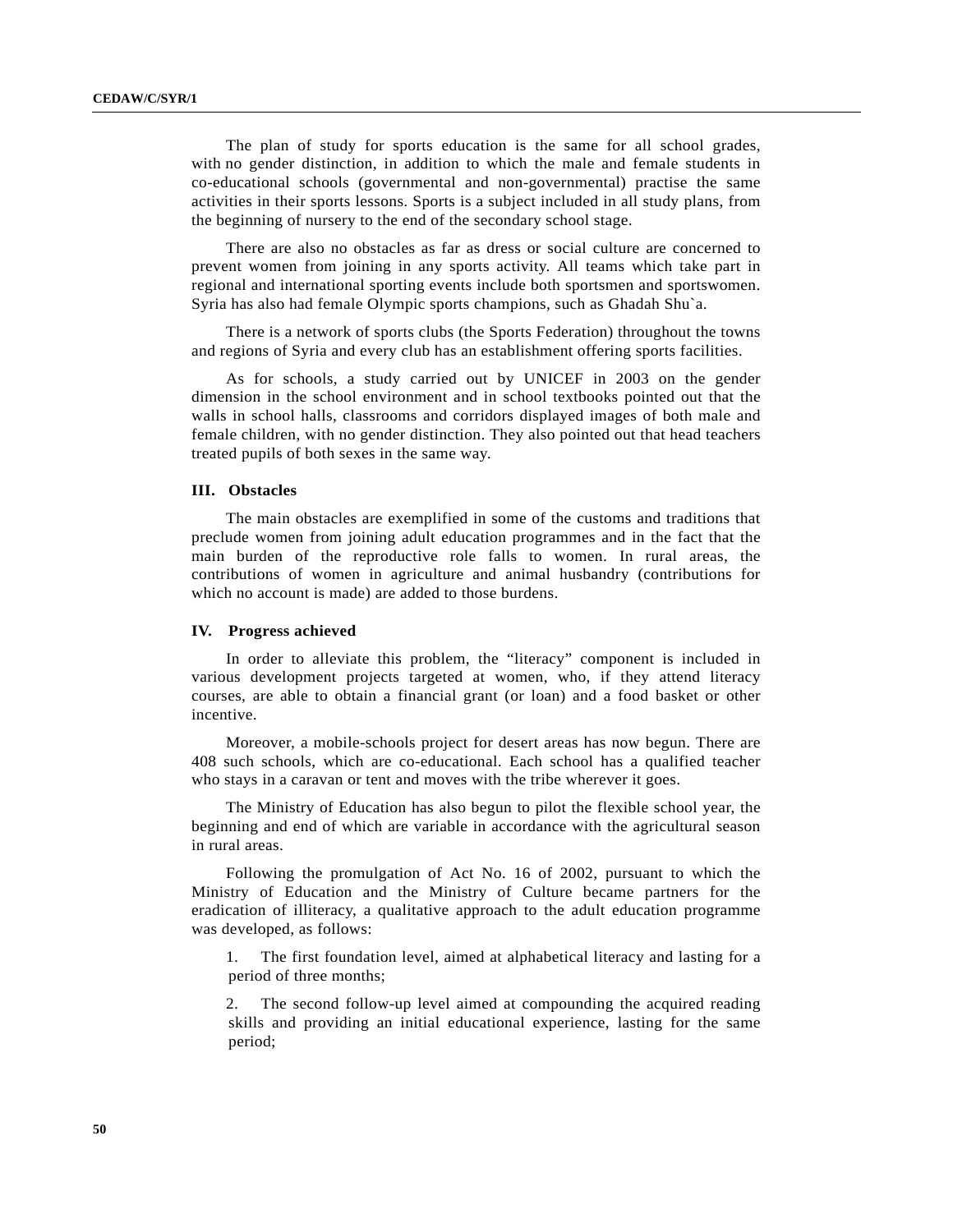The plan of study for sports education is the same for all school grades, with no gender distinction, in addition to which the male and female students in co-educational schools (governmental and non-governmental) practise the same activities in their sports lessons. Sports is a subject included in all study plans, from the beginning of nursery to the end of the secondary school stage.

There are also no obstacles as far as dress or social culture are concerned to prevent women from joining in any sports activity. All teams which take part in regional and international sporting events include both sportsmen and sportswomen. Syria has also had female Olympic sports champions, such as Ghadah Shu`a.

There is a network of sports clubs (the Sports Federation) throughout the towns and regions of Syria and every club has an establishment offering sports facilities.

As for schools, a study carried out by UNICEF in 2003 on the gender dimension in the school environment and in school textbooks pointed out that the walls in school halls, classrooms and corridors displayed images of both male and female children, with no gender distinction. They also pointed out that head teachers treated pupils of both sexes in the same way.

#### **III. Obstacles**

The main obstacles are exemplified in some of the customs and traditions that preclude women from joining adult education programmes and in the fact that the main burden of the reproductive role falls to women. In rural areas, the contributions of women in agriculture and animal husbandry (contributions for which no account is made) are added to those burdens.

#### **IV. Progress achieved**

In order to alleviate this problem, the "literacy" component is included in various development projects targeted at women, who, if they attend literacy courses, are able to obtain a financial grant (or loan) and a food basket or other incentive.

Moreover, a mobile-schools project for desert areas has now begun. There are 408 such schools, which are co-educational. Each school has a qualified teacher who stays in a caravan or tent and moves with the tribe wherever it goes.

The Ministry of Education has also begun to pilot the flexible school year, the beginning and end of which are variable in accordance with the agricultural season in rural areas.

Following the promulgation of Act No. 16 of 2002, pursuant to which the Ministry of Education and the Ministry of Culture became partners for the eradication of illiteracy, a qualitative approach to the adult education programme was developed, as follows:

1. The first foundation level, aimed at alphabetical literacy and lasting for a period of three months;

2. The second follow-up level aimed at compounding the acquired reading skills and providing an initial educational experience, lasting for the same period;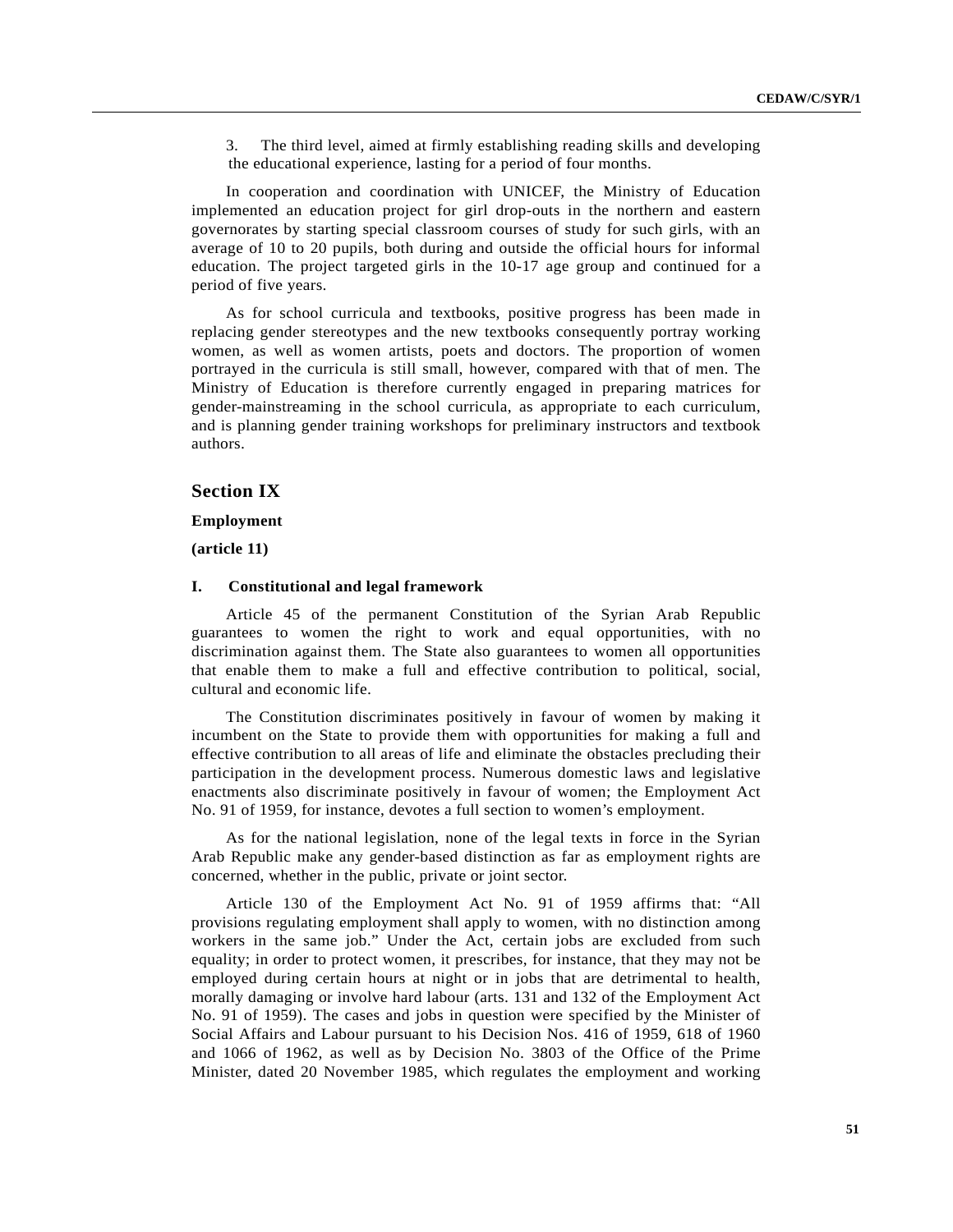3. The third level, aimed at firmly establishing reading skills and developing the educational experience, lasting for a period of four months.

In cooperation and coordination with UNICEF, the Ministry of Education implemented an education project for girl drop-outs in the northern and eastern governorates by starting special classroom courses of study for such girls, with an average of 10 to 20 pupils, both during and outside the official hours for informal education. The project targeted girls in the 10-17 age group and continued for a period of five years.

As for school curricula and textbooks, positive progress has been made in replacing gender stereotypes and the new textbooks consequently portray working women, as well as women artists, poets and doctors. The proportion of women portrayed in the curricula is still small, however, compared with that of men. The Ministry of Education is therefore currently engaged in preparing matrices for gender-mainstreaming in the school curricula, as appropriate to each curriculum, and is planning gender training workshops for preliminary instructors and textbook authors.

# **Section IX**

### **Employment**

**(article 11)**

#### **I. Constitutional and legal framework**

Article 45 of the permanent Constitution of the Syrian Arab Republic guarantees to women the right to work and equal opportunities, with no discrimination against them. The State also guarantees to women all opportunities that enable them to make a full and effective contribution to political, social, cultural and economic life.

The Constitution discriminates positively in favour of women by making it incumbent on the State to provide them with opportunities for making a full and effective contribution to all areas of life and eliminate the obstacles precluding their participation in the development process. Numerous domestic laws and legislative enactments also discriminate positively in favour of women; the Employment Act No. 91 of 1959, for instance, devotes a full section to women's employment.

As for the national legislation, none of the legal texts in force in the Syrian Arab Republic make any gender-based distinction as far as employment rights are concerned, whether in the public, private or joint sector.

Article 130 of the Employment Act No. 91 of 1959 affirms that: "All provisions regulating employment shall apply to women, with no distinction among workers in the same job." Under the Act, certain jobs are excluded from such equality; in order to protect women, it prescribes, for instance, that they may not be employed during certain hours at night or in jobs that are detrimental to health, morally damaging or involve hard labour (arts. 131 and 132 of the Employment Act No. 91 of 1959). The cases and jobs in question were specified by the Minister of Social Affairs and Labour pursuant to his Decision Nos. 416 of 1959, 618 of 1960 and 1066 of 1962, as well as by Decision No. 3803 of the Office of the Prime Minister, dated 20 November 1985, which regulates the employment and working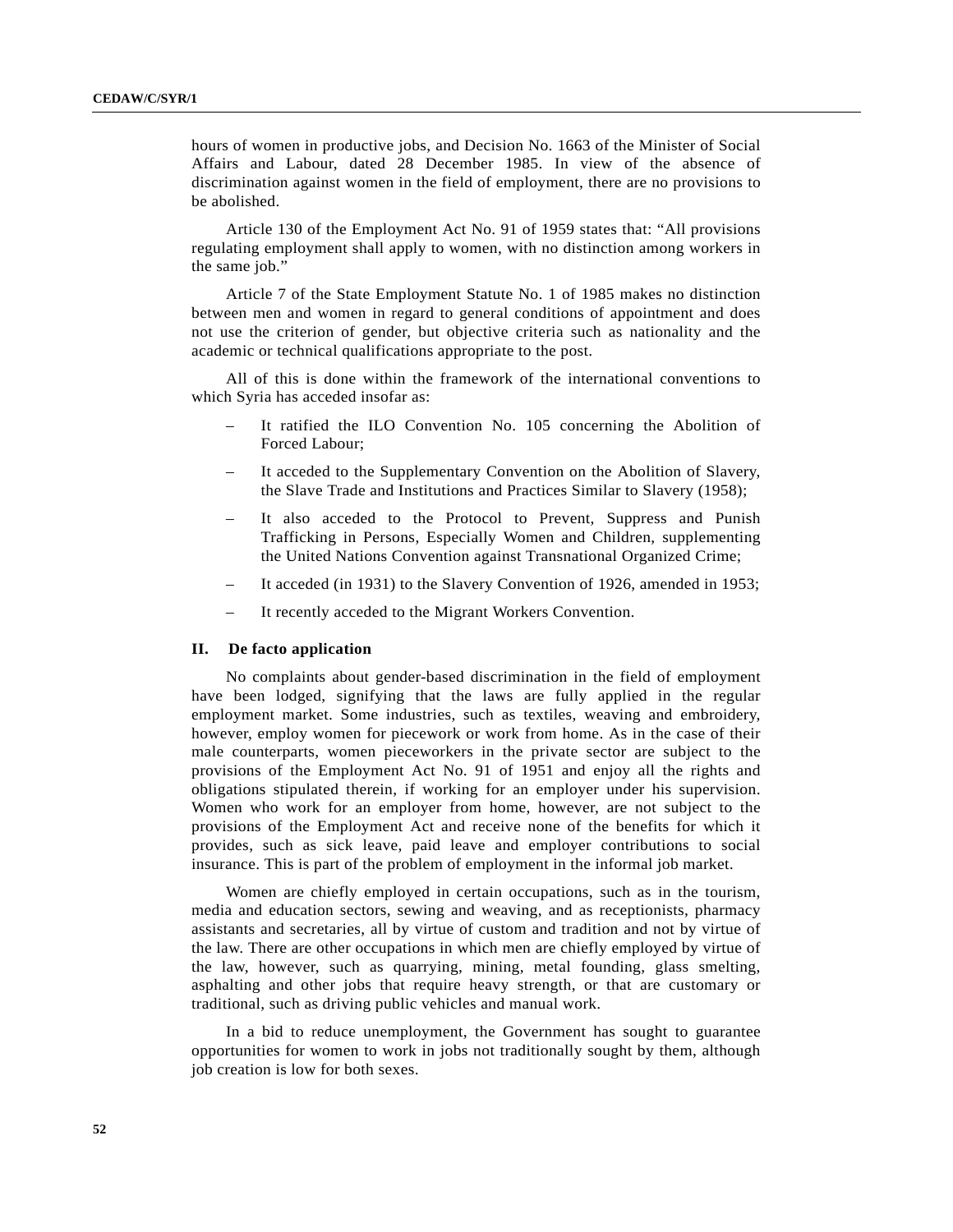hours of women in productive jobs, and Decision No. 1663 of the Minister of Social Affairs and Labour, dated 28 December 1985. In view of the absence of discrimination against women in the field of employment, there are no provisions to be abolished.

Article 130 of the Employment Act No. 91 of 1959 states that: "All provisions regulating employment shall apply to women, with no distinction among workers in the same job."

Article 7 of the State Employment Statute No. 1 of 1985 makes no distinction between men and women in regard to general conditions of appointment and does not use the criterion of gender, but objective criteria such as nationality and the academic or technical qualifications appropriate to the post.

All of this is done within the framework of the international conventions to which Syria has acceded insofar as:

- It ratified the ILO Convention No. 105 concerning the Abolition of Forced Labour;
- It acceded to the Supplementary Convention on the Abolition of Slavery, the Slave Trade and Institutions and Practices Similar to Slavery (1958);
- It also acceded to the Protocol to Prevent, Suppress and Punish Trafficking in Persons, Especially Women and Children, supplementing the United Nations Convention against Transnational Organized Crime;
- It acceded (in 1931) to the Slavery Convention of 1926, amended in 1953;
- It recently acceded to the Migrant Workers Convention.

# **II. De facto application**

No complaints about gender-based discrimination in the field of employment have been lodged, signifying that the laws are fully applied in the regular employment market. Some industries, such as textiles, weaving and embroidery, however, employ women for piecework or work from home. As in the case of their male counterparts, women pieceworkers in the private sector are subject to the provisions of the Employment Act No. 91 of 1951 and enjoy all the rights and obligations stipulated therein, if working for an employer under his supervision. Women who work for an employer from home, however, are not subject to the provisions of the Employment Act and receive none of the benefits for which it provides, such as sick leave, paid leave and employer contributions to social insurance. This is part of the problem of employment in the informal job market.

Women are chiefly employed in certain occupations, such as in the tourism, media and education sectors, sewing and weaving, and as receptionists, pharmacy assistants and secretaries, all by virtue of custom and tradition and not by virtue of the law. There are other occupations in which men are chiefly employed by virtue of the law, however, such as quarrying, mining, metal founding, glass smelting, asphalting and other jobs that require heavy strength, or that are customary or traditional, such as driving public vehicles and manual work.

In a bid to reduce unemployment, the Government has sought to guarantee opportunities for women to work in jobs not traditionally sought by them, although job creation is low for both sexes.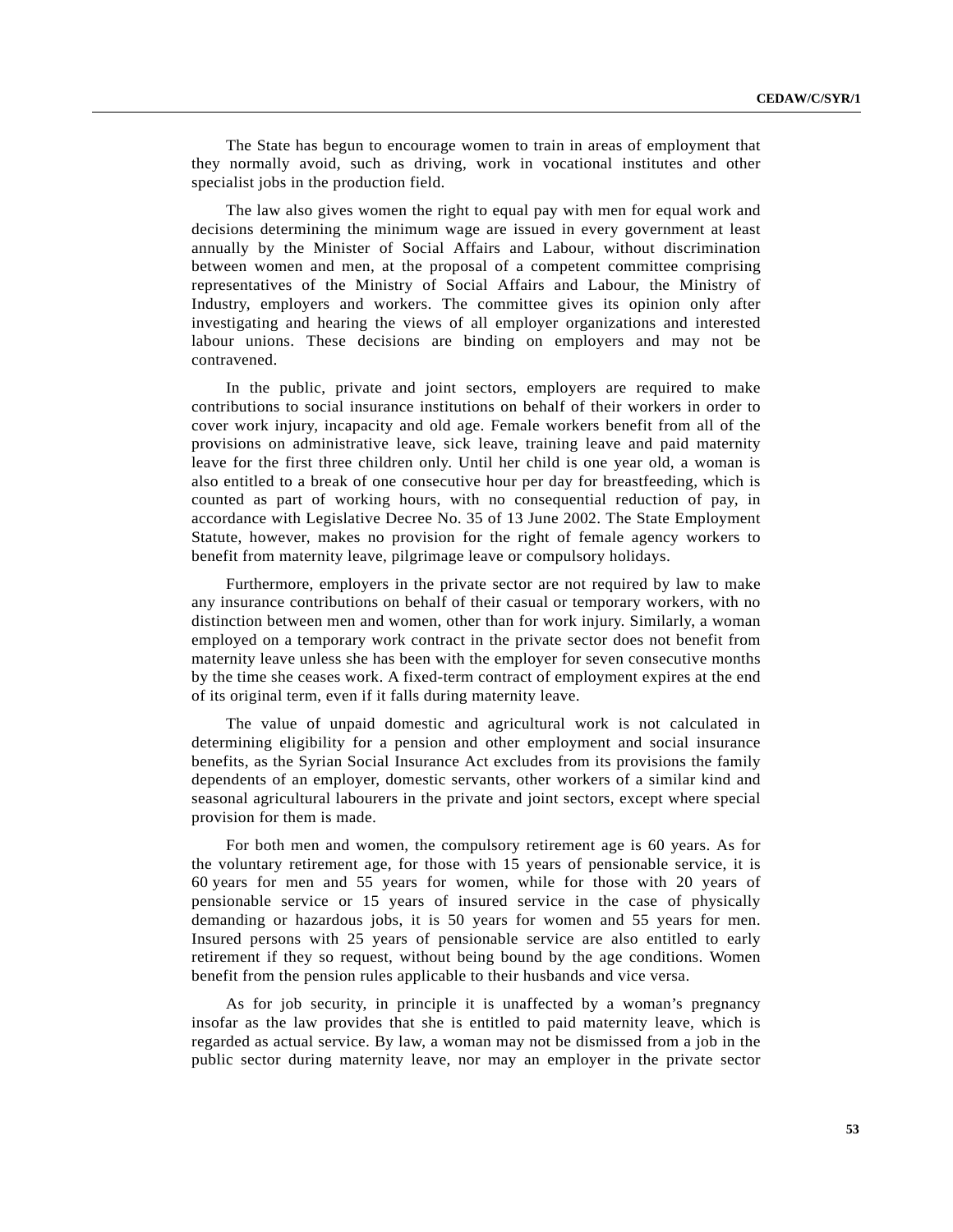The State has begun to encourage women to train in areas of employment that they normally avoid, such as driving, work in vocational institutes and other specialist jobs in the production field.

The law also gives women the right to equal pay with men for equal work and decisions determining the minimum wage are issued in every government at least annually by the Minister of Social Affairs and Labour, without discrimination between women and men, at the proposal of a competent committee comprising representatives of the Ministry of Social Affairs and Labour, the Ministry of Industry, employers and workers. The committee gives its opinion only after investigating and hearing the views of all employer organizations and interested labour unions. These decisions are binding on employers and may not be contravened.

In the public, private and joint sectors, employers are required to make contributions to social insurance institutions on behalf of their workers in order to cover work injury, incapacity and old age. Female workers benefit from all of the provisions on administrative leave, sick leave, training leave and paid maternity leave for the first three children only. Until her child is one year old, a woman is also entitled to a break of one consecutive hour per day for breastfeeding, which is counted as part of working hours, with no consequential reduction of pay, in accordance with Legislative Decree No. 35 of 13 June 2002. The State Employment Statute, however, makes no provision for the right of female agency workers to benefit from maternity leave, pilgrimage leave or compulsory holidays.

Furthermore, employers in the private sector are not required by law to make any insurance contributions on behalf of their casual or temporary workers, with no distinction between men and women, other than for work injury. Similarly, a woman employed on a temporary work contract in the private sector does not benefit from maternity leave unless she has been with the employer for seven consecutive months by the time she ceases work. A fixed-term contract of employment expires at the end of its original term, even if it falls during maternity leave.

The value of unpaid domestic and agricultural work is not calculated in determining eligibility for a pension and other employment and social insurance benefits, as the Syrian Social Insurance Act excludes from its provisions the family dependents of an employer, domestic servants, other workers of a similar kind and seasonal agricultural labourers in the private and joint sectors, except where special provision for them is made.

For both men and women, the compulsory retirement age is 60 years. As for the voluntary retirement age, for those with 15 years of pensionable service, it is 60 years for men and 55 years for women, while for those with 20 years of pensionable service or 15 years of insured service in the case of physically demanding or hazardous jobs, it is 50 years for women and 55 years for men. Insured persons with 25 years of pensionable service are also entitled to early retirement if they so request, without being bound by the age conditions. Women benefit from the pension rules applicable to their husbands and vice versa.

As for job security, in principle it is unaffected by a woman's pregnancy insofar as the law provides that she is entitled to paid maternity leave, which is regarded as actual service. By law, a woman may not be dismissed from a job in the public sector during maternity leave, nor may an employer in the private sector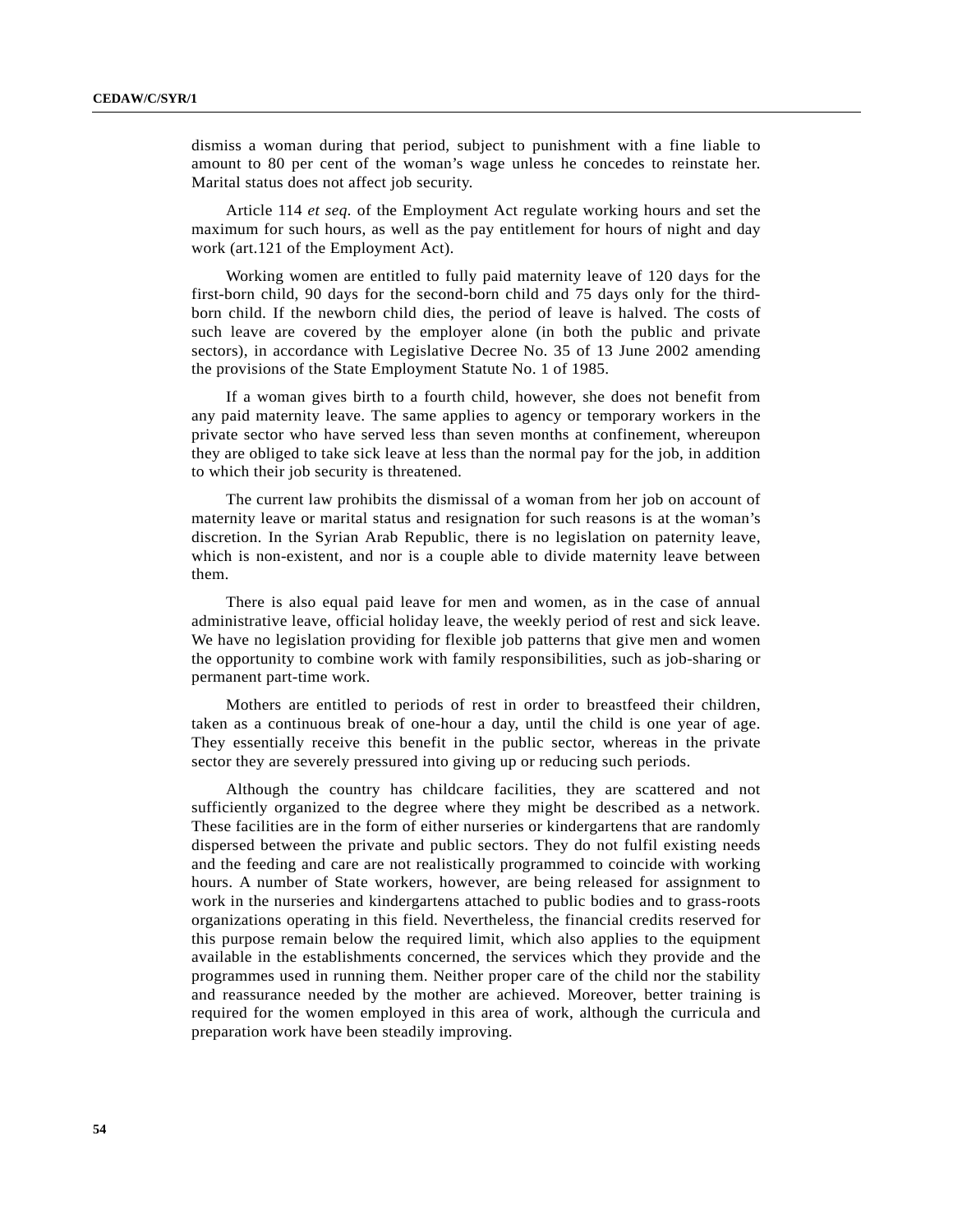dismiss a woman during that period, subject to punishment with a fine liable to amount to 80 per cent of the woman's wage unless he concedes to reinstate her. Marital status does not affect job security.

Article 114 *et seq.* of the Employment Act regulate working hours and set the maximum for such hours, as well as the pay entitlement for hours of night and day work (art.121 of the Employment Act).

Working women are entitled to fully paid maternity leave of 120 days for the first-born child, 90 days for the second-born child and 75 days only for the thirdborn child. If the newborn child dies, the period of leave is halved. The costs of such leave are covered by the employer alone (in both the public and private sectors), in accordance with Legislative Decree No. 35 of 13 June 2002 amending the provisions of the State Employment Statute No. 1 of 1985.

If a woman gives birth to a fourth child, however, she does not benefit from any paid maternity leave. The same applies to agency or temporary workers in the private sector who have served less than seven months at confinement, whereupon they are obliged to take sick leave at less than the normal pay for the job, in addition to which their job security is threatened.

The current law prohibits the dismissal of a woman from her job on account of maternity leave or marital status and resignation for such reasons is at the woman's discretion. In the Syrian Arab Republic, there is no legislation on paternity leave, which is non-existent, and nor is a couple able to divide maternity leave between them.

There is also equal paid leave for men and women, as in the case of annual administrative leave, official holiday leave, the weekly period of rest and sick leave. We have no legislation providing for flexible job patterns that give men and women the opportunity to combine work with family responsibilities, such as job-sharing or permanent part-time work.

Mothers are entitled to periods of rest in order to breastfeed their children, taken as a continuous break of one-hour a day, until the child is one year of age. They essentially receive this benefit in the public sector, whereas in the private sector they are severely pressured into giving up or reducing such periods.

Although the country has childcare facilities, they are scattered and not sufficiently organized to the degree where they might be described as a network. These facilities are in the form of either nurseries or kindergartens that are randomly dispersed between the private and public sectors. They do not fulfil existing needs and the feeding and care are not realistically programmed to coincide with working hours. A number of State workers, however, are being released for assignment to work in the nurseries and kindergartens attached to public bodies and to grass-roots organizations operating in this field. Nevertheless, the financial credits reserved for this purpose remain below the required limit, which also applies to the equipment available in the establishments concerned, the services which they provide and the programmes used in running them. Neither proper care of the child nor the stability and reassurance needed by the mother are achieved. Moreover, better training is required for the women employed in this area of work, although the curricula and preparation work have been steadily improving.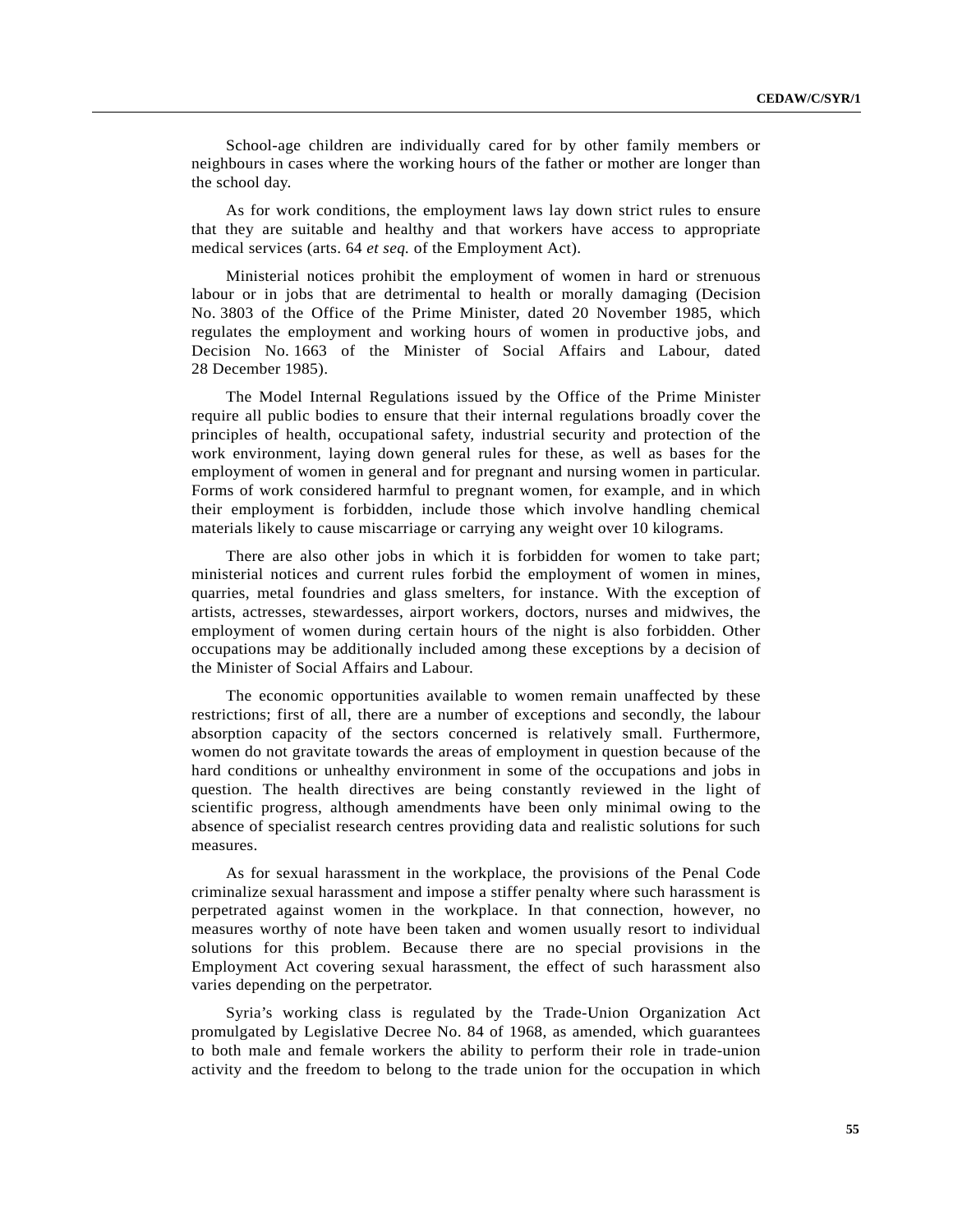School-age children are individually cared for by other family members or neighbours in cases where the working hours of the father or mother are longer than the school day.

As for work conditions, the employment laws lay down strict rules to ensure that they are suitable and healthy and that workers have access to appropriate medical services (arts. 64 *et seq.* of the Employment Act).

Ministerial notices prohibit the employment of women in hard or strenuous labour or in jobs that are detrimental to health or morally damaging (Decision No. 3803 of the Office of the Prime Minister, dated 20 November 1985, which regulates the employment and working hours of women in productive jobs, and Decision No. 1663 of the Minister of Social Affairs and Labour, dated 28 December 1985).

The Model Internal Regulations issued by the Office of the Prime Minister require all public bodies to ensure that their internal regulations broadly cover the principles of health, occupational safety, industrial security and protection of the work environment, laying down general rules for these, as well as bases for the employment of women in general and for pregnant and nursing women in particular. Forms of work considered harmful to pregnant women, for example, and in which their employment is forbidden, include those which involve handling chemical materials likely to cause miscarriage or carrying any weight over 10 kilograms.

There are also other jobs in which it is forbidden for women to take part; ministerial notices and current rules forbid the employment of women in mines, quarries, metal foundries and glass smelters, for instance. With the exception of artists, actresses, stewardesses, airport workers, doctors, nurses and midwives, the employment of women during certain hours of the night is also forbidden. Other occupations may be additionally included among these exceptions by a decision of the Minister of Social Affairs and Labour.

The economic opportunities available to women remain unaffected by these restrictions; first of all, there are a number of exceptions and secondly, the labour absorption capacity of the sectors concerned is relatively small. Furthermore, women do not gravitate towards the areas of employment in question because of the hard conditions or unhealthy environment in some of the occupations and jobs in question. The health directives are being constantly reviewed in the light of scientific progress, although amendments have been only minimal owing to the absence of specialist research centres providing data and realistic solutions for such measures.

As for sexual harassment in the workplace, the provisions of the Penal Code criminalize sexual harassment and impose a stiffer penalty where such harassment is perpetrated against women in the workplace. In that connection, however, no measures worthy of note have been taken and women usually resort to individual solutions for this problem. Because there are no special provisions in the Employment Act covering sexual harassment, the effect of such harassment also varies depending on the perpetrator.

Syria's working class is regulated by the Trade-Union Organization Act promulgated by Legislative Decree No. 84 of 1968, as amended, which guarantees to both male and female workers the ability to perform their role in trade-union activity and the freedom to belong to the trade union for the occupation in which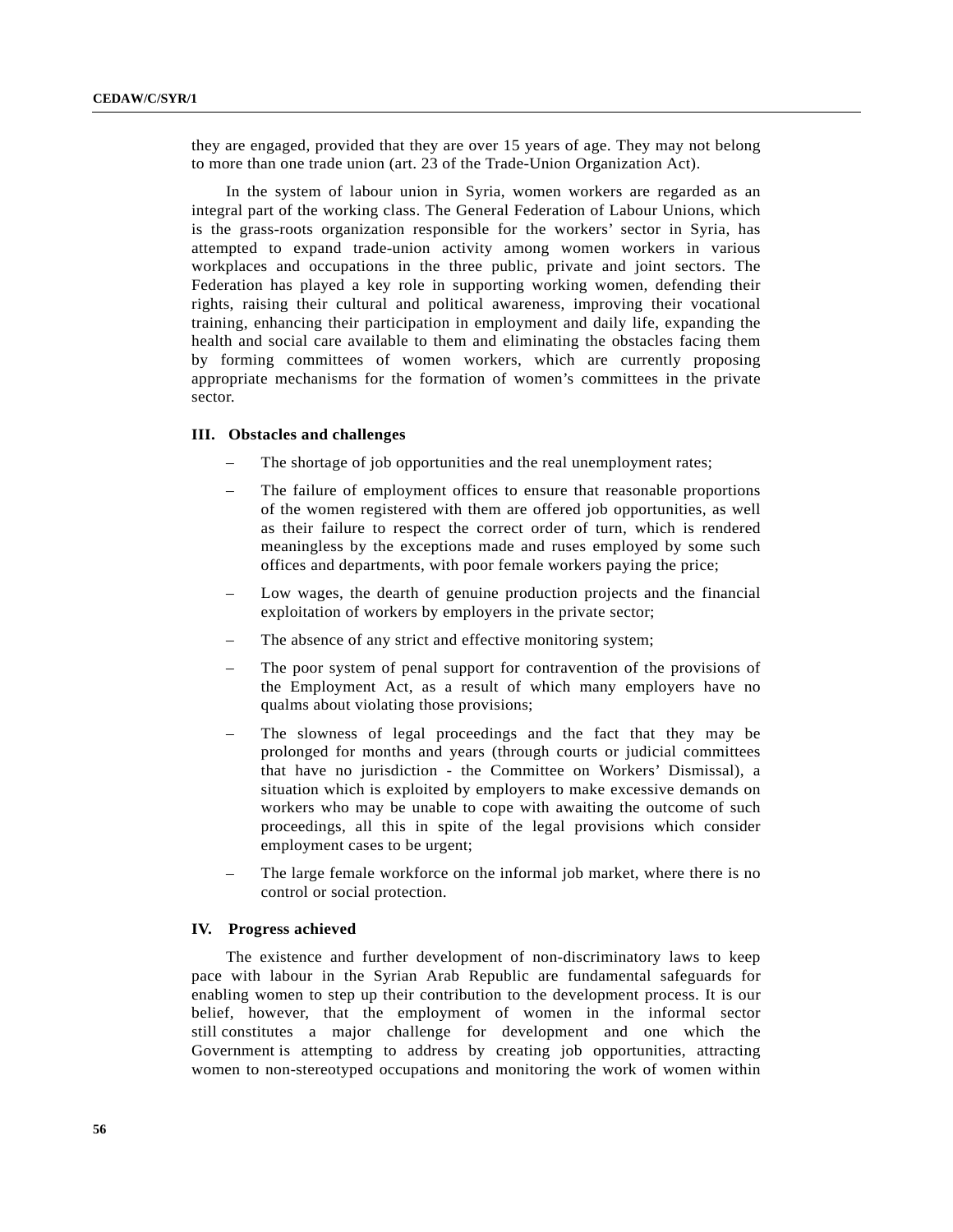they are engaged, provided that they are over 15 years of age. They may not belong to more than one trade union (art. 23 of the Trade-Union Organization Act).

In the system of labour union in Syria, women workers are regarded as an integral part of the working class. The General Federation of Labour Unions, which is the grass-roots organization responsible for the workers' sector in Syria, has attempted to expand trade-union activity among women workers in various workplaces and occupations in the three public, private and joint sectors. The Federation has played a key role in supporting working women, defending their rights, raising their cultural and political awareness, improving their vocational training, enhancing their participation in employment and daily life, expanding the health and social care available to them and eliminating the obstacles facing them by forming committees of women workers, which are currently proposing appropriate mechanisms for the formation of women's committees in the private sector.

## **III. Obstacles and challenges**

- The shortage of job opportunities and the real unemployment rates;
- The failure of employment offices to ensure that reasonable proportions of the women registered with them are offered job opportunities, as well as their failure to respect the correct order of turn, which is rendered meaningless by the exceptions made and ruses employed by some such offices and departments, with poor female workers paying the price;
- Low wages, the dearth of genuine production projects and the financial exploitation of workers by employers in the private sector;
- The absence of any strict and effective monitoring system;
- The poor system of penal support for contravention of the provisions of the Employment Act, as a result of which many employers have no qualms about violating those provisions;
- The slowness of legal proceedings and the fact that they may be prolonged for months and years (through courts or judicial committees that have no jurisdiction - the Committee on Workers' Dismissal), a situation which is exploited by employers to make excessive demands on workers who may be unable to cope with awaiting the outcome of such proceedings, all this in spite of the legal provisions which consider employment cases to be urgent;
- The large female workforce on the informal job market, where there is no control or social protection.

## **IV. Progress achieved**

The existence and further development of non-discriminatory laws to keep pace with labour in the Syrian Arab Republic are fundamental safeguards for enabling women to step up their contribution to the development process. It is our belief, however, that the employment of women in the informal sector still constitutes a major challenge for development and one which the Government is attempting to address by creating job opportunities, attracting women to non-stereotyped occupations and monitoring the work of women within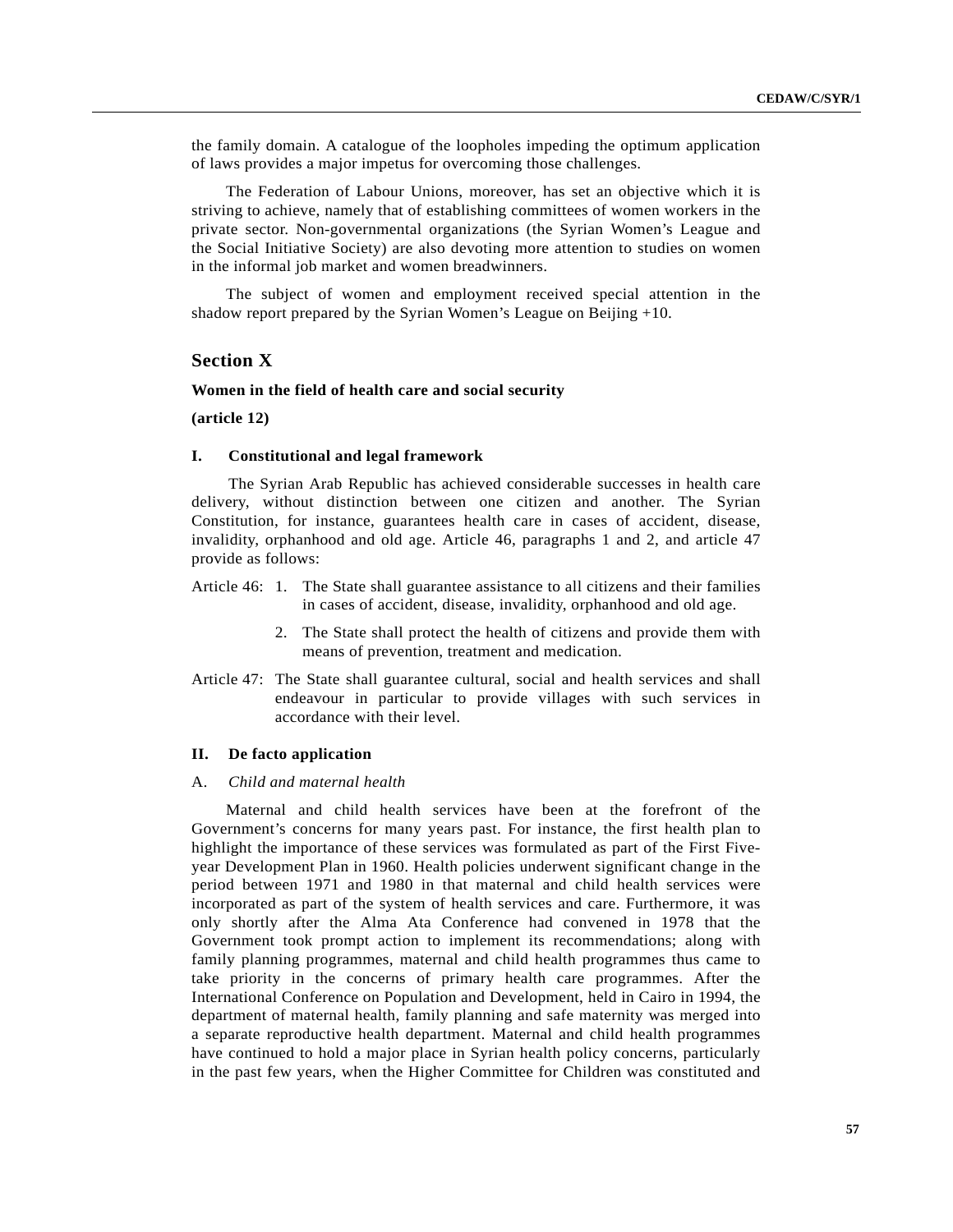the family domain. A catalogue of the loopholes impeding the optimum application of laws provides a major impetus for overcoming those challenges.

The Federation of Labour Unions, moreover, has set an objective which it is striving to achieve, namely that of establishing committees of women workers in the private sector. Non-governmental organizations (the Syrian Women's League and the Social Initiative Society) are also devoting more attention to studies on women in the informal job market and women breadwinners.

The subject of women and employment received special attention in the shadow report prepared by the Syrian Women's League on Beijing +10.

# **Section X**

# **Women in the field of health care and social security**

## **(article 12)**

### **I. Constitutional and legal framework**

The Syrian Arab Republic has achieved considerable successes in health care delivery, without distinction between one citizen and another. The Syrian Constitution, for instance, guarantees health care in cases of accident, disease, invalidity, orphanhood and old age. Article 46, paragraphs 1 and 2, and article 47 provide as follows:

- Article 46: 1. The State shall guarantee assistance to all citizens and their families in cases of accident, disease, invalidity, orphanhood and old age.
	- 2. The State shall protect the health of citizens and provide them with means of prevention, treatment and medication.
- Article 47: The State shall guarantee cultural, social and health services and shall endeavour in particular to provide villages with such services in accordance with their level.

#### **II. De facto application**

#### A. *Child and maternal health*

Maternal and child health services have been at the forefront of the Government's concerns for many years past. For instance, the first health plan to highlight the importance of these services was formulated as part of the First Fiveyear Development Plan in 1960. Health policies underwent significant change in the period between 1971 and 1980 in that maternal and child health services were incorporated as part of the system of health services and care. Furthermore, it was only shortly after the Alma Ata Conference had convened in 1978 that the Government took prompt action to implement its recommendations; along with family planning programmes, maternal and child health programmes thus came to take priority in the concerns of primary health care programmes. After the International Conference on Population and Development, held in Cairo in 1994, the department of maternal health, family planning and safe maternity was merged into a separate reproductive health department. Maternal and child health programmes have continued to hold a major place in Syrian health policy concerns, particularly in the past few years, when the Higher Committee for Children was constituted and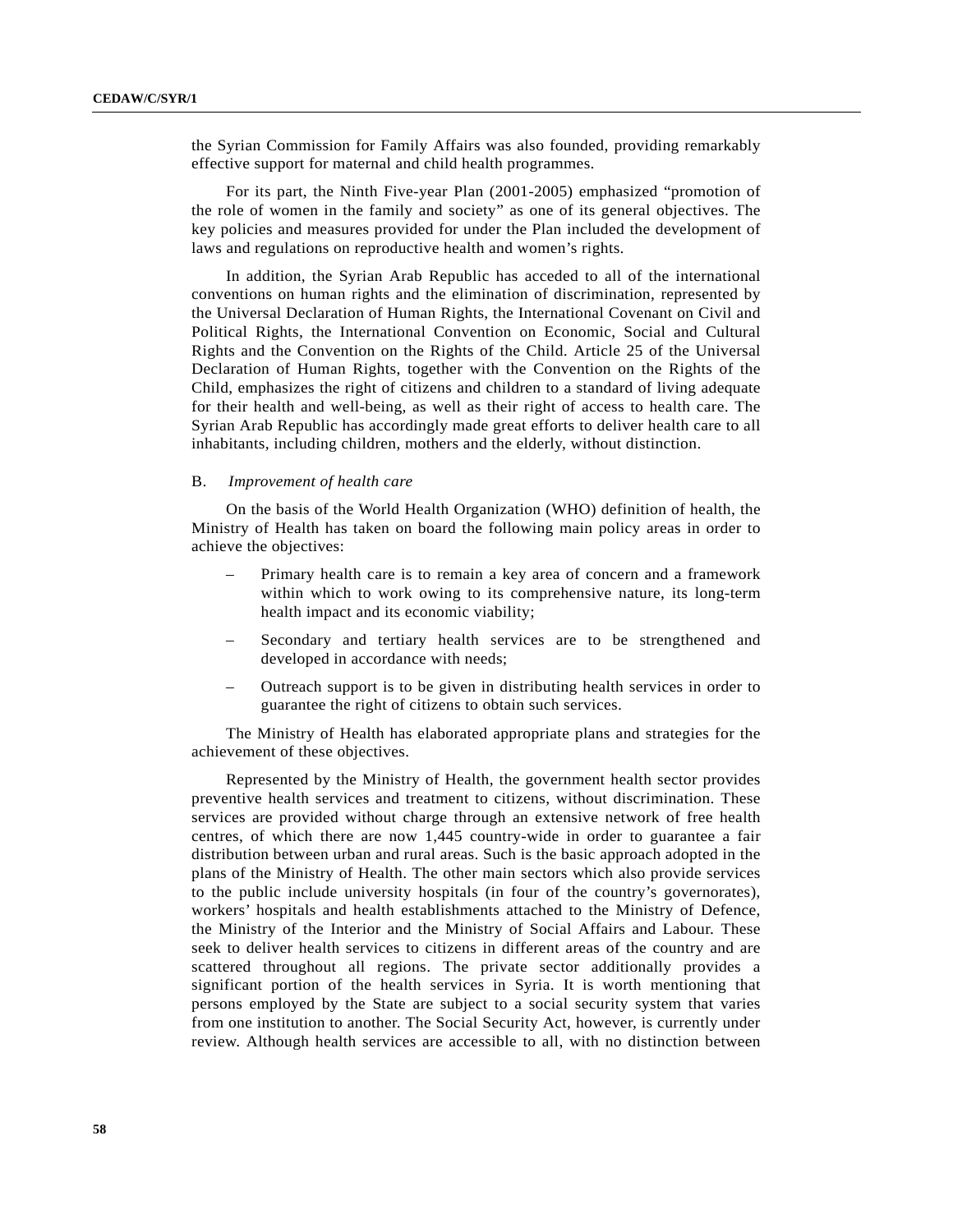the Syrian Commission for Family Affairs was also founded, providing remarkably effective support for maternal and child health programmes.

For its part, the Ninth Five-year Plan (2001-2005) emphasized "promotion of the role of women in the family and society" as one of its general objectives. The key policies and measures provided for under the Plan included the development of laws and regulations on reproductive health and women's rights.

In addition, the Syrian Arab Republic has acceded to all of the international conventions on human rights and the elimination of discrimination, represented by the Universal Declaration of Human Rights, the International Covenant on Civil and Political Rights, the International Convention on Economic, Social and Cultural Rights and the Convention on the Rights of the Child. Article 25 of the Universal Declaration of Human Rights, together with the Convention on the Rights of the Child, emphasizes the right of citizens and children to a standard of living adequate for their health and well-being, as well as their right of access to health care. The Syrian Arab Republic has accordingly made great efforts to deliver health care to all inhabitants, including children, mothers and the elderly, without distinction.

#### B. *Improvement of health care*

On the basis of the World Health Organization (WHO) definition of health, the Ministry of Health has taken on board the following main policy areas in order to achieve the objectives:

- Primary health care is to remain a key area of concern and a framework within which to work owing to its comprehensive nature, its long-term health impact and its economic viability;
- Secondary and tertiary health services are to be strengthened and developed in accordance with needs;
- Outreach support is to be given in distributing health services in order to guarantee the right of citizens to obtain such services.

The Ministry of Health has elaborated appropriate plans and strategies for the achievement of these objectives.

Represented by the Ministry of Health, the government health sector provides preventive health services and treatment to citizens, without discrimination. These services are provided without charge through an extensive network of free health centres, of which there are now 1,445 country-wide in order to guarantee a fair distribution between urban and rural areas. Such is the basic approach adopted in the plans of the Ministry of Health. The other main sectors which also provide services to the public include university hospitals (in four of the country's governorates), workers' hospitals and health establishments attached to the Ministry of Defence, the Ministry of the Interior and the Ministry of Social Affairs and Labour. These seek to deliver health services to citizens in different areas of the country and are scattered throughout all regions. The private sector additionally provides a significant portion of the health services in Syria. It is worth mentioning that persons employed by the State are subject to a social security system that varies from one institution to another. The Social Security Act, however, is currently under review. Although health services are accessible to all, with no distinction between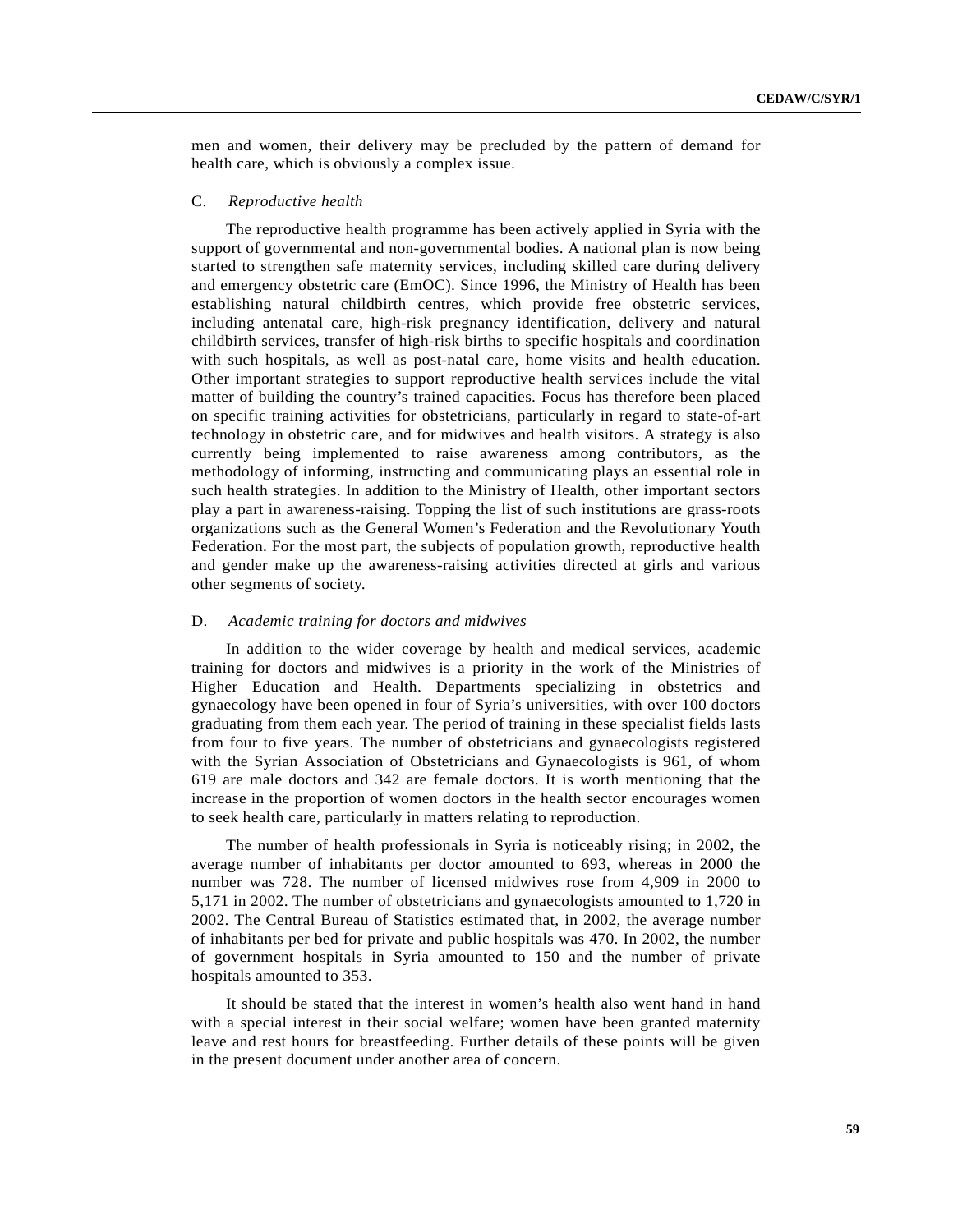men and women, their delivery may be precluded by the pattern of demand for health care, which is obviously a complex issue.

#### C. *Reproductive health*

The reproductive health programme has been actively applied in Syria with the support of governmental and non-governmental bodies. A national plan is now being started to strengthen safe maternity services, including skilled care during delivery and emergency obstetric care (EmOC). Since 1996, the Ministry of Health has been establishing natural childbirth centres, which provide free obstetric services, including antenatal care, high-risk pregnancy identification, delivery and natural childbirth services, transfer of high-risk births to specific hospitals and coordination with such hospitals, as well as post-natal care, home visits and health education. Other important strategies to support reproductive health services include the vital matter of building the country's trained capacities. Focus has therefore been placed on specific training activities for obstetricians, particularly in regard to state-of-art technology in obstetric care, and for midwives and health visitors. A strategy is also currently being implemented to raise awareness among contributors, as the methodology of informing, instructing and communicating plays an essential role in such health strategies. In addition to the Ministry of Health, other important sectors play a part in awareness-raising. Topping the list of such institutions are grass-roots organizations such as the General Women's Federation and the Revolutionary Youth Federation. For the most part, the subjects of population growth, reproductive health and gender make up the awareness-raising activities directed at girls and various other segments of society.

#### D. *Academic training for doctors and midwives*

In addition to the wider coverage by health and medical services, academic training for doctors and midwives is a priority in the work of the Ministries of Higher Education and Health. Departments specializing in obstetrics and gynaecology have been opened in four of Syria's universities, with over 100 doctors graduating from them each year. The period of training in these specialist fields lasts from four to five years. The number of obstetricians and gynaecologists registered with the Syrian Association of Obstetricians and Gynaecologists is 961, of whom 619 are male doctors and 342 are female doctors. It is worth mentioning that the increase in the proportion of women doctors in the health sector encourages women to seek health care, particularly in matters relating to reproduction.

The number of health professionals in Syria is noticeably rising; in 2002, the average number of inhabitants per doctor amounted to 693, whereas in 2000 the number was 728. The number of licensed midwives rose from 4,909 in 2000 to 5,171 in 2002. The number of obstetricians and gynaecologists amounted to 1,720 in 2002. The Central Bureau of Statistics estimated that, in 2002, the average number of inhabitants per bed for private and public hospitals was 470. In 2002, the number of government hospitals in Syria amounted to 150 and the number of private hospitals amounted to 353.

It should be stated that the interest in women's health also went hand in hand with a special interest in their social welfare; women have been granted maternity leave and rest hours for breastfeeding. Further details of these points will be given in the present document under another area of concern.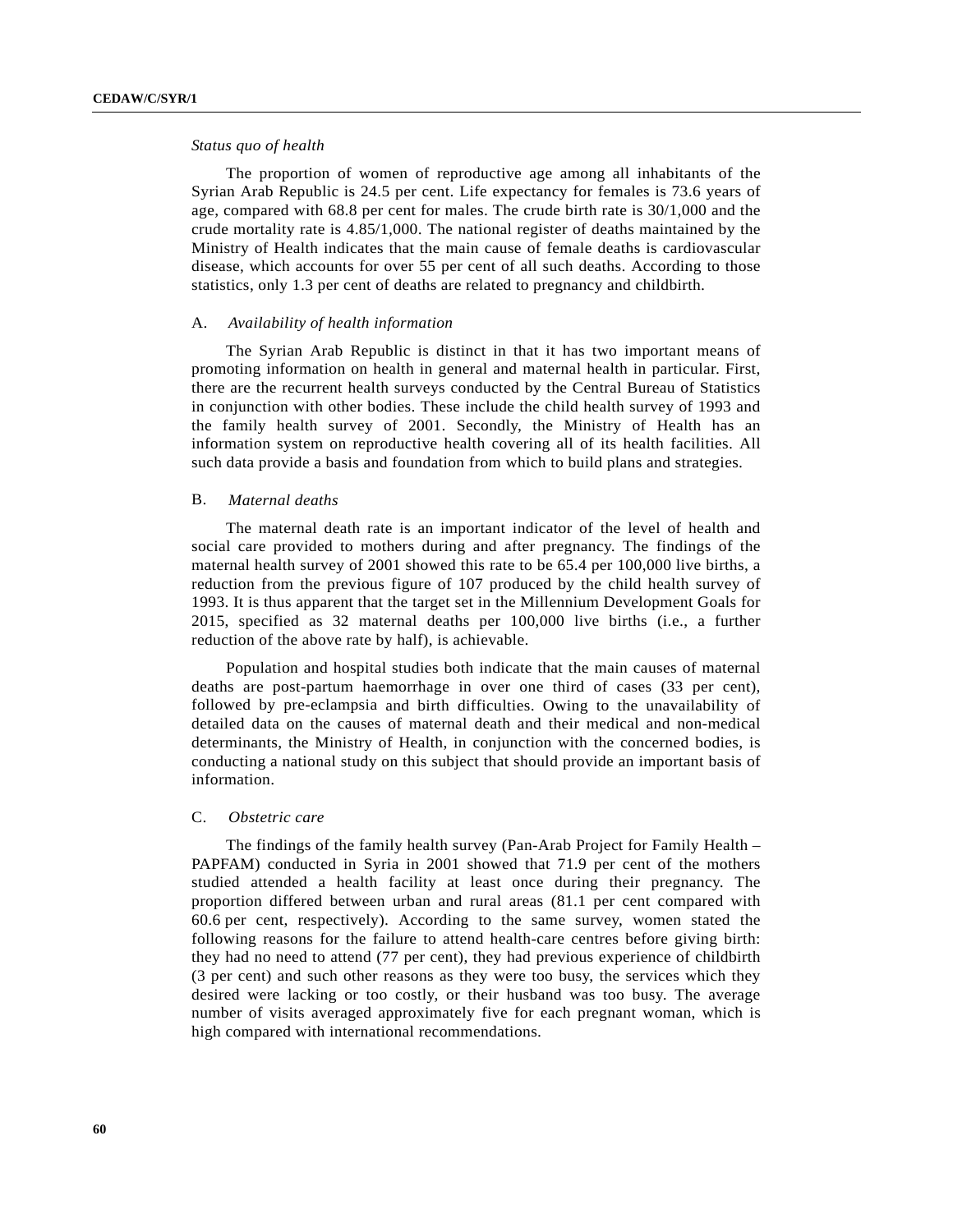# *Status quo of health*

The proportion of women of reproductive age among all inhabitants of the Syrian Arab Republic is 24.5 per cent. Life expectancy for females is 73.6 years of age, compared with 68.8 per cent for males. The crude birth rate is 30/1,000 and the crude mortality rate is 4.85/1,000. The national register of deaths maintained by the Ministry of Health indicates that the main cause of female deaths is cardiovascular disease, which accounts for over 55 per cent of all such deaths. According to those statistics, only 1.3 per cent of deaths are related to pregnancy and childbirth.

## A. *Availability of health information*

The Syrian Arab Republic is distinct in that it has two important means of promoting information on health in general and maternal health in particular. First, there are the recurrent health surveys conducted by the Central Bureau of Statistics in conjunction with other bodies. These include the child health survey of 1993 and the family health survey of 2001. Secondly, the Ministry of Health has an information system on reproductive health covering all of its health facilities. All such data provide a basis and foundation from which to build plans and strategies.

## B. *Maternal deaths*

The maternal death rate is an important indicator of the level of health and social care provided to mothers during and after pregnancy. The findings of the maternal health survey of 2001 showed this rate to be 65.4 per 100,000 live births, a reduction from the previous figure of 107 produced by the child health survey of 1993. It is thus apparent that the target set in the Millennium Development Goals for 2015, specified as 32 maternal deaths per 100,000 live births (i.e., a further reduction of the above rate by half), is achievable.

Population and hospital studies both indicate that the main causes of maternal deaths are post-partum haemorrhage in over one third of cases (33 per cent), followed by pre-eclampsia and birth difficulties. Owing to the unavailability of detailed data on the causes of maternal death and their medical and non-medical determinants, the Ministry of Health, in conjunction with the concerned bodies, is conducting a national study on this subject that should provide an important basis of information.

#### C. *Obstetric care*

The findings of the family health survey (Pan-Arab Project for Family Health – PAPFAM) conducted in Syria in 2001 showed that 71.9 per cent of the mothers studied attended a health facility at least once during their pregnancy. The proportion differed between urban and rural areas (81.1 per cent compared with 60.6 per cent, respectively). According to the same survey, women stated the following reasons for the failure to attend health-care centres before giving birth: they had no need to attend (77 per cent), they had previous experience of childbirth (3 per cent) and such other reasons as they were too busy, the services which they desired were lacking or too costly, or their husband was too busy. The average number of visits averaged approximately five for each pregnant woman, which is high compared with international recommendations.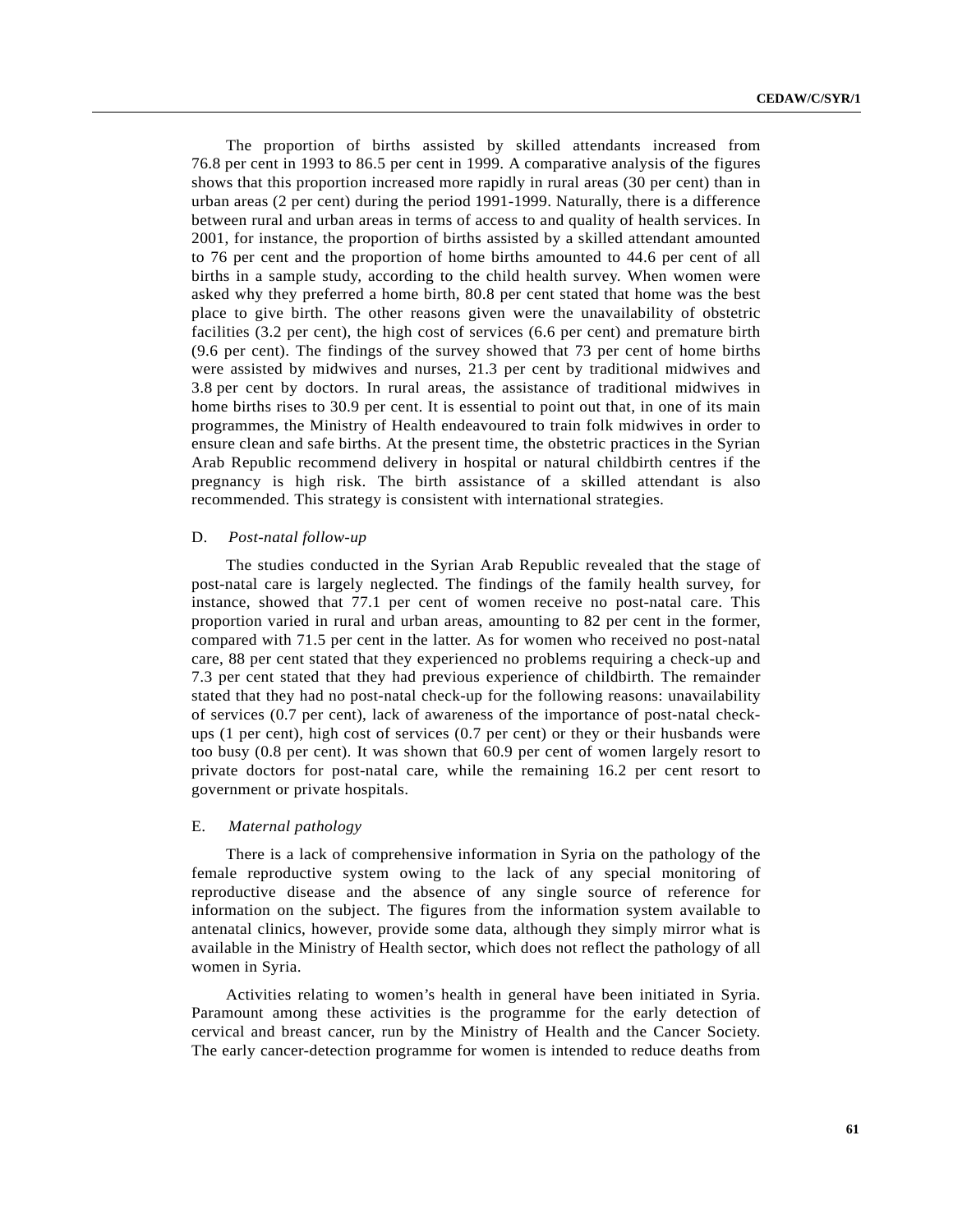The proportion of births assisted by skilled attendants increased from 76.8 per cent in 1993 to 86.5 per cent in 1999. A comparative analysis of the figures shows that this proportion increased more rapidly in rural areas (30 per cent) than in urban areas (2 per cent) during the period 1991-1999. Naturally, there is a difference between rural and urban areas in terms of access to and quality of health services. In 2001, for instance, the proportion of births assisted by a skilled attendant amounted to 76 per cent and the proportion of home births amounted to 44.6 per cent of all births in a sample study, according to the child health survey. When women were asked why they preferred a home birth, 80.8 per cent stated that home was the best place to give birth. The other reasons given were the unavailability of obstetric facilities (3.2 per cent), the high cost of services (6.6 per cent) and premature birth (9.6 per cent). The findings of the survey showed that 73 per cent of home births were assisted by midwives and nurses, 21.3 per cent by traditional midwives and 3.8 per cent by doctors. In rural areas, the assistance of traditional midwives in home births rises to 30.9 per cent. It is essential to point out that, in one of its main programmes, the Ministry of Health endeavoured to train folk midwives in order to ensure clean and safe births. At the present time, the obstetric practices in the Syrian Arab Republic recommend delivery in hospital or natural childbirth centres if the pregnancy is high risk. The birth assistance of a skilled attendant is also recommended. This strategy is consistent with international strategies.

## D. *Post-natal follow-up*

The studies conducted in the Syrian Arab Republic revealed that the stage of post-natal care is largely neglected. The findings of the family health survey, for instance, showed that 77.1 per cent of women receive no post-natal care. This proportion varied in rural and urban areas, amounting to 82 per cent in the former, compared with 71.5 per cent in the latter. As for women who received no post-natal care, 88 per cent stated that they experienced no problems requiring a check-up and 7.3 per cent stated that they had previous experience of childbirth. The remainder stated that they had no post-natal check-up for the following reasons: unavailability of services (0.7 per cent), lack of awareness of the importance of post-natal checkups (1 per cent), high cost of services (0.7 per cent) or they or their husbands were too busy (0.8 per cent). It was shown that 60.9 per cent of women largely resort to private doctors for post-natal care, while the remaining 16.2 per cent resort to government or private hospitals.

#### E. *Maternal pathology*

There is a lack of comprehensive information in Syria on the pathology of the female reproductive system owing to the lack of any special monitoring of reproductive disease and the absence of any single source of reference for information on the subject. The figures from the information system available to antenatal clinics, however, provide some data, although they simply mirror what is available in the Ministry of Health sector, which does not reflect the pathology of all women in Syria.

Activities relating to women's health in general have been initiated in Syria. Paramount among these activities is the programme for the early detection of cervical and breast cancer, run by the Ministry of Health and the Cancer Society. The early cancer-detection programme for women is intended to reduce deaths from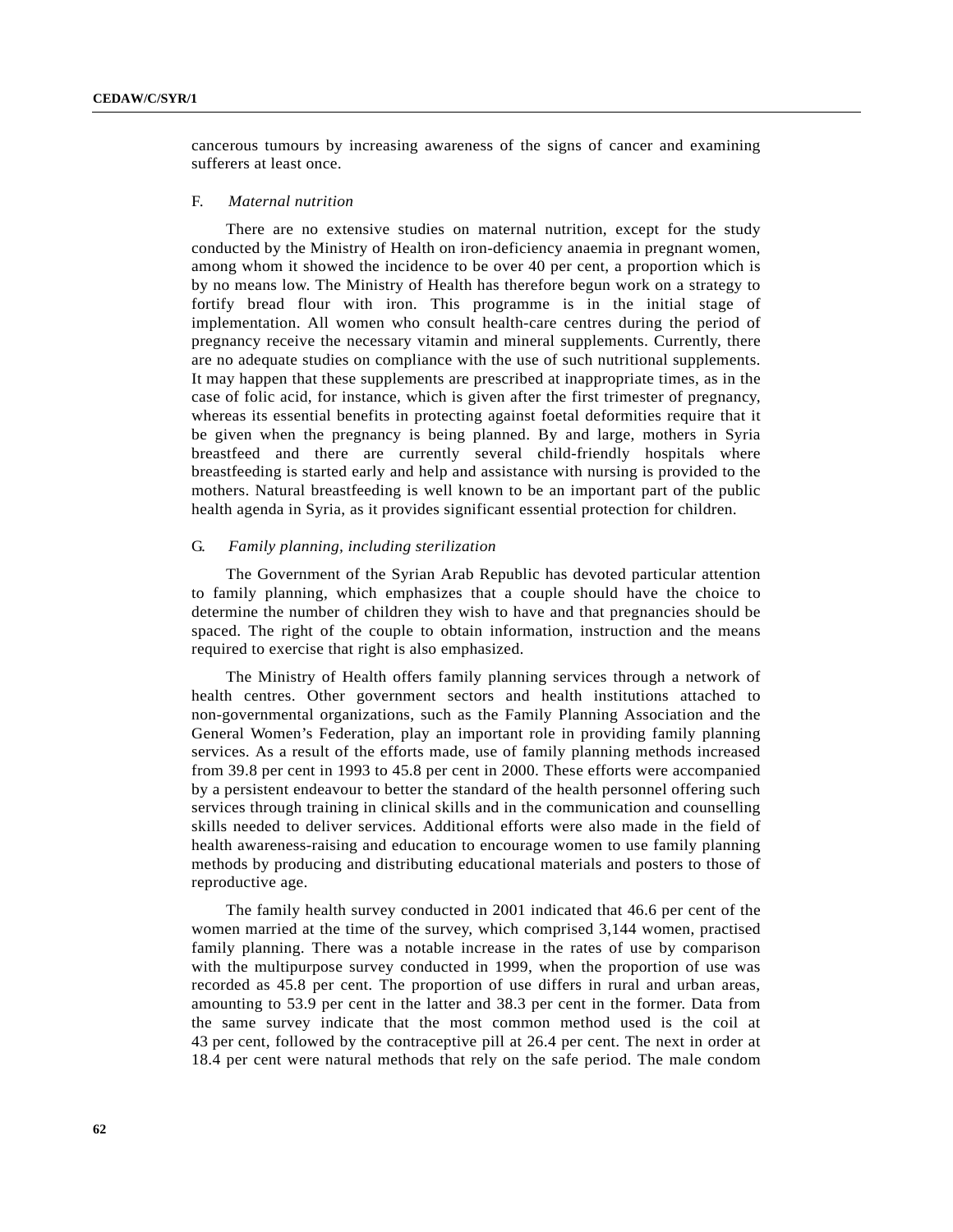cancerous tumours by increasing awareness of the signs of cancer and examining sufferers at least once.

#### F. *Maternal nutrition*

There are no extensive studies on maternal nutrition, except for the study conducted by the Ministry of Health on iron-deficiency anaemia in pregnant women, among whom it showed the incidence to be over 40 per cent, a proportion which is by no means low. The Ministry of Health has therefore begun work on a strategy to fortify bread flour with iron. This programme is in the initial stage of implementation. All women who consult health-care centres during the period of pregnancy receive the necessary vitamin and mineral supplements. Currently, there are no adequate studies on compliance with the use of such nutritional supplements. It may happen that these supplements are prescribed at inappropriate times, as in the case of folic acid, for instance, which is given after the first trimester of pregnancy, whereas its essential benefits in protecting against foetal deformities require that it be given when the pregnancy is being planned. By and large, mothers in Syria breastfeed and there are currently several child-friendly hospitals where breastfeeding is started early and help and assistance with nursing is provided to the mothers. Natural breastfeeding is well known to be an important part of the public health agenda in Syria, as it provides significant essential protection for children.

# G. *Family planning, including sterilization*

The Government of the Syrian Arab Republic has devoted particular attention to family planning, which emphasizes that a couple should have the choice to determine the number of children they wish to have and that pregnancies should be spaced. The right of the couple to obtain information, instruction and the means required to exercise that right is also emphasized.

The Ministry of Health offers family planning services through a network of health centres. Other government sectors and health institutions attached to non-governmental organizations, such as the Family Planning Association and the General Women's Federation, play an important role in providing family planning services. As a result of the efforts made, use of family planning methods increased from 39.8 per cent in 1993 to 45.8 per cent in 2000. These efforts were accompanied by a persistent endeavour to better the standard of the health personnel offering such services through training in clinical skills and in the communication and counselling skills needed to deliver services. Additional efforts were also made in the field of health awareness-raising and education to encourage women to use family planning methods by producing and distributing educational materials and posters to those of reproductive age.

The family health survey conducted in 2001 indicated that 46.6 per cent of the women married at the time of the survey, which comprised 3,144 women, practised family planning. There was a notable increase in the rates of use by comparison with the multipurpose survey conducted in 1999, when the proportion of use was recorded as 45.8 per cent. The proportion of use differs in rural and urban areas, amounting to 53.9 per cent in the latter and 38.3 per cent in the former. Data from the same survey indicate that the most common method used is the coil at 43 per cent, followed by the contraceptive pill at 26.4 per cent. The next in order at 18.4 per cent were natural methods that rely on the safe period. The male condom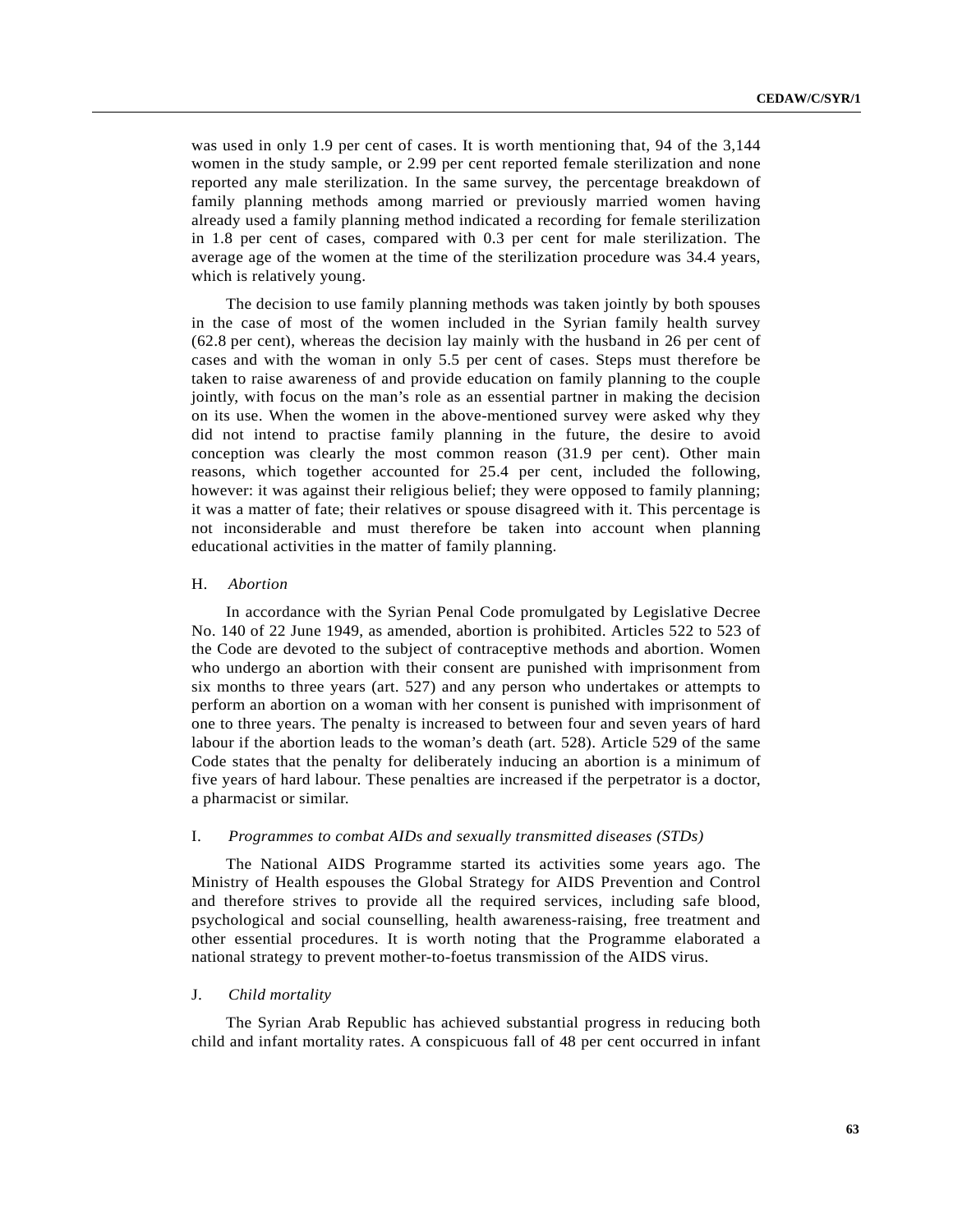was used in only 1.9 per cent of cases. It is worth mentioning that, 94 of the 3,144 women in the study sample, or 2.99 per cent reported female sterilization and none reported any male sterilization. In the same survey, the percentage breakdown of family planning methods among married or previously married women having already used a family planning method indicated a recording for female sterilization in 1.8 per cent of cases, compared with 0.3 per cent for male sterilization. The average age of the women at the time of the sterilization procedure was 34.4 years, which is relatively young.

The decision to use family planning methods was taken jointly by both spouses in the case of most of the women included in the Syrian family health survey (62.8 per cent), whereas the decision lay mainly with the husband in 26 per cent of cases and with the woman in only 5.5 per cent of cases. Steps must therefore be taken to raise awareness of and provide education on family planning to the couple jointly, with focus on the man's role as an essential partner in making the decision on its use. When the women in the above-mentioned survey were asked why they did not intend to practise family planning in the future, the desire to avoid conception was clearly the most common reason (31.9 per cent). Other main reasons, which together accounted for 25.4 per cent, included the following, however: it was against their religious belief; they were opposed to family planning; it was a matter of fate; their relatives or spouse disagreed with it. This percentage is not inconsiderable and must therefore be taken into account when planning educational activities in the matter of family planning.

#### H. *Abortion*

In accordance with the Syrian Penal Code promulgated by Legislative Decree No. 140 of 22 June 1949, as amended, abortion is prohibited. Articles 522 to 523 of the Code are devoted to the subject of contraceptive methods and abortion. Women who undergo an abortion with their consent are punished with imprisonment from six months to three years (art. 527) and any person who undertakes or attempts to perform an abortion on a woman with her consent is punished with imprisonment of one to three years. The penalty is increased to between four and seven years of hard labour if the abortion leads to the woman's death (art. 528). Article 529 of the same Code states that the penalty for deliberately inducing an abortion is a minimum of five years of hard labour. These penalties are increased if the perpetrator is a doctor, a pharmacist or similar.

#### I. *Programmes to combat AIDs and sexually transmitted diseases (STDs)*

The National AIDS Programme started its activities some years ago. The Ministry of Health espouses the Global Strategy for AIDS Prevention and Control and therefore strives to provide all the required services, including safe blood, psychological and social counselling, health awareness-raising, free treatment and other essential procedures. It is worth noting that the Programme elaborated a national strategy to prevent mother-to-foetus transmission of the AIDS virus.

### J. *Child mortality*

The Syrian Arab Republic has achieved substantial progress in reducing both child and infant mortality rates. A conspicuous fall of 48 per cent occurred in infant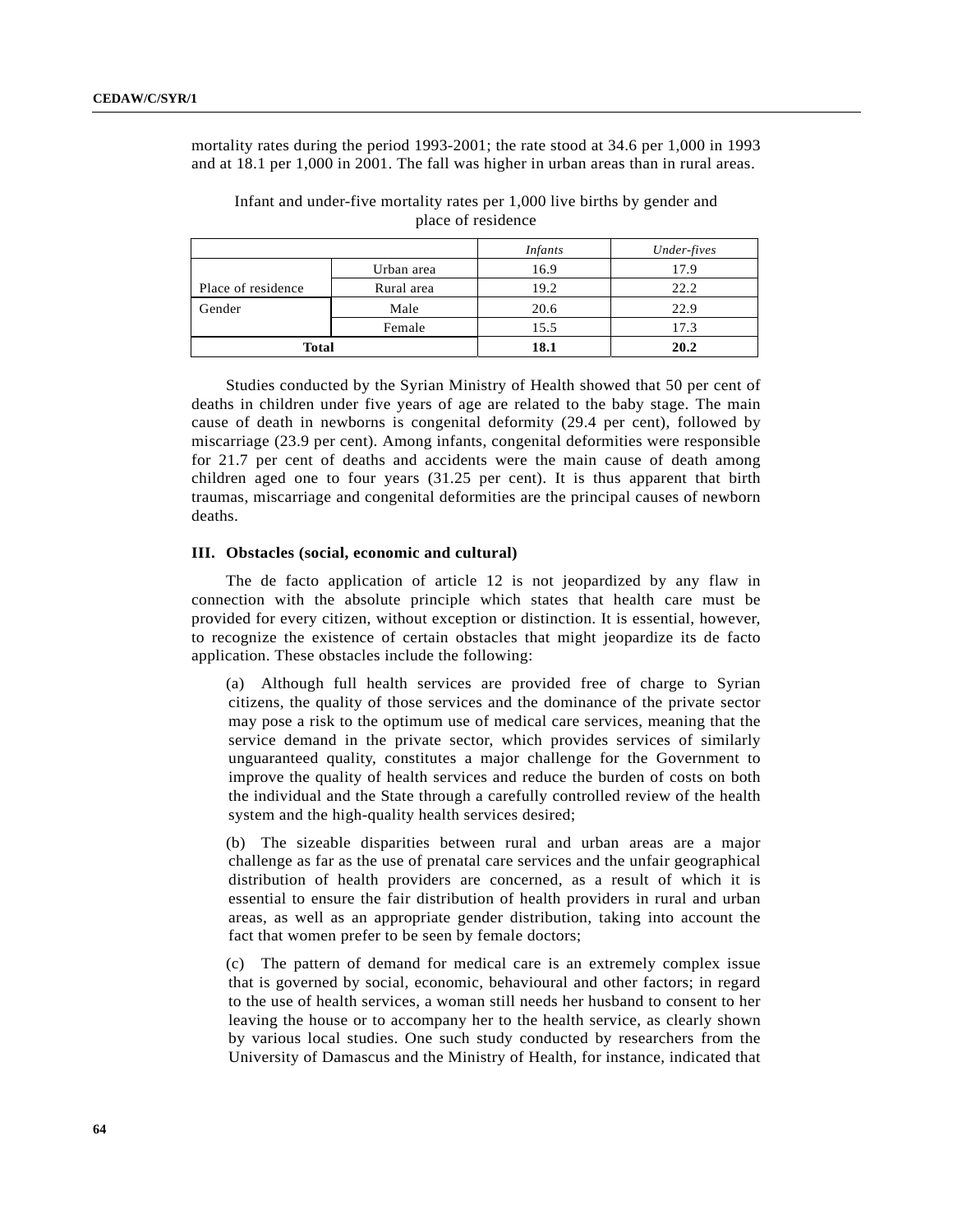mortality rates during the period 1993-2001; the rate stood at 34.6 per 1,000 in 1993 and at 18.1 per 1,000 in 2001. The fall was higher in urban areas than in rural areas.

|                    |            | <i>Infants</i> | Under-fives |
|--------------------|------------|----------------|-------------|
|                    | Urban area | 16.9           | 17.9        |
| Place of residence | Rural area | 19.2           | 22.2        |
| Gender             | Male       | 20.6           | 22.9        |
|                    | Female     | 15.5           | 17.3        |
| <b>Total</b>       |            | 18.1           | 20.2        |

Infant and under-five mortality rates per 1,000 live births by gender and place of residence

Studies conducted by the Syrian Ministry of Health showed that 50 per cent of deaths in children under five years of age are related to the baby stage. The main cause of death in newborns is congenital deformity (29.4 per cent), followed by miscarriage (23.9 per cent). Among infants, congenital deformities were responsible for 21.7 per cent of deaths and accidents were the main cause of death among children aged one to four years (31.25 per cent). It is thus apparent that birth traumas, miscarriage and congenital deformities are the principal causes of newborn deaths.

## **III. Obstacles (social, economic and cultural)**

The de facto application of article 12 is not jeopardized by any flaw in connection with the absolute principle which states that health care must be provided for every citizen, without exception or distinction. It is essential, however, to recognize the existence of certain obstacles that might jeopardize its de facto application. These obstacles include the following:

(a) Although full health services are provided free of charge to Syrian citizens, the quality of those services and the dominance of the private sector may pose a risk to the optimum use of medical care services, meaning that the service demand in the private sector, which provides services of similarly unguaranteed quality, constitutes a major challenge for the Government to improve the quality of health services and reduce the burden of costs on both the individual and the State through a carefully controlled review of the health system and the high-quality health services desired;

(b) The sizeable disparities between rural and urban areas are a major challenge as far as the use of prenatal care services and the unfair geographical distribution of health providers are concerned, as a result of which it is essential to ensure the fair distribution of health providers in rural and urban areas, as well as an appropriate gender distribution, taking into account the fact that women prefer to be seen by female doctors;

(c) The pattern of demand for medical care is an extremely complex issue that is governed by social, economic, behavioural and other factors; in regard to the use of health services, a woman still needs her husband to consent to her leaving the house or to accompany her to the health service, as clearly shown by various local studies. One such study conducted by researchers from the University of Damascus and the Ministry of Health, for instance, indicated that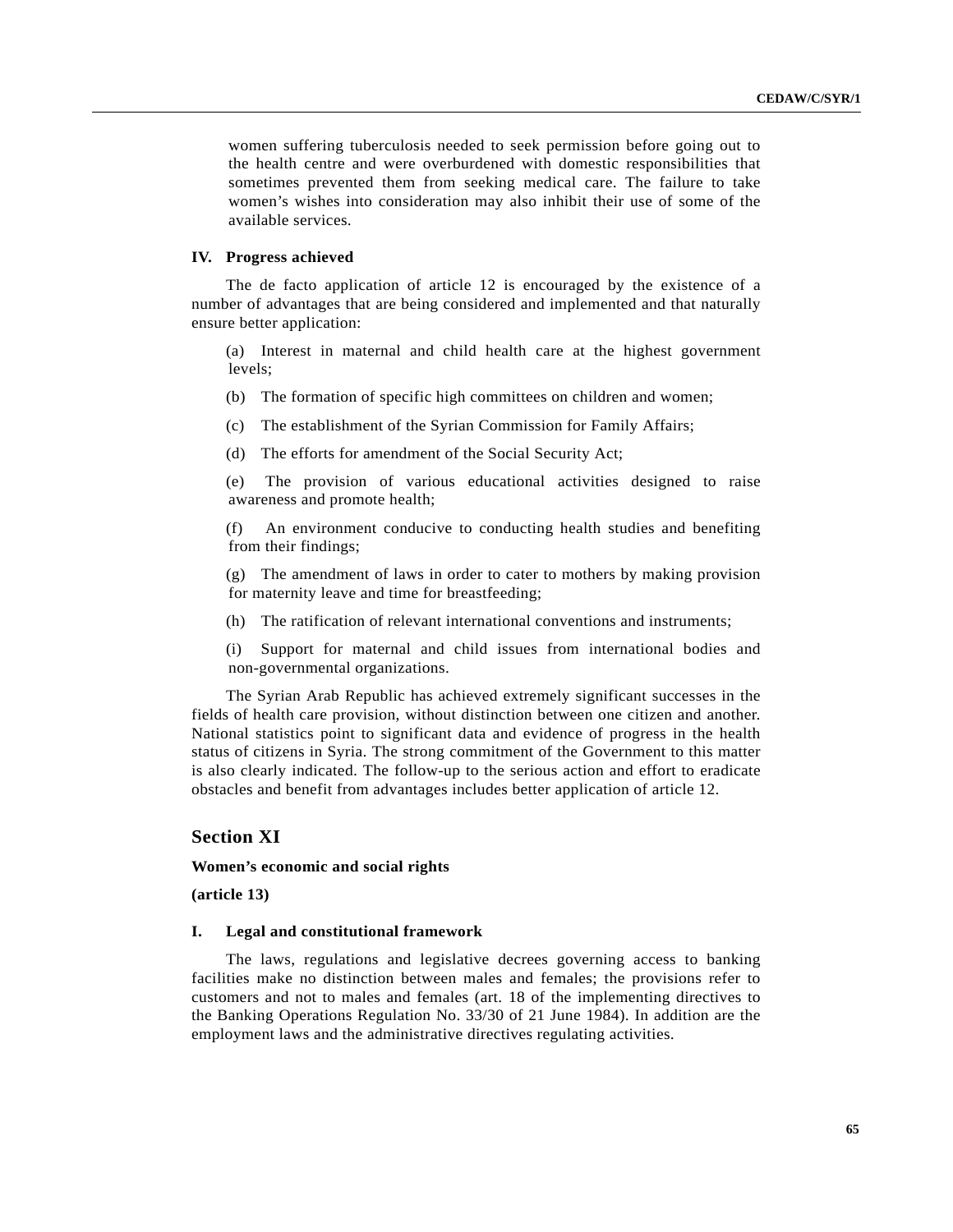women suffering tuberculosis needed to seek permission before going out to the health centre and were overburdened with domestic responsibilities that sometimes prevented them from seeking medical care. The failure to take women's wishes into consideration may also inhibit their use of some of the available services.

## **IV. Progress achieved**

The de facto application of article 12 is encouraged by the existence of a number of advantages that are being considered and implemented and that naturally ensure better application:

(a) Interest in maternal and child health care at the highest government levels;

- (b) The formation of specific high committees on children and women;
- (c) The establishment of the Syrian Commission for Family Affairs;
- (d) The efforts for amendment of the Social Security Act;

(e) The provision of various educational activities designed to raise awareness and promote health;

(f) An environment conducive to conducting health studies and benefiting from their findings;

(g) The amendment of laws in order to cater to mothers by making provision for maternity leave and time for breastfeeding;

- (h) The ratification of relevant international conventions and instruments;
- (i) Support for maternal and child issues from international bodies and non-governmental organizations.

The Syrian Arab Republic has achieved extremely significant successes in the fields of health care provision, without distinction between one citizen and another. National statistics point to significant data and evidence of progress in the health status of citizens in Syria. The strong commitment of the Government to this matter is also clearly indicated. The follow-up to the serious action and effort to eradicate obstacles and benefit from advantages includes better application of article 12.

# **Section XI**

## **Women's economic and social rights**

**(article 13)**

#### **I. Legal and constitutional framework**

The laws, regulations and legislative decrees governing access to banking facilities make no distinction between males and females; the provisions refer to customers and not to males and females (art. 18 of the implementing directives to the Banking Operations Regulation No. 33/30 of 21 June 1984). In addition are the employment laws and the administrative directives regulating activities.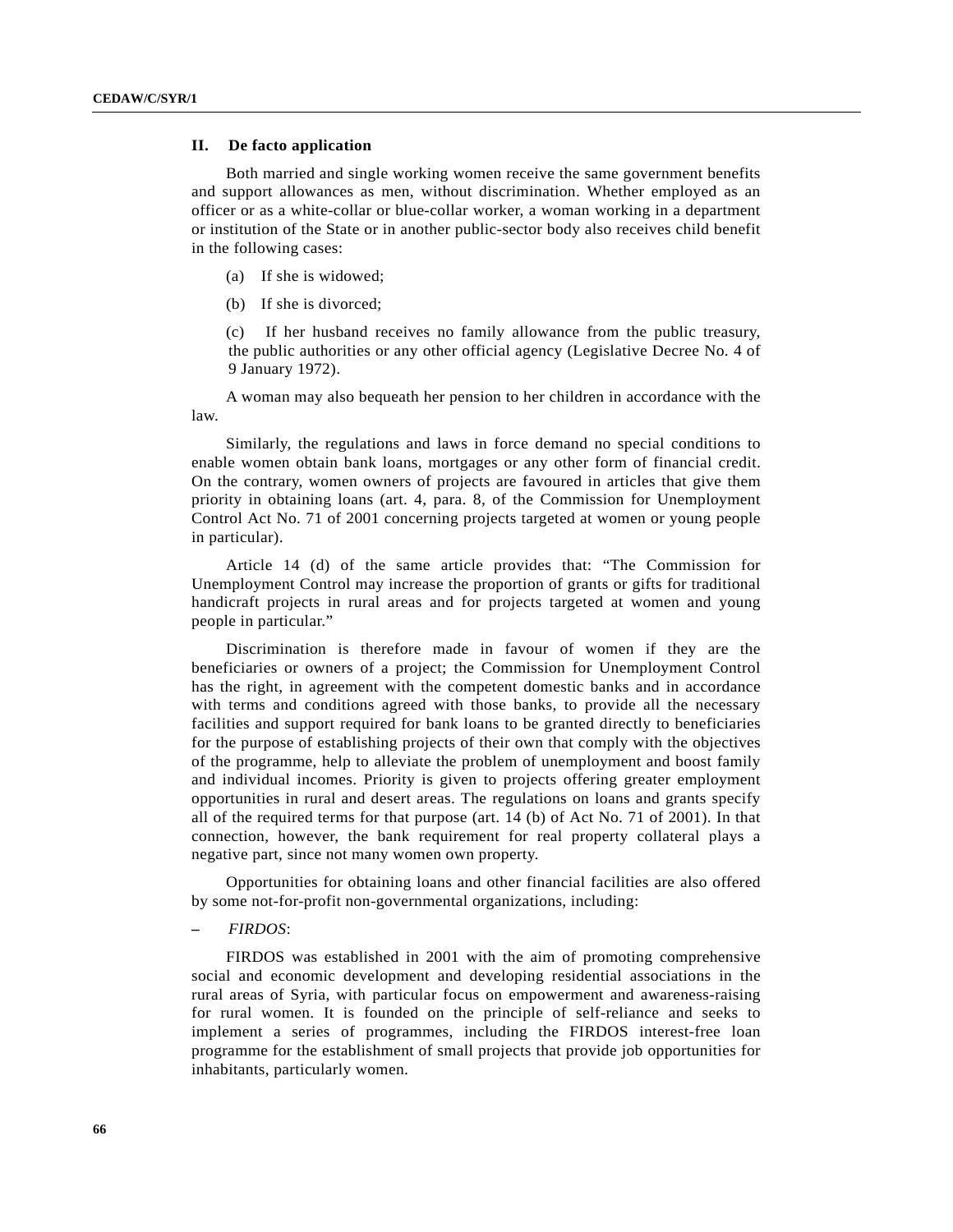# **II. De facto application**

Both married and single working women receive the same government benefits and support allowances as men, without discrimination. Whether employed as an officer or as a white-collar or blue-collar worker, a woman working in a department or institution of the State or in another public-sector body also receives child benefit in the following cases:

- (a) If she is widowed;
- (b) If she is divorced;

(c) If her husband receives no family allowance from the public treasury, the public authorities or any other official agency (Legislative Decree No. 4 of 9 January 1972).

A woman may also bequeath her pension to her children in accordance with the law.

Similarly, the regulations and laws in force demand no special conditions to enable women obtain bank loans, mortgages or any other form of financial credit. On the contrary, women owners of projects are favoured in articles that give them priority in obtaining loans (art. 4, para. 8, of the Commission for Unemployment Control Act No. 71 of 2001 concerning projects targeted at women or young people in particular).

Article 14 (d) of the same article provides that: "The Commission for Unemployment Control may increase the proportion of grants or gifts for traditional handicraft projects in rural areas and for projects targeted at women and young people in particular."

Discrimination is therefore made in favour of women if they are the beneficiaries or owners of a project; the Commission for Unemployment Control has the right, in agreement with the competent domestic banks and in accordance with terms and conditions agreed with those banks, to provide all the necessary facilities and support required for bank loans to be granted directly to beneficiaries for the purpose of establishing projects of their own that comply with the objectives of the programme, help to alleviate the problem of unemployment and boost family and individual incomes. Priority is given to projects offering greater employment opportunities in rural and desert areas. The regulations on loans and grants specify all of the required terms for that purpose (art. 14 (b) of Act No. 71 of 2001). In that connection, however, the bank requirement for real property collateral plays a negative part, since not many women own property.

Opportunities for obtaining loans and other financial facilities are also offered by some not-for-profit non-governmental organizations, including:

## **–** *FIRDOS*:

FIRDOS was established in 2001 with the aim of promoting comprehensive social and economic development and developing residential associations in the rural areas of Syria, with particular focus on empowerment and awareness-raising for rural women. It is founded on the principle of self-reliance and seeks to implement a series of programmes, including the FIRDOS interest-free loan programme for the establishment of small projects that provide job opportunities for inhabitants, particularly women.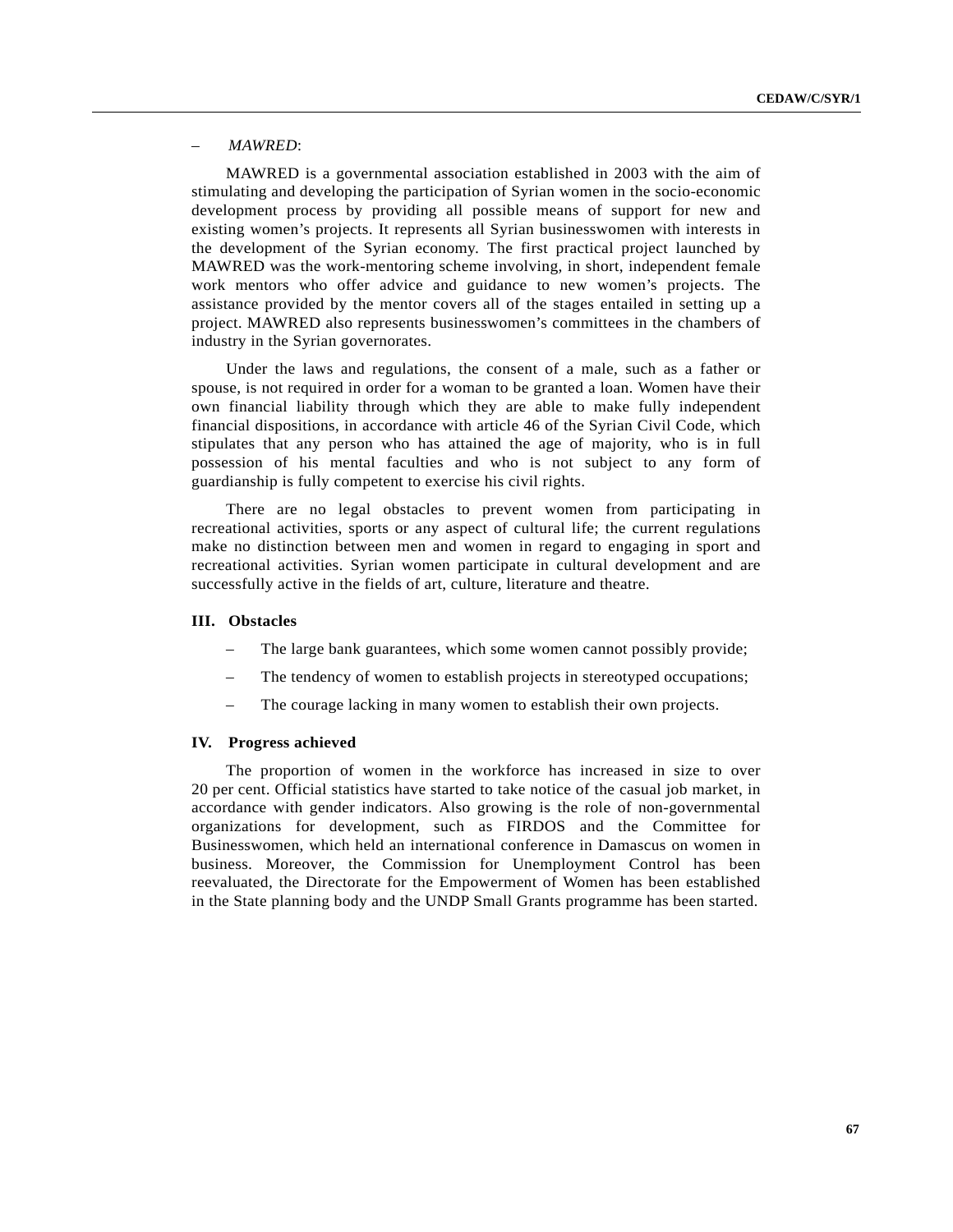# *– MAWRED*:

MAWRED is a governmental association established in 2003 with the aim of stimulating and developing the participation of Syrian women in the socio-economic development process by providing all possible means of support for new and existing women's projects. It represents all Syrian businesswomen with interests in the development of the Syrian economy. The first practical project launched by MAWRED was the work-mentoring scheme involving, in short, independent female work mentors who offer advice and guidance to new women's projects. The assistance provided by the mentor covers all of the stages entailed in setting up a project. MAWRED also represents businesswomen's committees in the chambers of industry in the Syrian governorates.

Under the laws and regulations, the consent of a male, such as a father or spouse, is not required in order for a woman to be granted a loan. Women have their own financial liability through which they are able to make fully independent financial dispositions, in accordance with article 46 of the Syrian Civil Code, which stipulates that any person who has attained the age of majority, who is in full possession of his mental faculties and who is not subject to any form of guardianship is fully competent to exercise his civil rights.

There are no legal obstacles to prevent women from participating in recreational activities, sports or any aspect of cultural life; the current regulations make no distinction between men and women in regard to engaging in sport and recreational activities. Syrian women participate in cultural development and are successfully active in the fields of art, culture, literature and theatre.

## **III. Obstacles**

- The large bank guarantees, which some women cannot possibly provide;
- The tendency of women to establish projects in stereotyped occupations;
- The courage lacking in many women to establish their own projects.

### **IV. Progress achieved**

The proportion of women in the workforce has increased in size to over 20 per cent. Official statistics have started to take notice of the casual job market, in accordance with gender indicators. Also growing is the role of non-governmental organizations for development, such as FIRDOS and the Committee for Businesswomen, which held an international conference in Damascus on women in business. Moreover, the Commission for Unemployment Control has been reevaluated, the Directorate for the Empowerment of Women has been established in the State planning body and the UNDP Small Grants programme has been started.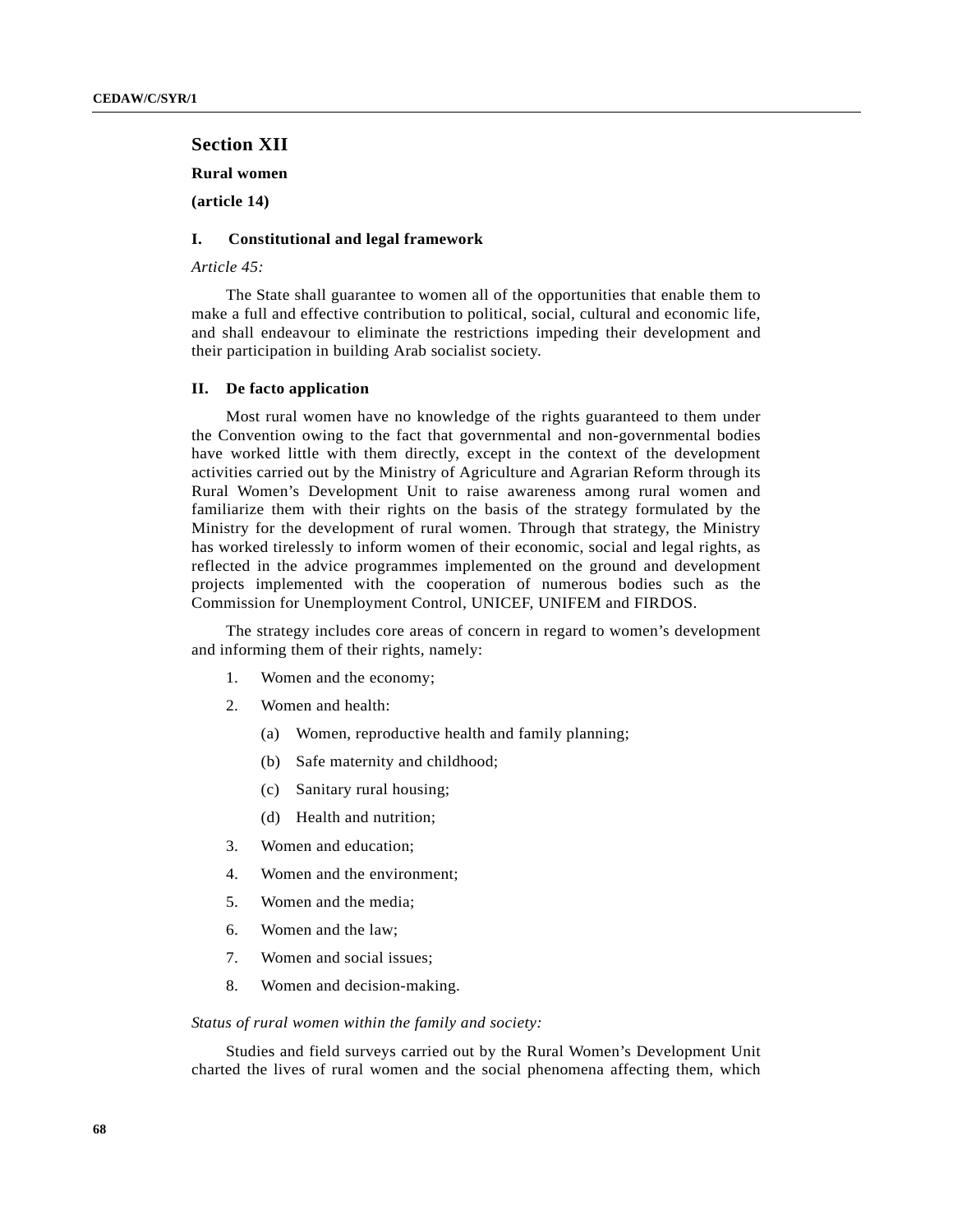# **Section XII**

**Rural women**

**(article 14)**

# **I. Constitutional and legal framework**

*Article 45:*

The State shall guarantee to women all of the opportunities that enable them to make a full and effective contribution to political, social, cultural and economic life, and shall endeavour to eliminate the restrictions impeding their development and their participation in building Arab socialist society.

### **II. De facto application**

Most rural women have no knowledge of the rights guaranteed to them under the Convention owing to the fact that governmental and non-governmental bodies have worked little with them directly, except in the context of the development activities carried out by the Ministry of Agriculture and Agrarian Reform through its Rural Women's Development Unit to raise awareness among rural women and familiarize them with their rights on the basis of the strategy formulated by the Ministry for the development of rural women. Through that strategy, the Ministry has worked tirelessly to inform women of their economic, social and legal rights, as reflected in the advice programmes implemented on the ground and development projects implemented with the cooperation of numerous bodies such as the Commission for Unemployment Control, UNICEF, UNIFEM and FIRDOS.

The strategy includes core areas of concern in regard to women's development and informing them of their rights, namely:

- 1. Women and the economy;
- 2. Women and health:
	- (a) Women, reproductive health and family planning;
	- (b) Safe maternity and childhood;
	- (c) Sanitary rural housing;
	- (d) Health and nutrition;
- 3. Women and education;
- 4. Women and the environment;
- 5. Women and the media;
- 6. Women and the law;
- 7. Women and social issues;
- 8. Women and decision-making.

#### *Status of rural women within the family and society:*

Studies and field surveys carried out by the Rural Women's Development Unit charted the lives of rural women and the social phenomena affecting them, which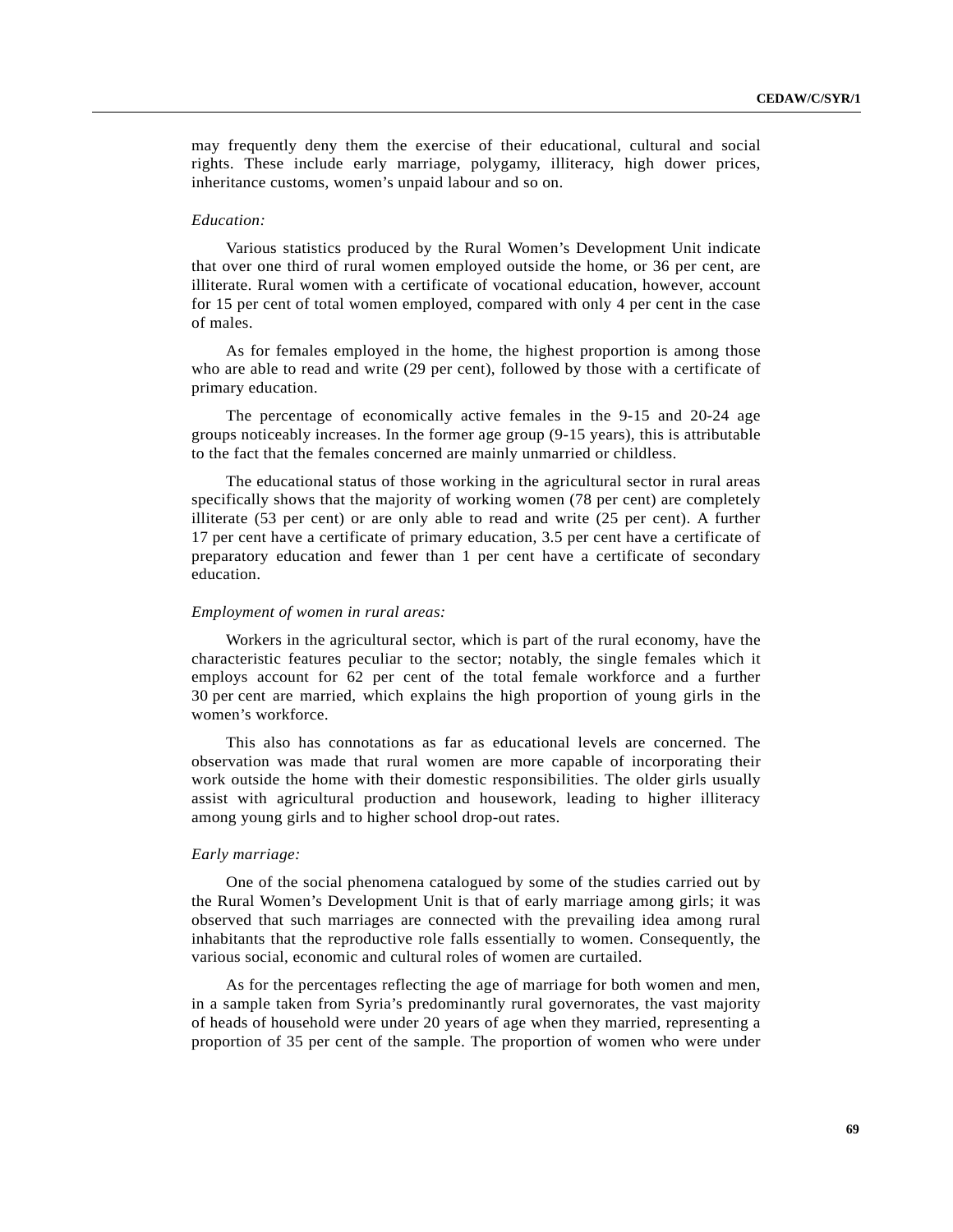may frequently deny them the exercise of their educational, cultural and social rights. These include early marriage, polygamy, illiteracy, high dower prices, inheritance customs, women's unpaid labour and so on.

## *Education:*

Various statistics produced by the Rural Women's Development Unit indicate that over one third of rural women employed outside the home, or 36 per cent, are illiterate. Rural women with a certificate of vocational education, however, account for 15 per cent of total women employed, compared with only 4 per cent in the case of males.

As for females employed in the home, the highest proportion is among those who are able to read and write (29 per cent), followed by those with a certificate of primary education.

The percentage of economically active females in the 9-15 and 20-24 age groups noticeably increases. In the former age group (9-15 years), this is attributable to the fact that the females concerned are mainly unmarried or childless.

The educational status of those working in the agricultural sector in rural areas specifically shows that the majority of working women (78 per cent) are completely illiterate (53 per cent) or are only able to read and write (25 per cent). A further 17 per cent have a certificate of primary education, 3.5 per cent have a certificate of preparatory education and fewer than 1 per cent have a certificate of secondary education.

## *Employment of women in rural areas:*

Workers in the agricultural sector, which is part of the rural economy, have the characteristic features peculiar to the sector; notably, the single females which it employs account for 62 per cent of the total female workforce and a further 30 per cent are married, which explains the high proportion of young girls in the women's workforce.

This also has connotations as far as educational levels are concerned. The observation was made that rural women are more capable of incorporating their work outside the home with their domestic responsibilities. The older girls usually assist with agricultural production and housework, leading to higher illiteracy among young girls and to higher school drop-out rates.

# *Early marriage:*

One of the social phenomena catalogued by some of the studies carried out by the Rural Women's Development Unit is that of early marriage among girls; it was observed that such marriages are connected with the prevailing idea among rural inhabitants that the reproductive role falls essentially to women. Consequently, the various social, economic and cultural roles of women are curtailed.

As for the percentages reflecting the age of marriage for both women and men, in a sample taken from Syria's predominantly rural governorates, the vast majority of heads of household were under 20 years of age when they married, representing a proportion of 35 per cent of the sample. The proportion of women who were under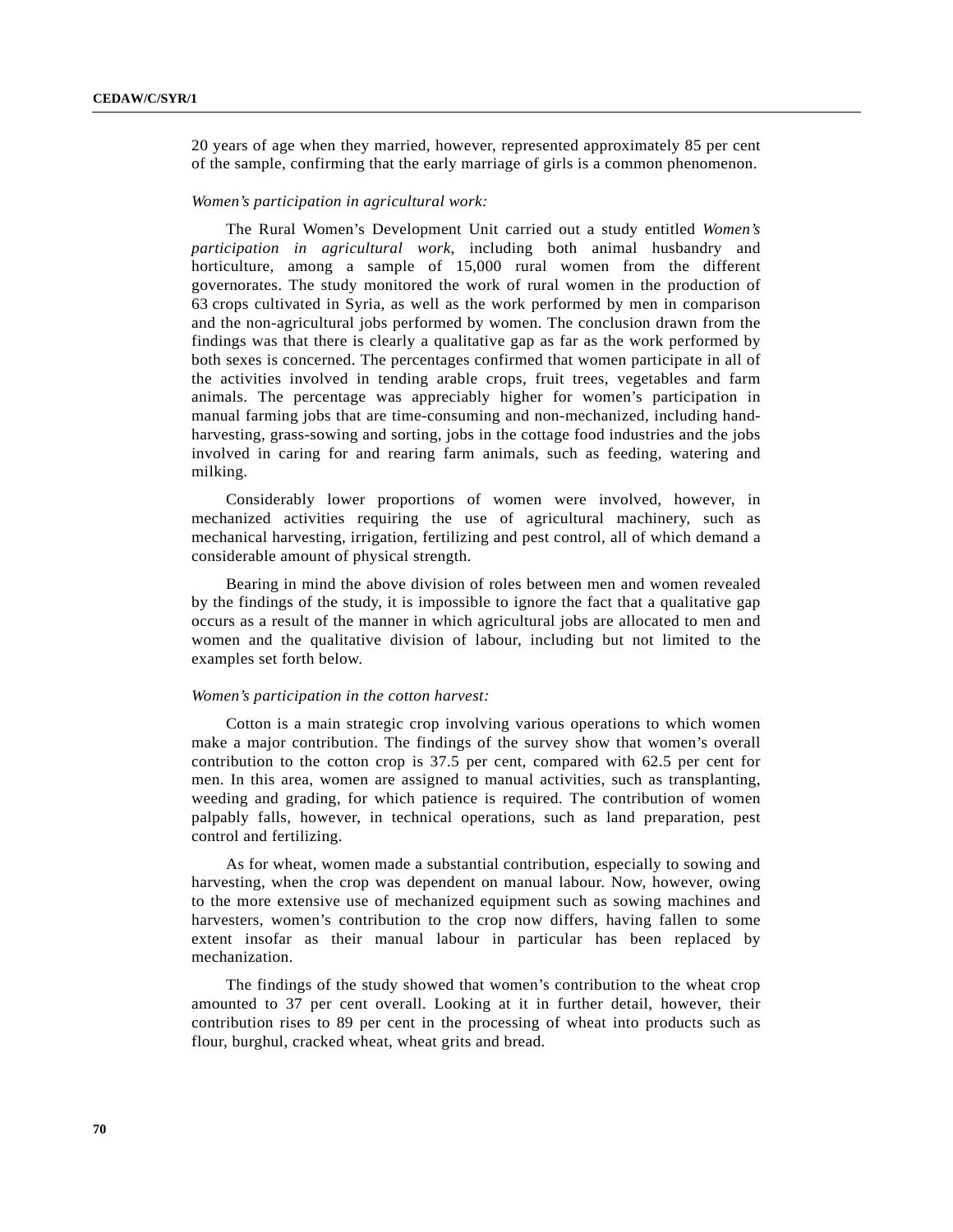20 years of age when they married, however, represented approximately 85 per cent of the sample, confirming that the early marriage of girls is a common phenomenon.

## *Women's participation in agricultural work:*

The Rural Women's Development Unit carried out a study entitled *Women's participation in agricultural work*, including both animal husbandry and horticulture, among a sample of 15,000 rural women from the different governorates. The study monitored the work of rural women in the production of 63 crops cultivated in Syria, as well as the work performed by men in comparison and the non-agricultural jobs performed by women. The conclusion drawn from the findings was that there is clearly a qualitative gap as far as the work performed by both sexes is concerned. The percentages confirmed that women participate in all of the activities involved in tending arable crops, fruit trees, vegetables and farm animals. The percentage was appreciably higher for women's participation in manual farming jobs that are time-consuming and non-mechanized, including handharvesting, grass-sowing and sorting, jobs in the cottage food industries and the jobs involved in caring for and rearing farm animals, such as feeding, watering and milking.

Considerably lower proportions of women were involved, however, in mechanized activities requiring the use of agricultural machinery, such as mechanical harvesting, irrigation, fertilizing and pest control, all of which demand a considerable amount of physical strength.

Bearing in mind the above division of roles between men and women revealed by the findings of the study, it is impossible to ignore the fact that a qualitative gap occurs as a result of the manner in which agricultural jobs are allocated to men and women and the qualitative division of labour, including but not limited to the examples set forth below.

#### *Women's participation in the cotton harvest:*

Cotton is a main strategic crop involving various operations to which women make a major contribution. The findings of the survey show that women's overall contribution to the cotton crop is 37.5 per cent, compared with 62.5 per cent for men. In this area, women are assigned to manual activities, such as transplanting, weeding and grading, for which patience is required. The contribution of women palpably falls, however, in technical operations, such as land preparation, pest control and fertilizing.

As for wheat, women made a substantial contribution, especially to sowing and harvesting, when the crop was dependent on manual labour. Now, however, owing to the more extensive use of mechanized equipment such as sowing machines and harvesters, women's contribution to the crop now differs, having fallen to some extent insofar as their manual labour in particular has been replaced by mechanization.

The findings of the study showed that women's contribution to the wheat crop amounted to 37 per cent overall. Looking at it in further detail, however, their contribution rises to 89 per cent in the processing of wheat into products such as flour, burghul, cracked wheat, wheat grits and bread.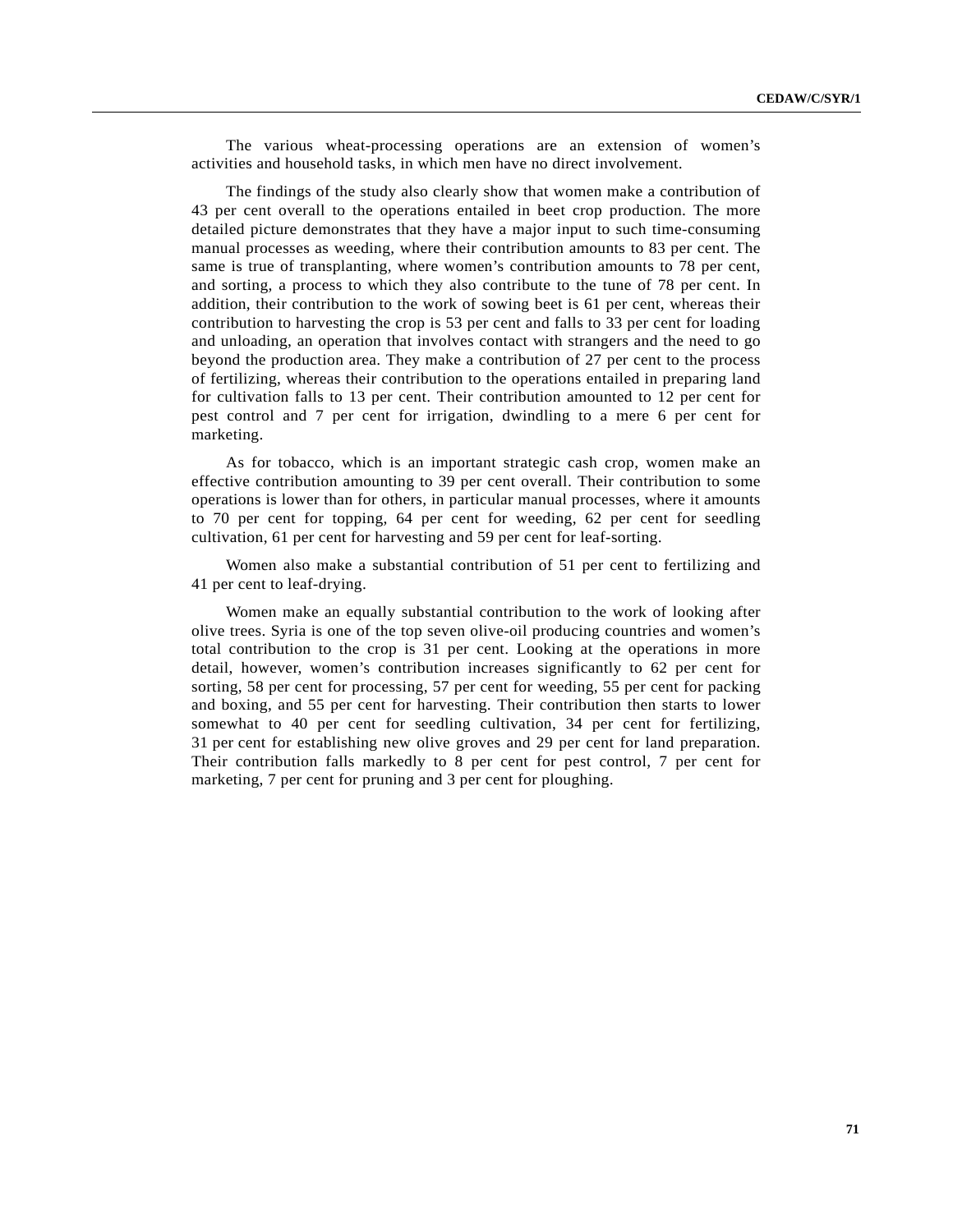The various wheat-processing operations are an extension of women's activities and household tasks, in which men have no direct involvement.

The findings of the study also clearly show that women make a contribution of 43 per cent overall to the operations entailed in beet crop production. The more detailed picture demonstrates that they have a major input to such time-consuming manual processes as weeding, where their contribution amounts to 83 per cent. The same is true of transplanting, where women's contribution amounts to 78 per cent, and sorting, a process to which they also contribute to the tune of 78 per cent. In addition, their contribution to the work of sowing beet is 61 per cent, whereas their contribution to harvesting the crop is 53 per cent and falls to 33 per cent for loading and unloading, an operation that involves contact with strangers and the need to go beyond the production area. They make a contribution of 27 per cent to the process of fertilizing, whereas their contribution to the operations entailed in preparing land for cultivation falls to 13 per cent. Their contribution amounted to 12 per cent for pest control and 7 per cent for irrigation, dwindling to a mere 6 per cent for marketing.

As for tobacco, which is an important strategic cash crop, women make an effective contribution amounting to 39 per cent overall. Their contribution to some operations is lower than for others, in particular manual processes, where it amounts to 70 per cent for topping, 64 per cent for weeding, 62 per cent for seedling cultivation, 61 per cent for harvesting and 59 per cent for leaf-sorting.

Women also make a substantial contribution of 51 per cent to fertilizing and 41 per cent to leaf-drying.

Women make an equally substantial contribution to the work of looking after olive trees. Syria is one of the top seven olive-oil producing countries and women's total contribution to the crop is 31 per cent. Looking at the operations in more detail, however, women's contribution increases significantly to 62 per cent for sorting, 58 per cent for processing, 57 per cent for weeding, 55 per cent for packing and boxing, and 55 per cent for harvesting. Their contribution then starts to lower somewhat to 40 per cent for seedling cultivation, 34 per cent for fertilizing, 31 per cent for establishing new olive groves and 29 per cent for land preparation. Their contribution falls markedly to 8 per cent for pest control, 7 per cent for marketing, 7 per cent for pruning and 3 per cent for ploughing.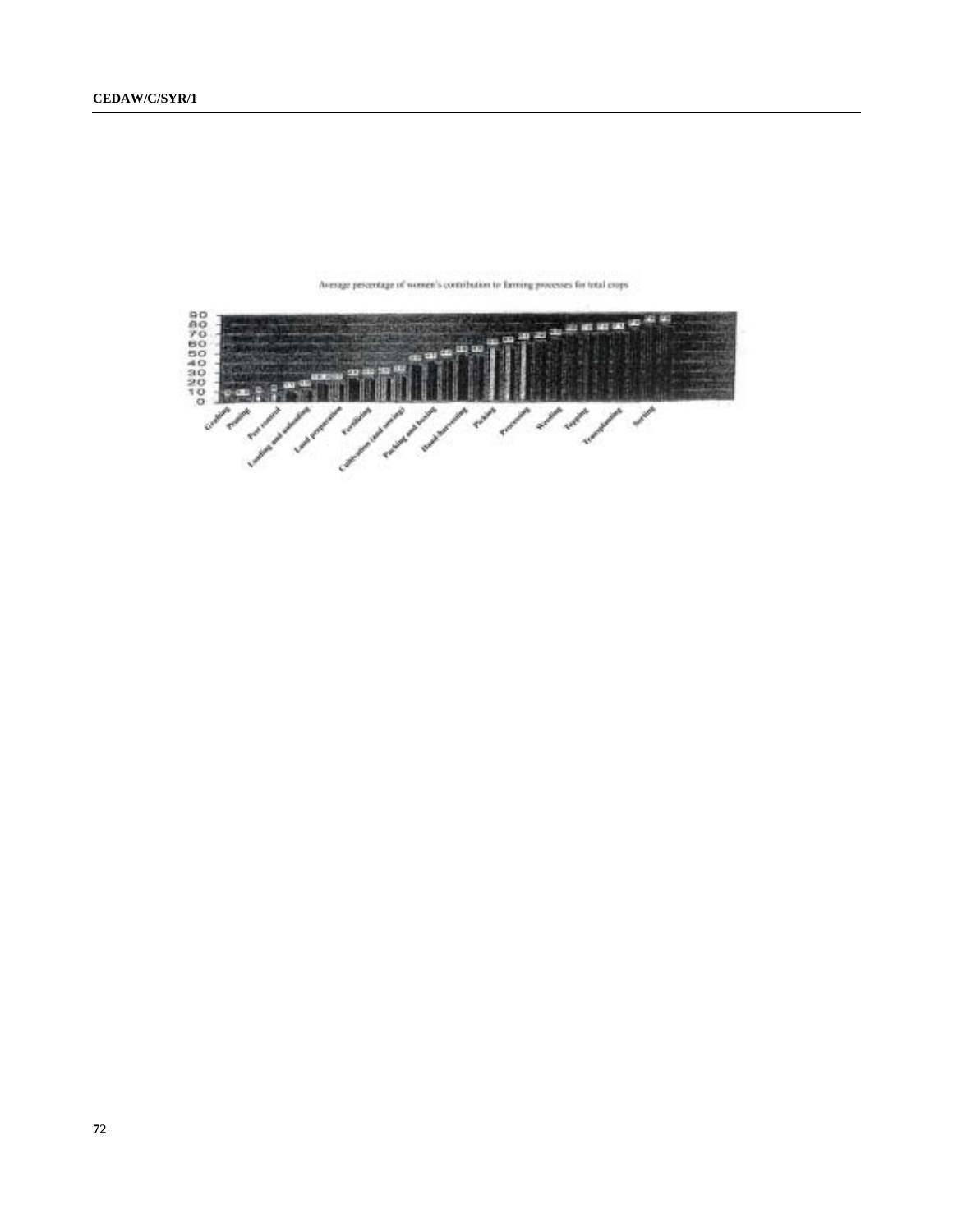

Average percentage of women's contribution to farming processes for total crops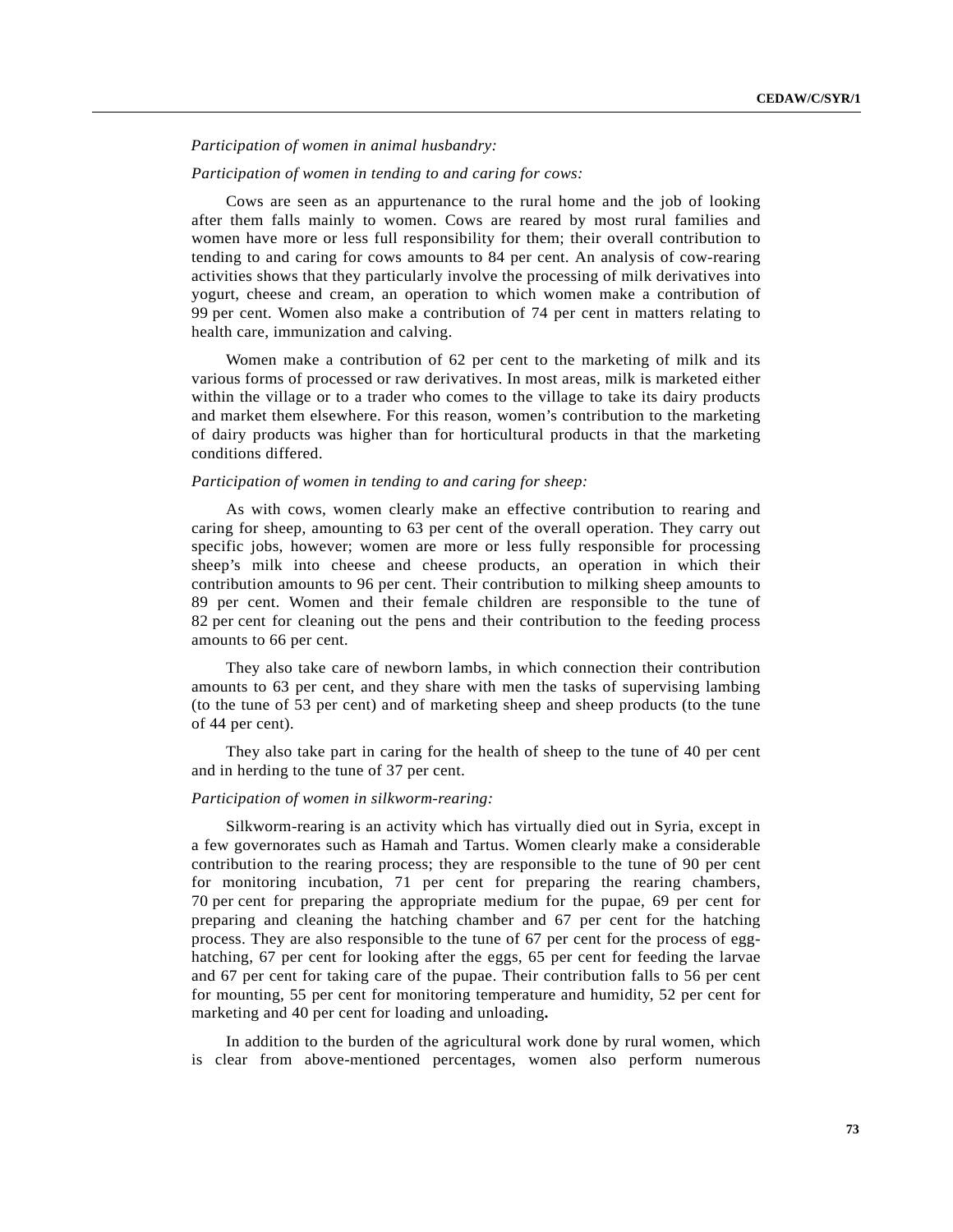*Participation of women in animal husbandry:*

#### *Participation of women in tending to and caring for cows:*

Cows are seen as an appurtenance to the rural home and the job of looking after them falls mainly to women. Cows are reared by most rural families and women have more or less full responsibility for them; their overall contribution to tending to and caring for cows amounts to 84 per cent. An analysis of cow-rearing activities shows that they particularly involve the processing of milk derivatives into yogurt, cheese and cream, an operation to which women make a contribution of 99 per cent. Women also make a contribution of 74 per cent in matters relating to health care, immunization and calving.

Women make a contribution of 62 per cent to the marketing of milk and its various forms of processed or raw derivatives. In most areas, milk is marketed either within the village or to a trader who comes to the village to take its dairy products and market them elsewhere. For this reason, women's contribution to the marketing of dairy products was higher than for horticultural products in that the marketing conditions differed.

### *Participation of women in tending to and caring for sheep:*

As with cows, women clearly make an effective contribution to rearing and caring for sheep, amounting to 63 per cent of the overall operation. They carry out specific jobs, however; women are more or less fully responsible for processing sheep's milk into cheese and cheese products, an operation in which their contribution amounts to 96 per cent. Their contribution to milking sheep amounts to 89 per cent. Women and their female children are responsible to the tune of 82 per cent for cleaning out the pens and their contribution to the feeding process amounts to 66 per cent.

They also take care of newborn lambs, in which connection their contribution amounts to 63 per cent, and they share with men the tasks of supervising lambing (to the tune of 53 per cent) and of marketing sheep and sheep products (to the tune of 44 per cent).

They also take part in caring for the health of sheep to the tune of 40 per cent and in herding to the tune of 37 per cent.

## *Participation of women in silkworm-rearing:*

Silkworm-rearing is an activity which has virtually died out in Syria, except in a few governorates such as Hamah and Tartus. Women clearly make a considerable contribution to the rearing process; they are responsible to the tune of 90 per cent for monitoring incubation, 71 per cent for preparing the rearing chambers, 70 per cent for preparing the appropriate medium for the pupae, 69 per cent for preparing and cleaning the hatching chamber and 67 per cent for the hatching process. They are also responsible to the tune of 67 per cent for the process of egghatching, 67 per cent for looking after the eggs, 65 per cent for feeding the larvae and 67 per cent for taking care of the pupae. Their contribution falls to 56 per cent for mounting, 55 per cent for monitoring temperature and humidity, 52 per cent for marketing and 40 per cent for loading and unloading**.**

In addition to the burden of the agricultural work done by rural women, which is clear from above-mentioned percentages, women also perform numerous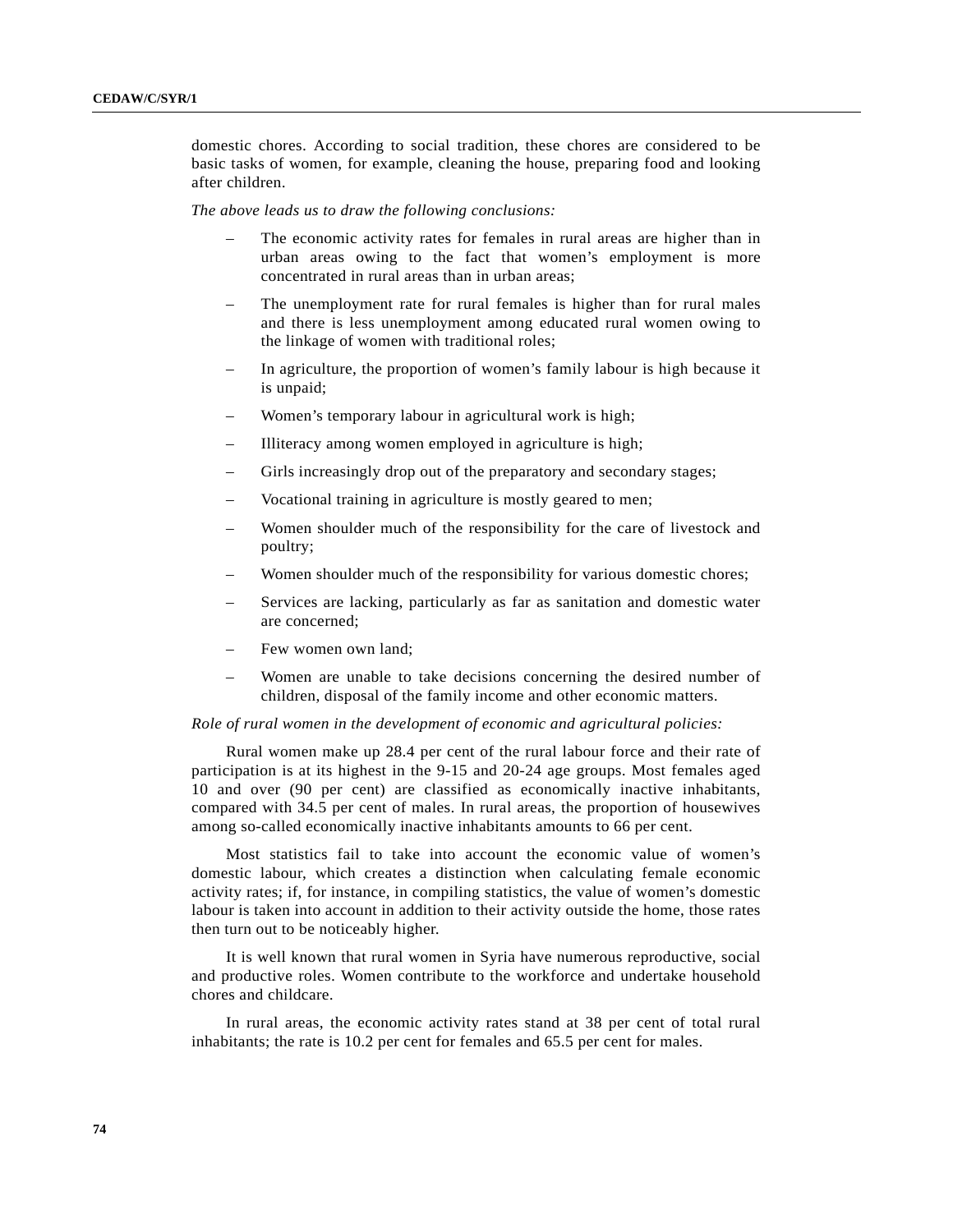domestic chores. According to social tradition, these chores are considered to be basic tasks of women, for example, cleaning the house, preparing food and looking after children.

*The above leads us to draw the following conclusions:*

- The economic activity rates for females in rural areas are higher than in urban areas owing to the fact that women's employment is more concentrated in rural areas than in urban areas;
- The unemployment rate for rural females is higher than for rural males and there is less unemployment among educated rural women owing to the linkage of women with traditional roles;
- In agriculture, the proportion of women's family labour is high because it is unpaid;
- Women's temporary labour in agricultural work is high;
- Illiteracy among women employed in agriculture is high;
- Girls increasingly drop out of the preparatory and secondary stages;
- Vocational training in agriculture is mostly geared to men;
- Women shoulder much of the responsibility for the care of livestock and poultry;
- Women shoulder much of the responsibility for various domestic chores;
- Services are lacking, particularly as far as sanitation and domestic water are concerned;
- Few women own land;
- Women are unable to take decisions concerning the desired number of children, disposal of the family income and other economic matters.

### *Role of rural women in the development of economic and agricultural policies:*

Rural women make up 28.4 per cent of the rural labour force and their rate of participation is at its highest in the 9-15 and 20-24 age groups. Most females aged 10 and over (90 per cent) are classified as economically inactive inhabitants, compared with 34.5 per cent of males. In rural areas, the proportion of housewives among so-called economically inactive inhabitants amounts to 66 per cent.

Most statistics fail to take into account the economic value of women's domestic labour, which creates a distinction when calculating female economic activity rates; if, for instance, in compiling statistics, the value of women's domestic labour is taken into account in addition to their activity outside the home, those rates then turn out to be noticeably higher.

It is well known that rural women in Syria have numerous reproductive, social and productive roles. Women contribute to the workforce and undertake household chores and childcare.

In rural areas, the economic activity rates stand at 38 per cent of total rural inhabitants; the rate is 10.2 per cent for females and 65.5 per cent for males.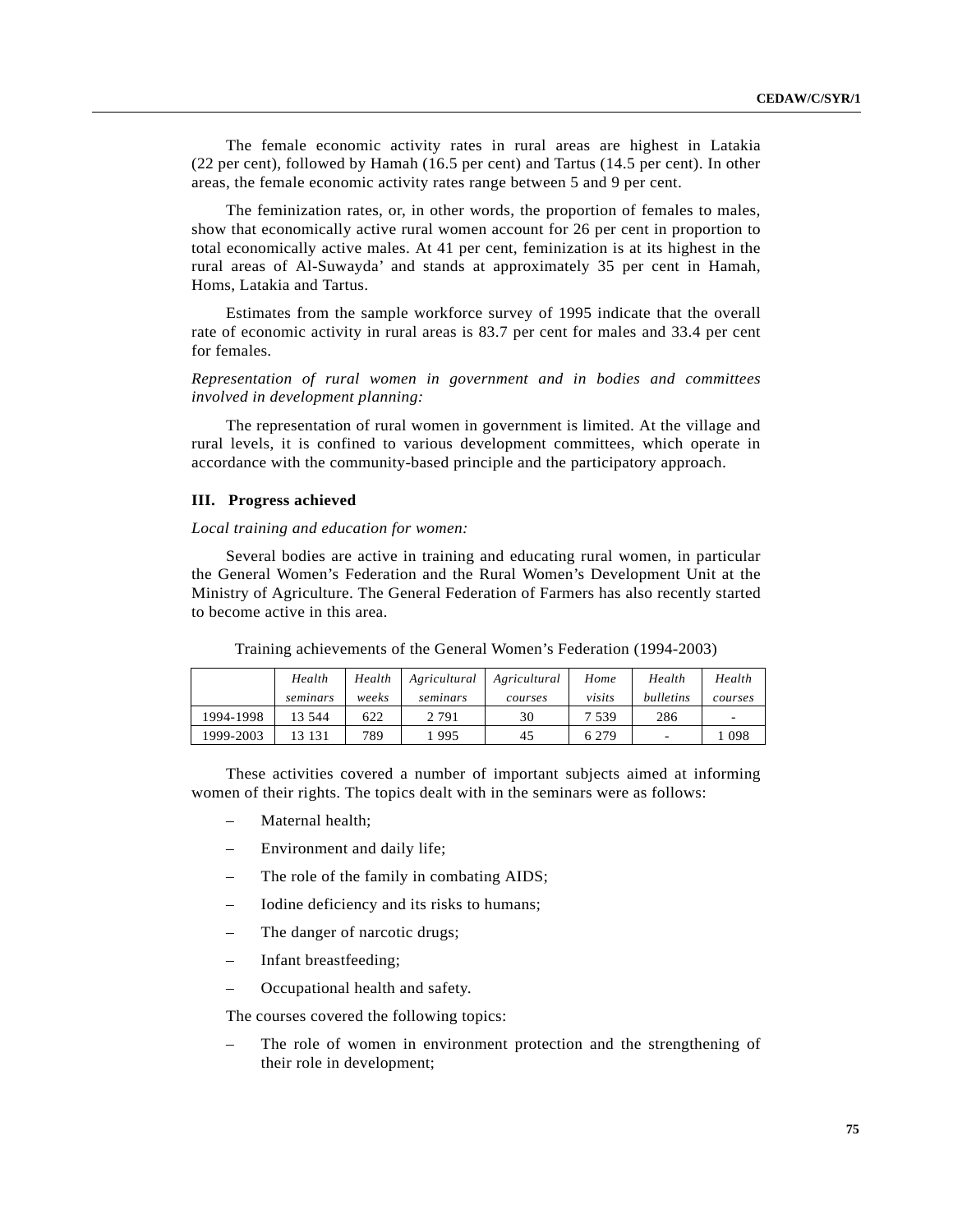The female economic activity rates in rural areas are highest in Latakia (22 per cent), followed by Hamah (16.5 per cent) and Tartus (14.5 per cent). In other areas, the female economic activity rates range between 5 and 9 per cent.

The feminization rates, or, in other words, the proportion of females to males, show that economically active rural women account for 26 per cent in proportion to total economically active males. At 41 per cent, feminization is at its highest in the rural areas of Al-Suwayda' and stands at approximately 35 per cent in Hamah, Homs, Latakia and Tartus.

Estimates from the sample workforce survey of 1995 indicate that the overall rate of economic activity in rural areas is 83.7 per cent for males and 33.4 per cent for females.

*Representation of rural women in government and in bodies and committees involved in development planning:*

The representation of rural women in government is limited. At the village and rural levels, it is confined to various development committees, which operate in accordance with the community-based principle and the participatory approach.

#### **III. Progress achieved**

### *Local training and education for women:*

Several bodies are active in training and educating rural women, in particular the General Women's Federation and the Rural Women's Development Unit at the Ministry of Agriculture. The General Federation of Farmers has also recently started to become active in this area.

|           | Health   | Health | Agricultural | Agricultural | Home    | Health         | Health  |
|-----------|----------|--------|--------------|--------------|---------|----------------|---------|
|           | seminars | weeks  | seminars     | courses      | visits  | bulletins      | courses |
| 1994-1998 | 13.544   | 622    | 2 7 9 1      | 30           | 7 539   | 286            | -       |
| 1999-2003 | 13 131   | 789    | 995          | 45           | 6 2 7 9 | $\overline{a}$ | 098     |

Training achievements of the General Women's Federation (1994-2003)

These activities covered a number of important subjects aimed at informing women of their rights. The topics dealt with in the seminars were as follows:

- Maternal health;
- Environment and daily life;
- The role of the family in combating AIDS;
- Iodine deficiency and its risks to humans;
- The danger of narcotic drugs;
- Infant breastfeeding;
- Occupational health and safety.

The courses covered the following topics:

The role of women in environment protection and the strengthening of their role in development;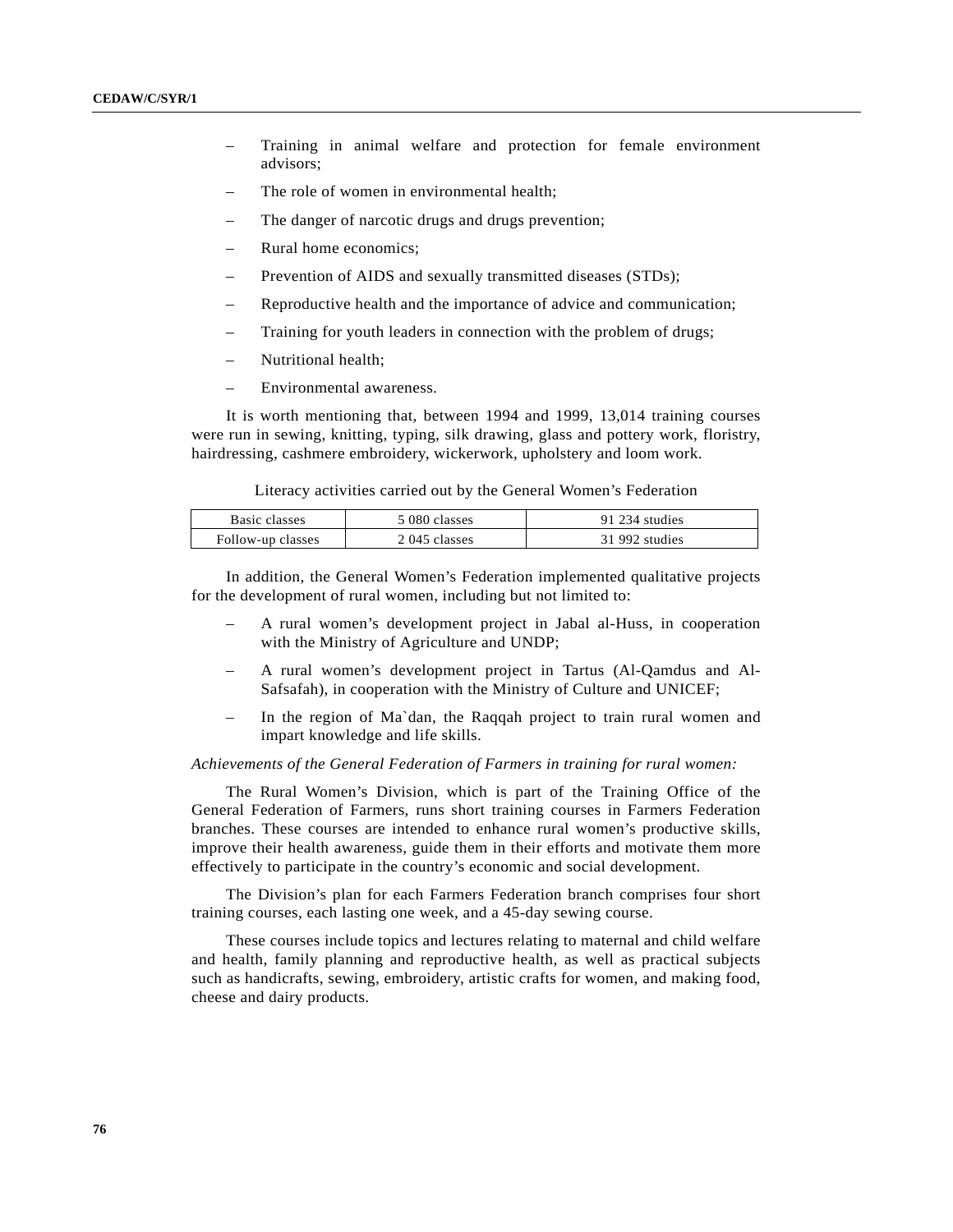- Training in animal welfare and protection for female environment advisors;
- The role of women in environmental health;
- The danger of narcotic drugs and drugs prevention;
- Rural home economics;
- Prevention of AIDS and sexually transmitted diseases (STDs);
- Reproductive health and the importance of advice and communication;
- Training for youth leaders in connection with the problem of drugs;
- Nutritional health;
- Environmental awareness.

It is worth mentioning that, between 1994 and 1999, 13,014 training courses were run in sewing, knitting, typing, silk drawing, glass and pottery work, floristry, hairdressing, cashmere embroidery, wickerwork, upholstery and loom work.

Literacy activities carried out by the General Women's Federation

| Basic classes     | 5 080 classes | 91 234 studies |
|-------------------|---------------|----------------|
| Follow-up classes | 2 045 classes | 31 992 studies |

In addition, the General Women's Federation implemented qualitative projects for the development of rural women, including but not limited to:

- A rural women's development project in Jabal al-Huss, in cooperation with the Ministry of Agriculture and UNDP;
- A rural women's development project in Tartus (Al-Qamdus and Al-Safsafah), in cooperation with the Ministry of Culture and UNICEF;
- In the region of Ma`dan, the Raqqah project to train rural women and impart knowledge and life skills.

#### *Achievements of the General Federation of Farmers in training for rural women:*

The Rural Women's Division, which is part of the Training Office of the General Federation of Farmers, runs short training courses in Farmers Federation branches. These courses are intended to enhance rural women's productive skills, improve their health awareness, guide them in their efforts and motivate them more effectively to participate in the country's economic and social development.

The Division's plan for each Farmers Federation branch comprises four short training courses, each lasting one week, and a 45-day sewing course.

These courses include topics and lectures relating to maternal and child welfare and health, family planning and reproductive health, as well as practical subjects such as handicrafts, sewing, embroidery, artistic crafts for women, and making food, cheese and dairy products.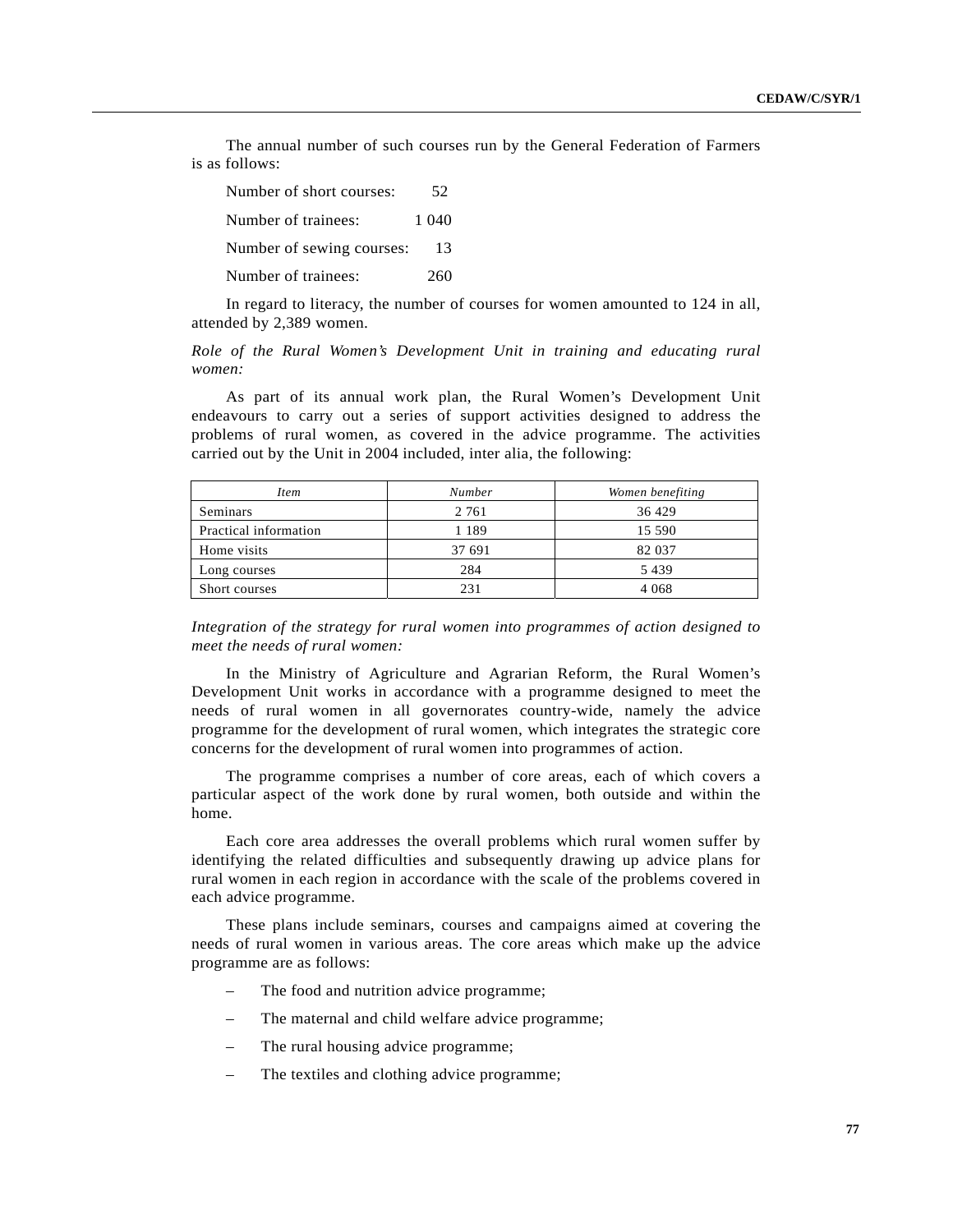The annual number of such courses run by the General Federation of Farmers is as follows:

| Number of short courses:  | 52    |
|---------------------------|-------|
| Number of trainees:       | 1 040 |
| Number of sewing courses: | 13    |
| Number of trainees:       | 260   |

In regard to literacy, the number of courses for women amounted to 124 in all, attended by 2,389 women.

*Role of the Rural Women's Development Unit in training and educating rural women:*

As part of its annual work plan, the Rural Women's Development Unit endeavours to carry out a series of support activities designed to address the problems of rural women, as covered in the advice programme. The activities carried out by the Unit in 2004 included, inter alia, the following:

| <i>Item</i>           | <b>Number</b> | Women benefiting |  |
|-----------------------|---------------|------------------|--|
| Seminars              | 2 7 6 1       | 36 4 29          |  |
| Practical information | 1 1 8 9       | 15 590           |  |
| Home visits           | 37 691        | 82 037           |  |
| Long courses          | 284           | 5439             |  |
| Short courses         | 231           | 4 0 6 8          |  |

*Integration of the strategy for rural women into programmes of action designed to meet the needs of rural women:*

In the Ministry of Agriculture and Agrarian Reform, the Rural Women's Development Unit works in accordance with a programme designed to meet the needs of rural women in all governorates country-wide, namely the advice programme for the development of rural women, which integrates the strategic core concerns for the development of rural women into programmes of action.

The programme comprises a number of core areas, each of which covers a particular aspect of the work done by rural women, both outside and within the home.

Each core area addresses the overall problems which rural women suffer by identifying the related difficulties and subsequently drawing up advice plans for rural women in each region in accordance with the scale of the problems covered in each advice programme.

These plans include seminars, courses and campaigns aimed at covering the needs of rural women in various areas. The core areas which make up the advice programme are as follows:

- The food and nutrition advice programme;
- The maternal and child welfare advice programme;
- The rural housing advice programme;
- The textiles and clothing advice programme;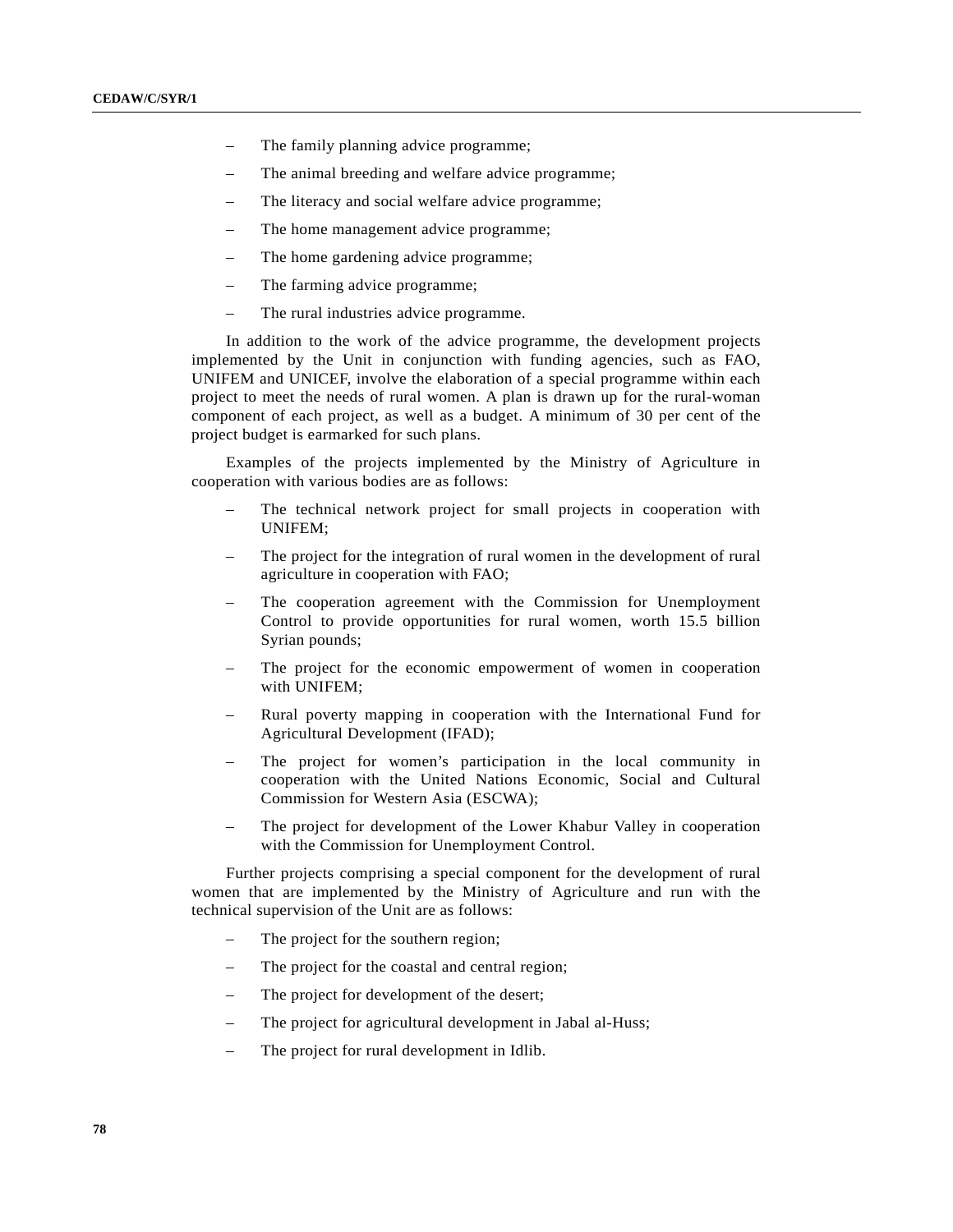- The family planning advice programme;
- The animal breeding and welfare advice programme;
- The literacy and social welfare advice programme;
- The home management advice programme;
- The home gardening advice programme;
- The farming advice programme;
- The rural industries advice programme.

In addition to the work of the advice programme, the development projects implemented by the Unit in conjunction with funding agencies, such as FAO, UNIFEM and UNICEF, involve the elaboration of a special programme within each project to meet the needs of rural women. A plan is drawn up for the rural-woman component of each project, as well as a budget. A minimum of 30 per cent of the project budget is earmarked for such plans.

Examples of the projects implemented by the Ministry of Agriculture in cooperation with various bodies are as follows:

- The technical network project for small projects in cooperation with UNIFEM;
- The project for the integration of rural women in the development of rural agriculture in cooperation with FAO;
- The cooperation agreement with the Commission for Unemployment Control to provide opportunities for rural women, worth 15.5 billion Syrian pounds;
- The project for the economic empowerment of women in cooperation with UNIFEM;
- Rural poverty mapping in cooperation with the International Fund for Agricultural Development (IFAD);
- The project for women's participation in the local community in cooperation with the United Nations Economic, Social and Cultural Commission for Western Asia (ESCWA);
- The project for development of the Lower Khabur Valley in cooperation with the Commission for Unemployment Control.

Further projects comprising a special component for the development of rural women that are implemented by the Ministry of Agriculture and run with the technical supervision of the Unit are as follows:

- The project for the southern region;
- The project for the coastal and central region;
- The project for development of the desert;
- The project for agricultural development in Jabal al-Huss;
- The project for rural development in Idlib.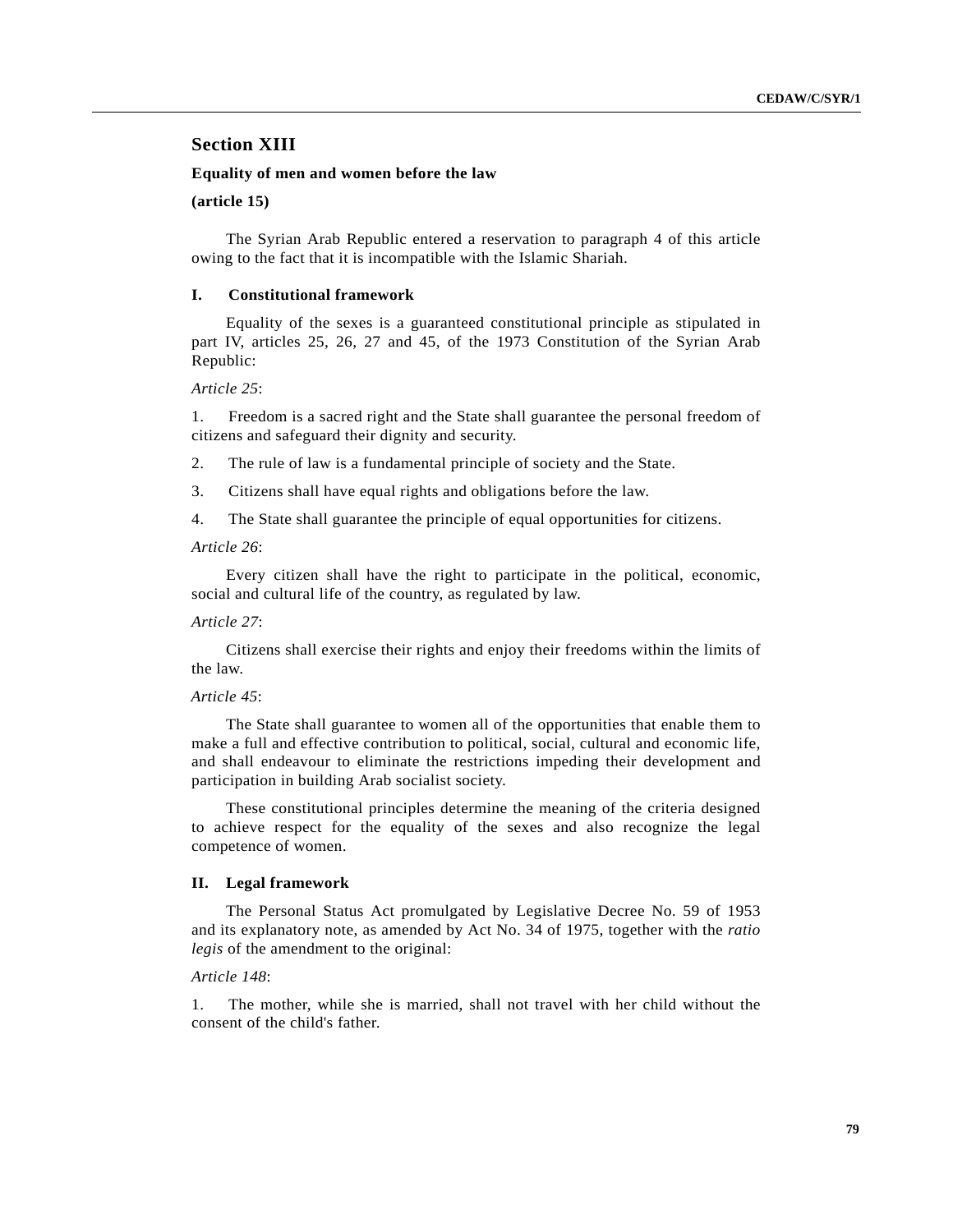# **Section XIII**

### **Equality of men and women before the law**

## **(article 15)**

The Syrian Arab Republic entered a reservation to paragraph 4 of this article owing to the fact that it is incompatible with the Islamic Shariah.

### **I. Constitutional framework**

Equality of the sexes is a guaranteed constitutional principle as stipulated in part IV, articles 25, 26, 27 and 45, of the 1973 Constitution of the Syrian Arab Republic:

*Article 25*:

1. Freedom is a sacred right and the State shall guarantee the personal freedom of citizens and safeguard their dignity and security.

- 2. The rule of law is a fundamental principle of society and the State.
- 3. Citizens shall have equal rights and obligations before the law.
- 4. The State shall guarantee the principle of equal opportunities for citizens.

### *Article 26*:

Every citizen shall have the right to participate in the political, economic, social and cultural life of the country, as regulated by law.

## *Article 27*:

Citizens shall exercise their rights and enjoy their freedoms within the limits of the law.

#### *Article 45*:

The State shall guarantee to women all of the opportunities that enable them to make a full and effective contribution to political, social, cultural and economic life, and shall endeavour to eliminate the restrictions impeding their development and participation in building Arab socialist society.

These constitutional principles determine the meaning of the criteria designed to achieve respect for the equality of the sexes and also recognize the legal competence of women.

### **II. Legal framework**

The Personal Status Act promulgated by Legislative Decree No. 59 of 1953 and its explanatory note, as amended by Act No. 34 of 1975, together with the *ratio legis* of the amendment to the original:

# *Article 148*:

1. The mother, while she is married, shall not travel with her child without the consent of the child's father.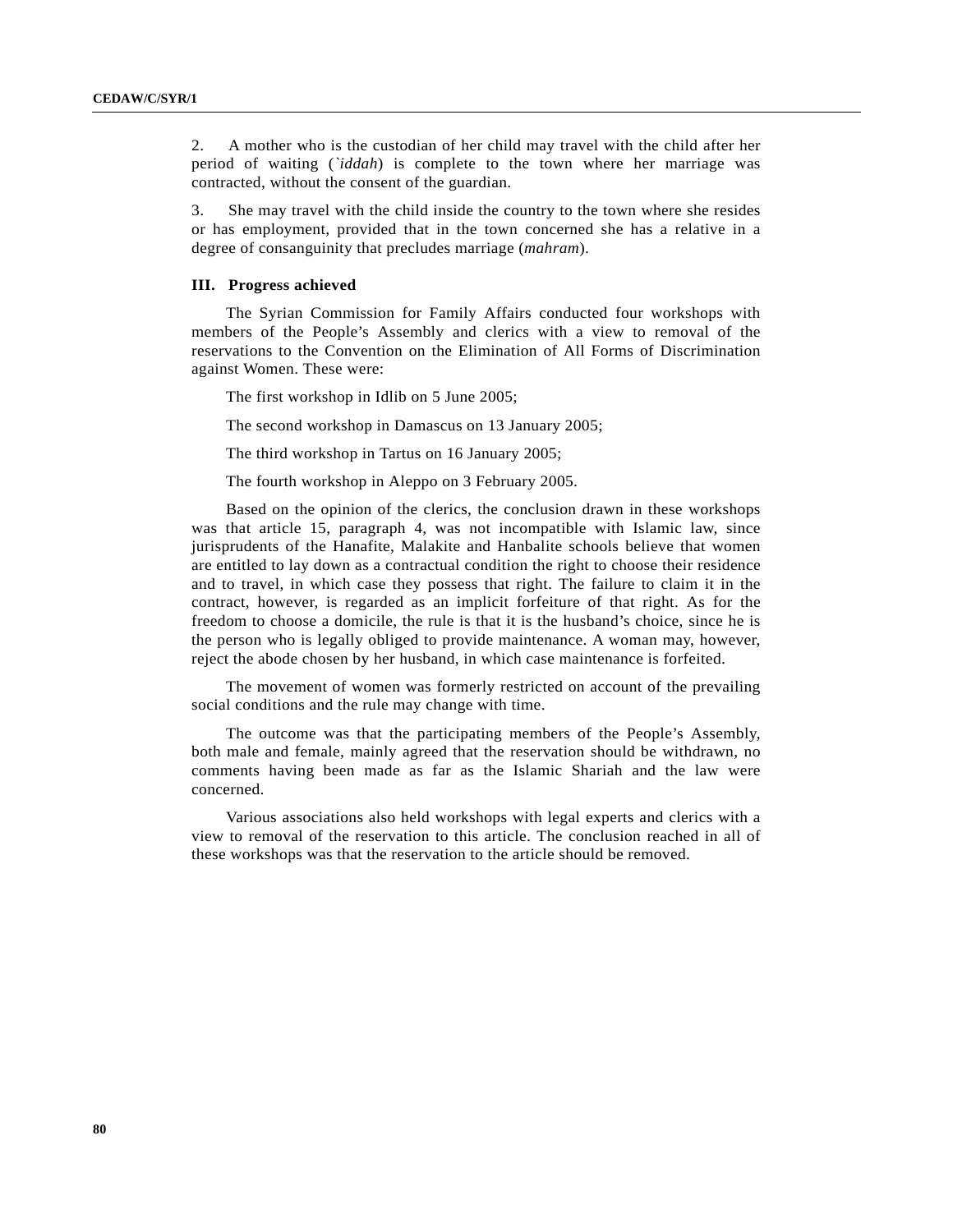2. A mother who is the custodian of her child may travel with the child after her period of waiting (*`iddah*) is complete to the town where her marriage was contracted, without the consent of the guardian.

3. She may travel with the child inside the country to the town where she resides or has employment, provided that in the town concerned she has a relative in a degree of consanguinity that precludes marriage (*mahram*).

### **III. Progress achieved**

The Syrian Commission for Family Affairs conducted four workshops with members of the People's Assembly and clerics with a view to removal of the reservations to the Convention on the Elimination of All Forms of Discrimination against Women. These were:

The first workshop in Idlib on 5 June 2005;

The second workshop in Damascus on 13 January 2005;

The third workshop in Tartus on 16 January 2005;

The fourth workshop in Aleppo on 3 February 2005.

Based on the opinion of the clerics, the conclusion drawn in these workshops was that article 15, paragraph 4, was not incompatible with Islamic law, since jurisprudents of the Hanafite, Malakite and Hanbalite schools believe that women are entitled to lay down as a contractual condition the right to choose their residence and to travel, in which case they possess that right. The failure to claim it in the contract, however, is regarded as an implicit forfeiture of that right. As for the freedom to choose a domicile, the rule is that it is the husband's choice, since he is the person who is legally obliged to provide maintenance. A woman may, however, reject the abode chosen by her husband, in which case maintenance is forfeited.

The movement of women was formerly restricted on account of the prevailing social conditions and the rule may change with time.

The outcome was that the participating members of the People's Assembly, both male and female, mainly agreed that the reservation should be withdrawn, no comments having been made as far as the Islamic Shariah and the law were concerned.

Various associations also held workshops with legal experts and clerics with a view to removal of the reservation to this article. The conclusion reached in all of these workshops was that the reservation to the article should be removed.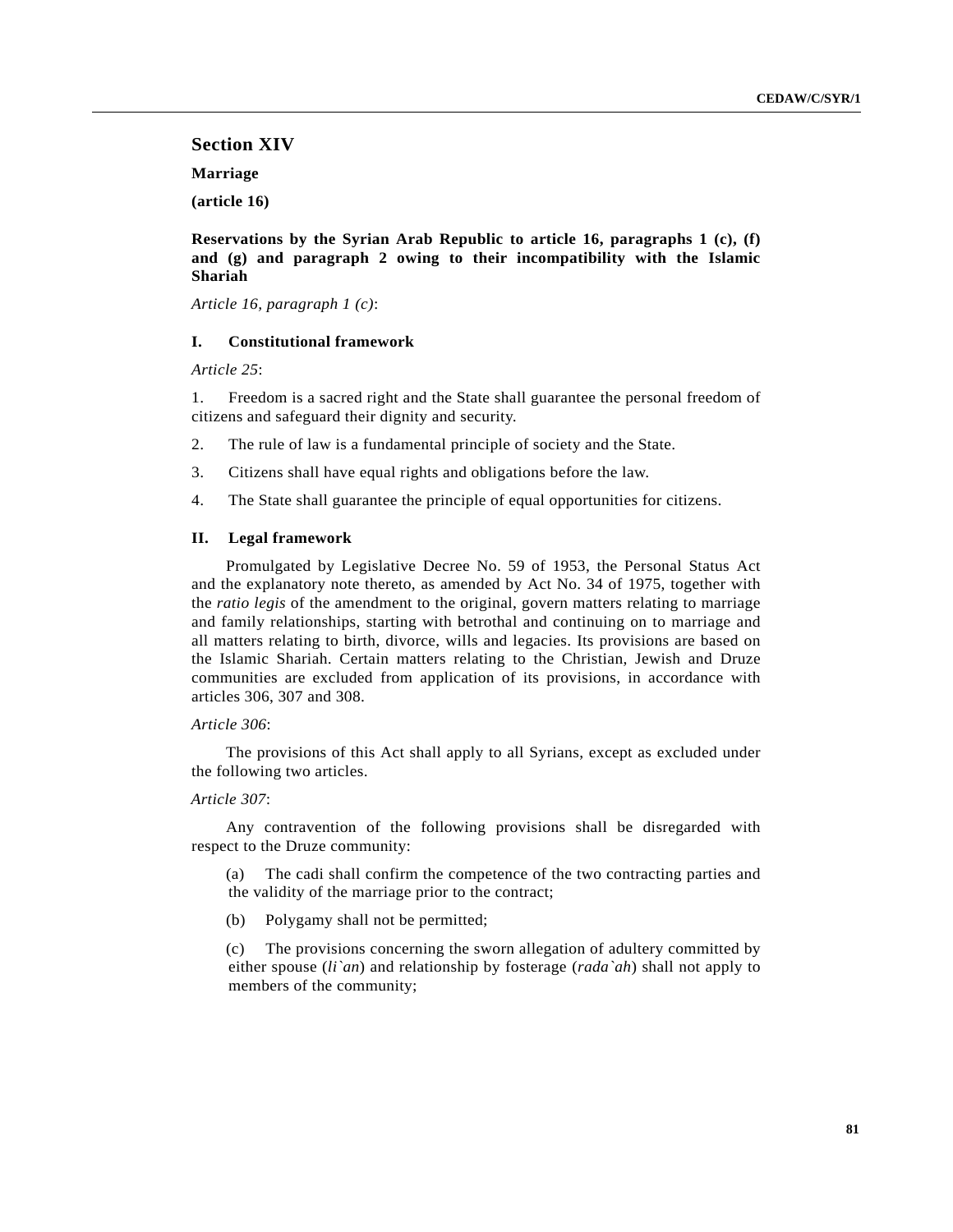# **Section XIV**

**Marriage**

**(article 16)**

**Reservations by the Syrian Arab Republic to article 16, paragraphs 1 (c), (f) and (g) and paragraph 2 owing to their incompatibility with the Islamic Shariah**

*Article 16, paragraph 1 (c)*:

# **I. Constitutional framework**

*Article 25*:

1. Freedom is a sacred right and the State shall guarantee the personal freedom of citizens and safeguard their dignity and security.

- 2. The rule of law is a fundamental principle of society and the State.
- 3. Citizens shall have equal rights and obligations before the law.
- 4. The State shall guarantee the principle of equal opportunities for citizens.

### **II. Legal framework**

Promulgated by Legislative Decree No. 59 of 1953, the Personal Status Act and the explanatory note thereto, as amended by Act No. 34 of 1975, together with the *ratio legis* of the amendment to the original, govern matters relating to marriage and family relationships, starting with betrothal and continuing on to marriage and all matters relating to birth, divorce, wills and legacies. Its provisions are based on the Islamic Shariah. Certain matters relating to the Christian, Jewish and Druze communities are excluded from application of its provisions, in accordance with articles 306, 307 and 308.

### *Article 306*:

The provisions of this Act shall apply to all Syrians, except as excluded under the following two articles.

# *Article 307*:

Any contravention of the following provisions shall be disregarded with respect to the Druze community:

(a) The cadi shall confirm the competence of the two contracting parties and the validity of the marriage prior to the contract;

(b) Polygamy shall not be permitted;

(c) The provisions concerning the sworn allegation of adultery committed by either spouse (*li`an*) and relationship by fosterage (*rada`ah*) shall not apply to members of the community;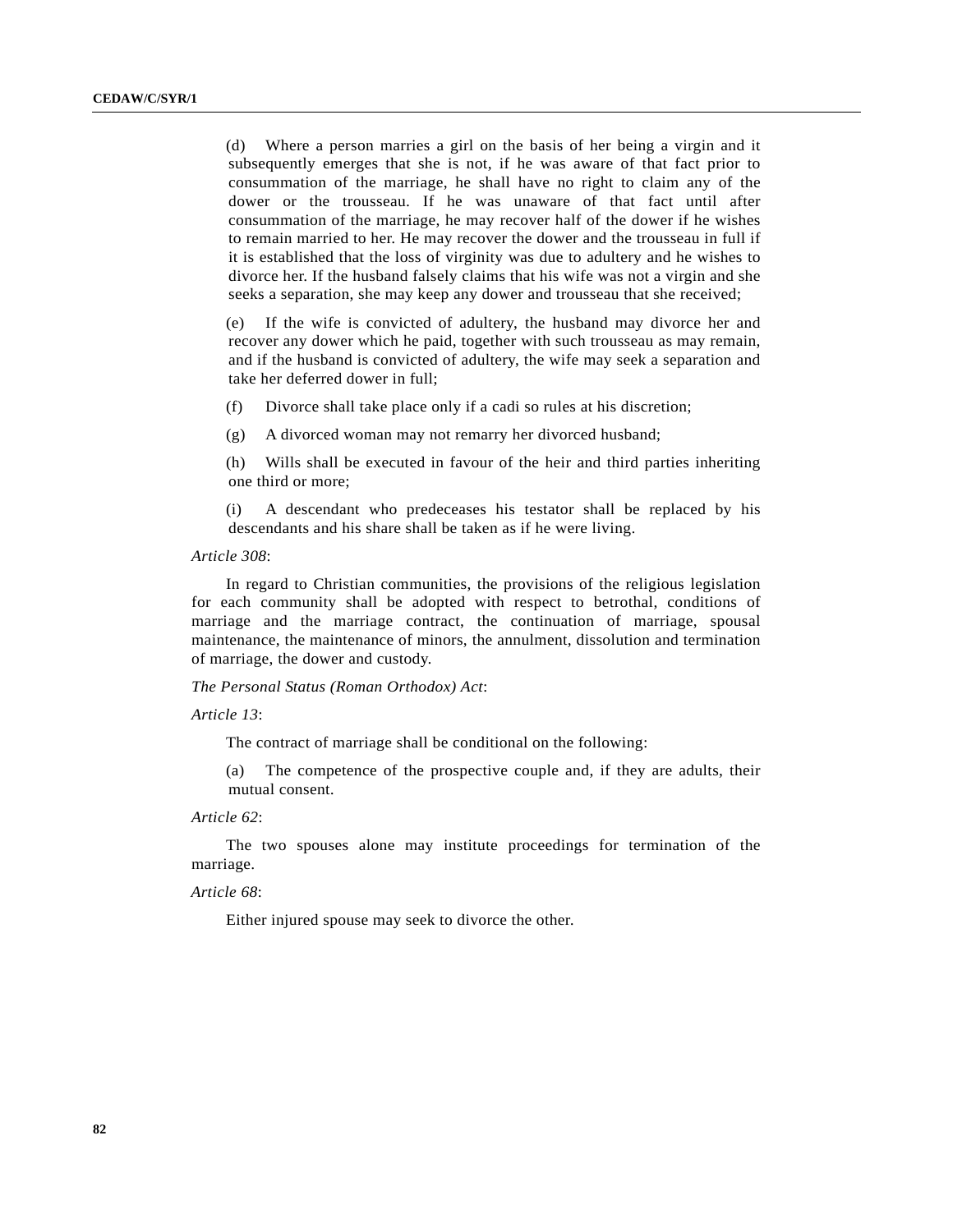(d) Where a person marries a girl on the basis of her being a virgin and it subsequently emerges that she is not, if he was aware of that fact prior to consummation of the marriage, he shall have no right to claim any of the dower or the trousseau. If he was unaware of that fact until after consummation of the marriage, he may recover half of the dower if he wishes to remain married to her. He may recover the dower and the trousseau in full if it is established that the loss of virginity was due to adultery and he wishes to divorce her. If the husband falsely claims that his wife was not a virgin and she seeks a separation, she may keep any dower and trousseau that she received;

(e) If the wife is convicted of adultery, the husband may divorce her and recover any dower which he paid, together with such trousseau as may remain, and if the husband is convicted of adultery, the wife may seek a separation and take her deferred dower in full;

(f) Divorce shall take place only if a cadi so rules at his discretion;

(g) A divorced woman may not remarry her divorced husband;

(h) Wills shall be executed in favour of the heir and third parties inheriting one third or more;

(i) A descendant who predeceases his testator shall be replaced by his descendants and his share shall be taken as if he were living.

*Article 308*:

In regard to Christian communities, the provisions of the religious legislation for each community shall be adopted with respect to betrothal, conditions of marriage and the marriage contract, the continuation of marriage, spousal maintenance, the maintenance of minors, the annulment, dissolution and termination of marriage, the dower and custody.

*The Personal Status (Roman Orthodox) Act*:

*Article 13*:

The contract of marriage shall be conditional on the following:

(a) The competence of the prospective couple and, if they are adults, their mutual consent.

*Article 62*:

The two spouses alone may institute proceedings for termination of the marriage.

*Article 68*:

Either injured spouse may seek to divorce the other.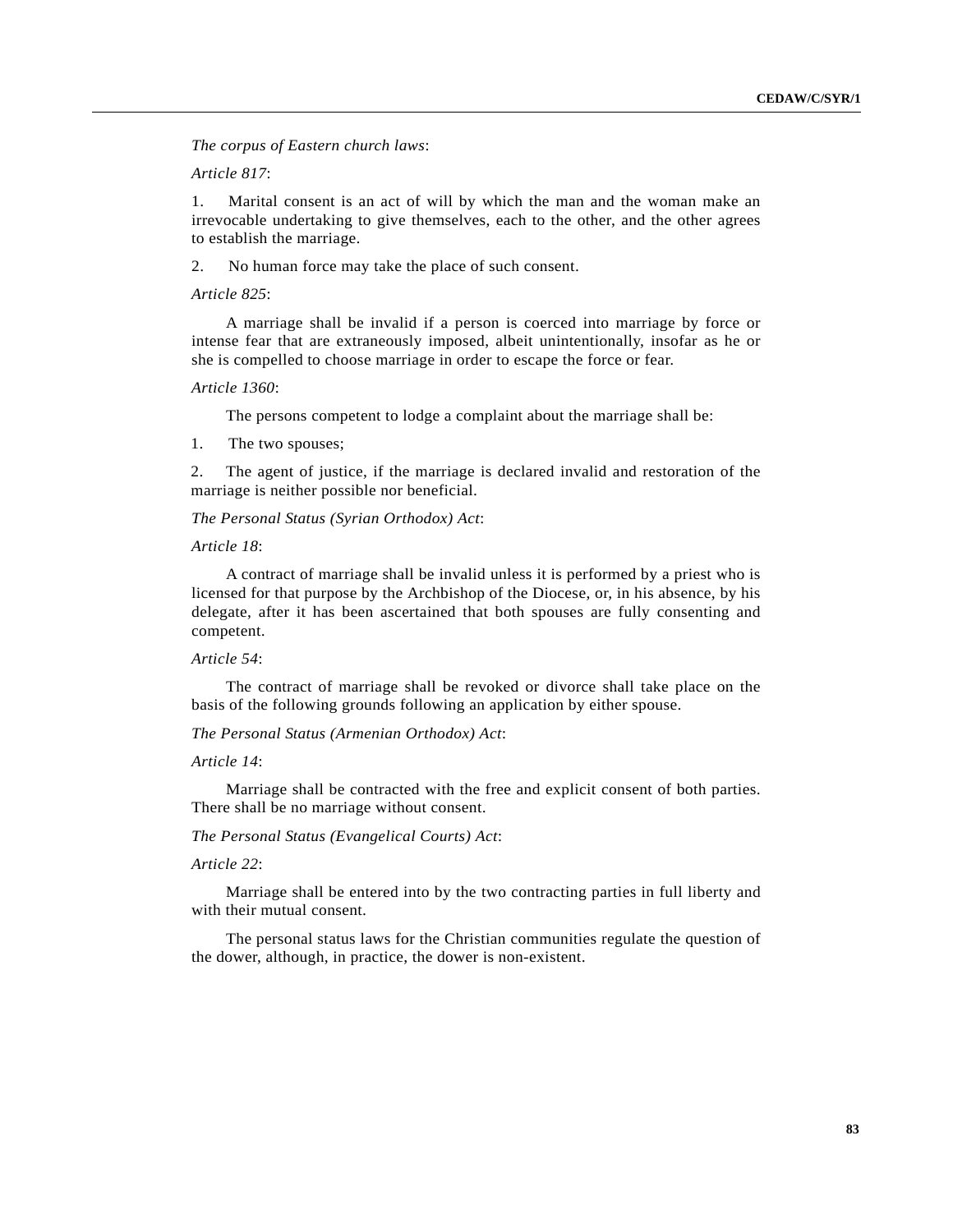*The corpus of Eastern church laws*:

*Article 817*:

1. Marital consent is an act of will by which the man and the woman make an irrevocable undertaking to give themselves, each to the other, and the other agrees to establish the marriage.

2. No human force may take the place of such consent.

*Article 825*:

A marriage shall be invalid if a person is coerced into marriage by force or intense fear that are extraneously imposed, albeit unintentionally, insofar as he or she is compelled to choose marriage in order to escape the force or fear.

#### *Article 1360*:

The persons competent to lodge a complaint about the marriage shall be:

1. The two spouses;

2. The agent of justice, if the marriage is declared invalid and restoration of the marriage is neither possible nor beneficial.

*The Personal Status (Syrian Orthodox) Act*:

*Article 18*:

A contract of marriage shall be invalid unless it is performed by a priest who is licensed for that purpose by the Archbishop of the Diocese, or, in his absence, by his delegate, after it has been ascertained that both spouses are fully consenting and competent.

# *Article 54*:

The contract of marriage shall be revoked or divorce shall take place on the basis of the following grounds following an application by either spouse.

*The Personal Status (Armenian Orthodox) Act*:

*Article 14*:

Marriage shall be contracted with the free and explicit consent of both parties. There shall be no marriage without consent.

*The Personal Status (Evangelical Courts) Act*:

*Article 22*:

Marriage shall be entered into by the two contracting parties in full liberty and with their mutual consent.

The personal status laws for the Christian communities regulate the question of the dower, although, in practice, the dower is non-existent.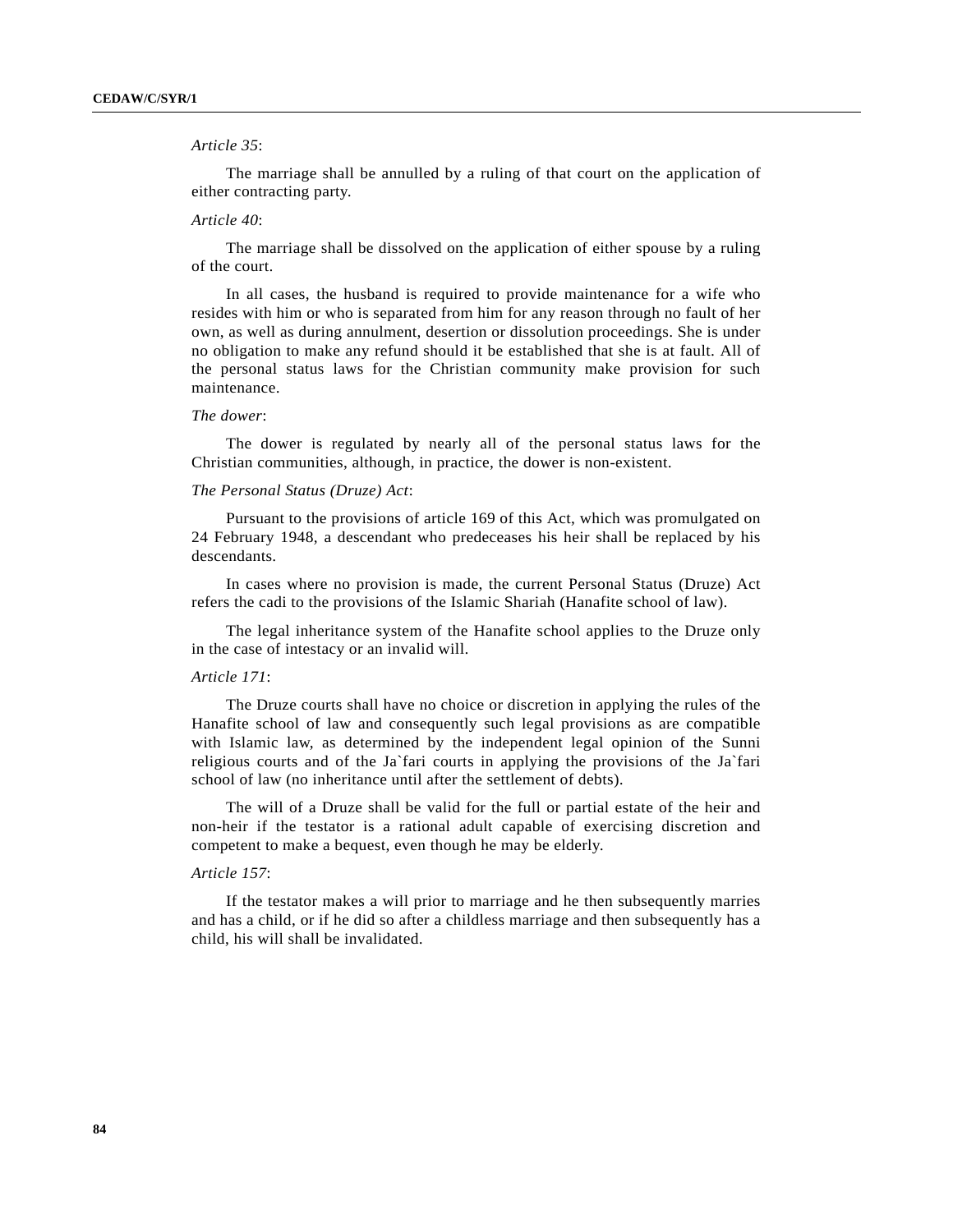## *Article 35*:

The marriage shall be annulled by a ruling of that court on the application of either contracting party.

### *Article 40*:

The marriage shall be dissolved on the application of either spouse by a ruling of the court.

In all cases, the husband is required to provide maintenance for a wife who resides with him or who is separated from him for any reason through no fault of her own, as well as during annulment, desertion or dissolution proceedings. She is under no obligation to make any refund should it be established that she is at fault. All of the personal status laws for the Christian community make provision for such maintenance.

#### *The dower*:

The dower is regulated by nearly all of the personal status laws for the Christian communities, although, in practice, the dower is non-existent.

### *The Personal Status (Druze) Act*:

Pursuant to the provisions of article 169 of this Act, which was promulgated on 24 February 1948, a descendant who predeceases his heir shall be replaced by his descendants.

In cases where no provision is made, the current Personal Status (Druze) Act refers the cadi to the provisions of the Islamic Shariah (Hanafite school of law).

The legal inheritance system of the Hanafite school applies to the Druze only in the case of intestacy or an invalid will.

### *Article 171*:

The Druze courts shall have no choice or discretion in applying the rules of the Hanafite school of law and consequently such legal provisions as are compatible with Islamic law, as determined by the independent legal opinion of the Sunni religious courts and of the Ja`fari courts in applying the provisions of the Ja`fari school of law (no inheritance until after the settlement of debts).

The will of a Druze shall be valid for the full or partial estate of the heir and non-heir if the testator is a rational adult capable of exercising discretion and competent to make a bequest, even though he may be elderly.

# *Article 157*:

If the testator makes a will prior to marriage and he then subsequently marries and has a child, or if he did so after a childless marriage and then subsequently has a child, his will shall be invalidated.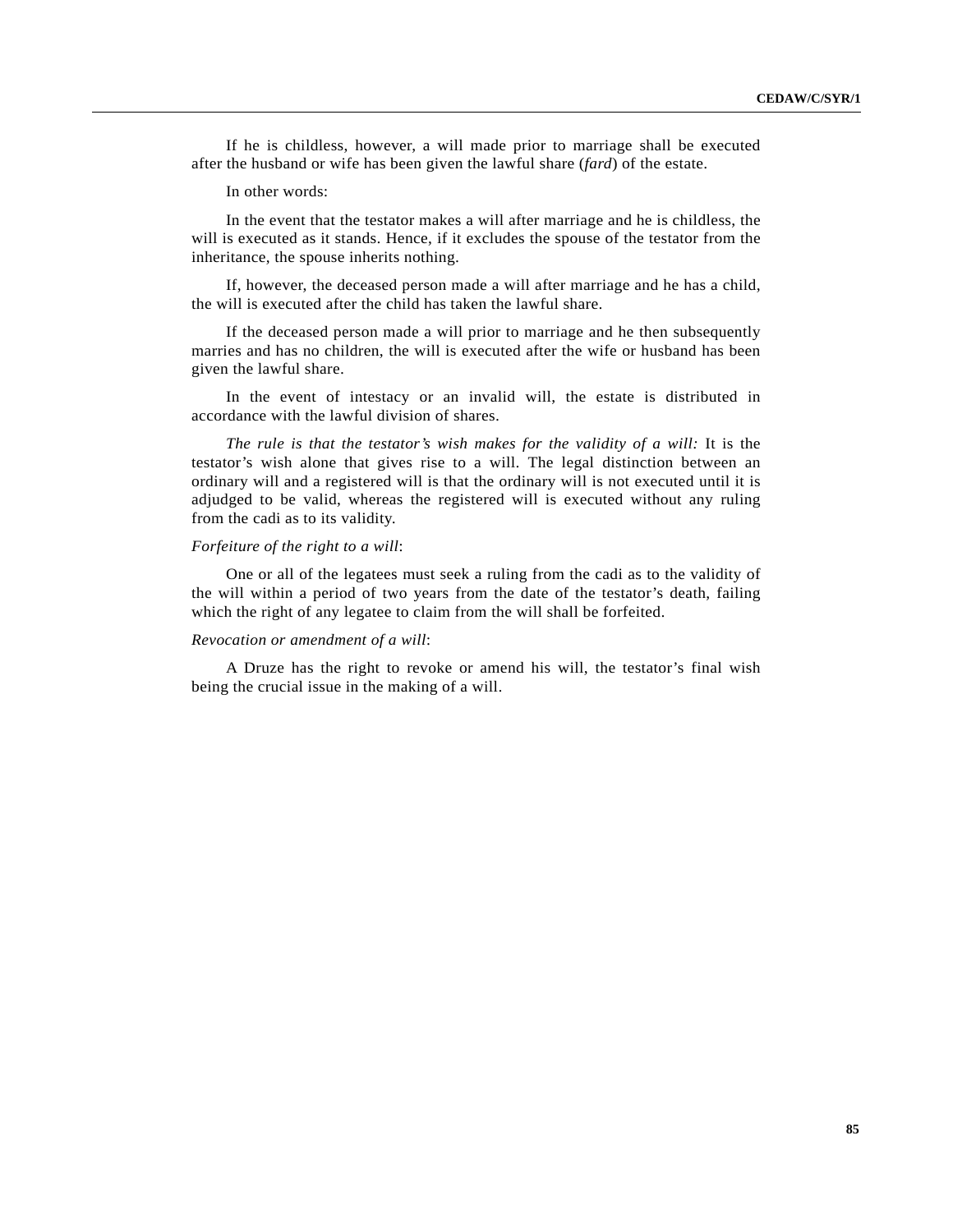If he is childless, however, a will made prior to marriage shall be executed after the husband or wife has been given the lawful share (*fard*) of the estate.

In other words:

In the event that the testator makes a will after marriage and he is childless, the will is executed as it stands. Hence, if it excludes the spouse of the testator from the inheritance, the spouse inherits nothing.

If, however, the deceased person made a will after marriage and he has a child, the will is executed after the child has taken the lawful share.

If the deceased person made a will prior to marriage and he then subsequently marries and has no children, the will is executed after the wife or husband has been given the lawful share.

In the event of intestacy or an invalid will, the estate is distributed in accordance with the lawful division of shares.

*The rule is that the testator's wish makes for the validity of a will:* It is the testator's wish alone that gives rise to a will. The legal distinction between an ordinary will and a registered will is that the ordinary will is not executed until it is adjudged to be valid, whereas the registered will is executed without any ruling from the cadi as to its validity.

## *Forfeiture of the right to a will*:

One or all of the legatees must seek a ruling from the cadi as to the validity of the will within a period of two years from the date of the testator's death, failing which the right of any legatee to claim from the will shall be forfeited.

### *Revocation or amendment of a will*:

A Druze has the right to revoke or amend his will, the testator's final wish being the crucial issue in the making of a will.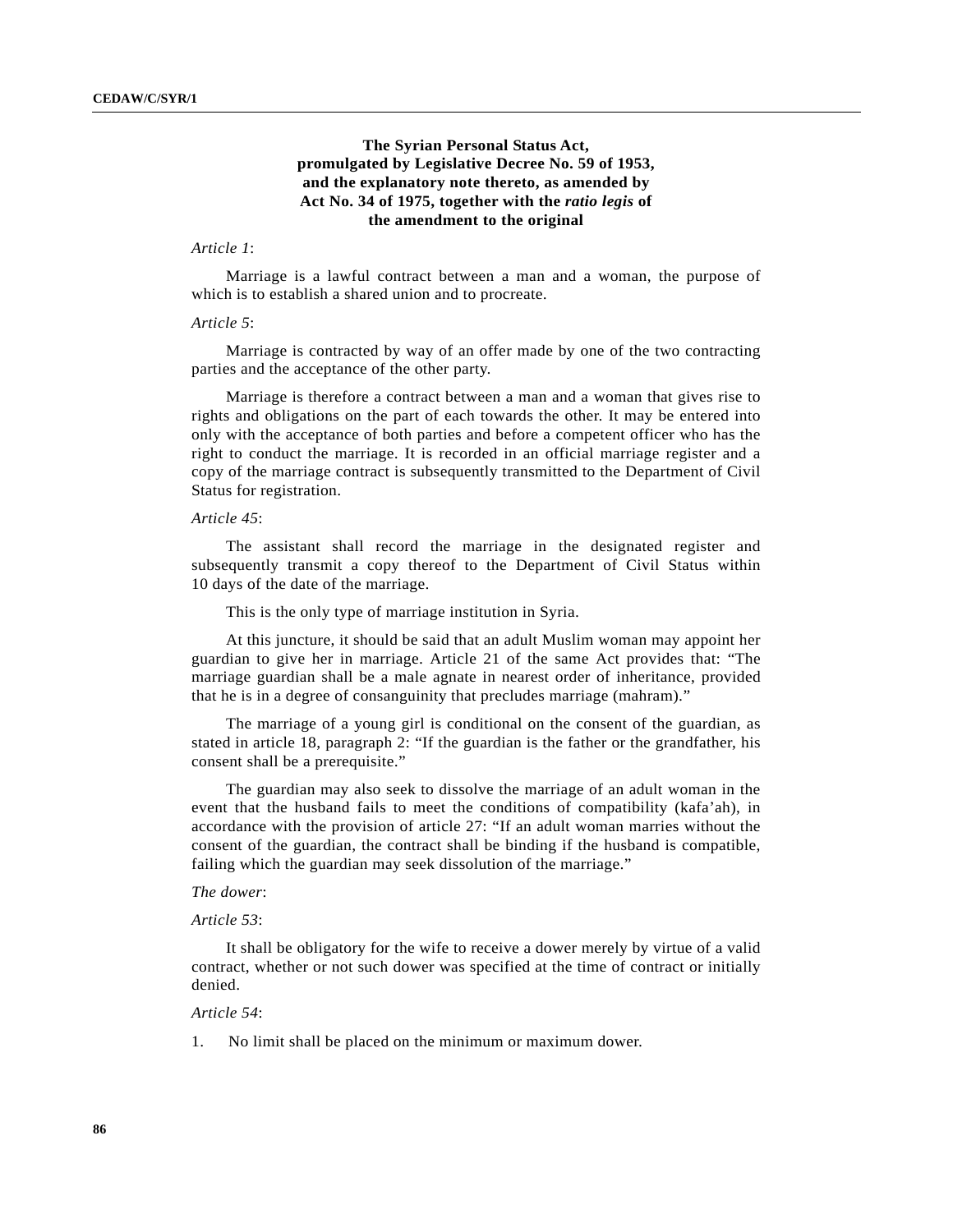# **The Syrian Personal Status Act, promulgated by Legislative Decree No. 59 of 1953, and the explanatory note thereto, as amended by Act No. 34 of 1975, together with the** *ratio legis* **of the amendment to the original**

## *Article 1*:

Marriage is a lawful contract between a man and a woman, the purpose of which is to establish a shared union and to procreate.

### *Article 5*:

Marriage is contracted by way of an offer made by one of the two contracting parties and the acceptance of the other party.

Marriage is therefore a contract between a man and a woman that gives rise to rights and obligations on the part of each towards the other. It may be entered into only with the acceptance of both parties and before a competent officer who has the right to conduct the marriage. It is recorded in an official marriage register and a copy of the marriage contract is subsequently transmitted to the Department of Civil Status for registration.

### *Article 45*:

The assistant shall record the marriage in the designated register and subsequently transmit a copy thereof to the Department of Civil Status within 10 days of the date of the marriage.

This is the only type of marriage institution in Syria.

At this juncture, it should be said that an adult Muslim woman may appoint her guardian to give her in marriage. Article 21 of the same Act provides that: "The marriage guardian shall be a male agnate in nearest order of inheritance, provided that he is in a degree of consanguinity that precludes marriage (mahram)."

The marriage of a young girl is conditional on the consent of the guardian, as stated in article 18, paragraph 2: "If the guardian is the father or the grandfather, his consent shall be a prerequisite."

The guardian may also seek to dissolve the marriage of an adult woman in the event that the husband fails to meet the conditions of compatibility (kafa'ah), in accordance with the provision of article 27: "If an adult woman marries without the consent of the guardian, the contract shall be binding if the husband is compatible, failing which the guardian may seek dissolution of the marriage."

## *The dower*:

#### *Article 53*:

It shall be obligatory for the wife to receive a dower merely by virtue of a valid contract, whether or not such dower was specified at the time of contract or initially denied.

## *Article 54*:

1. No limit shall be placed on the minimum or maximum dower.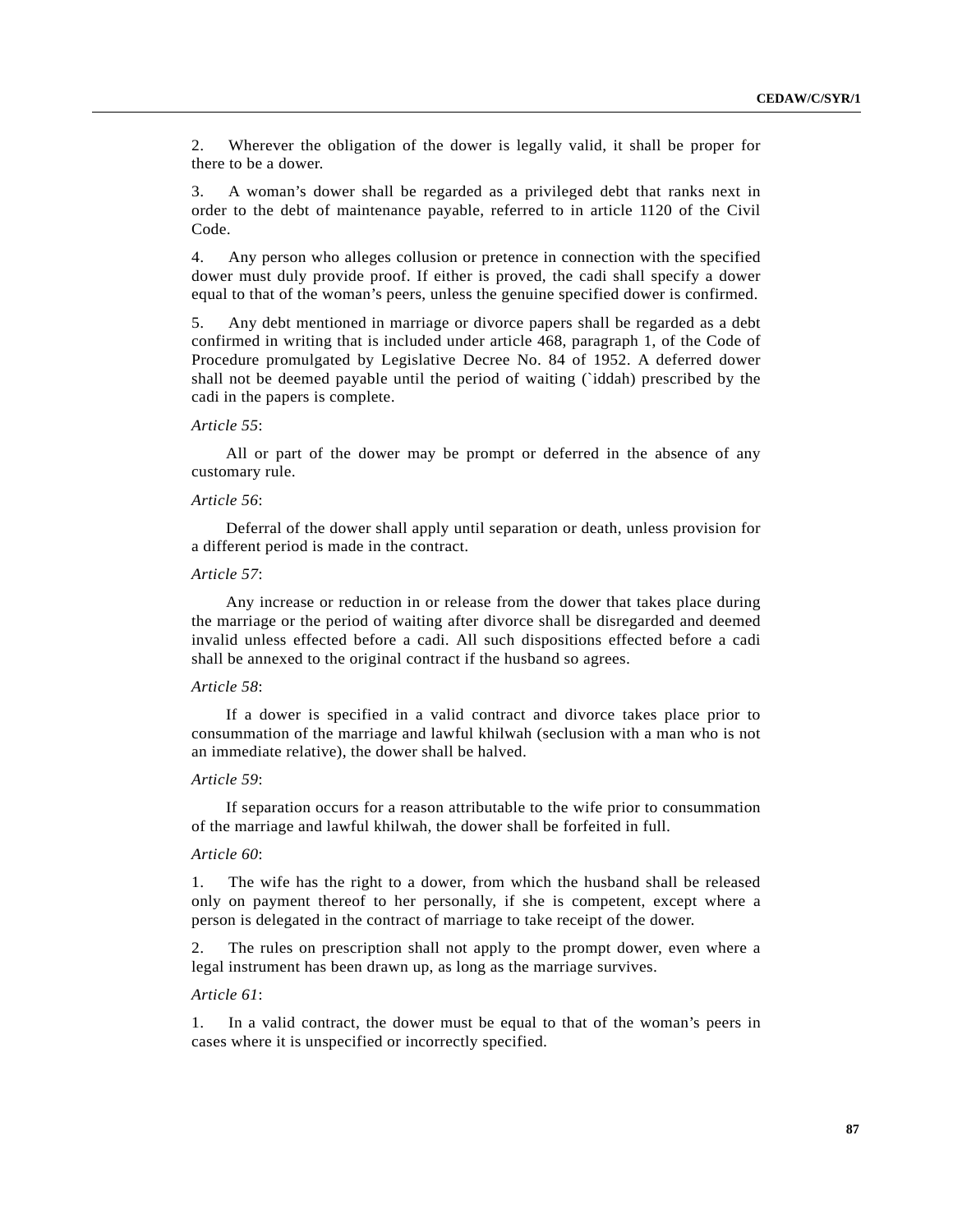2. Wherever the obligation of the dower is legally valid, it shall be proper for there to be a dower.

3. A woman's dower shall be regarded as a privileged debt that ranks next in order to the debt of maintenance payable, referred to in article 1120 of the Civil Code.

4. Any person who alleges collusion or pretence in connection with the specified dower must duly provide proof. If either is proved, the cadi shall specify a dower equal to that of the woman's peers, unless the genuine specified dower is confirmed.

5. Any debt mentioned in marriage or divorce papers shall be regarded as a debt confirmed in writing that is included under article 468, paragraph 1, of the Code of Procedure promulgated by Legislative Decree No. 84 of 1952. A deferred dower shall not be deemed payable until the period of waiting (`iddah) prescribed by the cadi in the papers is complete.

### *Article 55*:

All or part of the dower may be prompt or deferred in the absence of any customary rule.

#### *Article 56*:

Deferral of the dower shall apply until separation or death, unless provision for a different period is made in the contract.

### *Article 57*:

Any increase or reduction in or release from the dower that takes place during the marriage or the period of waiting after divorce shall be disregarded and deemed invalid unless effected before a cadi. All such dispositions effected before a cadi shall be annexed to the original contract if the husband so agrees.

## *Article 58*:

If a dower is specified in a valid contract and divorce takes place prior to consummation of the marriage and lawful khilwah (seclusion with a man who is not an immediate relative), the dower shall be halved.

### *Article 59*:

If separation occurs for a reason attributable to the wife prior to consummation of the marriage and lawful khilwah, the dower shall be forfeited in full.

### *Article 60*:

1. The wife has the right to a dower, from which the husband shall be released only on payment thereof to her personally, if she is competent, except where a person is delegated in the contract of marriage to take receipt of the dower.

2. The rules on prescription shall not apply to the prompt dower, even where a legal instrument has been drawn up, as long as the marriage survives.

# *Article 61*:

1. In a valid contract, the dower must be equal to that of the woman's peers in cases where it is unspecified or incorrectly specified.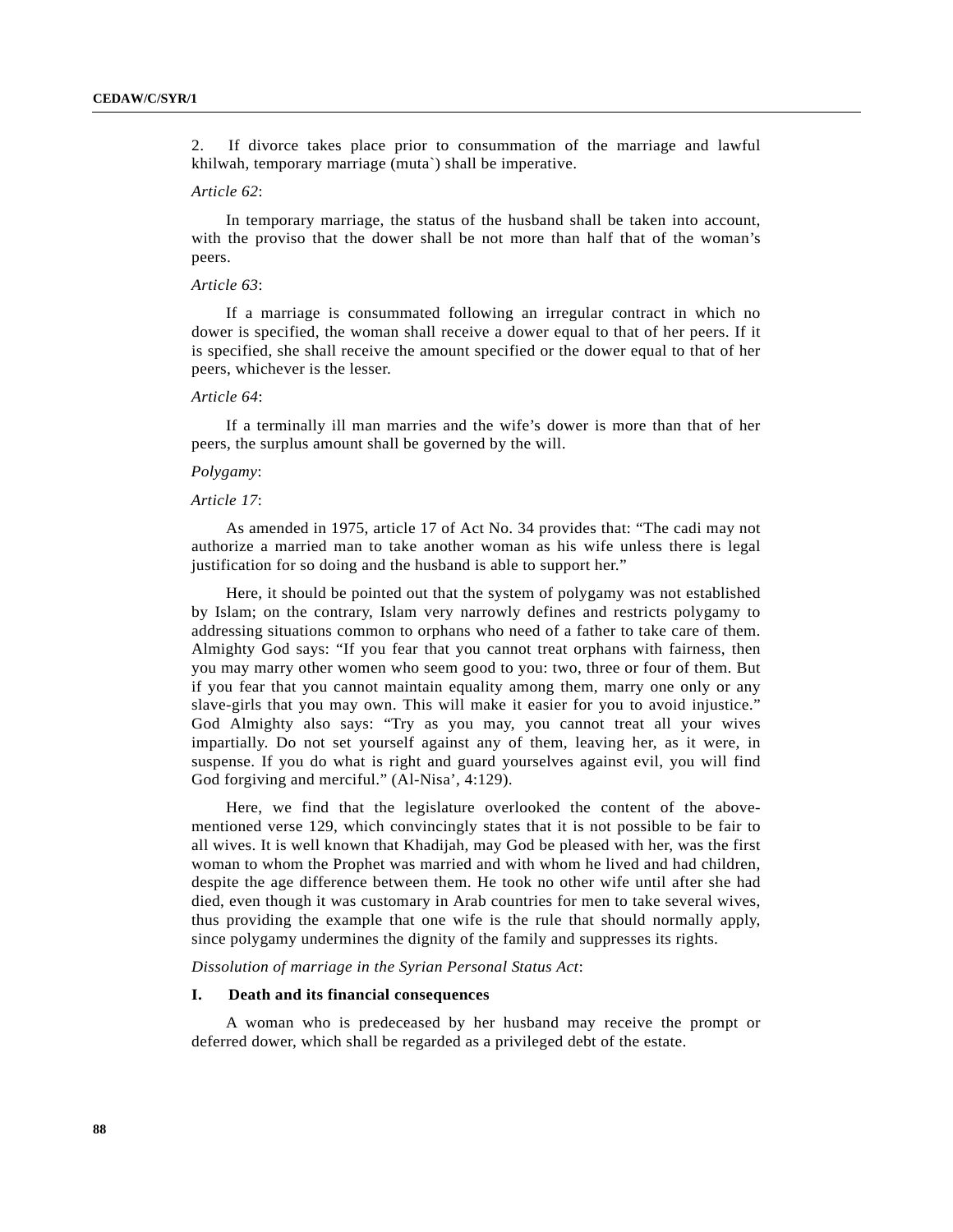2. If divorce takes place prior to consummation of the marriage and lawful khilwah, temporary marriage (muta`) shall be imperative.

#### *Article 62*:

In temporary marriage, the status of the husband shall be taken into account, with the proviso that the dower shall be not more than half that of the woman's peers.

#### *Article 63*:

If a marriage is consummated following an irregular contract in which no dower is specified, the woman shall receive a dower equal to that of her peers. If it is specified, she shall receive the amount specified or the dower equal to that of her peers, whichever is the lesser.

#### *Article 64*:

If a terminally ill man marries and the wife's dower is more than that of her peers, the surplus amount shall be governed by the will.

### *Polygamy*:

### *Article 17*:

As amended in 1975, article 17 of Act No. 34 provides that: "The cadi may not authorize a married man to take another woman as his wife unless there is legal justification for so doing and the husband is able to support her."

Here, it should be pointed out that the system of polygamy was not established by Islam; on the contrary, Islam very narrowly defines and restricts polygamy to addressing situations common to orphans who need of a father to take care of them. Almighty God says: "If you fear that you cannot treat orphans with fairness, then you may marry other women who seem good to you: two, three or four of them. But if you fear that you cannot maintain equality among them, marry one only or any slave-girls that you may own. This will make it easier for you to avoid injustice." God Almighty also says: "Try as you may, you cannot treat all your wives impartially. Do not set yourself against any of them, leaving her, as it were, in suspense. If you do what is right and guard yourselves against evil, you will find God forgiving and merciful." (Al-Nisa', 4:129).

Here, we find that the legislature overlooked the content of the abovementioned verse 129, which convincingly states that it is not possible to be fair to all wives. It is well known that Khadijah, may God be pleased with her, was the first woman to whom the Prophet was married and with whom he lived and had children, despite the age difference between them. He took no other wife until after she had died, even though it was customary in Arab countries for men to take several wives, thus providing the example that one wife is the rule that should normally apply, since polygamy undermines the dignity of the family and suppresses its rights.

*Dissolution of marriage in the Syrian Personal Status Act*:

### **I. Death and its financial consequences**

A woman who is predeceased by her husband may receive the prompt or deferred dower, which shall be regarded as a privileged debt of the estate.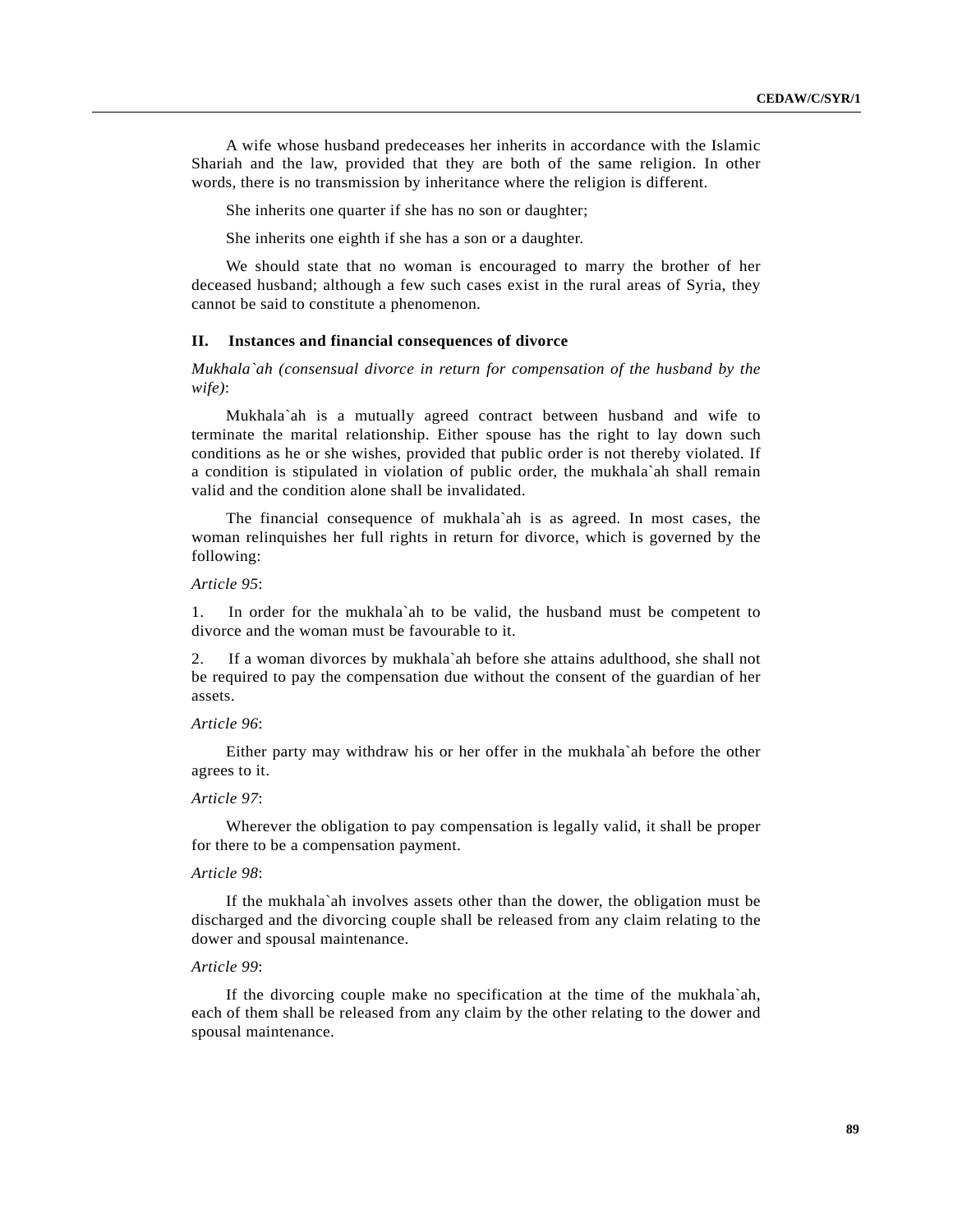A wife whose husband predeceases her inherits in accordance with the Islamic Shariah and the law, provided that they are both of the same religion. In other words, there is no transmission by inheritance where the religion is different.

She inherits one quarter if she has no son or daughter;

She inherits one eighth if she has a son or a daughter.

We should state that no woman is encouraged to marry the brother of her deceased husband; although a few such cases exist in the rural areas of Syria, they cannot be said to constitute a phenomenon.

## **II. Instances and financial consequences of divorce**

*Mukhala`ah (consensual divorce in return for compensation of the husband by the wife)*:

Mukhala`ah is a mutually agreed contract between husband and wife to terminate the marital relationship. Either spouse has the right to lay down such conditions as he or she wishes, provided that public order is not thereby violated. If a condition is stipulated in violation of public order, the mukhala`ah shall remain valid and the condition alone shall be invalidated.

The financial consequence of mukhala`ah is as agreed. In most cases, the woman relinquishes her full rights in return for divorce, which is governed by the following:

# *Article 95*:

1. In order for the mukhala`ah to be valid, the husband must be competent to divorce and the woman must be favourable to it.

2. If a woman divorces by mukhala`ah before she attains adulthood, she shall not be required to pay the compensation due without the consent of the guardian of her assets.

## *Article 96*:

Either party may withdraw his or her offer in the mukhala`ah before the other agrees to it.

# *Article 97*:

Wherever the obligation to pay compensation is legally valid, it shall be proper for there to be a compensation payment.

### *Article 98*:

If the mukhala`ah involves assets other than the dower, the obligation must be discharged and the divorcing couple shall be released from any claim relating to the dower and spousal maintenance.

# *Article 99*:

If the divorcing couple make no specification at the time of the mukhala`ah, each of them shall be released from any claim by the other relating to the dower and spousal maintenance.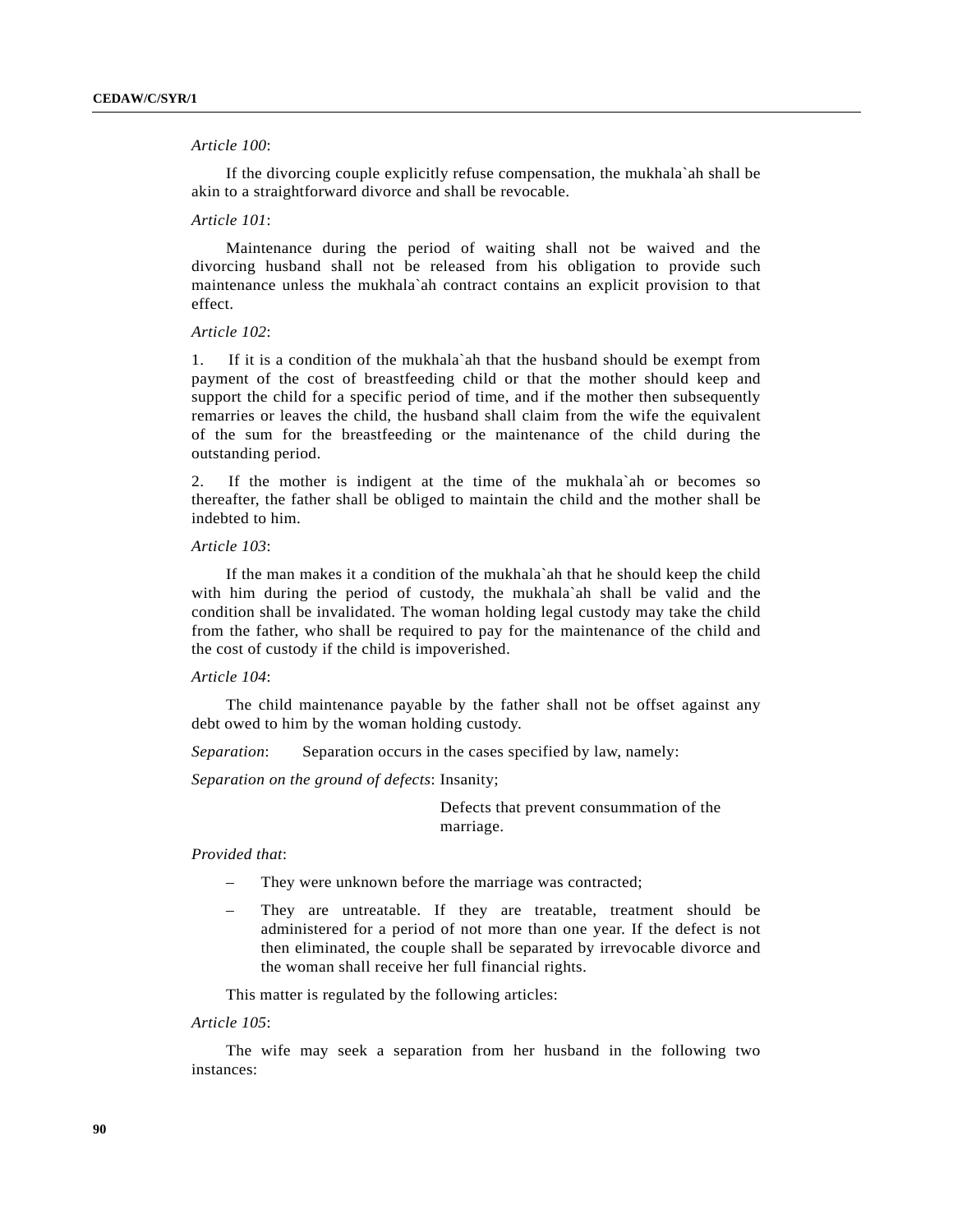## *Article 100*:

If the divorcing couple explicitly refuse compensation, the mukhala`ah shall be akin to a straightforward divorce and shall be revocable.

### *Article 101*:

Maintenance during the period of waiting shall not be waived and the divorcing husband shall not be released from his obligation to provide such maintenance unless the mukhala`ah contract contains an explicit provision to that effect.

#### *Article 102*:

1. If it is a condition of the mukhala`ah that the husband should be exempt from payment of the cost of breastfeeding child or that the mother should keep and support the child for a specific period of time, and if the mother then subsequently remarries or leaves the child, the husband shall claim from the wife the equivalent of the sum for the breastfeeding or the maintenance of the child during the outstanding period.

2. If the mother is indigent at the time of the mukhala`ah or becomes so thereafter, the father shall be obliged to maintain the child and the mother shall be indebted to him.

## *Article 103*:

If the man makes it a condition of the mukhala`ah that he should keep the child with him during the period of custody, the mukhala`ah shall be valid and the condition shall be invalidated. The woman holding legal custody may take the child from the father, who shall be required to pay for the maintenance of the child and the cost of custody if the child is impoverished.

### *Article 104*:

The child maintenance payable by the father shall not be offset against any debt owed to him by the woman holding custody.

*Separation*: Separation occurs in the cases specified by law, namely:

*Separation on the ground of defects*: Insanity;

 Defects that prevent consummation of the marriage.

## *Provided that*:

- They were unknown before the marriage was contracted;
- They are untreatable. If they are treatable, treatment should be administered for a period of not more than one year. If the defect is not then eliminated, the couple shall be separated by irrevocable divorce and the woman shall receive her full financial rights.

This matter is regulated by the following articles:

### *Article 105*:

The wife may seek a separation from her husband in the following two instances: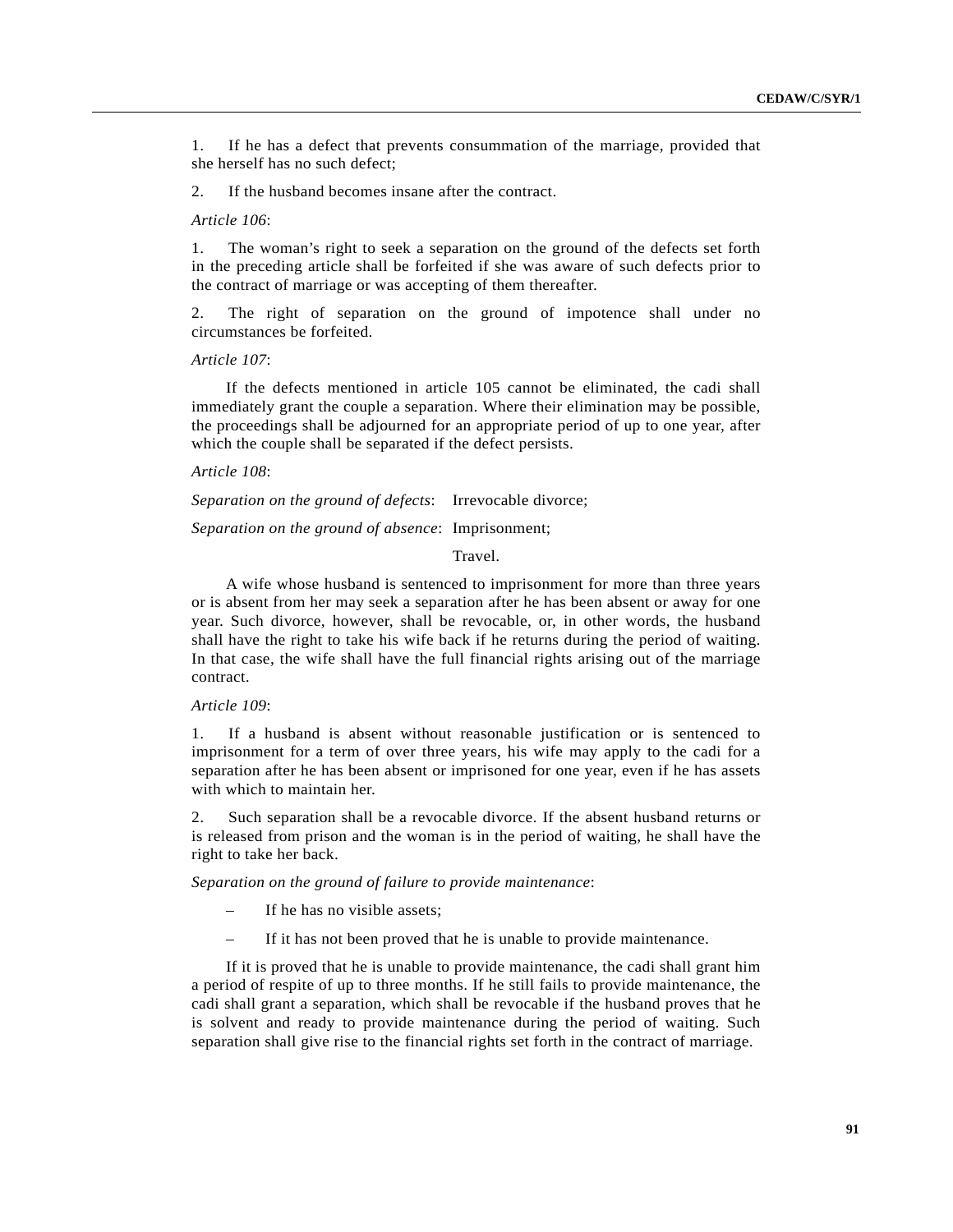1. If he has a defect that prevents consummation of the marriage, provided that she herself has no such defect;

2. If the husband becomes insane after the contract.

*Article 106*:

1. The woman's right to seek a separation on the ground of the defects set forth in the preceding article shall be forfeited if she was aware of such defects prior to the contract of marriage or was accepting of them thereafter.

2. The right of separation on the ground of impotence shall under no circumstances be forfeited.

#### *Article 107*:

If the defects mentioned in article 105 cannot be eliminated, the cadi shall immediately grant the couple a separation. Where their elimination may be possible, the proceedings shall be adjourned for an appropriate period of up to one year, after which the couple shall be separated if the defect persists.

### *Article 108*:

*Separation on the ground of defects*: Irrevocable divorce;

*Separation on the ground of absence*: Imprisonment;

### Travel.

A wife whose husband is sentenced to imprisonment for more than three years or is absent from her may seek a separation after he has been absent or away for one year. Such divorce, however, shall be revocable, or, in other words, the husband shall have the right to take his wife back if he returns during the period of waiting. In that case, the wife shall have the full financial rights arising out of the marriage contract.

#### *Article 109*:

1. If a husband is absent without reasonable justification or is sentenced to imprisonment for a term of over three years, his wife may apply to the cadi for a separation after he has been absent or imprisoned for one year, even if he has assets with which to maintain her.

2. Such separation shall be a revocable divorce. If the absent husband returns or is released from prison and the woman is in the period of waiting, he shall have the right to take her back.

*Separation on the ground of failure to provide maintenance*:

- If he has no visible assets;
- If it has not been proved that he is unable to provide maintenance.

If it is proved that he is unable to provide maintenance, the cadi shall grant him a period of respite of up to three months. If he still fails to provide maintenance, the cadi shall grant a separation, which shall be revocable if the husband proves that he is solvent and ready to provide maintenance during the period of waiting. Such separation shall give rise to the financial rights set forth in the contract of marriage.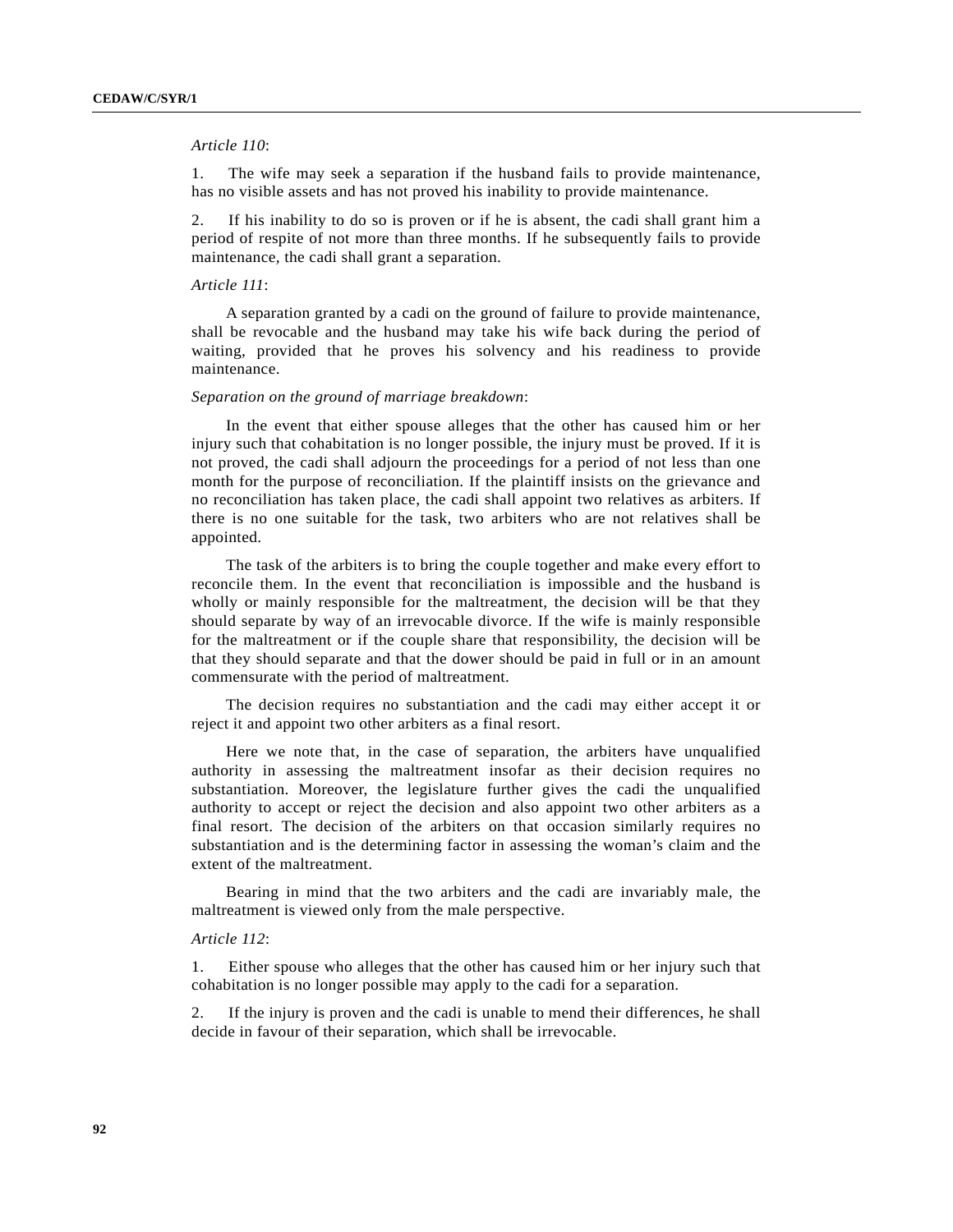### *Article 110*:

1. The wife may seek a separation if the husband fails to provide maintenance, has no visible assets and has not proved his inability to provide maintenance.

2. If his inability to do so is proven or if he is absent, the cadi shall grant him a period of respite of not more than three months. If he subsequently fails to provide maintenance, the cadi shall grant a separation.

### *Article 111*:

A separation granted by a cadi on the ground of failure to provide maintenance, shall be revocable and the husband may take his wife back during the period of waiting, provided that he proves his solvency and his readiness to provide maintenance.

### *Separation on the ground of marriage breakdown*:

In the event that either spouse alleges that the other has caused him or her injury such that cohabitation is no longer possible, the injury must be proved. If it is not proved, the cadi shall adjourn the proceedings for a period of not less than one month for the purpose of reconciliation. If the plaintiff insists on the grievance and no reconciliation has taken place, the cadi shall appoint two relatives as arbiters. If there is no one suitable for the task, two arbiters who are not relatives shall be appointed.

The task of the arbiters is to bring the couple together and make every effort to reconcile them. In the event that reconciliation is impossible and the husband is wholly or mainly responsible for the maltreatment, the decision will be that they should separate by way of an irrevocable divorce. If the wife is mainly responsible for the maltreatment or if the couple share that responsibility, the decision will be that they should separate and that the dower should be paid in full or in an amount commensurate with the period of maltreatment.

The decision requires no substantiation and the cadi may either accept it or reject it and appoint two other arbiters as a final resort.

Here we note that, in the case of separation, the arbiters have unqualified authority in assessing the maltreatment insofar as their decision requires no substantiation. Moreover, the legislature further gives the cadi the unqualified authority to accept or reject the decision and also appoint two other arbiters as a final resort. The decision of the arbiters on that occasion similarly requires no substantiation and is the determining factor in assessing the woman's claim and the extent of the maltreatment.

Bearing in mind that the two arbiters and the cadi are invariably male, the maltreatment is viewed only from the male perspective.

### *Article 112*:

1. Either spouse who alleges that the other has caused him or her injury such that cohabitation is no longer possible may apply to the cadi for a separation.

2. If the injury is proven and the cadi is unable to mend their differences, he shall decide in favour of their separation, which shall be irrevocable.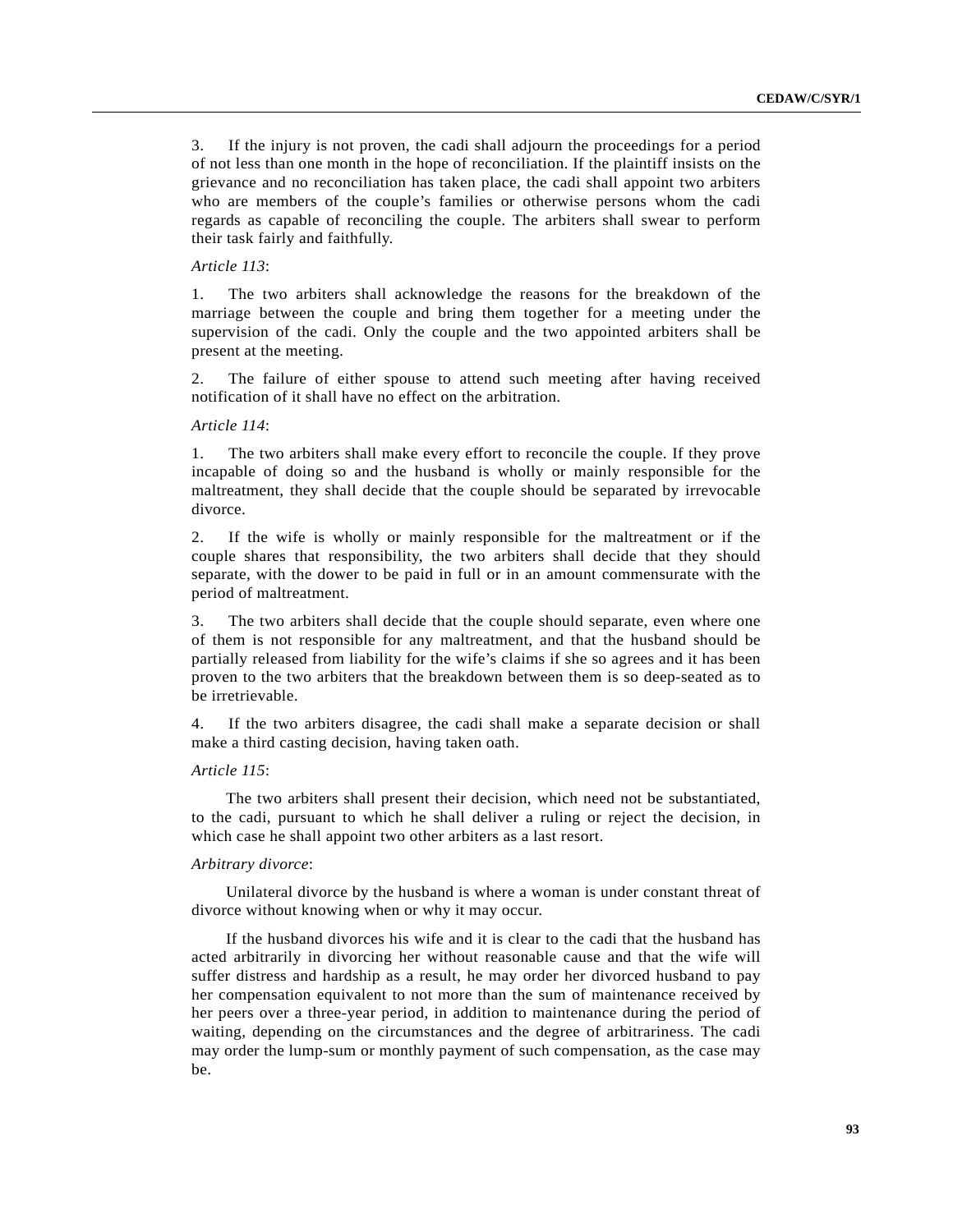3. If the injury is not proven, the cadi shall adjourn the proceedings for a period of not less than one month in the hope of reconciliation. If the plaintiff insists on the grievance and no reconciliation has taken place, the cadi shall appoint two arbiters who are members of the couple's families or otherwise persons whom the cadi regards as capable of reconciling the couple. The arbiters shall swear to perform their task fairly and faithfully.

## *Article 113*:

1. The two arbiters shall acknowledge the reasons for the breakdown of the marriage between the couple and bring them together for a meeting under the supervision of the cadi. Only the couple and the two appointed arbiters shall be present at the meeting.

2. The failure of either spouse to attend such meeting after having received notification of it shall have no effect on the arbitration.

## *Article 114*:

1. The two arbiters shall make every effort to reconcile the couple. If they prove incapable of doing so and the husband is wholly or mainly responsible for the maltreatment, they shall decide that the couple should be separated by irrevocable divorce.

2. If the wife is wholly or mainly responsible for the maltreatment or if the couple shares that responsibility, the two arbiters shall decide that they should separate, with the dower to be paid in full or in an amount commensurate with the period of maltreatment.

3. The two arbiters shall decide that the couple should separate, even where one of them is not responsible for any maltreatment, and that the husband should be partially released from liability for the wife's claims if she so agrees and it has been proven to the two arbiters that the breakdown between them is so deep-seated as to be irretrievable.

4. If the two arbiters disagree, the cadi shall make a separate decision or shall make a third casting decision, having taken oath.

## *Article 115*:

The two arbiters shall present their decision, which need not be substantiated, to the cadi, pursuant to which he shall deliver a ruling or reject the decision, in which case he shall appoint two other arbiters as a last resort.

## *Arbitrary divorce*:

Unilateral divorce by the husband is where a woman is under constant threat of divorce without knowing when or why it may occur.

If the husband divorces his wife and it is clear to the cadi that the husband has acted arbitrarily in divorcing her without reasonable cause and that the wife will suffer distress and hardship as a result, he may order her divorced husband to pay her compensation equivalent to not more than the sum of maintenance received by her peers over a three-year period, in addition to maintenance during the period of waiting, depending on the circumstances and the degree of arbitrariness. The cadi may order the lump-sum or monthly payment of such compensation, as the case may be.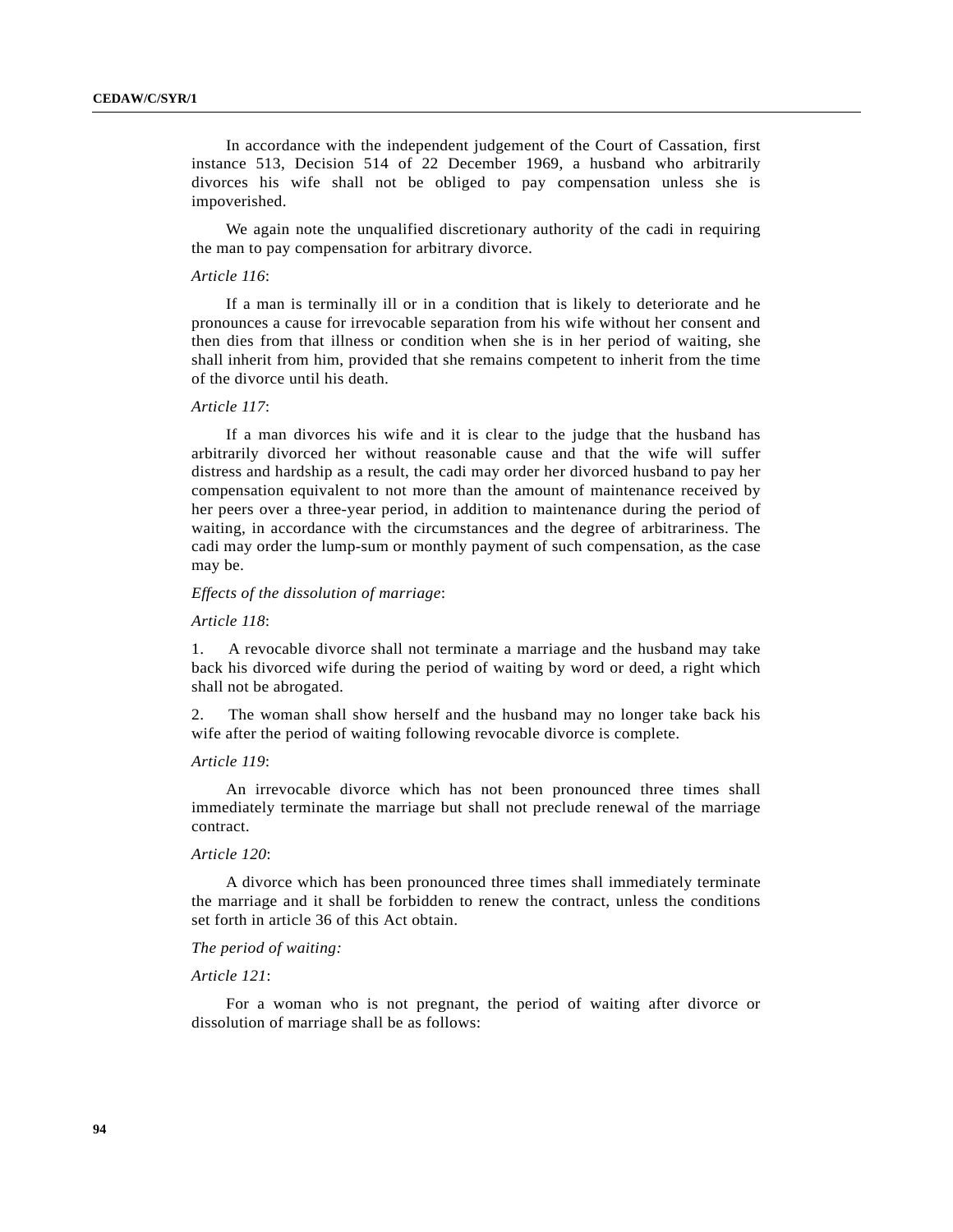In accordance with the independent judgement of the Court of Cassation, first instance 513, Decision 514 of 22 December 1969, a husband who arbitrarily divorces his wife shall not be obliged to pay compensation unless she is impoverished.

We again note the unqualified discretionary authority of the cadi in requiring the man to pay compensation for arbitrary divorce.

## *Article 116*:

If a man is terminally ill or in a condition that is likely to deteriorate and he pronounces a cause for irrevocable separation from his wife without her consent and then dies from that illness or condition when she is in her period of waiting, she shall inherit from him, provided that she remains competent to inherit from the time of the divorce until his death.

### *Article 117*:

If a man divorces his wife and it is clear to the judge that the husband has arbitrarily divorced her without reasonable cause and that the wife will suffer distress and hardship as a result, the cadi may order her divorced husband to pay her compensation equivalent to not more than the amount of maintenance received by her peers over a three-year period, in addition to maintenance during the period of waiting, in accordance with the circumstances and the degree of arbitrariness. The cadi may order the lump-sum or monthly payment of such compensation, as the case may be.

## *Effects of the dissolution of marriage*:

#### *Article 118*:

1. A revocable divorce shall not terminate a marriage and the husband may take back his divorced wife during the period of waiting by word or deed, a right which shall not be abrogated.

2. The woman shall show herself and the husband may no longer take back his wife after the period of waiting following revocable divorce is complete.

## *Article 119*:

An irrevocable divorce which has not been pronounced three times shall immediately terminate the marriage but shall not preclude renewal of the marriage contract.

## *Article 120*:

A divorce which has been pronounced three times shall immediately terminate the marriage and it shall be forbidden to renew the contract, unless the conditions set forth in article 36 of this Act obtain.

## *The period of waiting:*

### *Article 121*:

For a woman who is not pregnant, the period of waiting after divorce or dissolution of marriage shall be as follows: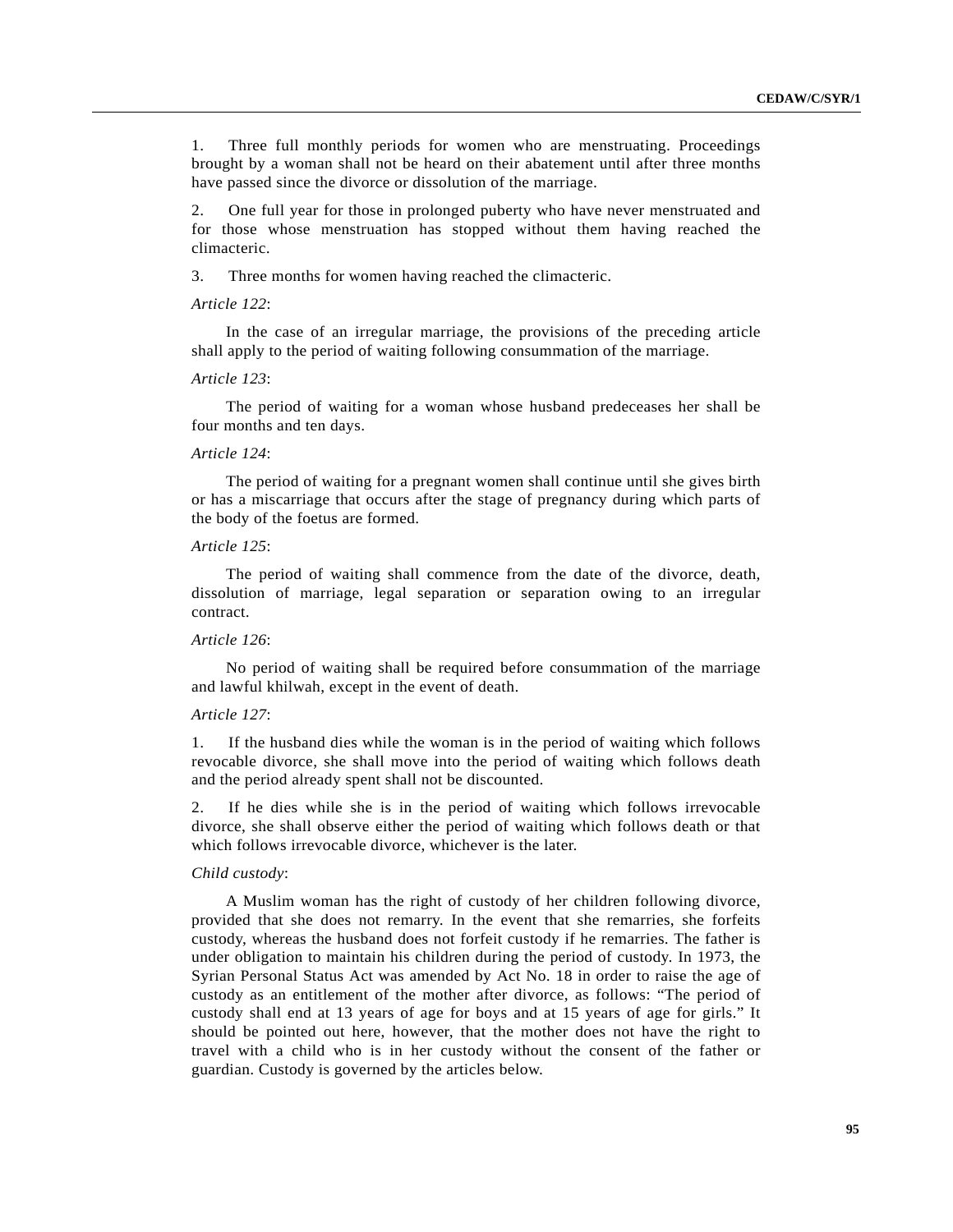1. Three full monthly periods for women who are menstruating. Proceedings brought by a woman shall not be heard on their abatement until after three months have passed since the divorce or dissolution of the marriage.

2. One full year for those in prolonged puberty who have never menstruated and for those whose menstruation has stopped without them having reached the climacteric.

3. Three months for women having reached the climacteric.

### *Article 122*:

In the case of an irregular marriage, the provisions of the preceding article shall apply to the period of waiting following consummation of the marriage.

#### *Article 123*:

The period of waiting for a woman whose husband predeceases her shall be four months and ten days.

### *Article 124*:

The period of waiting for a pregnant women shall continue until she gives birth or has a miscarriage that occurs after the stage of pregnancy during which parts of the body of the foetus are formed.

## *Article 125*:

The period of waiting shall commence from the date of the divorce, death, dissolution of marriage, legal separation or separation owing to an irregular contract.

#### *Article 126*:

No period of waiting shall be required before consummation of the marriage and lawful khilwah, except in the event of death.

## *Article 127*:

1. If the husband dies while the woman is in the period of waiting which follows revocable divorce, she shall move into the period of waiting which follows death and the period already spent shall not be discounted.

2. If he dies while she is in the period of waiting which follows irrevocable divorce, she shall observe either the period of waiting which follows death or that which follows irrevocable divorce, whichever is the later.

#### *Child custody*:

A Muslim woman has the right of custody of her children following divorce, provided that she does not remarry. In the event that she remarries, she forfeits custody, whereas the husband does not forfeit custody if he remarries. The father is under obligation to maintain his children during the period of custody. In 1973, the Syrian Personal Status Act was amended by Act No. 18 in order to raise the age of custody as an entitlement of the mother after divorce, as follows: "The period of custody shall end at 13 years of age for boys and at 15 years of age for girls." It should be pointed out here, however, that the mother does not have the right to travel with a child who is in her custody without the consent of the father or guardian. Custody is governed by the articles below.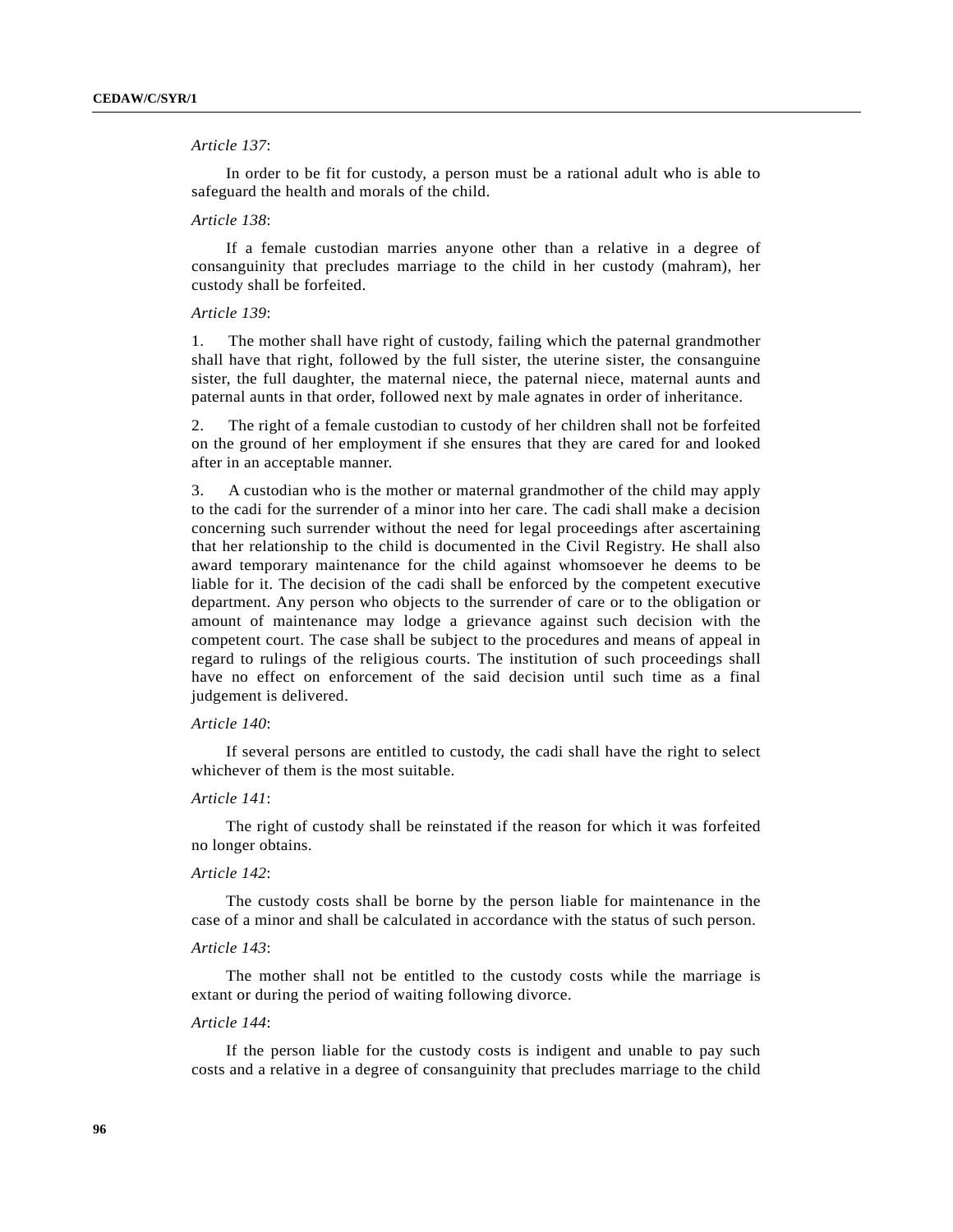## *Article 137*:

In order to be fit for custody, a person must be a rational adult who is able to safeguard the health and morals of the child.

### *Article 138*:

If a female custodian marries anyone other than a relative in a degree of consanguinity that precludes marriage to the child in her custody (mahram), her custody shall be forfeited.

## *Article 139*:

1. The mother shall have right of custody, failing which the paternal grandmother shall have that right, followed by the full sister, the uterine sister, the consanguine sister, the full daughter, the maternal niece, the paternal niece, maternal aunts and paternal aunts in that order, followed next by male agnates in order of inheritance.

2. The right of a female custodian to custody of her children shall not be forfeited on the ground of her employment if she ensures that they are cared for and looked after in an acceptable manner.

3. A custodian who is the mother or maternal grandmother of the child may apply to the cadi for the surrender of a minor into her care. The cadi shall make a decision concerning such surrender without the need for legal proceedings after ascertaining that her relationship to the child is documented in the Civil Registry. He shall also award temporary maintenance for the child against whomsoever he deems to be liable for it. The decision of the cadi shall be enforced by the competent executive department. Any person who objects to the surrender of care or to the obligation or amount of maintenance may lodge a grievance against such decision with the competent court. The case shall be subject to the procedures and means of appeal in regard to rulings of the religious courts. The institution of such proceedings shall have no effect on enforcement of the said decision until such time as a final judgement is delivered.

## *Article 140*:

If several persons are entitled to custody, the cadi shall have the right to select whichever of them is the most suitable.

# *Article 141*:

The right of custody shall be reinstated if the reason for which it was forfeited no longer obtains.

### *Article 142*:

The custody costs shall be borne by the person liable for maintenance in the case of a minor and shall be calculated in accordance with the status of such person.

#### *Article 143*:

The mother shall not be entitled to the custody costs while the marriage is extant or during the period of waiting following divorce.

#### *Article 144*:

If the person liable for the custody costs is indigent and unable to pay such costs and a relative in a degree of consanguinity that precludes marriage to the child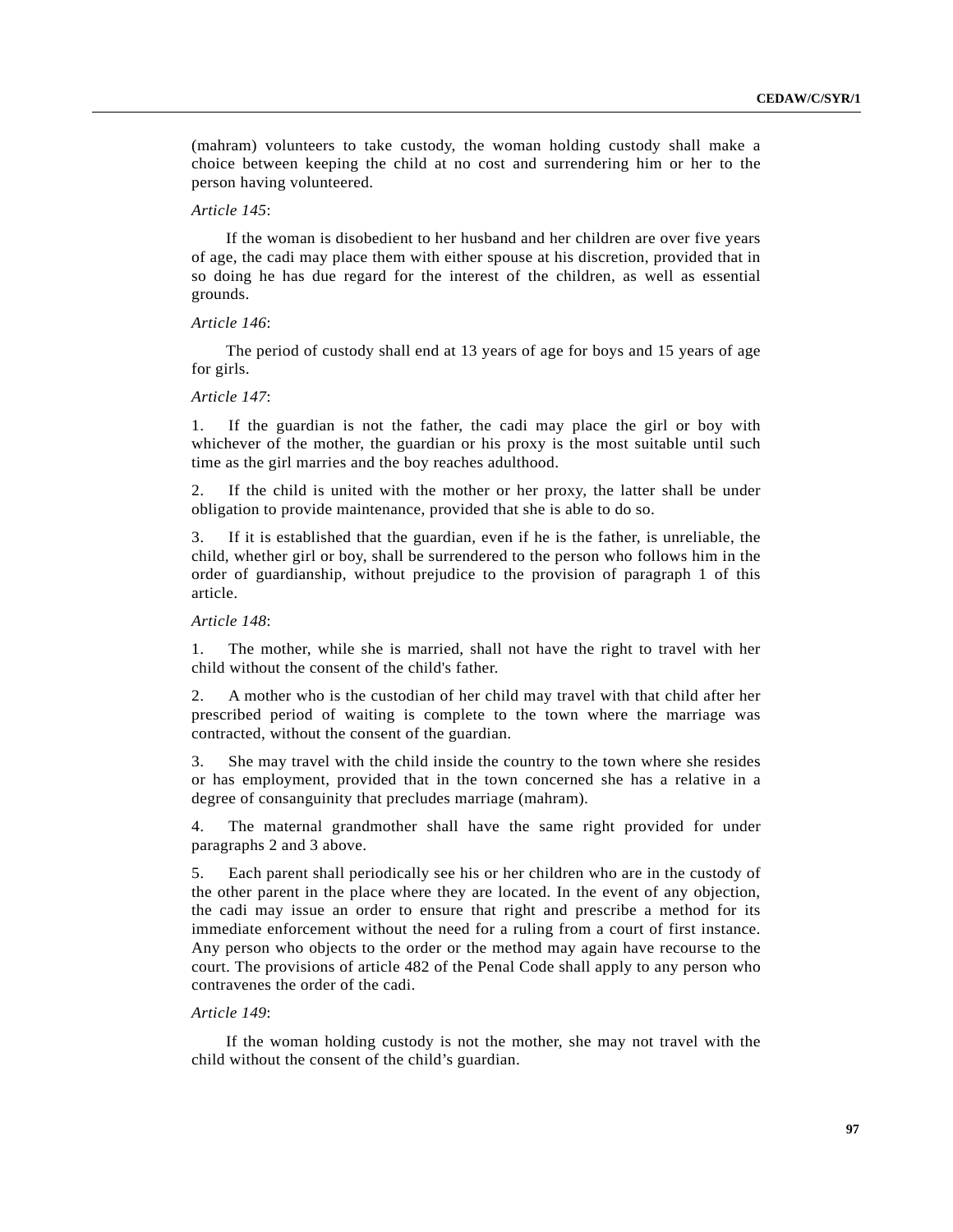(mahram) volunteers to take custody, the woman holding custody shall make a choice between keeping the child at no cost and surrendering him or her to the person having volunteered.

### *Article 145*:

If the woman is disobedient to her husband and her children are over five years of age, the cadi may place them with either spouse at his discretion, provided that in so doing he has due regard for the interest of the children, as well as essential grounds.

#### *Article 146*:

The period of custody shall end at 13 years of age for boys and 15 years of age for girls.

## *Article 147*:

1. If the guardian is not the father, the cadi may place the girl or boy with whichever of the mother, the guardian or his proxy is the most suitable until such time as the girl marries and the boy reaches adulthood.

2. If the child is united with the mother or her proxy, the latter shall be under obligation to provide maintenance, provided that she is able to do so.

3. If it is established that the guardian, even if he is the father, is unreliable, the child, whether girl or boy, shall be surrendered to the person who follows him in the order of guardianship, without prejudice to the provision of paragraph 1 of this article.

## *Article 148*:

1. The mother, while she is married, shall not have the right to travel with her child without the consent of the child's father.

2. A mother who is the custodian of her child may travel with that child after her prescribed period of waiting is complete to the town where the marriage was contracted, without the consent of the guardian.

3. She may travel with the child inside the country to the town where she resides or has employment, provided that in the town concerned she has a relative in a degree of consanguinity that precludes marriage (mahram).

4. The maternal grandmother shall have the same right provided for under paragraphs 2 and 3 above.

5. Each parent shall periodically see his or her children who are in the custody of the other parent in the place where they are located. In the event of any objection, the cadi may issue an order to ensure that right and prescribe a method for its immediate enforcement without the need for a ruling from a court of first instance. Any person who objects to the order or the method may again have recourse to the court. The provisions of article 482 of the Penal Code shall apply to any person who contravenes the order of the cadi.

## *Article 149*:

If the woman holding custody is not the mother, she may not travel with the child without the consent of the child's guardian.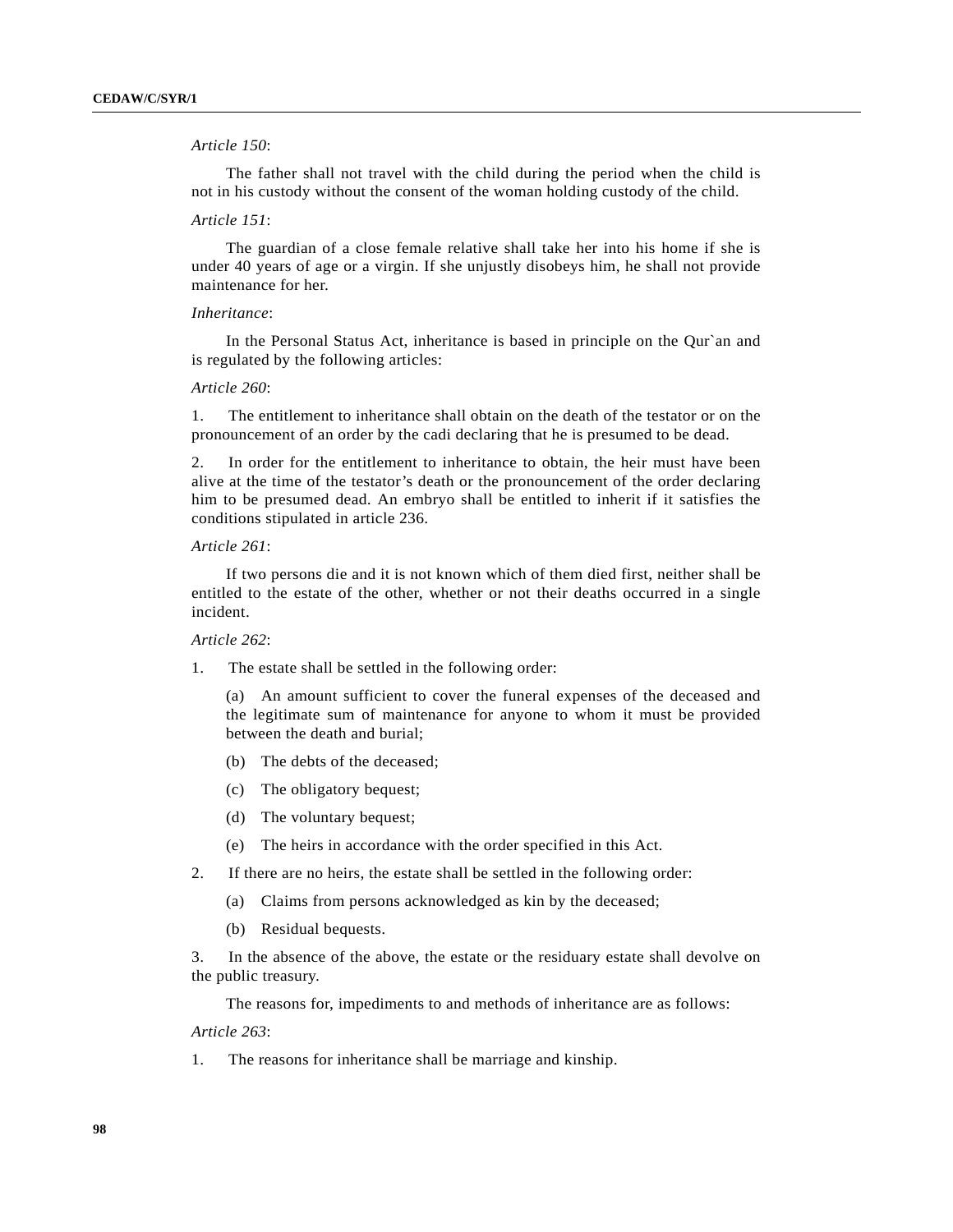# *Article 150*:

The father shall not travel with the child during the period when the child is not in his custody without the consent of the woman holding custody of the child.

### *Article 151*:

The guardian of a close female relative shall take her into his home if she is under 40 years of age or a virgin. If she unjustly disobeys him, he shall not provide maintenance for her.

#### *Inheritance*:

In the Personal Status Act, inheritance is based in principle on the Qur`an and is regulated by the following articles:

## *Article 260*:

1. The entitlement to inheritance shall obtain on the death of the testator or on the pronouncement of an order by the cadi declaring that he is presumed to be dead.

2. In order for the entitlement to inheritance to obtain, the heir must have been alive at the time of the testator's death or the pronouncement of the order declaring him to be presumed dead. An embryo shall be entitled to inherit if it satisfies the conditions stipulated in article 236.

## *Article 261*:

If two persons die and it is not known which of them died first, neither shall be entitled to the estate of the other, whether or not their deaths occurred in a single incident.

### *Article 262*:

1. The estate shall be settled in the following order:

(a) An amount sufficient to cover the funeral expenses of the deceased and the legitimate sum of maintenance for anyone to whom it must be provided between the death and burial;

- (b) The debts of the deceased;
- (c) The obligatory bequest;
- (d) The voluntary bequest;
- (e) The heirs in accordance with the order specified in this Act.
- 2. If there are no heirs, the estate shall be settled in the following order:
	- (a) Claims from persons acknowledged as kin by the deceased;
	- (b) Residual bequests.

3. In the absence of the above, the estate or the residuary estate shall devolve on the public treasury.

The reasons for, impediments to and methods of inheritance are as follows:

*Article 263*:

1. The reasons for inheritance shall be marriage and kinship.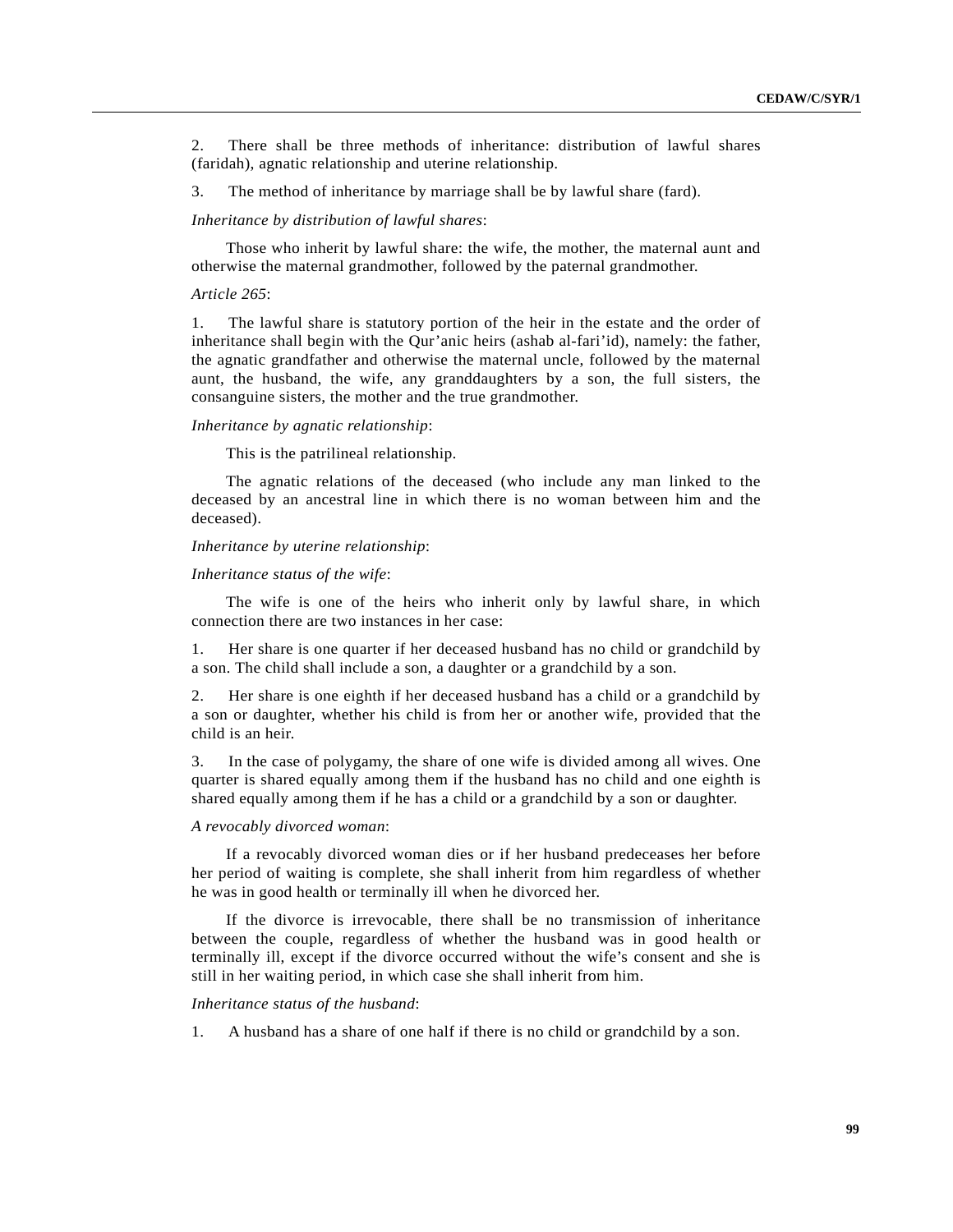2. There shall be three methods of inheritance: distribution of lawful shares (faridah), agnatic relationship and uterine relationship.

3. The method of inheritance by marriage shall be by lawful share (fard).

*Inheritance by distribution of lawful shares*:

Those who inherit by lawful share: the wife, the mother, the maternal aunt and otherwise the maternal grandmother, followed by the paternal grandmother.

#### *Article 265*:

1. The lawful share is statutory portion of the heir in the estate and the order of inheritance shall begin with the Qur'anic heirs (ashab al-fari'id), namely: the father, the agnatic grandfather and otherwise the maternal uncle, followed by the maternal aunt, the husband, the wife, any granddaughters by a son, the full sisters, the consanguine sisters, the mother and the true grandmother.

## *Inheritance by agnatic relationship*:

This is the patrilineal relationship.

The agnatic relations of the deceased (who include any man linked to the deceased by an ancestral line in which there is no woman between him and the deceased).

## *Inheritance by uterine relationship*:

### *Inheritance status of the wife*:

The wife is one of the heirs who inherit only by lawful share, in which connection there are two instances in her case:

1. Her share is one quarter if her deceased husband has no child or grandchild by a son. The child shall include a son, a daughter or a grandchild by a son.

2. Her share is one eighth if her deceased husband has a child or a grandchild by a son or daughter, whether his child is from her or another wife, provided that the child is an heir.

3. In the case of polygamy, the share of one wife is divided among all wives. One quarter is shared equally among them if the husband has no child and one eighth is shared equally among them if he has a child or a grandchild by a son or daughter.

## *A revocably divorced woman*:

If a revocably divorced woman dies or if her husband predeceases her before her period of waiting is complete, she shall inherit from him regardless of whether he was in good health or terminally ill when he divorced her.

If the divorce is irrevocable, there shall be no transmission of inheritance between the couple, regardless of whether the husband was in good health or terminally ill, except if the divorce occurred without the wife's consent and she is still in her waiting period, in which case she shall inherit from him.

### *Inheritance status of the husband*:

1. A husband has a share of one half if there is no child or grandchild by a son.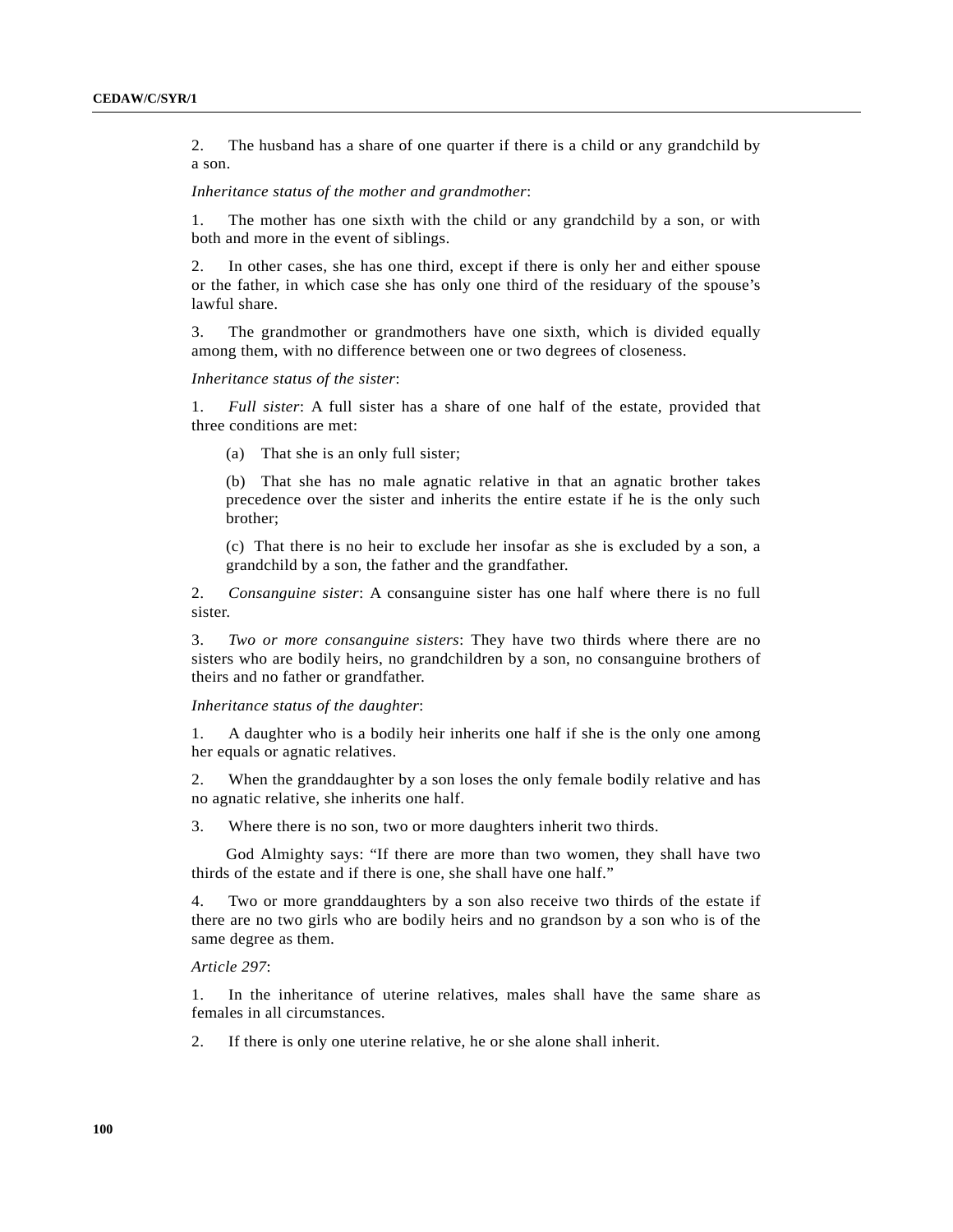2. The husband has a share of one quarter if there is a child or any grandchild by a son.

*Inheritance status of the mother and grandmother*:

1. The mother has one sixth with the child or any grandchild by a son, or with both and more in the event of siblings.

2. In other cases, she has one third, except if there is only her and either spouse or the father, in which case she has only one third of the residuary of the spouse's lawful share.

3. The grandmother or grandmothers have one sixth, which is divided equally among them, with no difference between one or two degrees of closeness.

### *Inheritance status of the sister*:

1. *Full sister*: A full sister has a share of one half of the estate, provided that three conditions are met:

(a) That she is an only full sister;

(b) That she has no male agnatic relative in that an agnatic brother takes precedence over the sister and inherits the entire estate if he is the only such brother;

(c) That there is no heir to exclude her insofar as she is excluded by a son, a grandchild by a son, the father and the grandfather.

2. *Consanguine sister*: A consanguine sister has one half where there is no full sister.

3. *Two or more consanguine sisters*: They have two thirds where there are no sisters who are bodily heirs, no grandchildren by a son, no consanguine brothers of theirs and no father or grandfather.

#### *Inheritance status of the daughter*:

1. A daughter who is a bodily heir inherits one half if she is the only one among her equals or agnatic relatives.

2. When the granddaughter by a son loses the only female bodily relative and has no agnatic relative, she inherits one half.

3. Where there is no son, two or more daughters inherit two thirds.

God Almighty says: "If there are more than two women, they shall have two thirds of the estate and if there is one, she shall have one half."

4. Two or more granddaughters by a son also receive two thirds of the estate if there are no two girls who are bodily heirs and no grandson by a son who is of the same degree as them.

*Article 297*:

1. In the inheritance of uterine relatives, males shall have the same share as females in all circumstances.

2. If there is only one uterine relative, he or she alone shall inherit.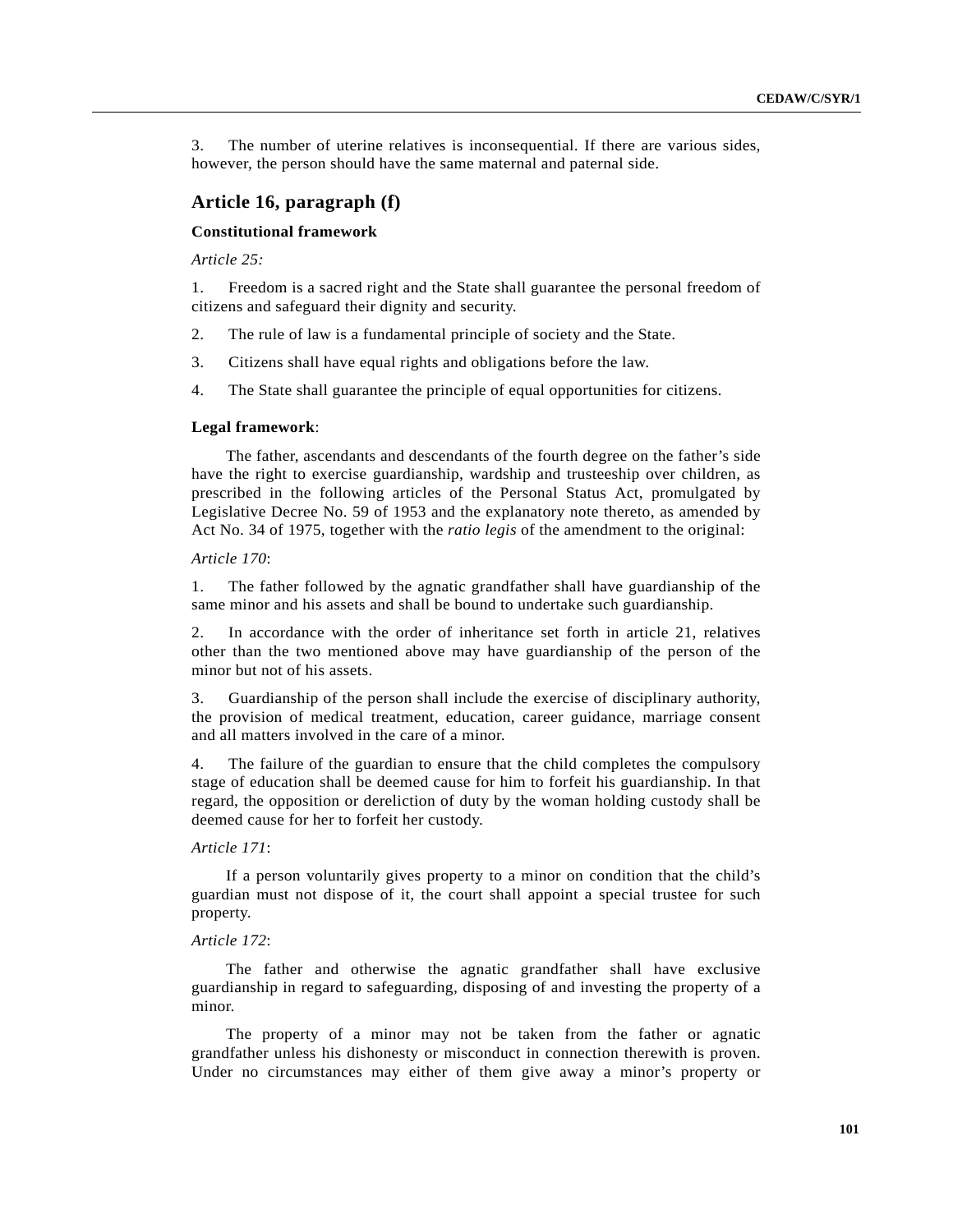3. The number of uterine relatives is inconsequential. If there are various sides, however, the person should have the same maternal and paternal side.

# **Article 16, paragraph (f)**

# **Constitutional framework**

*Article 25:*

1. Freedom is a sacred right and the State shall guarantee the personal freedom of citizens and safeguard their dignity and security.

- 2. The rule of law is a fundamental principle of society and the State.
- 3. Citizens shall have equal rights and obligations before the law.
- 4. The State shall guarantee the principle of equal opportunities for citizens.

#### **Legal framework**:

The father, ascendants and descendants of the fourth degree on the father's side have the right to exercise guardianship, wardship and trusteeship over children, as prescribed in the following articles of the Personal Status Act, promulgated by Legislative Decree No. 59 of 1953 and the explanatory note thereto, as amended by Act No. 34 of 1975, together with the *ratio legis* of the amendment to the original:

### *Article 170*:

1. The father followed by the agnatic grandfather shall have guardianship of the same minor and his assets and shall be bound to undertake such guardianship.

2. In accordance with the order of inheritance set forth in article 21, relatives other than the two mentioned above may have guardianship of the person of the minor but not of his assets.

3. Guardianship of the person shall include the exercise of disciplinary authority, the provision of medical treatment, education, career guidance, marriage consent and all matters involved in the care of a minor.

4. The failure of the guardian to ensure that the child completes the compulsory stage of education shall be deemed cause for him to forfeit his guardianship. In that regard, the opposition or dereliction of duty by the woman holding custody shall be deemed cause for her to forfeit her custody.

## *Article 171*:

If a person voluntarily gives property to a minor on condition that the child's guardian must not dispose of it, the court shall appoint a special trustee for such property.

# *Article 172*:

The father and otherwise the agnatic grandfather shall have exclusive guardianship in regard to safeguarding, disposing of and investing the property of a minor.

The property of a minor may not be taken from the father or agnatic grandfather unless his dishonesty or misconduct in connection therewith is proven. Under no circumstances may either of them give away a minor's property or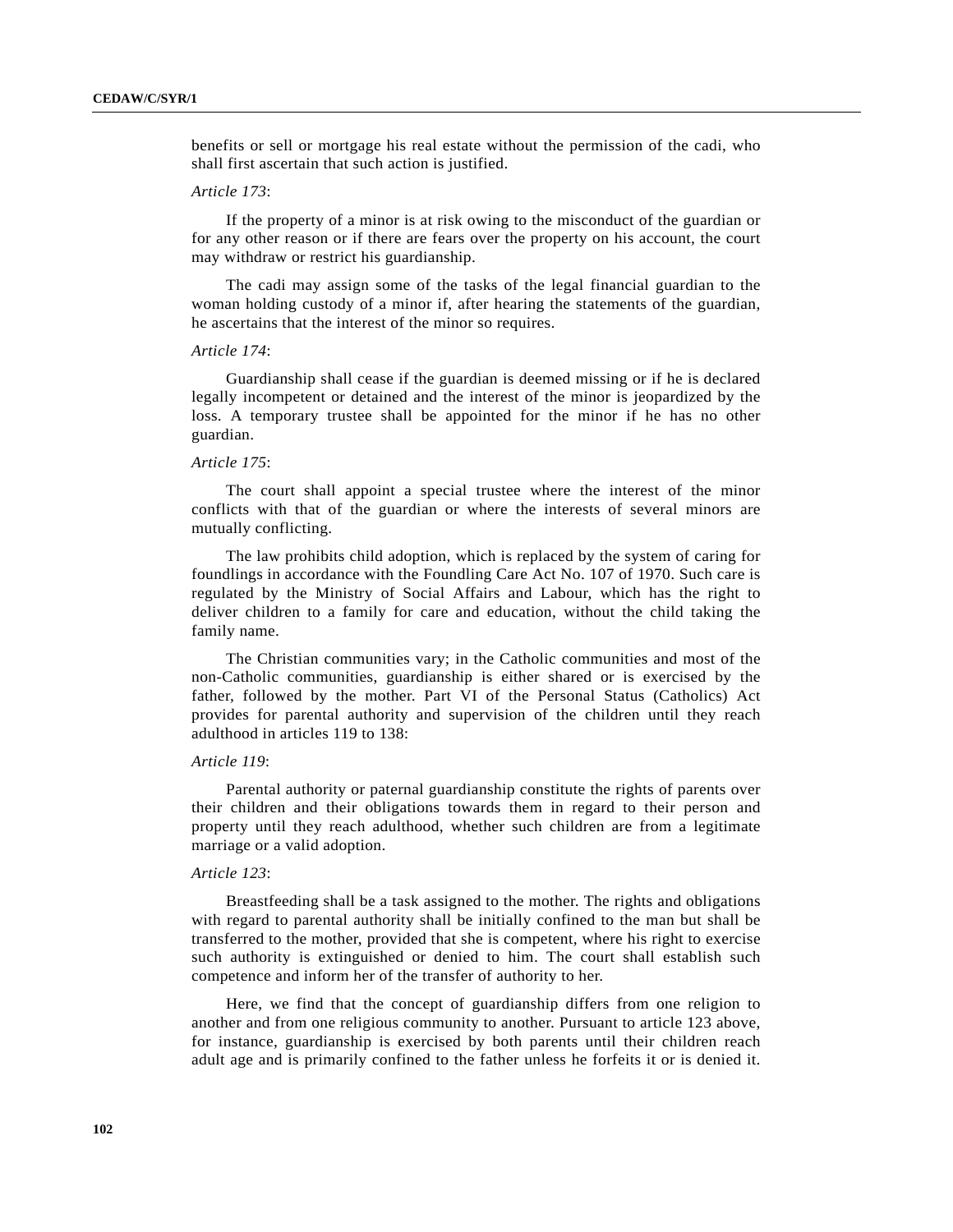benefits or sell or mortgage his real estate without the permission of the cadi, who shall first ascertain that such action is justified.

### *Article 173*:

If the property of a minor is at risk owing to the misconduct of the guardian or for any other reason or if there are fears over the property on his account, the court may withdraw or restrict his guardianship.

The cadi may assign some of the tasks of the legal financial guardian to the woman holding custody of a minor if, after hearing the statements of the guardian, he ascertains that the interest of the minor so requires.

## *Article 174*:

Guardianship shall cease if the guardian is deemed missing or if he is declared legally incompetent or detained and the interest of the minor is jeopardized by the loss. A temporary trustee shall be appointed for the minor if he has no other guardian.

### *Article 175*:

The court shall appoint a special trustee where the interest of the minor conflicts with that of the guardian or where the interests of several minors are mutually conflicting.

The law prohibits child adoption, which is replaced by the system of caring for foundlings in accordance with the Foundling Care Act No. 107 of 1970. Such care is regulated by the Ministry of Social Affairs and Labour, which has the right to deliver children to a family for care and education, without the child taking the family name.

The Christian communities vary; in the Catholic communities and most of the non-Catholic communities, guardianship is either shared or is exercised by the father, followed by the mother. Part VI of the Personal Status (Catholics) Act provides for parental authority and supervision of the children until they reach adulthood in articles 119 to 138:

## *Article 119*:

Parental authority or paternal guardianship constitute the rights of parents over their children and their obligations towards them in regard to their person and property until they reach adulthood, whether such children are from a legitimate marriage or a valid adoption.

### *Article 123*:

Breastfeeding shall be a task assigned to the mother. The rights and obligations with regard to parental authority shall be initially confined to the man but shall be transferred to the mother, provided that she is competent, where his right to exercise such authority is extinguished or denied to him. The court shall establish such competence and inform her of the transfer of authority to her.

Here, we find that the concept of guardianship differs from one religion to another and from one religious community to another. Pursuant to article 123 above, for instance, guardianship is exercised by both parents until their children reach adult age and is primarily confined to the father unless he forfeits it or is denied it.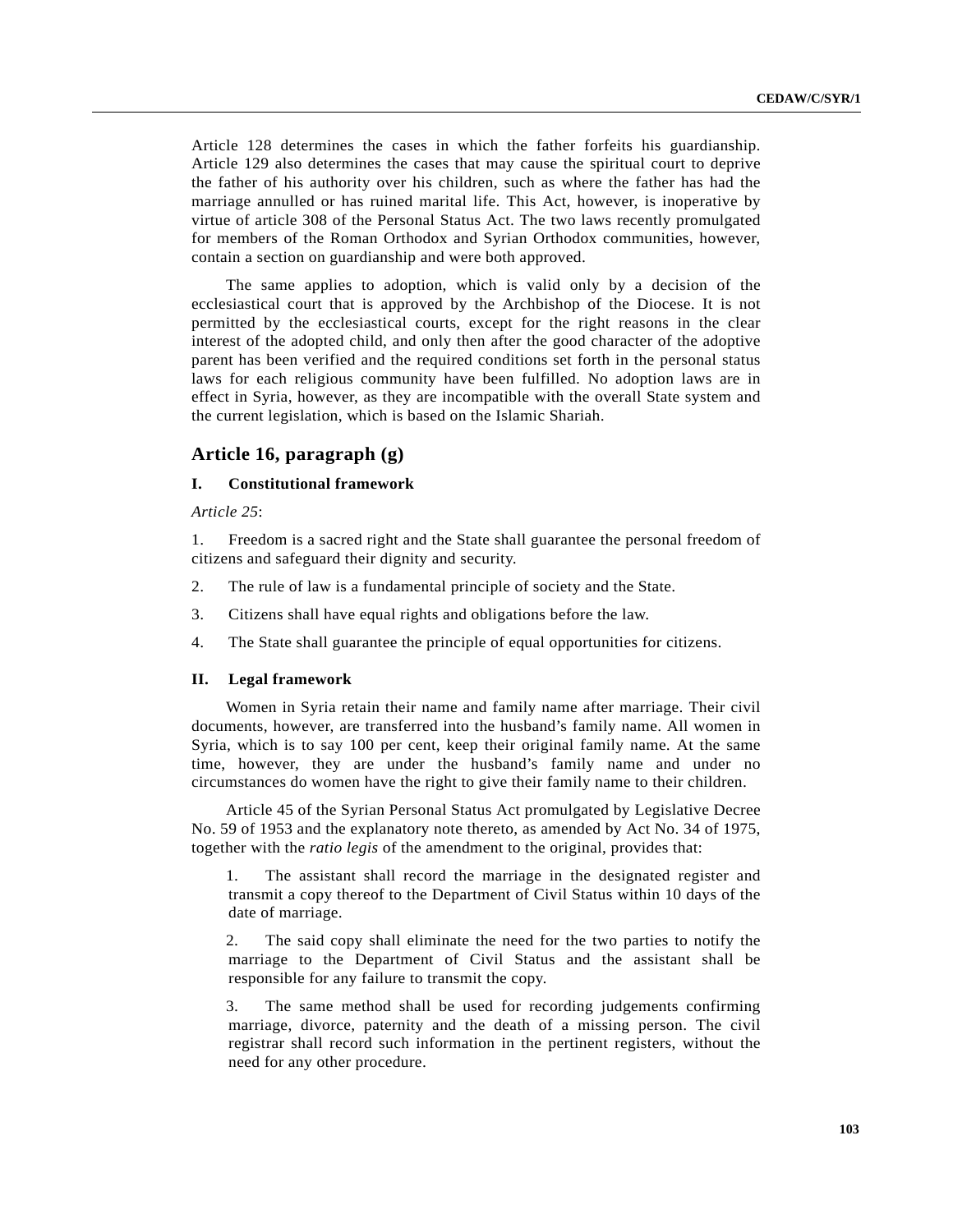Article 128 determines the cases in which the father forfeits his guardianship. Article 129 also determines the cases that may cause the spiritual court to deprive the father of his authority over his children, such as where the father has had the marriage annulled or has ruined marital life. This Act, however, is inoperative by virtue of article 308 of the Personal Status Act. The two laws recently promulgated for members of the Roman Orthodox and Syrian Orthodox communities, however, contain a section on guardianship and were both approved.

The same applies to adoption, which is valid only by a decision of the ecclesiastical court that is approved by the Archbishop of the Diocese. It is not permitted by the ecclesiastical courts, except for the right reasons in the clear interest of the adopted child, and only then after the good character of the adoptive parent has been verified and the required conditions set forth in the personal status laws for each religious community have been fulfilled. No adoption laws are in effect in Syria, however, as they are incompatible with the overall State system and the current legislation, which is based on the Islamic Shariah.

# **Article 16, paragraph (g)**

## **I. Constitutional framework**

*Article 25*:

1. Freedom is a sacred right and the State shall guarantee the personal freedom of citizens and safeguard their dignity and security.

- 2. The rule of law is a fundamental principle of society and the State.
- 3. Citizens shall have equal rights and obligations before the law.
- 4. The State shall guarantee the principle of equal opportunities for citizens.

### **II. Legal framework**

Women in Syria retain their name and family name after marriage. Their civil documents, however, are transferred into the husband's family name. All women in Syria, which is to say 100 per cent, keep their original family name. At the same time, however, they are under the husband's family name and under no circumstances do women have the right to give their family name to their children.

Article 45 of the Syrian Personal Status Act promulgated by Legislative Decree No. 59 of 1953 and the explanatory note thereto, as amended by Act No. 34 of 1975, together with the *ratio legis* of the amendment to the original, provides that:

1. The assistant shall record the marriage in the designated register and transmit a copy thereof to the Department of Civil Status within 10 days of the date of marriage.

2. The said copy shall eliminate the need for the two parties to notify the marriage to the Department of Civil Status and the assistant shall be responsible for any failure to transmit the copy.

3. The same method shall be used for recording judgements confirming marriage, divorce, paternity and the death of a missing person. The civil registrar shall record such information in the pertinent registers, without the need for any other procedure.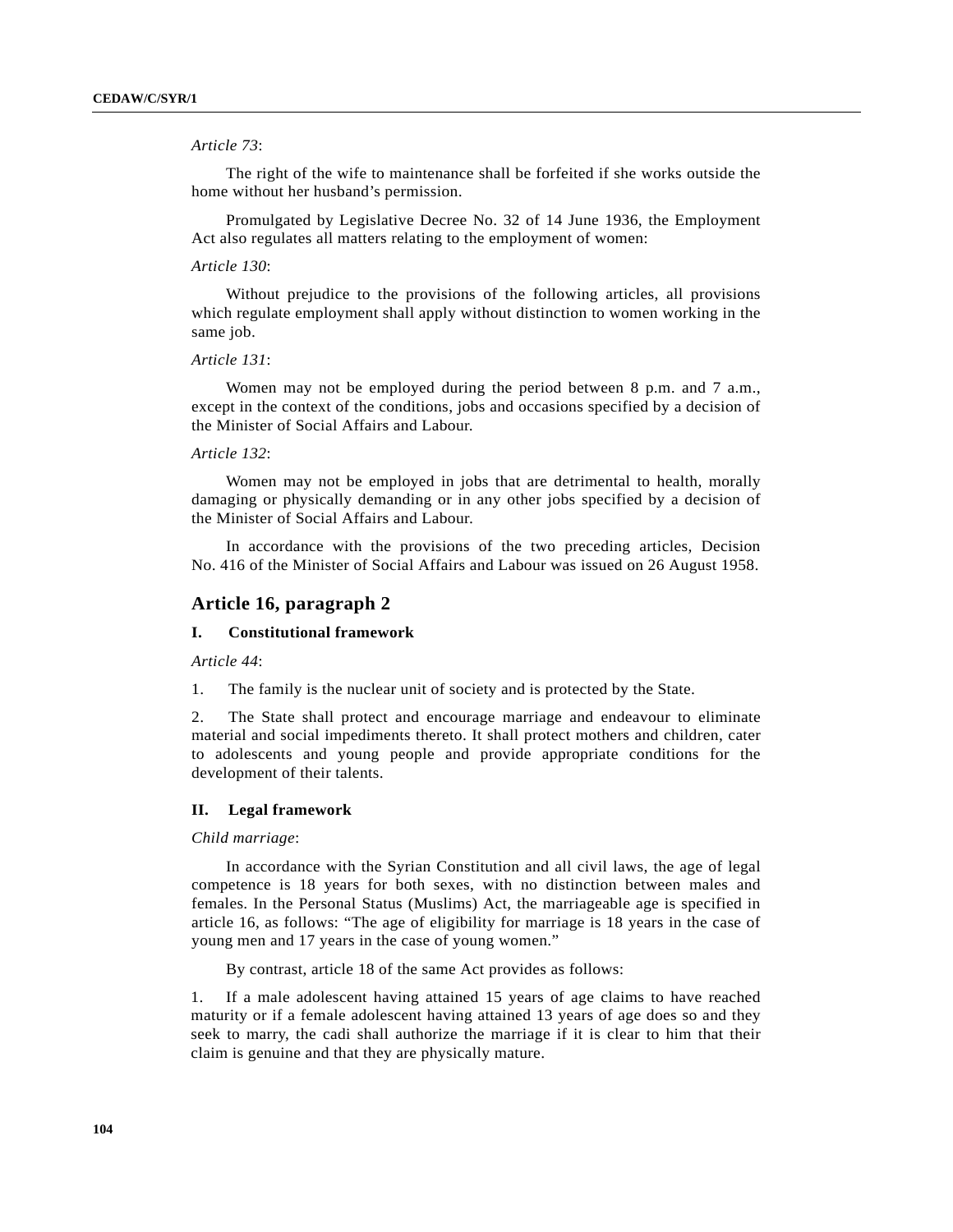## *Article 73*:

The right of the wife to maintenance shall be forfeited if she works outside the home without her husband's permission.

Promulgated by Legislative Decree No. 32 of 14 June 1936, the Employment Act also regulates all matters relating to the employment of women:

### *Article 130*:

Without prejudice to the provisions of the following articles, all provisions which regulate employment shall apply without distinction to women working in the same job.

# *Article 131*:

Women may not be employed during the period between 8 p.m. and 7 a.m., except in the context of the conditions, jobs and occasions specified by a decision of the Minister of Social Affairs and Labour.

## *Article 132*:

Women may not be employed in jobs that are detrimental to health, morally damaging or physically demanding or in any other jobs specified by a decision of the Minister of Social Affairs and Labour.

In accordance with the provisions of the two preceding articles, Decision No. 416 of the Minister of Social Affairs and Labour was issued on 26 August 1958.

# **Article 16, paragraph 2**

# **I. Constitutional framework**

*Article 44*:

1. The family is the nuclear unit of society and is protected by the State.

2. The State shall protect and encourage marriage and endeavour to eliminate material and social impediments thereto. It shall protect mothers and children, cater to adolescents and young people and provide appropriate conditions for the development of their talents.

### **II. Legal framework**

## *Child marriage*:

In accordance with the Syrian Constitution and all civil laws, the age of legal competence is 18 years for both sexes, with no distinction between males and females. In the Personal Status (Muslims) Act, the marriageable age is specified in article 16, as follows: "The age of eligibility for marriage is 18 years in the case of young men and 17 years in the case of young women."

By contrast, article 18 of the same Act provides as follows:

1. If a male adolescent having attained 15 years of age claims to have reached maturity or if a female adolescent having attained 13 years of age does so and they seek to marry, the cadi shall authorize the marriage if it is clear to him that their claim is genuine and that they are physically mature.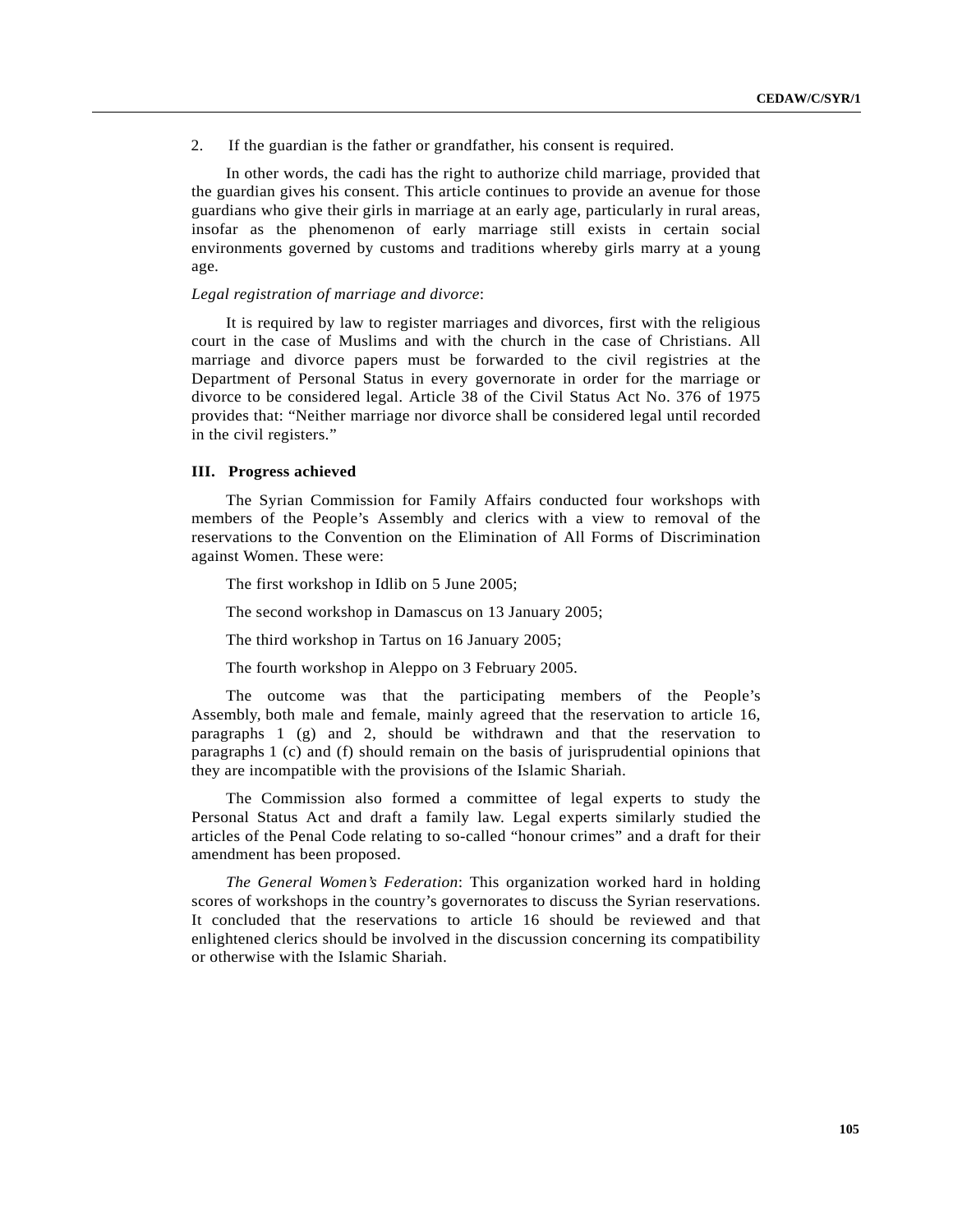2. If the guardian is the father or grandfather, his consent is required.

In other words, the cadi has the right to authorize child marriage, provided that the guardian gives his consent. This article continues to provide an avenue for those guardians who give their girls in marriage at an early age, particularly in rural areas, insofar as the phenomenon of early marriage still exists in certain social environments governed by customs and traditions whereby girls marry at a young age.

#### *Legal registration of marriage and divorce*:

It is required by law to register marriages and divorces, first with the religious court in the case of Muslims and with the church in the case of Christians. All marriage and divorce papers must be forwarded to the civil registries at the Department of Personal Status in every governorate in order for the marriage or divorce to be considered legal. Article 38 of the Civil Status Act No. 376 of 1975 provides that: "Neither marriage nor divorce shall be considered legal until recorded in the civil registers."

### **III. Progress achieved**

The Syrian Commission for Family Affairs conducted four workshops with members of the People's Assembly and clerics with a view to removal of the reservations to the Convention on the Elimination of All Forms of Discrimination against Women. These were:

The first workshop in Idlib on 5 June 2005;

The second workshop in Damascus on 13 January 2005;

The third workshop in Tartus on 16 January 2005;

The fourth workshop in Aleppo on 3 February 2005.

The outcome was that the participating members of the People's Assembly, both male and female, mainly agreed that the reservation to article 16, paragraphs 1 (g) and 2, should be withdrawn and that the reservation to paragraphs 1 (c) and (f) should remain on the basis of jurisprudential opinions that they are incompatible with the provisions of the Islamic Shariah.

The Commission also formed a committee of legal experts to study the Personal Status Act and draft a family law. Legal experts similarly studied the articles of the Penal Code relating to so-called "honour crimes" and a draft for their amendment has been proposed.

*The General Women's Federation*: This organization worked hard in holding scores of workshops in the country's governorates to discuss the Syrian reservations. It concluded that the reservations to article 16 should be reviewed and that enlightened clerics should be involved in the discussion concerning its compatibility or otherwise with the Islamic Shariah.